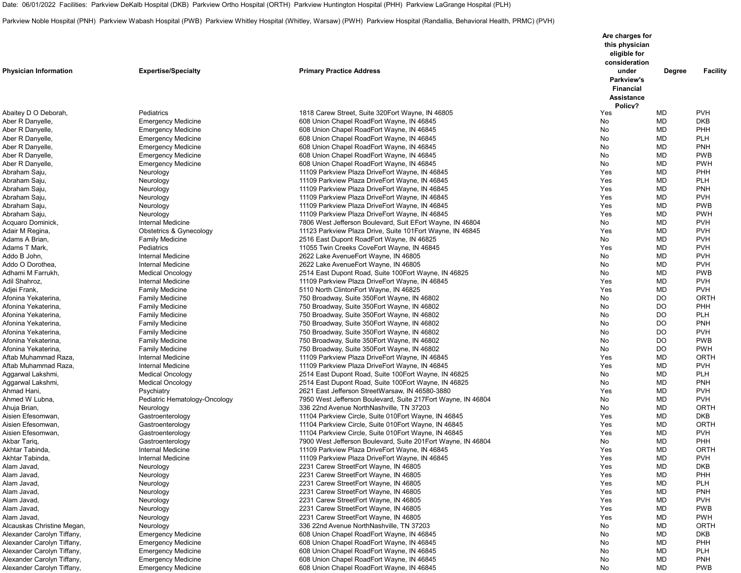Date: 06/01/2022 Facilities: Parkview DeKalb Hospital (DKB) Parkview Ortho Hospital (ORTH) Parkview Huntington Hospital (PHH) Parkview LaGrange Hospital (PLH)

Parkview Noble Hospital (PNH) Parkview Wabash Hospital (PWB) Parkview Whitley Hospital (Whitley, Warsaw) (PWH) Parkview Hospital (Randallia, Behavioral Health, PRMC) (PVH)

|                              |                               |                                                               | Are charges for                                                         |               |                 |
|------------------------------|-------------------------------|---------------------------------------------------------------|-------------------------------------------------------------------------|---------------|-----------------|
|                              |                               |                                                               | this physician<br>eligible for                                          |               |                 |
|                              |                               |                                                               | consideration                                                           |               |                 |
| <b>Physician Information</b> | <b>Expertise/Specialty</b>    | <b>Primary Practice Address</b>                               | under<br>Parkview's<br><b>Financial</b><br><b>Assistance</b><br>Policy? | <b>Degree</b> | <b>Facility</b> |
| Abaitey D O Deborah,         | Pediatrics                    | 1818 Carew Street, Suite 320 Eort Wayne, IN 46805             | Yes                                                                     | <b>MD</b>     | <b>PVH</b>      |
| Aber R Danyelle,             | <b>Emergency Medicine</b>     | 608 Union Chapel RoadEort Wayne, IN 46845                     | No                                                                      | <b>MD</b>     | <b>DKB</b>      |
| Aber R Danyelle,             | <b>Emergency Medicine</b>     | 608 Union Chapel RoadEort Wayne, IN 46845                     | No                                                                      | <b>MD</b>     | PHH             |
| Aber R Danyelle,             | <b>Emergency Medicine</b>     | 608 Union Chapel RoadEort Wayne, IN 46845                     | No                                                                      | <b>MD</b>     | <b>PLH</b>      |
| Aber R Danyelle,             | <b>Emergency Medicine</b>     | 608 Union Chapel RoadEort Wayne, IN 46845                     | No                                                                      | <b>MD</b>     | <b>PNH</b>      |
| Aber R Danyelle,             | <b>Emergency Medicine</b>     | 608 Union Chapel RoadEort Wayne, IN 46845                     | No                                                                      | <b>MD</b>     | <b>PWB</b>      |
| Aber R Danyelle,             | <b>Emergency Medicine</b>     | 608 Union Chapel RoadEort Wayne, IN 46845                     | No                                                                      | <b>MD</b>     | <b>PWH</b>      |
| Abraham Saju,                | Neurology                     | 11109 Parkview Plaza DriveEort Wayne, IN 46845                | Yes                                                                     | <b>MD</b>     | PHH             |
| Abraham Saju,                | Neurology                     | 11109 Parkview Plaza DriveEort Wayne, IN 46845                | Yes                                                                     | <b>MD</b>     | PLH             |
| Abraham Saju,                | Neurology                     | 11109 Parkview Plaza DriveEort Wayne, IN 46845                | Yes                                                                     | <b>MD</b>     | <b>PNH</b>      |
| Abraham Saju,                | Neurology                     | 11109 Parkview Plaza DriveEort Wayne, IN 46845                | Yes                                                                     | <b>MD</b>     | <b>PVH</b>      |
| Abraham Saju,                | Neurology                     | 11109 Parkview Plaza DriveEort Wayne, IN 46845                | Yes                                                                     | <b>MD</b>     | <b>PWB</b>      |
| Abraham Saju,                | Neurology                     | 11109 Parkview Plaza DriveEort Wayne, IN 46845                | Yes                                                                     | <b>MD</b>     | <b>PWH</b>      |
| Acquaro Dominick,            | Internal Medicine             | 7806 West Jefferson Boulevard, Suit EEort Wayne, IN 46804     | No                                                                      | <b>MD</b>     | <b>PVH</b>      |
| Adair M Regina,              | Obstetrics & Gynecology       | 11123 Parkview Plaza Drive, Suite 101 Eort Wayne, IN 46845    | Yes                                                                     | <b>MD</b>     | <b>PVH</b>      |
| Adams A Brian,               | <b>Family Medicine</b>        | 2516 East Dupont RoadEort Wayne, IN 46825                     | No                                                                      | <b>MD</b>     | <b>PVH</b>      |
| Adams T Mark,                | Pediatrics                    | 11055 Twin Creeks CoveEort Wayne, IN 46845                    | Yes                                                                     | <b>MD</b>     | <b>PVH</b>      |
| Addo B John,                 | <b>Internal Medicine</b>      | 2622 Lake Avenue Eort Wayne, IN 46805                         | No                                                                      | <b>MD</b>     | <b>PVH</b>      |
| Addo O Dorothea,             | Internal Medicine             | 2622 Lake Avenue Eort Wayne, IN 46805                         | No                                                                      | <b>MD</b>     | <b>PVH</b>      |
| Adhami M Farrukh,            | <b>Medical Oncology</b>       | 2514 East Dupont Road, Suite 100 Fort Wayne, IN 46825         | No                                                                      | <b>MD</b>     | <b>PWB</b>      |
| Adil Shahroz,                | Internal Medicine             | 11109 Parkview Plaza DriveEort Wayne, IN 46845                | Yes                                                                     | <b>MD</b>     | <b>PVH</b>      |
| Adjei Frank,                 | <b>Family Medicine</b>        | 5110 North ClintonEort Wayne, IN 46825                        | Yes                                                                     | <b>MD</b>     | <b>PVH</b>      |
| Afonina Yekaterina,          | <b>Family Medicine</b>        | 750 Broadway, Suite 350 Eort Wayne, IN 46802                  | No                                                                      | <b>DO</b>     | ORTH            |
| Afonina Yekaterina,          | <b>Family Medicine</b>        | 750 Broadway, Suite 350 Eort Wayne, IN 46802                  | No                                                                      | <b>DO</b>     | PHH             |
| Afonina Yekaterina,          | <b>Family Medicine</b>        | 750 Broadway, Suite 350 Eort Wayne, IN 46802                  | No                                                                      | <b>DO</b>     | <b>PLH</b>      |
| Afonina Yekaterina,          | <b>Family Medicine</b>        | 750 Broadway, Suite 350 Eort Wayne, IN 46802                  | No                                                                      | <b>DO</b>     | <b>PNH</b>      |
| Afonina Yekaterina,          | <b>Family Medicine</b>        | 750 Broadway, Suite 350 Eort Wayne, IN 46802                  | <b>No</b>                                                               | DO            | <b>PVH</b>      |
| Afonina Yekaterina,          | <b>Family Medicine</b>        | 750 Broadway, Suite 350 Eort Wayne, IN 46802                  | No                                                                      | DO            | <b>PWB</b>      |
| Afonina Yekaterina,          | <b>Family Medicine</b>        | 750 Broadway, Suite 350 Eort Wayne, IN 46802                  | No                                                                      | DO            | <b>PWH</b>      |
| Aftab Muhammad Raza,         | Internal Medicine             | 11109 Parkview Plaza DriveEort Wayne, IN 46845                | Yes                                                                     | <b>MD</b>     | <b>ORTH</b>     |
| Aftab Muhammad Raza,         | Internal Medicine             | 11109 Parkview Plaza DriveEort Wayne, IN 46845                | Yes                                                                     | <b>MD</b>     | <b>PVH</b>      |
| Aggarwal Lakshmi,            | <b>Medical Oncology</b>       | 2514 East Dupont Road, Suite 100 Fort Wayne, IN 46825         | No                                                                      | <b>MD</b>     | <b>PLH</b>      |
| Aggarwal Lakshmi,            | <b>Medical Oncology</b>       | 2514 East Dupont Road, Suite 100 Fort Wayne, IN 46825         | No                                                                      | <b>MD</b>     | <b>PNH</b>      |
| Ahmad Hani,                  | Psychiatry                    | 2621 East Jefferson StreetWarsaw, IN 46580-3880               | Yes                                                                     | <b>MD</b>     | <b>PVH</b>      |
| Ahmed W Lubna,               | Pediatric Hematology-Oncology | 7950 West Jefferson Boulevard, Suite 217 Eort Wayne, IN 46804 | No                                                                      | <b>MD</b>     | <b>PVH</b>      |
| Ahuja Brian,                 | Neurology                     | 336 22nd Avenue NorthNashville, TN 37203                      | No                                                                      | <b>MD</b>     | <b>ORTH</b>     |
| Aisien Efesomwan,            | Gastroenterology              | 11104 Parkview Circle, Suite 010Eort Wayne, IN 46845          | Yes                                                                     | <b>MD</b>     | <b>DKB</b>      |
| Aisien Efesomwan,            | Gastroenterology              | 11104 Parkview Circle, Suite 010Eort Wayne, IN 46845          | Yes                                                                     | <b>MD</b>     | <b>ORTH</b>     |
| Aisien Efesomwan,            | Gastroenterology              | 11104 Parkview Circle, Suite 010Eort Wayne, IN 46845          | Yes                                                                     | <b>MD</b>     | <b>PVH</b>      |
| Akbar Tariq,                 | Gastroenterology              | 7900 West Jefferson Boulevard, Suite 201 Eort Wayne, IN 46804 | No                                                                      | <b>MD</b>     | PHH             |
| Akhtar Tabinda,              | Internal Medicine             | 11109 Parkview Plaza DriveEort Wayne, IN 46845                | Yes                                                                     | <b>MD</b>     | <b>ORTH</b>     |
| Akhtar Tabinda,              | Internal Medicine             | 11109 Parkview Plaza DriveEort Wayne, IN 46845                | Yes                                                                     | <b>MD</b>     | <b>PVH</b>      |
| Alam Javad,                  | Neurology                     | 2231 Carew StreetEort Wayne, IN 46805                         | Yes                                                                     | <b>MD</b>     | <b>DKB</b>      |
| Alam Javad,                  | Neurology                     | 2231 Carew StreetEort Wayne, IN 46805                         | Yes                                                                     | <b>MD</b>     | PHH             |
| Alam Javad,                  | Neurology                     | 2231 Carew StreetEort Wayne, IN 46805                         | Yes                                                                     | <b>MD</b>     | <b>PLH</b>      |
| Alam Javad,                  | Neurology                     | 2231 Carew StreetEort Wayne, IN 46805                         | Yes                                                                     | <b>MD</b>     | <b>PNH</b>      |
| Alam Javad,                  | Neurology                     | 2231 Carew StreetEort Wayne, IN 46805                         | Yes                                                                     | <b>MD</b>     | <b>PVH</b>      |
| Alam Javad,                  | Neurology                     | 2231 Carew StreetEort Wayne, IN 46805                         | Yes                                                                     | <b>MD</b>     | <b>PWB</b>      |
| Alam Javad,                  | Neurology                     | 2231 Carew StreetEort Wayne, IN 46805                         | Yes                                                                     | <b>MD</b>     | <b>PWH</b>      |
| Alcauskas Christine Megan,   | Neurology                     | 336 22nd Avenue NorthNashville, TN 37203                      | No                                                                      | <b>MD</b>     | <b>ORTH</b>     |
| Alexander Carolyn Tiffany,   | <b>Emergency Medicine</b>     | 608 Union Chapel RoadEort Wayne, IN 46845                     | No                                                                      | <b>MD</b>     | <b>DKB</b>      |
| Alexander Carolyn Tiffany,   | <b>Emergency Medicine</b>     | 608 Union Chapel RoadEort Wayne, IN 46845                     | No                                                                      | <b>MD</b>     | PHH             |
| Alexander Carolyn Tiffany,   | <b>Emergency Medicine</b>     | 608 Union Chapel RoadEort Wayne, IN 46845                     | No                                                                      | <b>MD</b>     | <b>PLH</b>      |
| Alexander Carolyn Tiffany,   | <b>Emergency Medicine</b>     | 608 Union Chapel RoadEort Wayne, IN 46845                     | No                                                                      | <b>MD</b>     | <b>PNH</b>      |
| Alexander Carolyn Tiffany,   | <b>Emergency Medicine</b>     | 608 Union Chapel RoadEort Wayne, IN 46845                     | No                                                                      | <b>MD</b>     | <b>PWB</b>      |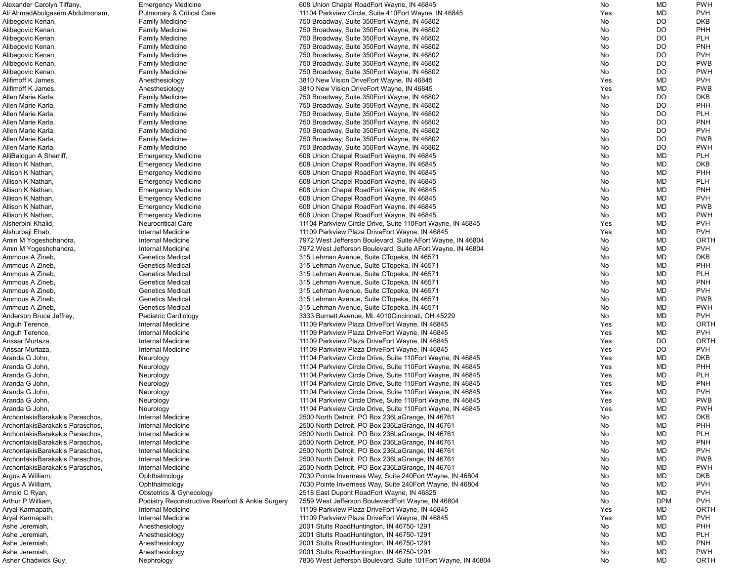| Alexander Carolyn Tiffany,      | <b>Emergency Medicine</b>                        | 608 Union Chapel RoadEort Wayne, IN 46845                     | No         | <b>MD</b>  | <b>PWH</b>  |
|---------------------------------|--------------------------------------------------|---------------------------------------------------------------|------------|------------|-------------|
| Ali AhmadAbulgasem Abdulmonam,  | <b>Pulmonary &amp; Critical Care</b>             | 11104 Parkview Circle, Suite 410 Eort Wayne, IN 46845         | Yes        | MD         | <b>PVH</b>  |
| Alibegovic Kenan,               | <b>Family Medicine</b>                           | 750 Broadway, Suite 350 Eort Wayne, IN 46802                  | No         | DO         | <b>DKB</b>  |
| Alibegovic Kenan,               | <b>Family Medicine</b>                           | 750 Broadway, Suite 350 Eort Wayne, IN 46802                  | No         | DO         | PHH         |
| Alibegovic Kenan,               | <b>Family Medicine</b>                           | 750 Broadway, Suite 350 Eort Wayne, IN 46802                  | No         | DO         | <b>PLH</b>  |
| Alibegovic Kenan,               | <b>Family Medicine</b>                           | 750 Broadway, Suite 350 Eort Wayne, IN 46802                  | No         | DO         | <b>PNH</b>  |
| Alibegovic Kenan,               | <b>Family Medicine</b>                           | 750 Broadway, Suite 350 Eort Wayne, IN 46802                  | No         | <b>DO</b>  | <b>PVH</b>  |
| Alibegovic Kenan,               | <b>Family Medicine</b>                           | 750 Broadway, Suite 350 Eort Wayne, IN 46802                  | No         | DO         | <b>PWB</b>  |
| Alibegovic Kenan,               | <b>Family Medicine</b>                           | 750 Broadway, Suite 350 Fort Wayne, IN 46802                  | No         | DO         | <b>PWH</b>  |
| Alifimoff K James,              | Anesthesiology                                   | 3810 New Vision DriveEort Wayne, IN 46845                     | Yes        | <b>MD</b>  | <b>PVH</b>  |
| Alifimoff K James,              | Anesthesiology                                   | 3810 New Vision DriveEort Wayne, IN 46845                     | Yes        | MD         | <b>PWB</b>  |
| Allen Marie Karla,              | <b>Family Medicine</b>                           | 750 Broadway, Suite 350 Eort Wayne, IN 46802                  | No         | DO         | <b>DKB</b>  |
| Allen Marie Karla,              | <b>Family Medicine</b>                           | 750 Broadway, Suite 350 Eort Wayne, IN 46802                  | No         | <b>DO</b>  | PHH         |
| Allen Marie Karla,              | <b>Family Medicine</b>                           | 750 Broadway, Suite 350 Eort Wayne, IN 46802                  | No         | DO         | <b>PLH</b>  |
| Allen Marie Karla,              | <b>Family Medicine</b>                           | 750 Broadway, Suite 350 Eort Wayne, IN 46802                  | No         | DO         | <b>PNH</b>  |
| Allen Marie Karla,              | <b>Family Medicine</b>                           | 750 Broadway, Suite 350 Eort Wayne, IN 46802                  | No         | DO         | <b>PVH</b>  |
| Allen Marie Karla,              | <b>Family Medicine</b>                           | 750 Broadway, Suite 350 Eort Wayne, IN 46802                  | No         | DO         | <b>PWB</b>  |
| Allen Marie Karla,              | <b>Family Medicine</b>                           | 750 Broadway, Suite 350 Eort Wayne, IN 46802                  | No         | DO         | <b>PWH</b>  |
| AlliBalogun A Sherriff,         |                                                  | 608 Union Chapel RoadEort Wayne, IN 46845                     | No         | <b>MD</b>  | <b>PLH</b>  |
| Allison K Nathan,               | <b>Emergency Medicine</b>                        | 608 Union Chapel RoadEort Wayne, IN 46845                     | No         | <b>MD</b>  | <b>DKB</b>  |
| Allison K Nathan,               | <b>Emergency Medicine</b>                        |                                                               |            | <b>MD</b>  | PHH         |
|                                 | <b>Emergency Medicine</b>                        | 608 Union Chapel RoadEort Wayne, IN 46845                     | No         |            |             |
| Allison K Nathan,               | <b>Emergency Medicine</b>                        | 608 Union Chapel RoadEort Wayne, IN 46845                     | No         | <b>MD</b>  | <b>PLH</b>  |
| Allison K Nathan,               | <b>Emergency Medicine</b>                        | 608 Union Chapel RoadEort Wayne, IN 46845                     | No         | MD         | <b>PNH</b>  |
| Allison K Nathan,               | <b>Emergency Medicine</b>                        | 608 Union Chapel RoadEort Wayne, IN 46845                     | No         | MD         | <b>PVH</b>  |
| Allison K Nathan,               | <b>Emergency Medicine</b>                        | 608 Union Chapel RoadEort Wayne, IN 46845                     | No         | <b>MD</b>  | <b>PWB</b>  |
| Allison K Nathan,               | <b>Emergency Medicine</b>                        | 608 Union Chapel RoadEort Wayne, IN 46845                     | No         | <b>MD</b>  | <b>PWH</b>  |
| Alsherbini Khalid,              | <b>Neurocritical Care</b>                        | 11104 Parkview Circle Drive, Suite 110 Eort Wayne, IN 46845   | Yes        | <b>MD</b>  | <b>PVH</b>  |
| Alshurbaji Ehab,                | Internal Medicine                                | 11109 Parkview Plaza DriveEort Wayne, IN 46845                | Yes        | <b>MD</b>  | <b>PVH</b>  |
| Amin M Yogeshchandra,           | <b>Internal Medicine</b>                         | 7972 West Jefferson Boulevard, Suite AEort Wayne, IN 46804    | No         | MD         | <b>ORTH</b> |
| Amin M Yogeshchandra,           | <b>Internal Medicine</b>                         | 7972 West Jefferson Boulevard, Suite AEort Wayne, IN 46804    | No         | MD         | <b>PVH</b>  |
| Ammous A Zineb,                 | <b>Genetics Medical</b>                          | 315 Lehman Avenue, Suite CTopeka, IN 46571                    | No         | <b>MD</b>  | <b>DKB</b>  |
| Ammous A Zineb,                 | <b>Genetics Medical</b>                          | 315 Lehman Avenue, Suite CTopeka, IN 46571                    | No         | <b>MD</b>  | PHH         |
| Ammous A Zineb,                 | <b>Genetics Medical</b>                          | 315 Lehman Avenue, Suite CTopeka, IN 46571                    | No         | <b>MD</b>  | <b>PLH</b>  |
| Ammous A Zineb,                 | <b>Genetics Medical</b>                          | 315 Lehman Avenue, Suite CTopeka, IN 46571                    | No         | <b>MD</b>  | <b>PNH</b>  |
| Ammous A Zineb,                 | <b>Genetics Medical</b>                          | 315 Lehman Avenue, Suite CTopeka, IN 46571                    | No         | MD         | <b>PVH</b>  |
| Ammous A Zineb,                 | <b>Genetics Medical</b>                          | 315 Lehman Avenue, Suite CTopeka, IN 46571                    | No         | MD         | <b>PWB</b>  |
| Ammous A Zineb,                 | <b>Genetics Medical</b>                          | 315 Lehman Avenue, Suite CTopeka, IN 46571                    | No         | MD         | <b>PWH</b>  |
| Anderson Bruce Jeffrey,         | Pediatric Cardiology                             | 3333 Burnett Avenue, ML 4010Cincinnati, OH 45229              | No         | <b>MD</b>  | <b>PVH</b>  |
| Anguh Terence,                  | Internal Medicine                                | 11109 Parkview Plaza DriveEort Wayne, IN 46845                | Yes        | <b>MD</b>  | <b>ORTH</b> |
| Anguh Terence,                  | <b>Internal Medicine</b>                         | 11109 Parkview Plaza DriveEort Wayne, IN 46845                | Yes        | <b>MD</b>  | <b>PVH</b>  |
| Anssar Murtaza,                 | <b>Internal Medicine</b>                         | 11109 Parkview Plaza DriveEort Wayne, IN 46845                | Yes        | DO         | <b>ORTH</b> |
| Anssar Murtaza,                 | <b>Internal Medicine</b>                         | 11109 Parkview Plaza DriveEort Wayne, IN 46845                | Yes        | <b>DO</b>  | <b>PVH</b>  |
| Aranda G John,                  | Neurology                                        | 11104 Parkview Circle Drive, Suite 110 Eort Wayne, IN 46845   | Yes        | <b>MD</b>  | <b>DKB</b>  |
| Aranda G John,                  | Neurology                                        | 11104 Parkview Circle Drive, Suite 110 Eort Wayne, IN 46845   | Yes        | <b>MD</b>  | PHH         |
| Aranda G John,                  | Neurology                                        | 11104 Parkview Circle Drive, Suite 110 Eort Wayne, IN 46845   | Yes        | <b>MD</b>  | <b>PLH</b>  |
| Aranda G John,                  | Neurology                                        | 11104 Parkview Circle Drive, Suite 110 Eort Wayne, IN 46845   | Yes        | <b>MD</b>  | <b>PNH</b>  |
| Aranda G John,                  | Neurology                                        | 11104 Parkview Circle Drive, Suite 110 Fort Wayne, IN 46845   | <b>Yes</b> | <b>MD</b>  | <b>PVH</b>  |
| Aranda G John,                  | Neurology                                        | 11104 Parkview Circle Drive, Suite 110 Eort Wayne, IN 46845   | Yes        | MD         | <b>PWB</b>  |
| Aranda G John,                  | Neurology                                        | 11104 Parkview Circle Drive, Suite 110 Fort Wayne, IN 46845   | Yes        | MD         | <b>PWH</b>  |
| ArchontakisBarakakis Paraschos, | Internal Medicine                                | 2500 North Detroit, PO Box 236 La Grange, IN 46761            | No         | <b>MD</b>  | <b>DKB</b>  |
| ArchontakisBarakakis Paraschos, | Internal Medicine                                | 2500 North Detroit, PO Box 236 La Grange, IN 46761            | No         | <b>MD</b>  | PHH         |
| ArchontakisBarakakis Paraschos, | <b>Internal Medicine</b>                         | 2500 North Detroit, PO Box 236 La Grange, IN 46761            | No         | <b>MD</b>  | <b>PLH</b>  |
| ArchontakisBarakakis Paraschos, | <b>Internal Medicine</b>                         | 2500 North Detroit, PO Box 236 La Grange, IN 46761            | No         | MD         | <b>PNH</b>  |
| ArchontakisBarakakis Paraschos, | <b>Internal Medicine</b>                         | 2500 North Detroit, PO Box 236 La Grange, IN 46761            | No         | MD         | <b>PVH</b>  |
| ArchontakisBarakakis Paraschos, | Internal Medicine                                | 2500 North Detroit, PO Box 236LaGrange, IN 46761              | No         | <b>MD</b>  | <b>PWB</b>  |
| ArchontakisBarakakis Paraschos, | <b>Internal Medicine</b>                         | 2500 North Detroit, PO Box 236 La Grange, IN 46761            | No         | <b>MD</b>  | <b>PWH</b>  |
| Argus A William,                | Ophthalmology                                    | 7030 Pointe Inverness Way, Suite 240 Eort Wayne, IN 46804     | No         | <b>MD</b>  | <b>DKB</b>  |
| Argus A William,                | Ophthalmology                                    | 7030 Pointe Inverness Way, Suite 240 Eort Wayne, IN 46804     | No         | <b>MD</b>  | <b>PVH</b>  |
| Arnold C Ryan,                  | Obstetrics & Gynecology                          | 2518 East Dupont RoadEort Wayne, IN 46825                     | No         | MD         | <b>PVH</b>  |
| Arthur P William,               | Podiatry Reconstructive Rearfoot & Ankle Surgery | 7559 West Jefferson BoulevardEort Wayne, IN 46804             | No         | <b>DPM</b> | <b>PVH</b>  |
| Aryal Karmapath,                | <b>Internal Medicine</b>                         | 11109 Parkview Plaza DriveEort Wayne, IN 46845                | Yes        | MD         | <b>ORTH</b> |
| Aryal Karmapath,                | <b>Internal Medicine</b>                         | 11109 Parkview Plaza DriveEort Wayne, IN 46845                | Yes        | <b>MD</b>  | <b>PVH</b>  |
| Ashe Jeremiah,                  | Anesthesiology                                   | 2001 Stults RoadHuntington, IN 46750-1291                     | No         | <b>MD</b>  | PHH         |
| Ashe Jeremiah,                  | Anesthesiology                                   | 2001 Stults RoadHuntington, IN 46750-1291                     | No         | <b>MD</b>  | <b>PLH</b>  |
| Ashe Jeremiah,                  | Anesthesiology                                   | 2001 Stults RoadHuntington, IN 46750-1291                     | No         | MD         | <b>PNH</b>  |
| Ashe Jeremiah,                  | Anesthesiology                                   | 2001 Stults RoadHuntington, IN 46750-1291                     | No         | MD         | <b>PWH</b>  |
| Asher Chadwick Guy,             | Nephrology                                       | 7836 West Jefferson Boulevard, Suite 101 Eort Wayne, IN 46804 | No         | MD         | <b>ORTH</b> |
|                                 |                                                  |                                                               |            |            |             |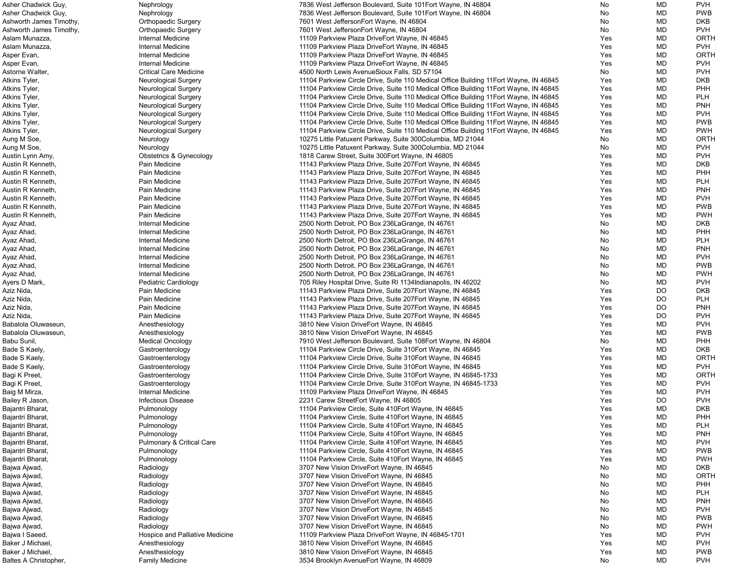| Asher Chadwick Guy,     | Nephrology                           | 7836 West Jefferson Boulevard, Suite 101 Eort Wayne, IN 46804                          | No         | MD        | <b>PVH</b>  |
|-------------------------|--------------------------------------|----------------------------------------------------------------------------------------|------------|-----------|-------------|
| Asher Chadwick Guy,     | Nephrology                           | 7836 West Jefferson Boulevard, Suite 101 Eort Wayne, IN 46804                          | No         | MD        | <b>PWB</b>  |
| Ashworth James Timothy, | <b>Orthopaedic Surgery</b>           | 7601 West JeffersonEort Wayne, IN 46804                                                | No         | <b>MD</b> | <b>DKB</b>  |
| Ashworth James Timothy, | <b>Orthopaedic Surgery</b>           | 7601 West JeffersonEort Wayne, IN 46804                                                | No         | MD        | <b>PVH</b>  |
|                         |                                      |                                                                                        |            |           |             |
| Aslam Munazza,          | Internal Medicine                    | 11109 Parkview Plaza DriveEort Wayne, IN 46845                                         | Yes        | MD        | ORTH        |
| Aslam Munazza,          | Internal Medicine                    | 11109 Parkview Plaza DriveEort Wayne, IN 46845                                         | Yes        | MD        | <b>PVH</b>  |
| Asper Evan,             | Internal Medicine                    | 11109 Parkview Plaza DriveEort Wayne, IN 46845                                         | Yes        | MD        | <b>ORTH</b> |
| Asper Evan,             | Internal Medicine                    | 11109 Parkview Plaza DriveEort Wayne, IN 46845                                         | Yes        | MD        | <b>PVH</b>  |
| Astorne Walter,         | <b>Critical Care Medicine</b>        | 4500 North Lewis AvenueSioux Falls, SD 57104                                           | No         | MD        | <b>PVH</b>  |
| Atkins Tyler,           | <b>Neurological Surgery</b>          | 11104 Parkview Circle Drive, Suite 110 Medical Office Building 11 Eort Wayne, IN 46845 | Yes        | MD        | <b>DKB</b>  |
|                         |                                      |                                                                                        |            | MD        | <b>PHH</b>  |
| Atkins Tyler,           | <b>Neurological Surgery</b>          | 11104 Parkview Circle Drive, Suite 110 Medical Office Building 11 Eort Wayne, IN 46845 | Yes        |           |             |
| Atkins Tyler,           | <b>Neurological Surgery</b>          | 11104 Parkview Circle Drive, Suite 110 Medical Office Building 11 Eort Wayne, IN 46845 | Yes        | MD        | <b>PLH</b>  |
| Atkins Tyler,           | <b>Neurological Surgery</b>          | 11104 Parkview Circle Drive, Suite 110 Medical Office Building 11 Eort Wayne, IN 46845 | Yes        | MD        | <b>PNH</b>  |
| Atkins Tyler,           | <b>Neurological Surgery</b>          | 11104 Parkview Circle Drive, Suite 110 Medical Office Building 11 Eort Wayne, IN 46845 | Yes        | MD        | <b>PVH</b>  |
| Atkins Tyler,           | <b>Neurological Surgery</b>          | 11104 Parkview Circle Drive, Suite 110 Medical Office Building 11 Eort Wayne, IN 46845 | Yes        | <b>MD</b> | <b>PWB</b>  |
| Atkins Tyler,           | <b>Neurological Surgery</b>          | 11104 Parkview Circle Drive, Suite 110 Medical Office Building 11 Eort Wayne, IN 46845 | Yes        | MD        | <b>PWH</b>  |
|                         |                                      |                                                                                        |            | MD        | ORTH        |
| Aung M Soe,             | Neurology                            | 10275 Little Patuxent Parkway, Suite 300Columbia, MD 21044                             | No         |           |             |
| Aung M Soe,             | Neurology                            | 10275 Little Patuxent Parkway, Suite 300Columbia, MD 21044                             | No         | MD        | <b>PVH</b>  |
| Austin Lynn Amy,        | Obstetrics & Gynecology              | 1818 Carew Street, Suite 300 Eort Wayne, IN 46805                                      | Yes        | MD        | <b>PVH</b>  |
| Austin R Kenneth,       | Pain Medicine                        | 11143 Parkview Plaza Drive, Suite 207Eort Wayne, IN 46845                              | Yes        | MD        | <b>DKB</b>  |
| Austin R Kenneth,       | Pain Medicine                        | 11143 Parkview Plaza Drive, Suite 207Eort Wayne, IN 46845                              | Yes        | MD        | PHH         |
| Austin R Kenneth,       | Pain Medicine                        | 11143 Parkview Plaza Drive, Suite 207Eort Wayne, IN 46845                              | Yes        | MD        | <b>PLH</b>  |
|                         |                                      |                                                                                        |            |           |             |
| Austin R Kenneth,       | Pain Medicine                        | 11143 Parkview Plaza Drive, Suite 207Eort Wayne, IN 46845                              | Yes        | MD        | <b>PNH</b>  |
| Austin R Kenneth,       | Pain Medicine                        | 11143 Parkview Plaza Drive, Suite 207Eort Wayne, IN 46845                              | Yes        | MD        | <b>PVH</b>  |
| Austin R Kenneth,       | Pain Medicine                        | 11143 Parkview Plaza Drive, Suite 207Eort Wayne, IN 46845                              | Yes        | MD        | <b>PWB</b>  |
| Austin R Kenneth,       | Pain Medicine                        | 11143 Parkview Plaza Drive, Suite 207Eort Wayne, IN 46845                              | Yes        | MD        | <b>PWH</b>  |
| Ayaz Ahad,              | Internal Medicine                    | 2500 North Detroit, PO Box 236 La Grange, IN 46761                                     | No         | <b>MD</b> | <b>DKB</b>  |
|                         | Internal Medicine                    | 2500 North Detroit, PO Box 236 La Grange, IN 46761                                     | No         | MD        | PHH         |
| Ayaz Ahad,              |                                      |                                                                                        |            |           |             |
| Ayaz Ahad,              | Internal Medicine                    | 2500 North Detroit, PO Box 236 La Grange, IN 46761                                     | No         | <b>MD</b> | <b>PLH</b>  |
| Ayaz Ahad,              | Internal Medicine                    | 2500 North Detroit, PO Box 236 La Grange, IN 46761                                     | No         | MD        | <b>PNH</b>  |
| Ayaz Ahad,              | Internal Medicine                    | 2500 North Detroit, PO Box 236 La Grange, IN 46761                                     | No         | MD        | <b>PVH</b>  |
| Ayaz Ahad,              | Internal Medicine                    | 2500 North Detroit, PO Box 236 La Grange, IN 46761                                     | No.        | MD        | <b>PWB</b>  |
| Ayaz Ahad,              | Internal Medicine                    | 2500 North Detroit, PO Box 236 La Grange, IN 46761                                     | No.        | MD        | <b>PWH</b>  |
|                         |                                      |                                                                                        |            |           |             |
| Ayers D Mark,           | Pediatric Cardiology                 | 705 Riley Hospital Drive, Suite RI 1134 Indianapolis, IN 46202                         | No         | MD        | <b>PVH</b>  |
| Aziz Nida,              | Pain Medicine                        | 11143 Parkview Plaza Drive, Suite 207Eort Wayne, IN 46845                              | Yes        | DO        | <b>DKB</b>  |
| Aziz Nida,              | Pain Medicine                        | 11143 Parkview Plaza Drive, Suite 207Eort Wayne, IN 46845                              | <b>Yes</b> | DO.       | <b>PLH</b>  |
| Aziz Nida,              | Pain Medicine                        | 11143 Parkview Plaza Drive, Suite 207Eort Wayne, IN 46845                              | Yes        | DO        | <b>PNH</b>  |
| Aziz Nida,              | Pain Medicine                        | 11143 Parkview Plaza Drive, Suite 207Eort Wayne, IN 46845                              | Yes        | DO        | <b>PVH</b>  |
| Babalola Oluwaseun,     | Anesthesiology                       | 3810 New Vision DriveEort Wayne, IN 46845                                              | Yes        | MD        | <b>PVH</b>  |
|                         |                                      |                                                                                        |            |           |             |
| Babalola Oluwaseun,     | Anesthesiology                       | 3810 New Vision DriveEort Wayne, IN 46845                                              | Yes        | MD        | <b>PWB</b>  |
| Babu Sunil,             | <b>Medical Oncology</b>              | 7910 West Jefferson Boulevard, Suite 108 Eort Wayne, IN 46804                          | No         | MD        | <b>PHH</b>  |
| Bade S Kaely,           | Gastroenterology                     | 11104 Parkview Circle Drive, Suite 310 Eort Wayne, IN 46845                            | Yes        | MD        | <b>DKB</b>  |
| Bade S Kaely,           | Gastroenterology                     | 11104 Parkview Circle Drive, Suite 310 Eort Wayne, IN 46845                            | Yes        | MD        | <b>ORTH</b> |
| Bade S Kaely,           | Gastroenterology                     | 11104 Parkview Circle Drive, Suite 310 Eort Wayne, IN 46845                            | Yes        | MD        | <b>PVH</b>  |
| Bagi K Preet,           | Gastroenterology                     | 11104 Parkview Circle Drive, Suite 310 Eort Wayne, IN 46845-1733                       | Yes        | MD        | <b>ORTH</b> |
|                         |                                      |                                                                                        |            |           |             |
| Bagi K Preet,           | Gastroenterology                     | 11104 Parkview Circle Drive, Suite 310 Eort Wayne, IN 46845-1733                       | Yes        | MD        | <b>PVH</b>  |
| Baig M Mirza,           | Internal Medicine                    | 11109 Parkview Plaza DriveEort Wayne, IN 46845                                         | Yes        | MD        | <b>PVH</b>  |
| Bailey R Jason,         | <b>Infectious Disease</b>            | 2231 Carew StreetEort Wayne, IN 46805                                                  | Yes        | DO        | <b>PVH</b>  |
| Bajantri Bharat,        | Pulmonology                          | 11104 Parkview Circle, Suite 410 Fort Wayne, IN 46845                                  | Yes        | MD        | <b>DKB</b>  |
| Bajantri Bharat,        | Pulmonology                          | 11104 Parkview Circle, Suite 410 Eort Wayne, IN 46845                                  | Yes        | MD        | PHH         |
|                         |                                      |                                                                                        |            |           |             |
| Bajantri Bharat,        | Pulmonology                          | 11104 Parkview Circle, Suite 410 Eort Wayne, IN 46845                                  | Yes        | MD        | <b>PLH</b>  |
| Bajantri Bharat,        | Pulmonology                          | 11104 Parkview Circle, Suite 410 Fort Wayne, IN 46845                                  | Yes        | MD        | <b>PNH</b>  |
| Bajantri Bharat,        | <b>Pulmonary &amp; Critical Care</b> | 11104 Parkview Circle, Suite 410 Eort Wayne, IN 46845                                  | Yes        | MD        | <b>PVH</b>  |
| Bajantri Bharat,        | Pulmonology                          | 11104 Parkview Circle, Suite 410 Eort Wayne, IN 46845                                  | Yes        | MD        | <b>PWB</b>  |
| Bajantri Bharat,        | Pulmonology                          | 11104 Parkview Circle, Suite 410 Eort Wayne, IN 46845                                  | Yes        | MD        | <b>PWH</b>  |
| Bajwa Ajwad,            | Radiology                            | 3707 New Vision DriveEort Wayne, IN 46845                                              | No         | MD        | <b>DKB</b>  |
|                         |                                      |                                                                                        |            |           |             |
| Bajwa Ajwad,            | Radiology                            | 3707 New Vision DriveEort Wayne, IN 46845                                              | No         | MD        | <b>ORTH</b> |
| Bajwa Ajwad,            | Radiology                            | 3707 New Vision DriveEort Wayne, IN 46845                                              | No         | MD        | <b>PHH</b>  |
| Bajwa Ajwad,            | Radiology                            | 3707 New Vision DriveEort Wayne, IN 46845                                              | No         | MD        | <b>PLH</b>  |
| Bajwa Ajwad,            | Radiology                            | 3707 New Vision DriveEort Wayne, IN 46845                                              | No         | MD        | <b>PNH</b>  |
| Bajwa Ajwad,            | Radiology                            | 3707 New Vision DriveEort Wayne, IN 46845                                              | No         | MD        | <b>PVH</b>  |
|                         |                                      |                                                                                        | No         | MD        | <b>PWB</b>  |
| Bajwa Ajwad,            | Radiology                            | 3707 New Vision DriveEort Wayne, IN 46845                                              |            |           |             |
| Bajwa Ajwad,            | Radiology                            | 3707 New Vision DriveEort Wayne, IN 46845                                              | No         | MD        | <b>PWH</b>  |
| Bajwa I Saeed,          | Hospice and Palliative Medicine      | 11109 Parkview Plaza DriveEort Wayne, IN 46845-1701                                    | Yes        | MD        | <b>PVH</b>  |
| Baker J Michael         | Anesthesiology                       | 3810 New Vision DriveEort Wayne, IN 46845                                              | Yes        | MD        | <b>PVH</b>  |
| Baker J Michael.        | Anesthesiology                       | 3810 New Vision DriveEort Wayne, IN 46845                                              | Yes        | MD        | <b>PWB</b>  |
| Baltes A Christopher,   | <b>Family Medicine</b>               | 3534 Brooklyn Avenue Eort Wayne, IN 46809                                              | No         | MD        | <b>PVH</b>  |
|                         |                                      |                                                                                        |            |           |             |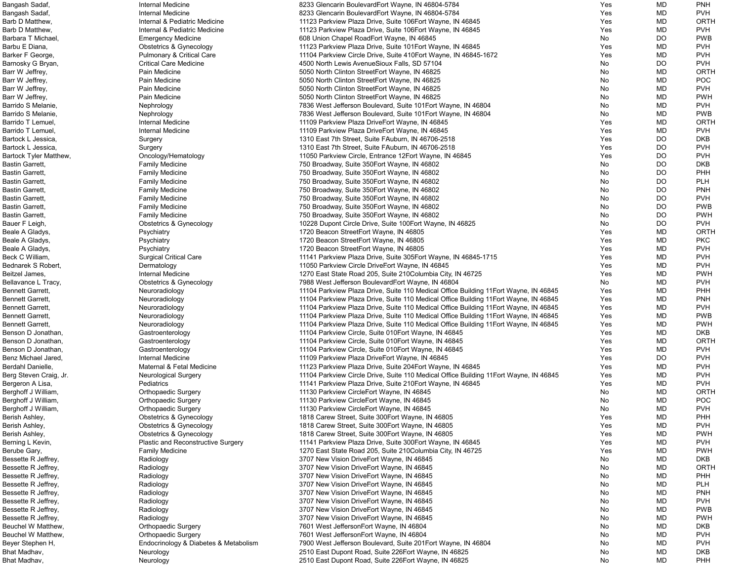| Bangash Sadaf,         | Internal Medicine                     | 8233 Glencarin BoulevardEort Wayne, IN 46804-5784                                      | Yes | MD        | <b>PNH</b>  |
|------------------------|---------------------------------------|----------------------------------------------------------------------------------------|-----|-----------|-------------|
| Bangash Sadaf,         | Internal Medicine                     | 8233 Glencarin BoulevardEort Wayne, IN 46804-5784                                      | Yes | MD        | <b>PVH</b>  |
| Barb D Matthew,        | Internal & Pediatric Medicine         | 11123 Parkview Plaza Drive, Suite 106Eort Wayne, IN 46845                              | Yes | <b>MD</b> | <b>ORTH</b> |
| Barb D Matthew,        | Internal & Pediatric Medicine         | 11123 Parkview Plaza Drive, Suite 106Eort Wayne, IN 46845                              | Yes | MD        | <b>PVH</b>  |
| Barbara T Michael,     | <b>Emergency Medicine</b>             | 608 Union Chapel RoadEort Wayne, IN 46845                                              | No  | DO        | <b>PWB</b>  |
| Barbu E Diana,         | Obstetrics & Gynecology               | 11123 Parkview Plaza Drive, Suite 101 Eort Wayne, IN 46845                             | Yes | MD        | <b>PVH</b>  |
| Barker F George,       | Pulmonary & Critical Care             | 11104 Parkview Circle Drive, Suite 410 Eort Wayne, IN 46845-1672                       | Yes | MD        | <b>PVH</b>  |
| Barnosky G Bryan,      | <b>Critical Care Medicine</b>         | 4500 North Lewis AvenueSioux Falls, SD 57104                                           | No  | DO        | <b>PVH</b>  |
| Barr W Jeffrey,        | Pain Medicine                         | 5050 North Clinton StreetEort Wayne, IN 46825                                          | No  | MD        | <b>ORTH</b> |
| Barr W Jeffrey,        | Pain Medicine                         | 5050 North Clinton StreetEort Wayne, IN 46825                                          | No  | <b>MD</b> | <b>POC</b>  |
| Barr W Jeffrey,        | Pain Medicine                         | 5050 North Clinton StreetEort Wayne, IN 46825                                          | No  | MD        | <b>PVH</b>  |
| Barr W Jeffrey,        | Pain Medicine                         | 5050 North Clinton StreetEort Wayne, IN 46825                                          | No  | <b>MD</b> | <b>PWH</b>  |
| Barrido S Melanie,     | Nephrology                            | 7836 West Jefferson Boulevard, Suite 101 Eort Wayne, IN 46804                          | No  | MD        | <b>PVH</b>  |
| Barrido S Melanie,     | Nephrology                            | 7836 West Jefferson Boulevard, Suite 101 Eort Wayne, IN 46804                          | No  | MD        | <b>PWB</b>  |
| Barrido T Lemuel,      | Internal Medicine                     | 11109 Parkview Plaza DriveEort Wayne, IN 46845                                         | Yes | MD        | <b>ORTH</b> |
| Barrido T Lemuel,      | Internal Medicine                     | 11109 Parkview Plaza DriveEort Wayne, IN 46845                                         | Yes | MD        | <b>PVH</b>  |
| Bartock L Jessica,     | Surgery                               | 1310 East 7th Street, Suite FAuburn, IN 46706-2518                                     | Yes | <b>DO</b> | <b>DKB</b>  |
| Bartock L Jessica,     | Surgery                               | 1310 East 7th Street, Suite FAuburn, IN 46706-2518                                     | Yes | <b>DO</b> | <b>PVH</b>  |
| Bartock Tyler Matthew, | Oncology/Hematology                   | 11050 Parkview Circle, Entrance 12Eort Wayne, IN 46845                                 | Yes | DO        | <b>PVH</b>  |
| Bastin Garrett,        | <b>Family Medicine</b>                | 750 Broadway, Suite 350 Eort Wayne, IN 46802                                           | No  | DO        | <b>DKB</b>  |
| Bastin Garrett,        | <b>Family Medicine</b>                | 750 Broadway, Suite 350 Eort Wayne, IN 46802                                           | No  | DO        | PHH         |
| Bastin Garrett,        | <b>Family Medicine</b>                | 750 Broadway, Suite 350 Eort Wayne, IN 46802                                           | No  | DO        | <b>PLH</b>  |
| Bastin Garrett,        | <b>Family Medicine</b>                | 750 Broadway, Suite 350 Eort Wayne, IN 46802                                           | No  | DO        | <b>PNH</b>  |
| Bastin Garrett,        | <b>Family Medicine</b>                | 750 Broadway, Suite 350 Eort Wayne, IN 46802                                           | No  | <b>DO</b> | <b>PVH</b>  |
| Bastin Garrett,        | <b>Family Medicine</b>                | 750 Broadway, Suite 350 Eort Wayne, IN 46802                                           | No  | DO        | <b>PWB</b>  |
| Bastin Garrett,        | <b>Family Medicine</b>                | 750 Broadway, Suite 350 Eort Wayne, IN 46802                                           | No  | <b>DO</b> | <b>PWH</b>  |
| Bauer F Leigh,         | <b>Obstetrics &amp; Gynecology</b>    | 10228 Dupont Circle Drive, Suite 100 Eort Wayne, IN 46825                              | No  | DO        | <b>PVH</b>  |
| Beale A Gladys,        | Psychiatry                            | 1720 Beacon StreetEort Wayne, IN 46805                                                 | Yes | MD        | <b>ORTH</b> |
| Beale A Gladys,        | Psychiatry                            | 1720 Beacon StreetEort Wayne, IN 46805                                                 | Yes | MD        | <b>PKC</b>  |
| Beale A Gladys,        | Psychiatry                            | 1720 Beacon StreetEort Wayne, IN 46805                                                 | Yes | MD        | <b>PVH</b>  |
| Beck C William,        | <b>Surgical Critical Care</b>         | 11141 Parkview Plaza Drive, Suite 305Eort Wayne, IN 46845-1715                         | Yes | MD        | <b>PVH</b>  |
| Bednarek S Robert,     | Dermatology                           | 11050 Parkview Circle DriveEort Wayne, IN 46845                                        | Yes | MD        | <b>PVH</b>  |
| Beitzel James,         | Internal Medicine                     | 1270 East State Road 205, Suite 210 Columbia City, IN 46725                            | Yes | MD        | <b>PWH</b>  |
| Bellavance L Tracy,    | Obstetrics & Gynecology               | 7988 West Jefferson BoulevardEort Wayne, IN 46804                                      | No  | MD        | <b>PVH</b>  |
| Bennett Garrett,       | Neuroradiology                        | 11104 Parkview Plaza Drive, Suite 110 Medical Office Building 11 Eort Wayne, IN 46845  | Yes | <b>MD</b> | PHH         |
| Bennett Garrett,       | Neuroradiology                        | 11104 Parkview Plaza Drive, Suite 110 Medical Office Building 11 Eort Wayne, IN 46845  | Yes | <b>MD</b> | <b>PNH</b>  |
| Bennett Garrett,       | Neuroradiology                        | 11104 Parkview Plaza Drive, Suite 110 Medical Office Building 11 Eort Wayne, IN 46845  | Yes | <b>MD</b> | <b>PVH</b>  |
| Bennett Garrett,       | Neuroradiology                        | 11104 Parkview Plaza Drive, Suite 110 Medical Office Building 11 Eort Wayne, IN 46845  | Yes | MD        | <b>PWB</b>  |
| Bennett Garrett,       | Neuroradiology                        | 11104 Parkview Plaza Drive, Suite 110 Medical Office Building 11 Eort Wayne, IN 46845  | Yes | MD        | <b>PWH</b>  |
| Benson D Jonathan,     | Gastroenterology                      | 11104 Parkview Circle, Suite 010Eort Wayne, IN 46845                                   | Yes | MD        | <b>DKB</b>  |
| Benson D Jonathan,     | Gastroenterology                      | 11104 Parkview Circle, Suite 010Eort Wayne, IN 46845                                   | Yes | MD        | <b>ORTH</b> |
| Benson D Jonathan,     | Gastroenterology                      | 11104 Parkview Circle, Suite 010 Eort Wayne, IN 46845                                  | Yes | MD        | <b>PVH</b>  |
| Benz Michael Jared,    | <b>Internal Medicine</b>              | 11109 Parkview Plaza DriveEort Wayne, IN 46845                                         | Yes | DO        | <b>PVH</b>  |
| Berdahl Danielle,      | Maternal & Fetal Medicine             | 11123 Parkview Plaza Drive, Suite 204Eort Wayne, IN 46845                              | Yes | MD        | <b>PVH</b>  |
| Berg Steven Craig, Jr. | <b>Neurological Surgery</b>           | 11104 Parkview Circle Drive, Suite 110 Medical Office Building 11 Eort Wayne, IN 46845 | Yes | MD        | <b>PVH</b>  |
| Bergeron A Lisa,       | Pediatrics                            | 11141 Parkview Plaza Drive, Suite 210 Eort Wayne, IN 46845                             | Yes | MD        | <b>PVH</b>  |
| Berghoff J William,    | <b>Orthopaedic Surgery</b>            | 11130 Parkview CircleEort Wayne, IN 46845                                              | No  | MD        | <b>ORTH</b> |
| Berghoff J William,    | <b>Orthopaedic Surgery</b>            | 11130 Parkview CircleEort Wayne, IN 46845                                              | No  | MD        | <b>POC</b>  |
| Berghoff J William,    | <b>Orthopaedic Surgery</b>            | 11130 Parkview CircleEort Wayne, IN 46845                                              | No  | MD        | <b>PVH</b>  |
| Berish Ashley,         | Obstetrics & Gynecology               | 1818 Carew Street, Suite 300 Eort Wayne, IN 46805                                      | Yes | MD        | PHH         |
| Berish Ashley,         | Obstetrics & Gynecology               | 1818 Carew Street, Suite 300 Eort Wayne, IN 46805                                      | Yes | MD        | <b>PVH</b>  |
| Berish Ashley,         | <b>Obstetrics &amp; Gynecology</b>    | 1818 Carew Street, Suite 300 Eort Wayne, IN 46805                                      | Yes | MD        | <b>PWH</b>  |
| Berning L Kevin,       | Plastic and Reconstructive Surgery    | 11141 Parkview Plaza Drive, Suite 300 Eort Wayne, IN 46845                             | Yes | MD        | <b>PVH</b>  |
| Berube Gary,           | <b>Family Medicine</b>                | 1270 East State Road 205, Suite 210 Columbia City, IN 46725                            | Yes | MD        | <b>PWH</b>  |
| Bessette R Jeffrey,    | Radiology                             | 3707 New Vision DriveEort Wayne, IN 46845                                              | No  | MD        | <b>DKB</b>  |
| Bessette R Jeffrey,    | Radiology                             | 3707 New Vision DriveEort Wayne, IN 46845                                              | No  | <b>MD</b> | <b>ORTH</b> |
| Bessette R Jeffrey,    | Radiology                             | 3707 New Vision DriveEort Wayne, IN 46845                                              | No  | <b>MD</b> | <b>PHH</b>  |
| Bessette R Jeffrey,    | Radiology                             | 3707 New Vision DriveEort Wayne, IN 46845                                              | No  | MD        | <b>PLH</b>  |
| Bessette R Jeffrey,    | Radiology                             | 3707 New Vision DriveEort Wayne, IN 46845                                              | No  | MD        | <b>PNH</b>  |
| Bessette R Jeffrey,    | Radiology                             | 3707 New Vision DriveEort Wayne, IN 46845                                              | No  | <b>MD</b> | <b>PVH</b>  |
| Bessette R Jeffrey,    | Radiology                             | 3707 New Vision DriveEort Wayne, IN 46845                                              | No  | MD        | <b>PWB</b>  |
| Bessette R Jeffrey,    | Radiology                             | 3707 New Vision DriveEort Wayne, IN 46845                                              | No  | MD        | <b>PWH</b>  |
| Beuchel W Matthew,     | <b>Orthopaedic Surgery</b>            | 7601 West JeffersonEort Wayne, IN 46804                                                | No  | MD        | <b>DKB</b>  |
| Beuchel W Matthew,     | <b>Orthopaedic Surgery</b>            | 7601 West JeffersonEort Wayne, IN 46804                                                | No  | MD        | <b>PVH</b>  |
| Beyer Stephen H,       | Endocrinology & Diabetes & Metabolism | 7900 West Jefferson Boulevard, Suite 201 Eort Wayne, IN 46804                          | No  | MD        | <b>PVH</b>  |
| Bhat Madhav,           | Neurology                             | 2510 East Dupont Road, Suite 226 Eort Wayne, IN 46825                                  | No  | MD        | <b>DKB</b>  |
| Bhat Madhav,           | Neurology                             | 2510 East Dupont Road, Suite 226 Fort Wayne, IN 46825                                  | No  | <b>MD</b> | <b>PHH</b>  |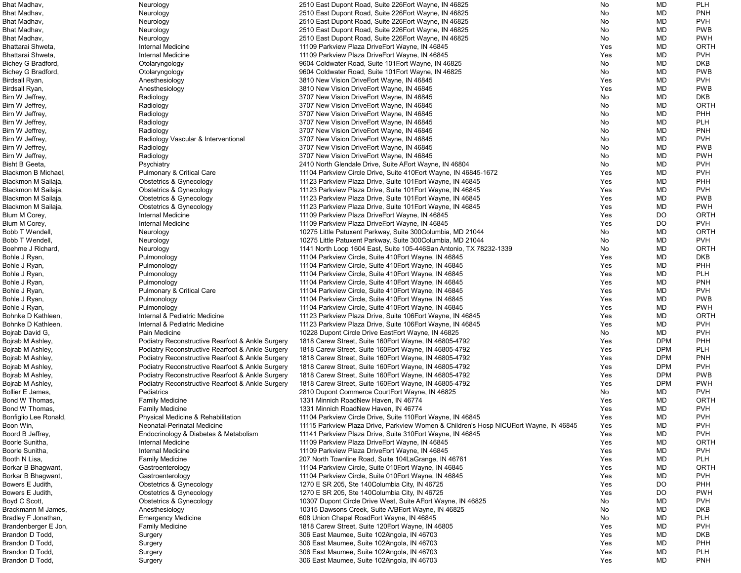| Bhat Madhav,          | Neurology                                        | 2510 East Dupont Road, Suite 226 Eort Wayne, IN 46825                                 | No  | MD         | <b>PLH</b>  |
|-----------------------|--------------------------------------------------|---------------------------------------------------------------------------------------|-----|------------|-------------|
| Bhat Madhav,          | Neurology                                        | 2510 East Dupont Road, Suite 226 Fort Wayne, IN 46825                                 | No  | MD         | <b>PNH</b>  |
| Bhat Madhav,          | Neurology                                        | 2510 East Dupont Road, Suite 226 Fort Wayne, IN 46825                                 | No  | MD         | <b>PVH</b>  |
| Bhat Madhav,          | Neurology                                        | 2510 East Dupont Road, Suite 226 Eort Wayne, IN 46825                                 | No  | MD         | <b>PWB</b>  |
| Bhat Madhav,          | Neurology                                        | 2510 East Dupont Road, Suite 226 Fort Wayne, IN 46825                                 | No  | MD         | <b>PWH</b>  |
| Bhattarai Shweta,     | Internal Medicine                                | 11109 Parkview Plaza DriveEort Wayne, IN 46845                                        | Yes | MD         | <b>ORTH</b> |
| Bhattarai Shweta,     | Internal Medicine                                | 11109 Parkview Plaza DriveEort Wayne, IN 46845                                        | Yes | MD         | <b>PVH</b>  |
| Bichey G Bradford,    | Otolaryngology                                   | 9604 Coldwater Road, Suite 101 Eort Wayne, IN 46825                                   | No  | MD         | <b>DKB</b>  |
| Bichey G Bradford,    | Otolaryngology                                   | 9604 Coldwater Road, Suite 101 Eort Wayne, IN 46825                                   | No  | MD         | <b>PWB</b>  |
| Birdsall Ryan,        | Anesthesiology                                   | 3810 New Vision DriveEort Wayne, IN 46845                                             | Yes | MD         | <b>PVH</b>  |
| Birdsall Ryan,        | Anesthesiology                                   | 3810 New Vision DriveEort Wayne, IN 46845                                             | Yes | MD         | <b>PWB</b>  |
| Birn W Jeffrey,       | Radiology                                        | 3707 New Vision DriveEort Wayne, IN 46845                                             | No  | MD         | <b>DKB</b>  |
| Birn W Jeffrey,       | Radiology                                        | 3707 New Vision DriveEort Wayne, IN 46845                                             | No  | MD         | <b>ORTH</b> |
| Birn W Jeffrey,       | Radiology                                        | 3707 New Vision DriveEort Wayne, IN 46845                                             | No  | MD         | <b>PHH</b>  |
| Birn W Jeffrey,       | Radiology                                        | 3707 New Vision DriveEort Wayne, IN 46845                                             | No  | MD         | <b>PLH</b>  |
| Birn W Jeffrey,       | Radiology                                        | 3707 New Vision DriveEort Wayne, IN 46845                                             | No  | MD         | <b>PNH</b>  |
| Birn W Jeffrey,       | Radiology Vascular & Interventional              | 3707 New Vision DriveEort Wayne, IN 46845                                             | No  | MD         | <b>PVH</b>  |
| Birn W Jeffrey,       | Radiology                                        | 3707 New Vision DriveEort Wayne, IN 46845                                             | No  | MD         | <b>PWB</b>  |
| Birn W Jeffrey,       | Radiology                                        | 3707 New Vision DriveEort Wayne, IN 46845                                             | No  | MD         | <b>PWH</b>  |
| Bisht B Geeta,        | Psychiatry                                       | 2410 North Glendale Drive, Suite AEort Wayne, IN 46804                                | No  | MD         | <b>PVH</b>  |
| Blackmon B Michael,   | <b>Pulmonary &amp; Critical Care</b>             | 11104 Parkview Circle Drive, Suite 410 Eort Wayne, IN 46845-1672                      | Yes | MD         | <b>PVH</b>  |
| Blackmon M Sailaja,   | <b>Obstetrics &amp; Gynecology</b>               | 11123 Parkview Plaza Drive, Suite 101 Eort Wayne, IN 46845                            | Yes | MD         | <b>PHH</b>  |
| Blackmon M Sailaja,   | <b>Obstetrics &amp; Gynecology</b>               | 11123 Parkview Plaza Drive, Suite 101 Eort Wayne, IN 46845                            | Yes | MD         | <b>PVH</b>  |
| Blackmon M Sailaja,   | <b>Obstetrics &amp; Gynecology</b>               | 11123 Parkview Plaza Drive, Suite 101 Eort Wayne, IN 46845                            | Yes | MD         | <b>PWB</b>  |
| Blackmon M Sailaja,   | <b>Obstetrics &amp; Gynecology</b>               | 11123 Parkview Plaza Drive, Suite 101 Eort Wayne, IN 46845                            | Yes | MD         | <b>PWH</b>  |
| Blum M Corey,         | Internal Medicine                                | 11109 Parkview Plaza DriveEort Wayne, IN 46845                                        | Yes | DO         | <b>ORTH</b> |
| Blum M Corey,         | Internal Medicine                                | 11109 Parkview Plaza DriveEort Wayne, IN 46845                                        | Yes | DO         | <b>PVH</b>  |
| Bobb T Wendell,       |                                                  | 10275 Little Patuxent Parkway, Suite 300Columbia, MD 21044                            | No  | MD         | <b>ORTH</b> |
| Bobb T Wendell,       | Neurology                                        | 10275 Little Patuxent Parkway, Suite 300Columbia, MD 21044                            | No  | MD         | <b>PVH</b>  |
| Boehme J Richard,     | Neurology                                        | 1141 North Loop 1604 East, Suite 105-446San Antonio, TX 78232-1339                    | No  | MD         | <b>ORTH</b> |
|                       | Neurology                                        |                                                                                       |     |            |             |
| Bohle J Ryan,         | Pulmonology                                      | 11104 Parkview Circle, Suite 410Eort Wayne, IN 46845                                  | Yes | MD         | <b>DKB</b>  |
| Bohle J Ryan,         | Pulmonology                                      | 11104 Parkview Circle, Suite 410 Eort Wayne, IN 46845                                 | Yes | MD         | PHH         |
| Bohle J Ryan,         | Pulmonology                                      | 11104 Parkview Circle, Suite 410 Eort Wayne, IN 46845                                 | Yes | MD         | <b>PLH</b>  |
| Bohle J Ryan,         | Pulmonology                                      | 11104 Parkview Circle, Suite 410Eort Wayne, IN 46845                                  | Yes | MD         | <b>PNH</b>  |
| Bohle J Ryan,         | <b>Pulmonary &amp; Critical Care</b>             | 11104 Parkview Circle, Suite 410 Eort Wayne, IN 46845                                 | Yes | MD         | <b>PVH</b>  |
| Bohle J Ryan,         | Pulmonology                                      | 11104 Parkview Circle, Suite 410 Eort Wayne, IN 46845                                 | Yes | MD         | <b>PWB</b>  |
| Bohle J Ryan,         | Pulmonology                                      | 11104 Parkview Circle, Suite 410 Eort Wayne, IN 46845                                 | Yes | MD         | <b>PWH</b>  |
| Bohnke D Kathleen,    | Internal & Pediatric Medicine                    | 11123 Parkview Plaza Drive, Suite 106Eort Wayne, IN 46845                             | Yes | MD         | <b>ORTH</b> |
| Bohnke D Kathleen,    | Internal & Pediatric Medicine                    | 11123 Parkview Plaza Drive, Suite 106Eort Wayne, IN 46845                             | Yes | MD         | <b>PVH</b>  |
| Bojrab David G,       | Pain Medicine                                    | 10228 Dupont Circle Drive EastEort Wayne, IN 46825                                    | No  | MD         | <b>PVH</b>  |
| Bojrab M Ashley,      | Podiatry Reconstructive Rearfoot & Ankle Surgery | 1818 Carew Street, Suite 160 Eort Wayne, IN 46805-4792                                | Yes | <b>DPM</b> | <b>PHH</b>  |
| Bojrab M Ashley,      | Podiatry Reconstructive Rearfoot & Ankle Surgery | 1818 Carew Street, Suite 160 Eort Wayne, IN 46805-4792                                | Yes | <b>DPM</b> | <b>PLH</b>  |
| Bojrab M Ashley,      | Podiatry Reconstructive Rearfoot & Ankle Surgery | 1818 Carew Street, Suite 160 Eort Wayne, IN 46805-4792                                | Yes | <b>DPM</b> | <b>PNH</b>  |
| Bojrab M Ashley,      | Podiatry Reconstructive Rearfoot & Ankle Surgery | 1818 Carew Street, Suite 160 Fort Wayne, IN 46805-4792                                | Yes | <b>DPM</b> | <b>PVH</b>  |
| Bojrab M Ashley,      | Podiatry Reconstructive Rearfoot & Ankle Surgery | 1818 Carew Street, Suite 160 Eort Wayne, IN 46805-4792                                | Yes | <b>DPM</b> | <b>PWB</b>  |
| Bojrab M Ashley,      | Podiatry Reconstructive Rearfoot & Ankle Surgery | 1818 Carew Street, Suite 160 Fort Wayne, IN 46805-4792                                | Yes | <b>DPM</b> | <b>PWH</b>  |
| Bollier E James,      | Pediatrics                                       | 2810 Dupont Commerce CourtEort Wayne, IN 46825                                        | No  | MD         | <b>PVH</b>  |
| Bond W Thomas,        | <b>Family Medicine</b>                           | 1331 Minnich RoadNew Haven, IN 46774                                                  | Yes | MD         | <b>ORTH</b> |
| Bond W Thomas,        | <b>Family Medicine</b>                           | 1331 Minnich RoadNew Haven, IN 46774                                                  | Yes | MD         | <b>PVH</b>  |
| Bonfiglio Lee Ronald, | Physical Medicine & Rehabilitation               | 11104 Parkview Circle Drive, Suite 110 Eort Wayne, IN 46845                           | Yes | MD         | <b>PVH</b>  |
| Boon Win,             | Neonatal-Perinatal Medicine                      | 11115 Parkview Plaza Drive, Parkview Women & Children's Hosp NICUEort Wayne, IN 46845 | Yes | MD         | <b>PVH</b>  |
| Boord B Jeffrey,      | Endocrinology & Diabetes & Metabolism            | 11141 Parkview Plaza Drive, Suite 310 Eort Wayne, IN 46845                            | Yes | MD         | <b>PVH</b>  |
| Boorle Sunitha,       | Internal Medicine                                | 11109 Parkview Plaza DriveEort Wayne, IN 46845                                        | Yes | MD         | <b>ORTH</b> |
| Boorle Sunitha,       | Internal Medicine                                | 11109 Parkview Plaza DriveEort Wayne, IN 46845                                        | Yes | MD         | <b>PVH</b>  |
| Booth N Lisa,         | <b>Family Medicine</b>                           | 207 North Townline Road, Suite 104 La Grange, IN 46761                                | Yes | MD         | <b>PLH</b>  |
| Borkar B Bhagwant,    | Gastroenterology                                 | 11104 Parkview Circle, Suite 010 Eort Wayne, IN 46845                                 | Yes | MD         | <b>ORTH</b> |
| Borkar B Bhagwant,    | Gastroenterology                                 | 11104 Parkview Circle, Suite 010Eort Wayne, IN 46845                                  | Yes | MD         | <b>PVH</b>  |
| Bowers E Judith,      | <b>Obstetrics &amp; Gynecology</b>               | 1270 E SR 205, Ste 140 Columbia City, IN 46725                                        | Yes | DO         | <b>PHH</b>  |
| Bowers E Judith,      | <b>Obstetrics &amp; Gynecology</b>               | 1270 E SR 205, Ste 140 Columbia City, IN 46725                                        | Yes | DO         | <b>PWH</b>  |
| Boyd C Scott,         | <b>Obstetrics &amp; Gynecology</b>               | 10307 Dupont Circle Drive West, Suite AEort Wayne, IN 46825                           | No  | MD         | <b>PVH</b>  |
| Brackmann M James,    | Anesthesiology                                   | 10315 Dawsons Creek, Suite A/BEort Wayne, IN 46825                                    | No  | MD         | <b>DKB</b>  |
| Bradley F Jonathan,   | <b>Emergency Medicine</b>                        | 608 Union Chapel RoadEort Wayne, IN 46845                                             | No  | MD         | <b>PLH</b>  |
| Brandenberger E Jon,  | <b>Family Medicine</b>                           | 1818 Carew Street, Suite 120 Eort Wayne, IN 46805                                     | Yes | MD         | <b>PVH</b>  |
| Brandon D Todd,       | Surgery                                          | 306 East Maumee, Suite 102Angola, IN 46703                                            | Yes | MD         | <b>DKB</b>  |
| Brandon D Todd,       | Surgery                                          | 306 East Maumee, Suite 102Angola, IN 46703                                            | Yes | MD         | PHH         |
| Brandon D Todd,       | Surgery                                          | 306 East Maumee, Suite 102Angola, IN 46703                                            | Yes | MD         | <b>PLH</b>  |
| Brandon D Todd,       | Surgery                                          | 306 East Maumee, Suite 102Angola, IN 46703                                            | Yes | MD         | <b>PNH</b>  |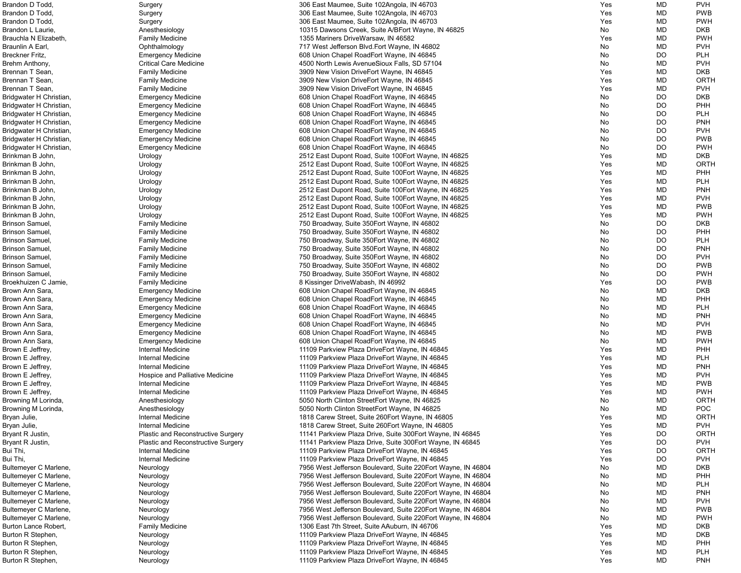| Brandon D Todd,         | Surgery                            | 306 East Maumee, Suite 102Angola, IN 46703                    | Yes | MD        | <b>PVH</b>  |
|-------------------------|------------------------------------|---------------------------------------------------------------|-----|-----------|-------------|
| Brandon D Todd,         | Surgery                            | 306 East Maumee, Suite 102Angola, IN 46703                    | Yes | MD        | <b>PWB</b>  |
| Brandon D Todd,         | Surgery                            | 306 East Maumee, Suite 102Angola, IN 46703                    | Yes | MD        | <b>PWH</b>  |
| Brandon L Laurie,       | Anesthesiology                     | 10315 Dawsons Creek, Suite A/BEort Wayne, IN 46825            | No  | MD        | <b>DKB</b>  |
| Brauchla N Elizabeth,   | <b>Family Medicine</b>             | 1355 Mariners DriveWarsaw, IN 46582                           | Yes | MD        | <b>PWH</b>  |
| Braunlin A Earl,        | Ophthalmology                      | 717 West Jefferson Blvd. Eort Wayne, IN 46802                 | No  | MD        | <b>PVH</b>  |
| Breckner Fritz,         | <b>Emergency Medicine</b>          | 608 Union Chapel RoadEort Wayne, IN 46845                     | No  | <b>DO</b> | <b>PLH</b>  |
| Brehm Anthony,          | <b>Critical Care Medicine</b>      | 4500 North Lewis AvenueSioux Falls, SD 57104                  | No  | MD        | <b>PVH</b>  |
|                         |                                    |                                                               |     |           |             |
| Brennan T Sean,         | <b>Family Medicine</b>             | 3909 New Vision DriveEort Wayne, IN 46845                     | Yes | MD        | <b>DKB</b>  |
| Brennan T Sean,         | <b>Family Medicine</b>             | 3909 New Vision DriveEort Wayne, IN 46845                     | Yes | MD        | <b>ORTH</b> |
| Brennan T Sean,         | <b>Family Medicine</b>             | 3909 New Vision DriveEort Wayne, IN 46845                     | Yes | MD        | <b>PVH</b>  |
| Bridgwater H Christian, | <b>Emergency Medicine</b>          | 608 Union Chapel RoadEort Wayne, IN 46845                     | No  | DO        | <b>DKB</b>  |
| Bridgwater H Christian, | <b>Emergency Medicine</b>          | 608 Union Chapel RoadEort Wayne, IN 46845                     | No  | <b>DO</b> | PHH         |
| Bridgwater H Christian, | <b>Emergency Medicine</b>          | 608 Union Chapel RoadEort Wayne, IN 46845                     | No  | DO        | <b>PLH</b>  |
| Bridgwater H Christian, | <b>Emergency Medicine</b>          | 608 Union Chapel RoadEort Wayne, IN 46845                     | No  | <b>DO</b> | <b>PNH</b>  |
| Bridgwater H Christian, | <b>Emergency Medicine</b>          | 608 Union Chapel RoadEort Wayne, IN 46845                     | No  | <b>DO</b> | <b>PVH</b>  |
| Bridgwater H Christian, | <b>Emergency Medicine</b>          | 608 Union Chapel RoadEort Wayne, IN 46845                     | No  | <b>DO</b> | <b>PWB</b>  |
| Bridgwater H Christian, | <b>Emergency Medicine</b>          | 608 Union Chapel RoadEort Wayne, IN 46845                     | No  | <b>DO</b> | <b>PWH</b>  |
| Brinkman B John,        | Urology                            | 2512 East Dupont Road, Suite 100 Eort Wayne, IN 46825         | Yes | MD        | <b>DKB</b>  |
| Brinkman B John,        | Urology                            | 2512 East Dupont Road, Suite 100 Eort Wayne, IN 46825         | Yes | MD        | <b>ORTH</b> |
| Brinkman B John,        | Urology                            | 2512 East Dupont Road, Suite 100 Fort Wayne, IN 46825         | Yes | MD        | PHH         |
| Brinkman B John,        | Urology                            | 2512 East Dupont Road, Suite 100 Fort Wayne, IN 46825         | Yes | MD        | <b>PLH</b>  |
| Brinkman B John,        | Urology                            | 2512 East Dupont Road, Suite 100 Eort Wayne, IN 46825         | Yes | MD        | <b>PNH</b>  |
| Brinkman B John,        | Urology                            | 2512 East Dupont Road, Suite 100 Eort Wayne, IN 46825         | Yes | MD        | <b>PVH</b>  |
| Brinkman B John,        | Urology                            | 2512 East Dupont Road, Suite 100 Eort Wayne, IN 46825         | Yes | MD        | <b>PWB</b>  |
| Brinkman B John,        |                                    | 2512 East Dupont Road, Suite 100 Eort Wayne, IN 46825         | Yes | MD        | <b>PWH</b>  |
|                         | Urology                            |                                                               |     |           | <b>DKB</b>  |
| Brinson Samuel,         | <b>Family Medicine</b>             | 750 Broadway, Suite 350 Eort Wayne, IN 46802                  | No  | <b>DO</b> |             |
| Brinson Samuel,         | <b>Family Medicine</b>             | 750 Broadway, Suite 350 Eort Wayne, IN 46802                  | No  | <b>DO</b> | PHH         |
| Brinson Samuel,         | <b>Family Medicine</b>             | 750 Broadway, Suite 350 Eort Wayne, IN 46802                  | No  | <b>DO</b> | <b>PLH</b>  |
| Brinson Samuel,         | <b>Family Medicine</b>             | 750 Broadway, Suite 350 Eort Wayne, IN 46802                  | No  | <b>DO</b> | <b>PNH</b>  |
| Brinson Samuel,         | <b>Family Medicine</b>             | 750 Broadway, Suite 350 Eort Wayne, IN 46802                  | No  | <b>DO</b> | <b>PVH</b>  |
| Brinson Samuel,         | <b>Family Medicine</b>             | 750 Broadway, Suite 350 Eort Wayne, IN 46802                  | No  | DO        | <b>PWB</b>  |
| Brinson Samuel,         | <b>Family Medicine</b>             | 750 Broadway, Suite 350 Eort Wayne, IN 46802                  | No  | DO        | <b>PWH</b>  |
| Broekhuizen C Jamie,    | <b>Family Medicine</b>             | 8 Kissinger DriveWabash, IN 46992                             | Yes | <b>DO</b> | <b>PWB</b>  |
| Brown Ann Sara,         | <b>Emergency Medicine</b>          | 608 Union Chapel RoadEort Wayne, IN 46845                     | No  | MD        | <b>DKB</b>  |
| Brown Ann Sara,         | <b>Emergency Medicine</b>          | 608 Union Chapel RoadEort Wayne, IN 46845                     | No  | <b>MD</b> | PHH         |
| Brown Ann Sara,         | <b>Emergency Medicine</b>          | 608 Union Chapel RoadEort Wayne, IN 46845                     | No  | MD        | <b>PLH</b>  |
| Brown Ann Sara,         | <b>Emergency Medicine</b>          | 608 Union Chapel RoadEort Wayne, IN 46845                     | No  | MD        | <b>PNH</b>  |
| Brown Ann Sara,         | <b>Emergency Medicine</b>          | 608 Union Chapel RoadEort Wayne, IN 46845                     | No  | MD        | <b>PVH</b>  |
| Brown Ann Sara,         | <b>Emergency Medicine</b>          | 608 Union Chapel RoadEort Wayne, IN 46845                     | No  | MD        | <b>PWB</b>  |
| Brown Ann Sara,         | <b>Emergency Medicine</b>          | 608 Union Chapel RoadEort Wayne, IN 46845                     | No  | MD        | <b>PWH</b>  |
| Brown E Jeffrey,        | Internal Medicine                  | 11109 Parkview Plaza DriveEort Wayne, IN 46845                | Yes | MD        | PHH         |
| Brown E Jeffrey,        | Internal Medicine                  | 11109 Parkview Plaza DriveEort Wayne, IN 46845                | Yes | MD        | <b>PLH</b>  |
| Brown E Jeffrey,        | Internal Medicine                  | 11109 Parkview Plaza DriveEort Wayne, IN 46845                | Yes | MD        | <b>PNH</b>  |
| Brown E Jeffrey,        | Hospice and Palliative Medicine    | 11109 Parkview Plaza DriveEort Wayne, IN 46845                | Yes | MD        | <b>PVH</b>  |
|                         |                                    | 11109 Parkview Plaza DriveEort Wayne, IN 46845                |     |           |             |
| Brown E Jeffrey,        | Internal Medicine                  |                                                               | Yes | MD        | <b>PWB</b>  |
| Brown E Jeffrey,        | Internal Medicine                  | 11109 Parkview Plaza DriveEort Wayne, IN 46845                | Yes | MD        | <b>PWH</b>  |
| Browning M Lorinda,     | Anesthesiology                     | 5050 North Clinton StreetEort Wayne, IN 46825                 | No  | MD        | <b>ORTH</b> |
| Browning M Lorinda,     | Anesthesiology                     | 5050 North Clinton StreetEort Wayne, IN 46825                 | No  | MD        | POC         |
| Bryan Julie,            | Internal Medicine                  | 1818 Carew Street, Suite 260 Eort Wayne, IN 46805             | Yes | MD        | <b>ORTH</b> |
| Bryan Julie,            | Internal Medicine                  | 1818 Carew Street, Suite 260 Eort Wayne, IN 46805             | Yes | MD        | <b>PVH</b>  |
| Bryant R Justin,        | Plastic and Reconstructive Surgery | 11141 Parkview Plaza Drive, Suite 300 Eort Wayne, IN 46845    | Yes | <b>DO</b> | <b>ORTH</b> |
| Bryant R Justin,        | Plastic and Reconstructive Surgery | 11141 Parkview Plaza Drive, Suite 300 Eort Wayne, IN 46845    | Yes | <b>DO</b> | <b>PVH</b>  |
| Bui Thi,                | Internal Medicine                  | 11109 Parkview Plaza DriveEort Wayne, IN 46845                | Yes | <b>DO</b> | <b>ORTH</b> |
| Bui Thi,                | Internal Medicine                  | 11109 Parkview Plaza DriveEort Wayne, IN 46845                | Yes | <b>DO</b> | <b>PVH</b>  |
| Bultemeyer C Marlene,   | Neurology                          | 7956 West Jefferson Boulevard, Suite 220 Eort Wayne, IN 46804 | No  | MD        | <b>DKB</b>  |
| Bultemeyer C Marlene,   | Neurology                          | 7956 West Jefferson Boulevard, Suite 220 Eort Wayne, IN 46804 | No  | MD        | PHH         |
| Bultemeyer C Marlene,   | Neurology                          | 7956 West Jefferson Boulevard, Suite 220 Fort Wayne, IN 46804 | No  | MD        | <b>PLH</b>  |
| Bultemeyer C Marlene,   | Neurology                          | 7956 West Jefferson Boulevard, Suite 220 Eort Wayne, IN 46804 | No  | MD        | <b>PNH</b>  |
| Bultemeyer C Marlene,   | Neurology                          | 7956 West Jefferson Boulevard, Suite 220 Eort Wayne, IN 46804 | No  | MD        | <b>PVH</b>  |
| Bultemeyer C Marlene,   | Neurology                          | 7956 West Jefferson Boulevard, Suite 220 Fort Wayne, IN 46804 | No  | MD        | <b>PWB</b>  |
| Bultemeyer C Marlene,   | Neurology                          | 7956 West Jefferson Boulevard, Suite 220 Eort Wayne, IN 46804 | No  | MD        | <b>PWH</b>  |
| Burton Lance Robert,    | <b>Family Medicine</b>             | 1306 East 7th Street, Suite AAuburn, IN 46706                 | Yes | MD        | <b>DKB</b>  |
| Burton R Stephen,       | Neurology                          | 11109 Parkview Plaza DriveEort Wayne, IN 46845                | Yes | MD        | <b>DKB</b>  |
|                         |                                    |                                                               | Yes | MD        | PHH         |
| Burton R Stephen,       | Neurology                          | 11109 Parkview Plaza DriveEort Wayne, IN 46845                |     |           |             |
| Burton R Stephen,       | Neurology                          | 11109 Parkview Plaza DriveEort Wayne, IN 46845                | Yes | MD        | <b>PLH</b>  |
| Burton R Stephen,       | Neurology                          | 11109 Parkview Plaza DriveEort Wayne, IN 46845                | Yes | <b>MD</b> | <b>PNH</b>  |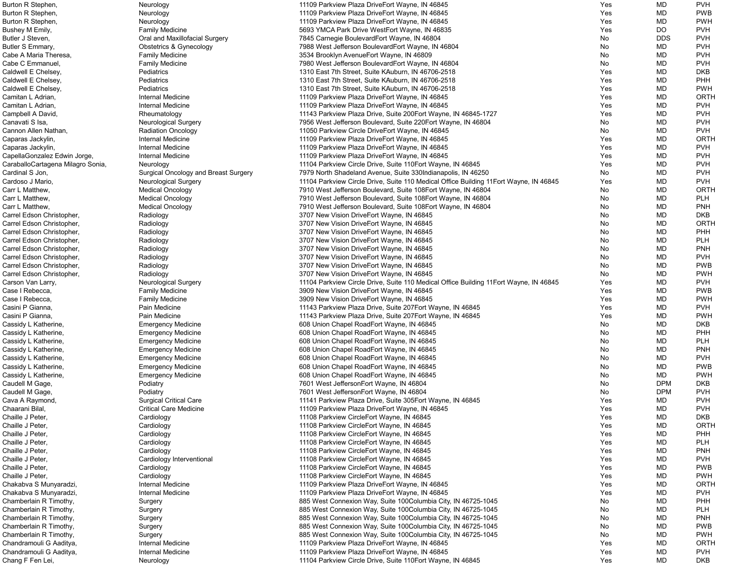| Burton R Stephen,                 | Neurology                                   | 11109 Parkview Plaza DriveEort Wayne, IN 46845                                         | Yes | MD         | <b>PVH</b> |
|-----------------------------------|---------------------------------------------|----------------------------------------------------------------------------------------|-----|------------|------------|
| Burton R Stephen,                 | Neurology                                   | 11109 Parkview Plaza DriveEort Wayne, IN 46845                                         | Yes | MD         | <b>PWB</b> |
| Burton R Stephen,                 | Neurology                                   | 11109 Parkview Plaza DriveEort Wayne, IN 46845                                         | Yes | MD         | <b>PWH</b> |
| Bushey M Emily,                   | <b>Family Medicine</b>                      | 5693 YMCA Park Drive WestEort Wayne, IN 46835                                          | Yes | <b>DO</b>  | <b>PVH</b> |
| Butler J Steven,                  |                                             |                                                                                        |     | <b>DDS</b> | <b>PVH</b> |
|                                   | Oral and Maxillofacial Surgery              | 7845 Carnegie BoulevardEort Wayne, IN 46804                                            | No  |            |            |
| Butler S Emmary,                  | Obstetrics & Gynecology                     | 7988 West Jefferson BoulevardEort Wayne, IN 46804                                      | No. | MD         | <b>PVH</b> |
| Cabe A Maria Theresa,             | <b>Family Medicine</b>                      | 3534 Brooklyn AvenueEort Wayne, IN 46809                                               | No. | MD         | <b>PVH</b> |
| Cabe C Emmanuel,                  | <b>Family Medicine</b>                      | 7980 West Jefferson BoulevardEort Wayne, IN 46804                                      | No. | MD         | <b>PVH</b> |
| Caldwell E Chelsey,               | Pediatrics                                  | 1310 East 7th Street, Suite KAuburn, IN 46706-2518                                     | Yes | MD         | <b>DKB</b> |
| Caldwell E Chelsey,               | Pediatrics                                  | 1310 East 7th Street, Suite KAuburn, IN 46706-2518                                     | Yes | MD         | <b>PHH</b> |
| Caldwell E Chelsey,               | Pediatrics                                  | 1310 East 7th Street, Suite KAuburn, IN 46706-2518                                     | Yes | MD         | <b>PWH</b> |
| Camitan L Adrian,                 | Internal Medicine                           | 11109 Parkview Plaza DriveEort Wayne, IN 46845                                         | Yes | MD         | ORTH       |
| Camitan L Adrian,                 | <b>Internal Medicine</b>                    | 11109 Parkview Plaza DriveEort Wayne, IN 46845                                         | Yes | MD         | <b>PVH</b> |
|                                   |                                             |                                                                                        |     |            |            |
| Campbell A David,                 | Rheumatology                                | 11143 Parkview Plaza Drive, Suite 200Eort Wayne, IN 46845-1727                         | Yes | MD         | <b>PVH</b> |
| Canavati S Isa,                   | <b>Neurological Surgery</b>                 | 7956 West Jefferson Boulevard, Suite 220 Eort Wayne, IN 46804                          | No  | MD         | <b>PVH</b> |
| Cannon Allen Nathan,              | <b>Radiation Oncology</b>                   | 11050 Parkview Circle DriveEort Wayne, IN 46845                                        | No  | MD         | <b>PVH</b> |
| Caparas Jackylin,                 | Internal Medicine                           | 11109 Parkview Plaza DriveEort Wayne, IN 46845                                         | Yes | MD         | ORTH       |
| Caparas Jackylin,                 | Internal Medicine                           | 11109 Parkview Plaza DriveEort Wayne, IN 46845                                         | Yes | MD         | <b>PVH</b> |
| CapellaGonzalez Edwin Jorge,      | Internal Medicine                           | 11109 Parkview Plaza DriveEort Wayne, IN 46845                                         | Yes | MD         | <b>PVH</b> |
| CaraballoCartagena Milagro Sonia, | Neurology                                   | 11104 Parkview Circle Drive, Suite 110 Eort Wayne, IN 46845                            | Yes | MD         | <b>PVH</b> |
| Cardinal S Jon,                   | <b>Surgical Oncology and Breast Surgery</b> | 7979 North Shadeland Avenue, Suite 330 Indianapolis, IN 46250                          | No  | MD         | <b>PVH</b> |
|                                   |                                             |                                                                                        |     |            |            |
| Cardoso J Mario,                  | <b>Neurological Surgery</b>                 | 11104 Parkview Circle Drive, Suite 110 Medical Office Building 11 Eort Wayne, IN 46845 | Yes | MD         | <b>PVH</b> |
| Carr L Matthew,                   | <b>Medical Oncology</b>                     | 7910 West Jefferson Boulevard, Suite 108Eort Wayne, IN 46804                           | No  | MD         | ORTH       |
| Carr L Matthew,                   | <b>Medical Oncology</b>                     | 7910 West Jefferson Boulevard, Suite 108Eort Wayne, IN 46804                           | No. | MD         | <b>PLH</b> |
| Carr L Matthew,                   | <b>Medical Oncology</b>                     | 7910 West Jefferson Boulevard, Suite 108Eort Wayne, IN 46804                           | No. | MD         | <b>PNH</b> |
| Carrel Edson Christopher,         | Radiology                                   | 3707 New Vision DriveEort Wayne, IN 46845                                              | No. | MD         | <b>DKB</b> |
| Carrel Edson Christopher,         | Radiology                                   | 3707 New Vision DriveEort Wayne, IN 46845                                              | No. | MD         | ORTH       |
| Carrel Edson Christopher,         | Radiology                                   | 3707 New Vision DriveEort Wayne, IN 46845                                              | No  | MD         | PHH        |
| Carrel Edson Christopher,         | Radiology                                   | 3707 New Vision DriveEort Wayne, IN 46845                                              | No  | MD         | <b>PLH</b> |
|                                   |                                             |                                                                                        |     |            |            |
| Carrel Edson Christopher,         | Radiology                                   | 3707 New Vision DriveEort Wayne, IN 46845                                              | No  | MD         | <b>PNH</b> |
| Carrel Edson Christopher,         | Radiology                                   | 3707 New Vision DriveEort Wayne, IN 46845                                              | No. | MD         | <b>PVH</b> |
| Carrel Edson Christopher,         | Radiology                                   | 3707 New Vision DriveEort Wayne, IN 46845                                              | No. | MD         | <b>PWB</b> |
| Carrel Edson Christopher,         | Radiology                                   | 3707 New Vision DriveEort Wayne, IN 46845                                              | No. | MD         | <b>PWH</b> |
| Carson Van Larry,                 | <b>Neurological Surgery</b>                 | 11104 Parkview Circle Drive, Suite 110 Medical Office Building 11 Eort Wayne, IN 46845 | Yes | MD         | <b>PVH</b> |
| Case I Rebecca,                   | <b>Family Medicine</b>                      | 3909 New Vision DriveEort Wayne, IN 46845                                              | Yes | MD         | <b>PWB</b> |
| Case I Rebecca,                   | <b>Family Medicine</b>                      | 3909 New Vision DriveEort Wayne, IN 46845                                              | Yes | MD         | <b>PWH</b> |
| Casini P Gianna,                  | Pain Medicine                               | 11143 Parkview Plaza Drive, Suite 207Eort Wayne, IN 46845                              | Yes | MD         | <b>PVH</b> |
| Casini P Gianna,                  |                                             |                                                                                        |     |            | <b>PWH</b> |
|                                   | Pain Medicine                               | 11143 Parkview Plaza Drive, Suite 207Eort Wayne, IN 46845                              | Yes | MD         |            |
| Cassidy L Katherine,              | <b>Emergency Medicine</b>                   | 608 Union Chapel RoadEort Wayne, IN 46845                                              | No  | MD         | <b>DKB</b> |
| Cassidy L Katherine,              | <b>Emergency Medicine</b>                   | 608 Union Chapel RoadEort Wayne, IN 46845                                              | No  | MD         | PHH        |
| Cassidy L Katherine,              | <b>Emergency Medicine</b>                   | 608 Union Chapel RoadEort Wayne, IN 46845                                              | No  | MD         | <b>PLH</b> |
| Cassidy L Katherine,              | <b>Emergency Medicine</b>                   | 608 Union Chapel RoadEort Wayne, IN 46845                                              | No  | MD         | <b>PNH</b> |
| Cassidy L Katherine,              | <b>Emergency Medicine</b>                   | 608 Union Chapel RoadEort Wayne, IN 46845                                              | No  | MD         | <b>PVH</b> |
| Cassidy L Katherine,              | <b>Emergency Medicine</b>                   | 608 Union Chapel RoadEort Wayne, IN 46845                                              | No. | MD         | <b>PWB</b> |
| Cassidy L Katherine,              | <b>Emergency Medicine</b>                   | 608 Union Chapel RoadEort Wayne, IN 46845                                              | No  | MD         | <b>PWH</b> |
| Caudell M Gage,                   |                                             | 7601 West JeffersonEort Wayne, IN 46804                                                |     | <b>DPM</b> | <b>DKB</b> |
|                                   | Podiatry                                    |                                                                                        | No  |            |            |
| Caudell M Gage,                   | Podiatry                                    | 7601 West JeffersonEort Wayne, IN 46804                                                | No  | <b>DPM</b> | <b>PVH</b> |
| Cava A Raymond,                   | <b>Surgical Critical Care</b>               | 11141 Parkview Plaza Drive, Suite 305Eort Wayne, IN 46845                              | Yes | MD         | <b>PVH</b> |
| Chaarani Bilal,                   | <b>Critical Care Medicine</b>               | 11109 Parkview Plaza DriveEort Wayne, IN 46845                                         | Yes | MD         | <b>PVH</b> |
| Chaille J Peter,                  | Cardiology                                  | 11108 Parkview CircleEort Wayne, IN 46845                                              | Yes | MD         | <b>DKB</b> |
| Chaille J Peter,                  | Cardiology                                  | 11108 Parkview CircleEort Wayne, IN 46845                                              | Yes | MD         | ORTH       |
| Chaille J Peter,                  | Cardiology                                  | 11108 Parkview CircleEort Wayne, IN 46845                                              | Yes | MD         | <b>PHH</b> |
| Chaille J Peter,                  | Cardiology                                  | 11108 Parkview CircleEort Wayne, IN 46845                                              | Yes | MD         | <b>PLH</b> |
| Chaille J Peter,                  | Cardiology                                  | 11108 Parkview CircleEort Wayne, IN 46845                                              | Yes | MD         | <b>PNH</b> |
|                                   |                                             |                                                                                        |     |            |            |
| Chaille J Peter,                  | Cardiology Interventional                   | 11108 Parkview CircleEort Wayne, IN 46845                                              | Yes | MD         | <b>PVH</b> |
| Chaille J Peter,                  | Cardiology                                  | 11108 Parkview CircleEort Wayne, IN 46845                                              | Yes | MD         | <b>PWB</b> |
| Chaille J Peter,                  | Cardiology                                  | 11108 Parkview CircleEort Wayne, IN 46845                                              | Yes | MD         | <b>PWH</b> |
| Chakabva S Munyaradzi,            | Internal Medicine                           | 11109 Parkview Plaza DriveEort Wayne, IN 46845                                         | Yes | MD         | ORTH       |
| Chakabva S Munyaradzi,            | Internal Medicine                           | 11109 Parkview Plaza DriveEort Wayne, IN 46845                                         | Yes | MD         | <b>PVH</b> |
| Chamberlain R Timothy,            | Surgery                                     | 885 West Connexion Way, Suite 100Columbia City, IN 46725-1045                          | No  | MD         | PHH        |
| Chamberlain R Timothy,            | Surgery                                     | 885 West Connexion Way, Suite 100Columbia City, IN 46725-1045                          | No  | MD         | <b>PLH</b> |
| Chamberlain R Timothy,            | Surgery                                     | 885 West Connexion Way, Suite 100Columbia City, IN 46725-1045                          | No  | MD         | <b>PNH</b> |
|                                   |                                             |                                                                                        |     |            | <b>PWB</b> |
| Chamberlain R Timothy,            | Surgery                                     | 885 West Connexion Way, Suite 100Columbia City, IN 46725-1045                          | No  | MD         |            |
| Chamberlain R Timothy,            | Surgery                                     | 885 West Connexion Way, Suite 100Columbia City, IN 46725-1045                          | No  | MD         | <b>PWH</b> |
| Chandramouli G Aaditya,           | Internal Medicine                           | 11109 Parkview Plaza DriveEort Wayne, IN 46845                                         | Yes | MD         | ORTH       |
| Chandramouli G Aaditya,           | Internal Medicine                           | 11109 Parkview Plaza DriveEort Wayne, IN 46845                                         | Yes | MD         | <b>PVH</b> |
| Chang F Fen Lei,                  | Neurology                                   | 11104 Parkview Circle Drive, Suite 110 Eort Wayne, IN 46845                            | Yes | MD         | <b>DKB</b> |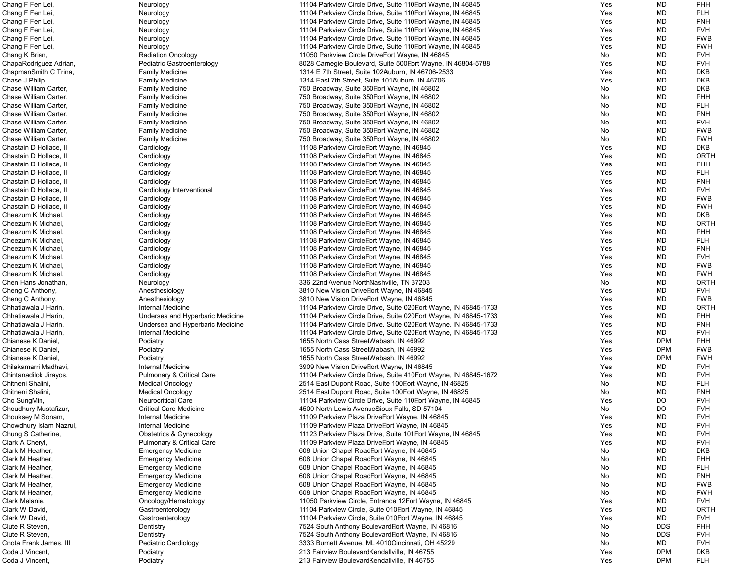| Chang F Fen Lei,        | Neurology                            | 11104 Parkview Circle Drive, Suite 110 Eort Wayne, IN 46845      | Yes | MD         | <b>PHH</b>  |
|-------------------------|--------------------------------------|------------------------------------------------------------------|-----|------------|-------------|
| Chang F Fen Lei,        | Neurology                            | 11104 Parkview Circle Drive, Suite 110 Eort Wayne, IN 46845      | Yes | MD         | <b>PLH</b>  |
| Chang F Fen Lei,        | Neurology                            | 11104 Parkview Circle Drive, Suite 110 Fort Wayne, IN 46845      | Yes | MD         | <b>PNH</b>  |
| Chang F Fen Lei,        | Neurology                            | 11104 Parkview Circle Drive, Suite 110 Eort Wayne, IN 46845      | Yes | MD         | <b>PVH</b>  |
| Chang F Fen Lei         | Neurology                            | 11104 Parkview Circle Drive, Suite 110 Fort Wayne, IN 46845      | Yes | MD         | <b>PWB</b>  |
| Chang F Fen Lei         | Neurology                            | 11104 Parkview Circle Drive, Suite 110 Fort Wayne, IN 46845      | Yes | MD         | <b>PWH</b>  |
| Chang K Brian,          | <b>Radiation Oncology</b>            | 11050 Parkview Circle DriveEort Wayne, IN 46845                  | No  | MD         | <b>PVH</b>  |
|                         | Pediatric Gastroenterology           |                                                                  |     | MD         | <b>PVH</b>  |
| ChapaRodriguez Adrian,  |                                      | 8028 Carnegie Boulevard, Suite 500 Eort Wayne, IN 46804-5788     | Yes |            |             |
| ChapmanSmith C Trina,   | <b>Family Medicine</b>               | 1314 E 7th Street, Suite 102Auburn, IN 46706-2533                | Yes | MD         | <b>DKB</b>  |
| Chase J Philip,         | <b>Family Medicine</b>               | 1314 East 7th Street, Suite 101Auburn, IN 46706                  | Yes | MD         | <b>DKB</b>  |
| Chase William Carter,   | <b>Family Medicine</b>               | 750 Broadway, Suite 350 Eort Wayne, IN 46802                     | No  | MD         | <b>DKB</b>  |
| Chase William Carter,   | <b>Family Medicine</b>               | 750 Broadway, Suite 350 Fort Wayne, IN 46802                     | No  | MD         | PHH         |
| Chase William Carter,   | <b>Family Medicine</b>               | 750 Broadway, Suite 350 Eort Wayne, IN 46802                     | No  | MD         | <b>PLH</b>  |
| Chase William Carter,   | <b>Family Medicine</b>               | 750 Broadway, Suite 350 Eort Wayne, IN 46802                     | No  | MD         | <b>PNH</b>  |
| Chase William Carter,   | <b>Family Medicine</b>               | 750 Broadway, Suite 350 Eort Wayne, IN 46802                     | No  | MD         | <b>PVH</b>  |
| Chase William Carter,   | <b>Family Medicine</b>               | 750 Broadway, Suite 350 Eort Wayne, IN 46802                     | No  | MD         | <b>PWB</b>  |
| Chase William Carter,   | <b>Family Medicine</b>               | 750 Broadway, Suite 350 Eort Wayne, IN 46802                     | No  | MD         | <b>PWH</b>  |
| Chastain D Hollace, II  | Cardiology                           | 11108 Parkview CircleEort Wayne, IN 46845                        | Yes | MD         | <b>DKB</b>  |
| Chastain D Hollace, II  | Cardiology                           | 11108 Parkview CircleEort Wayne, IN 46845                        | Yes | MD         | <b>ORTH</b> |
| Chastain D Hollace, II  | Cardiology                           | 11108 Parkview CircleEort Wayne, IN 46845                        | Yes | MD         | PHH         |
| Chastain D Hollace, II  | Cardiology                           | 11108 Parkview CircleEort Wayne, IN 46845                        | Yes | MD         | <b>PLH</b>  |
| Chastain D Hollace, II  | Cardiology                           | 11108 Parkview CircleEort Wayne, IN 46845                        | Yes | MD         | <b>PNH</b>  |
| Chastain D Hollace, II  | Cardiology Interventional            | 11108 Parkview CircleEort Wayne, IN 46845                        | Yes | MD         | <b>PVH</b>  |
| Chastain D Hollace, II  | Cardiology                           | 11108 Parkview CircleEort Wayne, IN 46845                        | Yes | MD         | <b>PWB</b>  |
| Chastain D Hollace, II  | Cardiology                           | 11108 Parkview CircleEort Wayne, IN 46845                        | Yes | MD         | <b>PWH</b>  |
| Cheezum K Michael       | Cardiology                           | 11108 Parkview CircleEort Wayne, IN 46845                        | Yes | MD         | <b>DKB</b>  |
|                         |                                      |                                                                  |     |            | <b>ORTH</b> |
| Cheezum K Michael       | Cardiology                           | 11108 Parkview CircleEort Wayne, IN 46845                        | Yes | MD         |             |
| Cheezum K Michael       | Cardiology                           | 11108 Parkview CircleEort Wayne, IN 46845                        | Yes | MD         | PHH         |
| Cheezum K Michael,      | Cardiology                           | 11108 Parkview CircleEort Wayne, IN 46845                        | Yes | MD         | <b>PLH</b>  |
| Cheezum K Michael       | Cardiology                           | 11108 Parkview CircleEort Wayne, IN 46845                        | Yes | MD         | <b>PNH</b>  |
| Cheezum K Michael       | Cardiology                           | 11108 Parkview CircleEort Wayne, IN 46845                        | Yes | MD         | <b>PVH</b>  |
| Cheezum K Michael       | Cardiology                           | 11108 Parkview CircleEort Wayne, IN 46845                        | Yes | MD         | <b>PWB</b>  |
| Cheezum K Michael       | Cardiology                           | 11108 Parkview CircleEort Wayne, IN 46845                        | Yes | MD         | <b>PWH</b>  |
| Chen Hans Jonathan,     | Neurology                            | 336 22nd Avenue NorthNashville, TN 37203                         | No  | MD         | <b>ORTH</b> |
| Cheng C Anthony,        | Anesthesiology                       | 3810 New Vision DriveEort Wayne, IN 46845                        | Yes | MD         | <b>PVH</b>  |
| Cheng C Anthony,        | Anesthesiology                       | 3810 New Vision DriveEort Wayne, IN 46845                        | Yes | MD         | <b>PWB</b>  |
| Chhatiawala J Harin,    | Internal Medicine                    | 11104 Parkview Circle Drive, Suite 020Eort Wayne, IN 46845-1733  | Yes | MD         | <b>ORTH</b> |
| Chhatiawala J Harin,    | Undersea and Hyperbaric Medicine     | 11104 Parkview Circle Drive, Suite 020 Eort Wayne, IN 46845-1733 | Yes | MD         | PHH         |
| Chhatiawala J Harin,    | Undersea and Hyperbaric Medicine     | 11104 Parkview Circle Drive, Suite 020 Eort Wayne, IN 46845-1733 | Yes | MD         | <b>PNH</b>  |
| Chhatiawala J Harin,    | Internal Medicine                    | 11104 Parkview Circle Drive, Suite 020 Eort Wayne, IN 46845-1733 | Yes | MD         | <b>PVH</b>  |
| Chianese K Daniel,      | Podiatry                             | 1655 North Cass StreetWabash, IN 46992                           | Yes | <b>DPM</b> | PHH         |
| Chianese K Daniel,      | Podiatry                             | 1655 North Cass StreetWabash, IN 46992                           | Yes | <b>DPM</b> | <b>PWB</b>  |
| Chianese K Daniel       | Podiatry                             | 1655 North Cass StreetWabash, IN 46992                           | Yes | <b>DPM</b> | <b>PWH</b>  |
| Chilakamarri Madhavi,   | Internal Medicine                    | 3909 New Vision DriveEort Wayne, IN 46845                        | Yes | MD         | <b>PVH</b>  |
| Chintanadilok Jirayos,  | <b>Pulmonary &amp; Critical Care</b> | 11104 Parkview Circle Drive, Suite 410 Eort Wayne, IN 46845-1672 | Yes | MD         | <b>PVH</b>  |
| Chitneni Shalini,       | <b>Medical Oncology</b>              | 2514 East Dupont Road, Suite 100 Eort Wayne, IN 46825            | No  | MD         | <b>PLH</b>  |
| Chitneni Shalini,       | <b>Medical Oncology</b>              | 2514 East Dupont Road, Suite 100 Fort Wayne, IN 46825            | No. | MD         | <b>PNH</b>  |
| Cho SungMin,            | <b>Neurocritical Care</b>            | 11104 Parkview Circle Drive, Suite 110 Eort Wayne, IN 46845      | Yes | <b>DO</b>  | <b>PVH</b>  |
|                         |                                      |                                                                  |     |            |             |
| Choudhury Mustafizur,   | <b>Critical Care Medicine</b>        | 4500 North Lewis AvenueSioux Falls, SD 57104                     | No  | <b>DO</b>  | <b>PVH</b>  |
| Chouksey M Sonam,       | Internal Medicine                    | 11109 Parkview Plaza DriveEort Wayne, IN 46845                   | Yes | MD         | <b>PVH</b>  |
| Chowdhury Islam Nazrul, | Internal Medicine                    | 11109 Parkview Plaza DriveEort Wayne, IN 46845                   | Yes | MD         | <b>PVH</b>  |
| Chung S Catherine,      | Obstetrics & Gynecology              | 11123 Parkview Plaza Drive, Suite 101 Eort Wayne, IN 46845       | Yes | MD         | <b>PVH</b>  |
| Clark A Cheryl,         | <b>Pulmonary &amp; Critical Care</b> | 11109 Parkview Plaza DriveEort Wayne, IN 46845                   | Yes | MD         | <b>PVH</b>  |
| Clark M Heather,        | <b>Emergency Medicine</b>            | 608 Union Chapel RoadEort Wayne, IN 46845                        | No  | MD         | <b>DKB</b>  |
| Clark M Heather,        | <b>Emergency Medicine</b>            | 608 Union Chapel RoadEort Wayne, IN 46845                        | No  | MD         | PHH         |
| Clark M Heather,        | <b>Emergency Medicine</b>            | 608 Union Chapel RoadEort Wayne, IN 46845                        | No  | MD         | <b>PLH</b>  |
| Clark M Heather,        | <b>Emergency Medicine</b>            | 608 Union Chapel RoadEort Wayne, IN 46845                        | No  | MD         | <b>PNH</b>  |
| Clark M Heather,        | <b>Emergency Medicine</b>            | 608 Union Chapel RoadEort Wayne, IN 46845                        | No  | MD         | <b>PWB</b>  |
| Clark M Heather,        | <b>Emergency Medicine</b>            | 608 Union Chapel RoadEort Wayne, IN 46845                        | No. | MD         | <b>PWH</b>  |
| Clark Melanie,          | Oncology/Hematology                  | 11050 Parkview Circle, Entrance 12Eort Wayne, IN 46845           | Yes | MD         | <b>PVH</b>  |
| Clark W David,          | Gastroenterology                     | 11104 Parkview Circle, Suite 010Eort Wayne, IN 46845             | Yes | MD         | <b>ORTH</b> |
| Clark W David,          | Gastroenterology                     | 11104 Parkview Circle, Suite 010Eort Wayne, IN 46845             | Yes | MD         | <b>PVH</b>  |
| Clute R Steven,         | Dentistry                            | 7524 South Anthony BoulevardEort Wayne, IN 46816                 | No  | <b>DDS</b> | PHH         |
| Clute R Steven,         | Dentistry                            | 7524 South Anthony BoulevardEort Wayne, IN 46816                 | No  | <b>DDS</b> | <b>PVH</b>  |
| Cnota Frank James, III  | Pediatric Cardiology                 | 3333 Burnett Avenue, ML 4010Cincinnati, OH 45229                 | No  | MD         | <b>PVH</b>  |
| Coda J Vincent,         | Podiatry                             | 213 Fairview BoulevardKendallville, IN 46755                     | Yes | <b>DPM</b> | <b>DKB</b>  |
| Coda J Vincent,         | Podiatry                             | 213 Fairview BoulevardKendallville, IN 46755                     | Yes | <b>DPM</b> | <b>PLH</b>  |
|                         |                                      |                                                                  |     |            |             |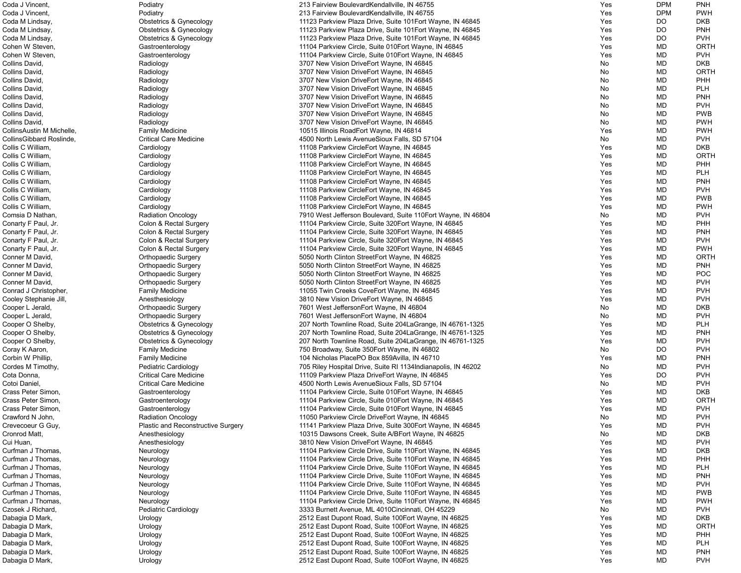| Coda J Vincent,<br>Podiatry<br>213 Fairview BoulevardKendallville, IN 46755<br>Yes<br>Coda M Lindsay,<br>Yes<br><b>Obstetrics &amp; Gynecology</b><br>11123 Parkview Plaza Drive, Suite 101 Eort Wayne, IN 46845<br><b>Obstetrics &amp; Gynecology</b><br>11123 Parkview Plaza Drive, Suite 101 Eort Wayne, IN 46845<br>Yes<br>Coda M Lindsay,<br>Coda M Lindsay,<br><b>Obstetrics &amp; Gynecology</b><br>11123 Parkview Plaza Drive, Suite 101 Eort Wayne, IN 46845<br>Yes<br>Cohen W Steven,<br>11104 Parkview Circle, Suite 010 Eort Wayne, IN 46845<br>Gastroenterology<br>Yes<br>Cohen W Steven,<br>11104 Parkview Circle, Suite 010 Eort Wayne, IN 46845<br>Yes<br>Gastroenterology<br>Collins David,<br>3707 New Vision DriveEort Wayne, IN 46845<br>Radiology<br>No<br>Collins David,<br>3707 New Vision DriveEort Wayne, IN 46845<br>Radiology<br>No<br>Collins David,<br>Radiology<br>3707 New Vision DriveEort Wayne, IN 46845<br>No<br>Collins David,<br>Radiology<br>3707 New Vision DriveEort Wayne, IN 46845<br>No<br>Collins David,<br>3707 New Vision DriveEort Wayne, IN 46845<br>No<br>Radiology<br>Collins David,<br>3707 New Vision DriveEort Wayne, IN 46845<br>No<br>Radiology<br>Collins David,<br>3707 New Vision DriveEort Wayne, IN 46845<br>Radiology<br>No<br>Collins David,<br>3707 New Vision DriveEort Wayne, IN 46845<br>Radiology<br>No<br>CollinsAustin M Michelle,<br>10515 Illinois RoadEort Wayne, IN 46814<br>Yes<br><b>Family Medicine</b><br>CollinsGibbard Roslinde,<br><b>Critical Care Medicine</b><br>4500 North Lewis AvenueSioux Falls, SD 57104<br>No<br>Collis C William,<br>Cardiology<br>11108 Parkview CircleEort Wayne, IN 46845<br>Yes<br>Collis C William,<br>11108 Parkview CircleEort Wayne, IN 46845<br>Yes<br>Cardiology<br>Collis C William,<br>11108 Parkview CircleEort Wayne, IN 46845<br>Yes<br>Cardiology<br>Collis C William,<br>11108 Parkview CircleEort Wayne, IN 46845<br>Cardiology<br>Yes<br>Collis C William,<br>Cardiology<br>11108 Parkview CircleEort Wayne, IN 46845<br>Yes<br>Collis C William,<br>11108 Parkview CircleEort Wayne, IN 46845<br>Cardiology<br>Yes<br>Collis C William,<br>11108 Parkview CircleEort Wayne, IN 46845<br>Cardiology<br>Yes<br>Collis C William,<br>Cardiology<br>11108 Parkview CircleEort Wayne, IN 46845<br>Yes<br>Comsia D Nathan,<br><b>Radiation Oncology</b><br>7910 West Jefferson Boulevard, Suite 110 Eort Wayne, IN 46804<br>No<br>Conarty F Paul, Jr.<br>Colon & Rectal Surgery<br>11104 Parkview Circle, Suite 320 Fort Wayne, IN 46845<br>Yes<br>Conarty F Paul, Jr.<br>Colon & Rectal Surgery<br>11104 Parkview Circle, Suite 320 Eort Wayne, IN 46845<br>Yes<br>Conarty F Paul, Jr.<br>Colon & Rectal Surgery<br>11104 Parkview Circle, Suite 320 Eort Wayne, IN 46845<br>Yes<br>Conarty F Paul, Jr.<br>Colon & Rectal Surgery<br>11104 Parkview Circle, Suite 320 Eort Wayne, IN 46845<br>Yes<br>Conner M David,<br><b>Orthopaedic Surgery</b><br>5050 North Clinton StreetEort Wayne, IN 46825<br>Yes<br>Conner M David,<br><b>Orthopaedic Surgery</b><br>5050 North Clinton StreetEort Wayne, IN 46825<br>Yes<br>Conner M David,<br><b>Orthopaedic Surgery</b><br>5050 North Clinton StreetEort Wayne, IN 46825<br>Yes<br>Conner M David,<br><b>Orthopaedic Surgery</b><br>5050 North Clinton StreetEort Wayne, IN 46825<br>Yes<br>Conrad J Christopher,<br><b>Family Medicine</b><br>11055 Twin Creeks CoveEort Wayne, IN 46845<br>Yes<br>Cooley Stephanie Jill,<br>Anesthesiology<br>3810 New Vision DriveEort Wayne, IN 46845<br>Yes<br>Cooper L Jerald,<br>7601 West JeffersonEort Wayne, IN 46804<br><b>Orthopaedic Surgery</b><br>No<br>Cooper L Jerald,<br><b>Orthopaedic Surgery</b><br>7601 West JeffersonEort Wayne, IN 46804<br>No<br>Cooper O Shelby,<br><b>Obstetrics &amp; Gynecology</b><br>207 North Townline Road, Suite 204LaGrange, IN 46761-1325<br>Yes<br>Cooper O Shelby,<br><b>Obstetrics &amp; Gynecology</b><br>207 North Townline Road, Suite 204LaGrange, IN 46761-1325<br>Yes<br>Cooper O Shelby,<br><b>Obstetrics &amp; Gynecology</b><br>207 North Townline Road, Suite 204LaGrange, IN 46761-1325<br>Yes<br>Coray K Aaron,<br><b>Family Medicine</b><br>750 Broadway, Suite 350 Eort Wayne, IN 46802<br>No<br>104 Nicholas PlacePO Box 859Avilla, IN 46710<br>Corbin W Phillip,<br><b>Family Medicine</b><br>Yes<br>Cordes M Timothy,<br>Pediatric Cardiology<br>705 Riley Hospital Drive, Suite RI 1134 Indianapolis, IN 46202<br>No<br><b>Critical Care Medicine</b><br>Cota Donna,<br>11109 Parkview Plaza DriveEort Wayne, IN 46845<br>Yes<br>Cotoi Daniel,<br><b>Critical Care Medicine</b><br>4500 North Lewis AvenueSioux Falls, SD 57104<br>No<br>11104 Parkview Circle, Suite 010Eort Wayne, IN 46845<br>Crass Peter Simon,<br>Gastroenterology<br>Yes<br>Crass Peter Simon,<br>Gastroenterology<br>11104 Parkview Circle, Suite 010 Eort Wayne, IN 46845<br>Yes<br>Crass Peter Simon,<br>Gastroenterology<br>11104 Parkview Circle, Suite 010 Eort Wayne, IN 46845<br>Yes<br>Crawford N John,<br><b>Radiation Oncology</b><br>11050 Parkview Circle DriveEort Wayne, IN 46845<br>No<br>Crevecoeur G Guy,<br>Plastic and Reconstructive Surgery<br>11141 Parkview Plaza Drive, Suite 300 Eort Wayne, IN 46845<br>Yes<br>Cronrod Matt,<br>Anesthesiology<br>10315 Dawsons Creek, Suite A/BEort Wayne, IN 46825<br>No<br>Cui Huan,<br>Anesthesiology<br>3810 New Vision DriveEort Wayne, IN 46845<br>Yes<br>Curfman J Thomas,<br>11104 Parkview Circle Drive, Suite 110 Eort Wayne, IN 46845<br>Neurology<br>Yes<br>Curfman J Thomas,<br>11104 Parkview Circle Drive, Suite 110 Fort Wayne, IN 46845<br>Yes<br>Neurology<br>Curfman J Thomas,<br>11104 Parkview Circle Drive, Suite 110 Eort Wayne, IN 46845<br>Yes<br>Neurology<br>Curfman J Thomas,<br>11104 Parkview Circle Drive, Suite 110 Eort Wayne, IN 46845<br>Neurology<br>Yes<br>Curfman J Thomas,<br>11104 Parkview Circle Drive, Suite 110 Fort Wayne, IN 46845<br>Neurology<br>Yes<br>Curfman J Thomas,<br>11104 Parkview Circle Drive, Suite 110 Eort Wayne, IN 46845<br>Yes<br>Neurology<br>Curfman J Thomas,<br>Neurology<br>11104 Parkview Circle Drive, Suite 110 Fort Wayne, IN 46845<br>Yes<br>Czosek J Richard,<br>3333 Burnett Avenue, ML 4010 Cincinnati, OH 45229<br>Pediatric Cardiology<br>No.<br>Dabagia D Mark,<br>2512 East Dupont Road, Suite 100 Fort Wayne, IN 46825<br>Yes<br>Urology<br>Dabagia D Mark,<br>Urology<br>2512 East Dupont Road, Suite 100 Fort Wayne, IN 46825<br>Yes<br>Dabagia D Mark,<br>Urology<br>2512 East Dupont Road, Suite 100 Fort Wayne, IN 46825<br>Yes<br>Dabagia D Mark,<br>2512 East Dupont Road, Suite 100 Fort Wayne, IN 46825<br>Yes<br>Urology | <b>DPM</b> | <b>PNH</b>  |
|----------------------------------------------------------------------------------------------------------------------------------------------------------------------------------------------------------------------------------------------------------------------------------------------------------------------------------------------------------------------------------------------------------------------------------------------------------------------------------------------------------------------------------------------------------------------------------------------------------------------------------------------------------------------------------------------------------------------------------------------------------------------------------------------------------------------------------------------------------------------------------------------------------------------------------------------------------------------------------------------------------------------------------------------------------------------------------------------------------------------------------------------------------------------------------------------------------------------------------------------------------------------------------------------------------------------------------------------------------------------------------------------------------------------------------------------------------------------------------------------------------------------------------------------------------------------------------------------------------------------------------------------------------------------------------------------------------------------------------------------------------------------------------------------------------------------------------------------------------------------------------------------------------------------------------------------------------------------------------------------------------------------------------------------------------------------------------------------------------------------------------------------------------------------------------------------------------------------------------------------------------------------------------------------------------------------------------------------------------------------------------------------------------------------------------------------------------------------------------------------------------------------------------------------------------------------------------------------------------------------------------------------------------------------------------------------------------------------------------------------------------------------------------------------------------------------------------------------------------------------------------------------------------------------------------------------------------------------------------------------------------------------------------------------------------------------------------------------------------------------------------------------------------------------------------------------------------------------------------------------------------------------------------------------------------------------------------------------------------------------------------------------------------------------------------------------------------------------------------------------------------------------------------------------------------------------------------------------------------------------------------------------------------------------------------------------------------------------------------------------------------------------------------------------------------------------------------------------------------------------------------------------------------------------------------------------------------------------------------------------------------------------------------------------------------------------------------------------------------------------------------------------------------------------------------------------------------------------------------------------------------------------------------------------------------------------------------------------------------------------------------------------------------------------------------------------------------------------------------------------------------------------------------------------------------------------------------------------------------------------------------------------------------------------------------------------------------------------------------------------------------------------------------------------------------------------------------------------------------------------------------------------------------------------------------------------------------------------------------------------------------------------------------------------------------------------------------------------------------------------------------------------------------------------------------------------------------------------------------------------------------------------------------------------------------------------------------------------------------------------------------------------------------------------------------------------------------------------------------------------------------------------------------------------------------------------------------------------------------------------------------------------------------------------------------------------------------------------------------------------------------------------------------------------------------------------------------------------------------------------------------------------------------------------------------------------------------------------------------------------------------------------------------------------------------------------------------------------------------------------------------------------------------------------------------------------------------------------------------------------------------------------------------------------------------------------------------------------------------------------------------------------------------------------------------------------------------------------------------------------------------------------------------------------------------------------------------------------------------------------------------------------------------------------------------------------------------------------------------------|------------|-------------|
|                                                                                                                                                                                                                                                                                                                                                                                                                                                                                                                                                                                                                                                                                                                                                                                                                                                                                                                                                                                                                                                                                                                                                                                                                                                                                                                                                                                                                                                                                                                                                                                                                                                                                                                                                                                                                                                                                                                                                                                                                                                                                                                                                                                                                                                                                                                                                                                                                                                                                                                                                                                                                                                                                                                                                                                                                                                                                                                                                                                                                                                                                                                                                                                                                                                                                                                                                                                                                                                                                                                                                                                                                                                                                                                                                                                                                                                                                                                                                                                                                                                                                                                                                                                                                                                                                                                                                                                                                                                                                                                                                                                                                                                                                                                                                                                                                                                                                                                                                                                                                                                                                                                                                                                                                                                                                                                                                                                                                                                                                                                                                                                                                                                                                                                                                                                                                                                                                                                                                                                                                                                                                                                                                                                                                                                                                                                                                                                                                                                                                                                                                                                                                                                                                                                                        | <b>DPM</b> | <b>PWH</b>  |
|                                                                                                                                                                                                                                                                                                                                                                                                                                                                                                                                                                                                                                                                                                                                                                                                                                                                                                                                                                                                                                                                                                                                                                                                                                                                                                                                                                                                                                                                                                                                                                                                                                                                                                                                                                                                                                                                                                                                                                                                                                                                                                                                                                                                                                                                                                                                                                                                                                                                                                                                                                                                                                                                                                                                                                                                                                                                                                                                                                                                                                                                                                                                                                                                                                                                                                                                                                                                                                                                                                                                                                                                                                                                                                                                                                                                                                                                                                                                                                                                                                                                                                                                                                                                                                                                                                                                                                                                                                                                                                                                                                                                                                                                                                                                                                                                                                                                                                                                                                                                                                                                                                                                                                                                                                                                                                                                                                                                                                                                                                                                                                                                                                                                                                                                                                                                                                                                                                                                                                                                                                                                                                                                                                                                                                                                                                                                                                                                                                                                                                                                                                                                                                                                                                                                        | DO         | <b>DKB</b>  |
|                                                                                                                                                                                                                                                                                                                                                                                                                                                                                                                                                                                                                                                                                                                                                                                                                                                                                                                                                                                                                                                                                                                                                                                                                                                                                                                                                                                                                                                                                                                                                                                                                                                                                                                                                                                                                                                                                                                                                                                                                                                                                                                                                                                                                                                                                                                                                                                                                                                                                                                                                                                                                                                                                                                                                                                                                                                                                                                                                                                                                                                                                                                                                                                                                                                                                                                                                                                                                                                                                                                                                                                                                                                                                                                                                                                                                                                                                                                                                                                                                                                                                                                                                                                                                                                                                                                                                                                                                                                                                                                                                                                                                                                                                                                                                                                                                                                                                                                                                                                                                                                                                                                                                                                                                                                                                                                                                                                                                                                                                                                                                                                                                                                                                                                                                                                                                                                                                                                                                                                                                                                                                                                                                                                                                                                                                                                                                                                                                                                                                                                                                                                                                                                                                                                                        | <b>DO</b>  | <b>PNH</b>  |
|                                                                                                                                                                                                                                                                                                                                                                                                                                                                                                                                                                                                                                                                                                                                                                                                                                                                                                                                                                                                                                                                                                                                                                                                                                                                                                                                                                                                                                                                                                                                                                                                                                                                                                                                                                                                                                                                                                                                                                                                                                                                                                                                                                                                                                                                                                                                                                                                                                                                                                                                                                                                                                                                                                                                                                                                                                                                                                                                                                                                                                                                                                                                                                                                                                                                                                                                                                                                                                                                                                                                                                                                                                                                                                                                                                                                                                                                                                                                                                                                                                                                                                                                                                                                                                                                                                                                                                                                                                                                                                                                                                                                                                                                                                                                                                                                                                                                                                                                                                                                                                                                                                                                                                                                                                                                                                                                                                                                                                                                                                                                                                                                                                                                                                                                                                                                                                                                                                                                                                                                                                                                                                                                                                                                                                                                                                                                                                                                                                                                                                                                                                                                                                                                                                                                        | <b>DO</b>  | <b>PVH</b>  |
|                                                                                                                                                                                                                                                                                                                                                                                                                                                                                                                                                                                                                                                                                                                                                                                                                                                                                                                                                                                                                                                                                                                                                                                                                                                                                                                                                                                                                                                                                                                                                                                                                                                                                                                                                                                                                                                                                                                                                                                                                                                                                                                                                                                                                                                                                                                                                                                                                                                                                                                                                                                                                                                                                                                                                                                                                                                                                                                                                                                                                                                                                                                                                                                                                                                                                                                                                                                                                                                                                                                                                                                                                                                                                                                                                                                                                                                                                                                                                                                                                                                                                                                                                                                                                                                                                                                                                                                                                                                                                                                                                                                                                                                                                                                                                                                                                                                                                                                                                                                                                                                                                                                                                                                                                                                                                                                                                                                                                                                                                                                                                                                                                                                                                                                                                                                                                                                                                                                                                                                                                                                                                                                                                                                                                                                                                                                                                                                                                                                                                                                                                                                                                                                                                                                                        | <b>MD</b>  | <b>ORTH</b> |
|                                                                                                                                                                                                                                                                                                                                                                                                                                                                                                                                                                                                                                                                                                                                                                                                                                                                                                                                                                                                                                                                                                                                                                                                                                                                                                                                                                                                                                                                                                                                                                                                                                                                                                                                                                                                                                                                                                                                                                                                                                                                                                                                                                                                                                                                                                                                                                                                                                                                                                                                                                                                                                                                                                                                                                                                                                                                                                                                                                                                                                                                                                                                                                                                                                                                                                                                                                                                                                                                                                                                                                                                                                                                                                                                                                                                                                                                                                                                                                                                                                                                                                                                                                                                                                                                                                                                                                                                                                                                                                                                                                                                                                                                                                                                                                                                                                                                                                                                                                                                                                                                                                                                                                                                                                                                                                                                                                                                                                                                                                                                                                                                                                                                                                                                                                                                                                                                                                                                                                                                                                                                                                                                                                                                                                                                                                                                                                                                                                                                                                                                                                                                                                                                                                                                        | <b>MD</b>  | <b>PVH</b>  |
|                                                                                                                                                                                                                                                                                                                                                                                                                                                                                                                                                                                                                                                                                                                                                                                                                                                                                                                                                                                                                                                                                                                                                                                                                                                                                                                                                                                                                                                                                                                                                                                                                                                                                                                                                                                                                                                                                                                                                                                                                                                                                                                                                                                                                                                                                                                                                                                                                                                                                                                                                                                                                                                                                                                                                                                                                                                                                                                                                                                                                                                                                                                                                                                                                                                                                                                                                                                                                                                                                                                                                                                                                                                                                                                                                                                                                                                                                                                                                                                                                                                                                                                                                                                                                                                                                                                                                                                                                                                                                                                                                                                                                                                                                                                                                                                                                                                                                                                                                                                                                                                                                                                                                                                                                                                                                                                                                                                                                                                                                                                                                                                                                                                                                                                                                                                                                                                                                                                                                                                                                                                                                                                                                                                                                                                                                                                                                                                                                                                                                                                                                                                                                                                                                                                                        | <b>MD</b>  | <b>DKB</b>  |
|                                                                                                                                                                                                                                                                                                                                                                                                                                                                                                                                                                                                                                                                                                                                                                                                                                                                                                                                                                                                                                                                                                                                                                                                                                                                                                                                                                                                                                                                                                                                                                                                                                                                                                                                                                                                                                                                                                                                                                                                                                                                                                                                                                                                                                                                                                                                                                                                                                                                                                                                                                                                                                                                                                                                                                                                                                                                                                                                                                                                                                                                                                                                                                                                                                                                                                                                                                                                                                                                                                                                                                                                                                                                                                                                                                                                                                                                                                                                                                                                                                                                                                                                                                                                                                                                                                                                                                                                                                                                                                                                                                                                                                                                                                                                                                                                                                                                                                                                                                                                                                                                                                                                                                                                                                                                                                                                                                                                                                                                                                                                                                                                                                                                                                                                                                                                                                                                                                                                                                                                                                                                                                                                                                                                                                                                                                                                                                                                                                                                                                                                                                                                                                                                                                                                        | MD         | <b>ORTH</b> |
|                                                                                                                                                                                                                                                                                                                                                                                                                                                                                                                                                                                                                                                                                                                                                                                                                                                                                                                                                                                                                                                                                                                                                                                                                                                                                                                                                                                                                                                                                                                                                                                                                                                                                                                                                                                                                                                                                                                                                                                                                                                                                                                                                                                                                                                                                                                                                                                                                                                                                                                                                                                                                                                                                                                                                                                                                                                                                                                                                                                                                                                                                                                                                                                                                                                                                                                                                                                                                                                                                                                                                                                                                                                                                                                                                                                                                                                                                                                                                                                                                                                                                                                                                                                                                                                                                                                                                                                                                                                                                                                                                                                                                                                                                                                                                                                                                                                                                                                                                                                                                                                                                                                                                                                                                                                                                                                                                                                                                                                                                                                                                                                                                                                                                                                                                                                                                                                                                                                                                                                                                                                                                                                                                                                                                                                                                                                                                                                                                                                                                                                                                                                                                                                                                                                                        | <b>MD</b>  | <b>PHH</b>  |
|                                                                                                                                                                                                                                                                                                                                                                                                                                                                                                                                                                                                                                                                                                                                                                                                                                                                                                                                                                                                                                                                                                                                                                                                                                                                                                                                                                                                                                                                                                                                                                                                                                                                                                                                                                                                                                                                                                                                                                                                                                                                                                                                                                                                                                                                                                                                                                                                                                                                                                                                                                                                                                                                                                                                                                                                                                                                                                                                                                                                                                                                                                                                                                                                                                                                                                                                                                                                                                                                                                                                                                                                                                                                                                                                                                                                                                                                                                                                                                                                                                                                                                                                                                                                                                                                                                                                                                                                                                                                                                                                                                                                                                                                                                                                                                                                                                                                                                                                                                                                                                                                                                                                                                                                                                                                                                                                                                                                                                                                                                                                                                                                                                                                                                                                                                                                                                                                                                                                                                                                                                                                                                                                                                                                                                                                                                                                                                                                                                                                                                                                                                                                                                                                                                                                        | <b>MD</b>  | <b>PLH</b>  |
|                                                                                                                                                                                                                                                                                                                                                                                                                                                                                                                                                                                                                                                                                                                                                                                                                                                                                                                                                                                                                                                                                                                                                                                                                                                                                                                                                                                                                                                                                                                                                                                                                                                                                                                                                                                                                                                                                                                                                                                                                                                                                                                                                                                                                                                                                                                                                                                                                                                                                                                                                                                                                                                                                                                                                                                                                                                                                                                                                                                                                                                                                                                                                                                                                                                                                                                                                                                                                                                                                                                                                                                                                                                                                                                                                                                                                                                                                                                                                                                                                                                                                                                                                                                                                                                                                                                                                                                                                                                                                                                                                                                                                                                                                                                                                                                                                                                                                                                                                                                                                                                                                                                                                                                                                                                                                                                                                                                                                                                                                                                                                                                                                                                                                                                                                                                                                                                                                                                                                                                                                                                                                                                                                                                                                                                                                                                                                                                                                                                                                                                                                                                                                                                                                                                                        | <b>MD</b>  | <b>PNH</b>  |
|                                                                                                                                                                                                                                                                                                                                                                                                                                                                                                                                                                                                                                                                                                                                                                                                                                                                                                                                                                                                                                                                                                                                                                                                                                                                                                                                                                                                                                                                                                                                                                                                                                                                                                                                                                                                                                                                                                                                                                                                                                                                                                                                                                                                                                                                                                                                                                                                                                                                                                                                                                                                                                                                                                                                                                                                                                                                                                                                                                                                                                                                                                                                                                                                                                                                                                                                                                                                                                                                                                                                                                                                                                                                                                                                                                                                                                                                                                                                                                                                                                                                                                                                                                                                                                                                                                                                                                                                                                                                                                                                                                                                                                                                                                                                                                                                                                                                                                                                                                                                                                                                                                                                                                                                                                                                                                                                                                                                                                                                                                                                                                                                                                                                                                                                                                                                                                                                                                                                                                                                                                                                                                                                                                                                                                                                                                                                                                                                                                                                                                                                                                                                                                                                                                                                        | <b>MD</b>  | <b>PVH</b>  |
|                                                                                                                                                                                                                                                                                                                                                                                                                                                                                                                                                                                                                                                                                                                                                                                                                                                                                                                                                                                                                                                                                                                                                                                                                                                                                                                                                                                                                                                                                                                                                                                                                                                                                                                                                                                                                                                                                                                                                                                                                                                                                                                                                                                                                                                                                                                                                                                                                                                                                                                                                                                                                                                                                                                                                                                                                                                                                                                                                                                                                                                                                                                                                                                                                                                                                                                                                                                                                                                                                                                                                                                                                                                                                                                                                                                                                                                                                                                                                                                                                                                                                                                                                                                                                                                                                                                                                                                                                                                                                                                                                                                                                                                                                                                                                                                                                                                                                                                                                                                                                                                                                                                                                                                                                                                                                                                                                                                                                                                                                                                                                                                                                                                                                                                                                                                                                                                                                                                                                                                                                                                                                                                                                                                                                                                                                                                                                                                                                                                                                                                                                                                                                                                                                                                                        | <b>MD</b>  | <b>PWB</b>  |
|                                                                                                                                                                                                                                                                                                                                                                                                                                                                                                                                                                                                                                                                                                                                                                                                                                                                                                                                                                                                                                                                                                                                                                                                                                                                                                                                                                                                                                                                                                                                                                                                                                                                                                                                                                                                                                                                                                                                                                                                                                                                                                                                                                                                                                                                                                                                                                                                                                                                                                                                                                                                                                                                                                                                                                                                                                                                                                                                                                                                                                                                                                                                                                                                                                                                                                                                                                                                                                                                                                                                                                                                                                                                                                                                                                                                                                                                                                                                                                                                                                                                                                                                                                                                                                                                                                                                                                                                                                                                                                                                                                                                                                                                                                                                                                                                                                                                                                                                                                                                                                                                                                                                                                                                                                                                                                                                                                                                                                                                                                                                                                                                                                                                                                                                                                                                                                                                                                                                                                                                                                                                                                                                                                                                                                                                                                                                                                                                                                                                                                                                                                                                                                                                                                                                        | MD         | <b>PWH</b>  |
|                                                                                                                                                                                                                                                                                                                                                                                                                                                                                                                                                                                                                                                                                                                                                                                                                                                                                                                                                                                                                                                                                                                                                                                                                                                                                                                                                                                                                                                                                                                                                                                                                                                                                                                                                                                                                                                                                                                                                                                                                                                                                                                                                                                                                                                                                                                                                                                                                                                                                                                                                                                                                                                                                                                                                                                                                                                                                                                                                                                                                                                                                                                                                                                                                                                                                                                                                                                                                                                                                                                                                                                                                                                                                                                                                                                                                                                                                                                                                                                                                                                                                                                                                                                                                                                                                                                                                                                                                                                                                                                                                                                                                                                                                                                                                                                                                                                                                                                                                                                                                                                                                                                                                                                                                                                                                                                                                                                                                                                                                                                                                                                                                                                                                                                                                                                                                                                                                                                                                                                                                                                                                                                                                                                                                                                                                                                                                                                                                                                                                                                                                                                                                                                                                                                                        | MD         | <b>PWH</b>  |
|                                                                                                                                                                                                                                                                                                                                                                                                                                                                                                                                                                                                                                                                                                                                                                                                                                                                                                                                                                                                                                                                                                                                                                                                                                                                                                                                                                                                                                                                                                                                                                                                                                                                                                                                                                                                                                                                                                                                                                                                                                                                                                                                                                                                                                                                                                                                                                                                                                                                                                                                                                                                                                                                                                                                                                                                                                                                                                                                                                                                                                                                                                                                                                                                                                                                                                                                                                                                                                                                                                                                                                                                                                                                                                                                                                                                                                                                                                                                                                                                                                                                                                                                                                                                                                                                                                                                                                                                                                                                                                                                                                                                                                                                                                                                                                                                                                                                                                                                                                                                                                                                                                                                                                                                                                                                                                                                                                                                                                                                                                                                                                                                                                                                                                                                                                                                                                                                                                                                                                                                                                                                                                                                                                                                                                                                                                                                                                                                                                                                                                                                                                                                                                                                                                                                        | MD         | <b>PVH</b>  |
|                                                                                                                                                                                                                                                                                                                                                                                                                                                                                                                                                                                                                                                                                                                                                                                                                                                                                                                                                                                                                                                                                                                                                                                                                                                                                                                                                                                                                                                                                                                                                                                                                                                                                                                                                                                                                                                                                                                                                                                                                                                                                                                                                                                                                                                                                                                                                                                                                                                                                                                                                                                                                                                                                                                                                                                                                                                                                                                                                                                                                                                                                                                                                                                                                                                                                                                                                                                                                                                                                                                                                                                                                                                                                                                                                                                                                                                                                                                                                                                                                                                                                                                                                                                                                                                                                                                                                                                                                                                                                                                                                                                                                                                                                                                                                                                                                                                                                                                                                                                                                                                                                                                                                                                                                                                                                                                                                                                                                                                                                                                                                                                                                                                                                                                                                                                                                                                                                                                                                                                                                                                                                                                                                                                                                                                                                                                                                                                                                                                                                                                                                                                                                                                                                                                                        | MD         | <b>DKB</b>  |
|                                                                                                                                                                                                                                                                                                                                                                                                                                                                                                                                                                                                                                                                                                                                                                                                                                                                                                                                                                                                                                                                                                                                                                                                                                                                                                                                                                                                                                                                                                                                                                                                                                                                                                                                                                                                                                                                                                                                                                                                                                                                                                                                                                                                                                                                                                                                                                                                                                                                                                                                                                                                                                                                                                                                                                                                                                                                                                                                                                                                                                                                                                                                                                                                                                                                                                                                                                                                                                                                                                                                                                                                                                                                                                                                                                                                                                                                                                                                                                                                                                                                                                                                                                                                                                                                                                                                                                                                                                                                                                                                                                                                                                                                                                                                                                                                                                                                                                                                                                                                                                                                                                                                                                                                                                                                                                                                                                                                                                                                                                                                                                                                                                                                                                                                                                                                                                                                                                                                                                                                                                                                                                                                                                                                                                                                                                                                                                                                                                                                                                                                                                                                                                                                                                                                        | <b>MD</b>  | <b>ORTH</b> |
|                                                                                                                                                                                                                                                                                                                                                                                                                                                                                                                                                                                                                                                                                                                                                                                                                                                                                                                                                                                                                                                                                                                                                                                                                                                                                                                                                                                                                                                                                                                                                                                                                                                                                                                                                                                                                                                                                                                                                                                                                                                                                                                                                                                                                                                                                                                                                                                                                                                                                                                                                                                                                                                                                                                                                                                                                                                                                                                                                                                                                                                                                                                                                                                                                                                                                                                                                                                                                                                                                                                                                                                                                                                                                                                                                                                                                                                                                                                                                                                                                                                                                                                                                                                                                                                                                                                                                                                                                                                                                                                                                                                                                                                                                                                                                                                                                                                                                                                                                                                                                                                                                                                                                                                                                                                                                                                                                                                                                                                                                                                                                                                                                                                                                                                                                                                                                                                                                                                                                                                                                                                                                                                                                                                                                                                                                                                                                                                                                                                                                                                                                                                                                                                                                                                                        | <b>MD</b>  | <b>PHH</b>  |
|                                                                                                                                                                                                                                                                                                                                                                                                                                                                                                                                                                                                                                                                                                                                                                                                                                                                                                                                                                                                                                                                                                                                                                                                                                                                                                                                                                                                                                                                                                                                                                                                                                                                                                                                                                                                                                                                                                                                                                                                                                                                                                                                                                                                                                                                                                                                                                                                                                                                                                                                                                                                                                                                                                                                                                                                                                                                                                                                                                                                                                                                                                                                                                                                                                                                                                                                                                                                                                                                                                                                                                                                                                                                                                                                                                                                                                                                                                                                                                                                                                                                                                                                                                                                                                                                                                                                                                                                                                                                                                                                                                                                                                                                                                                                                                                                                                                                                                                                                                                                                                                                                                                                                                                                                                                                                                                                                                                                                                                                                                                                                                                                                                                                                                                                                                                                                                                                                                                                                                                                                                                                                                                                                                                                                                                                                                                                                                                                                                                                                                                                                                                                                                                                                                                                        | MD         | <b>PLH</b>  |
|                                                                                                                                                                                                                                                                                                                                                                                                                                                                                                                                                                                                                                                                                                                                                                                                                                                                                                                                                                                                                                                                                                                                                                                                                                                                                                                                                                                                                                                                                                                                                                                                                                                                                                                                                                                                                                                                                                                                                                                                                                                                                                                                                                                                                                                                                                                                                                                                                                                                                                                                                                                                                                                                                                                                                                                                                                                                                                                                                                                                                                                                                                                                                                                                                                                                                                                                                                                                                                                                                                                                                                                                                                                                                                                                                                                                                                                                                                                                                                                                                                                                                                                                                                                                                                                                                                                                                                                                                                                                                                                                                                                                                                                                                                                                                                                                                                                                                                                                                                                                                                                                                                                                                                                                                                                                                                                                                                                                                                                                                                                                                                                                                                                                                                                                                                                                                                                                                                                                                                                                                                                                                                                                                                                                                                                                                                                                                                                                                                                                                                                                                                                                                                                                                                                                        | <b>MD</b>  | <b>PNH</b>  |
|                                                                                                                                                                                                                                                                                                                                                                                                                                                                                                                                                                                                                                                                                                                                                                                                                                                                                                                                                                                                                                                                                                                                                                                                                                                                                                                                                                                                                                                                                                                                                                                                                                                                                                                                                                                                                                                                                                                                                                                                                                                                                                                                                                                                                                                                                                                                                                                                                                                                                                                                                                                                                                                                                                                                                                                                                                                                                                                                                                                                                                                                                                                                                                                                                                                                                                                                                                                                                                                                                                                                                                                                                                                                                                                                                                                                                                                                                                                                                                                                                                                                                                                                                                                                                                                                                                                                                                                                                                                                                                                                                                                                                                                                                                                                                                                                                                                                                                                                                                                                                                                                                                                                                                                                                                                                                                                                                                                                                                                                                                                                                                                                                                                                                                                                                                                                                                                                                                                                                                                                                                                                                                                                                                                                                                                                                                                                                                                                                                                                                                                                                                                                                                                                                                                                        | <b>MD</b>  | <b>PVH</b>  |
|                                                                                                                                                                                                                                                                                                                                                                                                                                                                                                                                                                                                                                                                                                                                                                                                                                                                                                                                                                                                                                                                                                                                                                                                                                                                                                                                                                                                                                                                                                                                                                                                                                                                                                                                                                                                                                                                                                                                                                                                                                                                                                                                                                                                                                                                                                                                                                                                                                                                                                                                                                                                                                                                                                                                                                                                                                                                                                                                                                                                                                                                                                                                                                                                                                                                                                                                                                                                                                                                                                                                                                                                                                                                                                                                                                                                                                                                                                                                                                                                                                                                                                                                                                                                                                                                                                                                                                                                                                                                                                                                                                                                                                                                                                                                                                                                                                                                                                                                                                                                                                                                                                                                                                                                                                                                                                                                                                                                                                                                                                                                                                                                                                                                                                                                                                                                                                                                                                                                                                                                                                                                                                                                                                                                                                                                                                                                                                                                                                                                                                                                                                                                                                                                                                                                        | <b>MD</b>  | <b>PWB</b>  |
|                                                                                                                                                                                                                                                                                                                                                                                                                                                                                                                                                                                                                                                                                                                                                                                                                                                                                                                                                                                                                                                                                                                                                                                                                                                                                                                                                                                                                                                                                                                                                                                                                                                                                                                                                                                                                                                                                                                                                                                                                                                                                                                                                                                                                                                                                                                                                                                                                                                                                                                                                                                                                                                                                                                                                                                                                                                                                                                                                                                                                                                                                                                                                                                                                                                                                                                                                                                                                                                                                                                                                                                                                                                                                                                                                                                                                                                                                                                                                                                                                                                                                                                                                                                                                                                                                                                                                                                                                                                                                                                                                                                                                                                                                                                                                                                                                                                                                                                                                                                                                                                                                                                                                                                                                                                                                                                                                                                                                                                                                                                                                                                                                                                                                                                                                                                                                                                                                                                                                                                                                                                                                                                                                                                                                                                                                                                                                                                                                                                                                                                                                                                                                                                                                                                                        | MD         | <b>PWH</b>  |
|                                                                                                                                                                                                                                                                                                                                                                                                                                                                                                                                                                                                                                                                                                                                                                                                                                                                                                                                                                                                                                                                                                                                                                                                                                                                                                                                                                                                                                                                                                                                                                                                                                                                                                                                                                                                                                                                                                                                                                                                                                                                                                                                                                                                                                                                                                                                                                                                                                                                                                                                                                                                                                                                                                                                                                                                                                                                                                                                                                                                                                                                                                                                                                                                                                                                                                                                                                                                                                                                                                                                                                                                                                                                                                                                                                                                                                                                                                                                                                                                                                                                                                                                                                                                                                                                                                                                                                                                                                                                                                                                                                                                                                                                                                                                                                                                                                                                                                                                                                                                                                                                                                                                                                                                                                                                                                                                                                                                                                                                                                                                                                                                                                                                                                                                                                                                                                                                                                                                                                                                                                                                                                                                                                                                                                                                                                                                                                                                                                                                                                                                                                                                                                                                                                                                        | MD         | <b>PVH</b>  |
|                                                                                                                                                                                                                                                                                                                                                                                                                                                                                                                                                                                                                                                                                                                                                                                                                                                                                                                                                                                                                                                                                                                                                                                                                                                                                                                                                                                                                                                                                                                                                                                                                                                                                                                                                                                                                                                                                                                                                                                                                                                                                                                                                                                                                                                                                                                                                                                                                                                                                                                                                                                                                                                                                                                                                                                                                                                                                                                                                                                                                                                                                                                                                                                                                                                                                                                                                                                                                                                                                                                                                                                                                                                                                                                                                                                                                                                                                                                                                                                                                                                                                                                                                                                                                                                                                                                                                                                                                                                                                                                                                                                                                                                                                                                                                                                                                                                                                                                                                                                                                                                                                                                                                                                                                                                                                                                                                                                                                                                                                                                                                                                                                                                                                                                                                                                                                                                                                                                                                                                                                                                                                                                                                                                                                                                                                                                                                                                                                                                                                                                                                                                                                                                                                                                                        | MD         | <b>PHH</b>  |
|                                                                                                                                                                                                                                                                                                                                                                                                                                                                                                                                                                                                                                                                                                                                                                                                                                                                                                                                                                                                                                                                                                                                                                                                                                                                                                                                                                                                                                                                                                                                                                                                                                                                                                                                                                                                                                                                                                                                                                                                                                                                                                                                                                                                                                                                                                                                                                                                                                                                                                                                                                                                                                                                                                                                                                                                                                                                                                                                                                                                                                                                                                                                                                                                                                                                                                                                                                                                                                                                                                                                                                                                                                                                                                                                                                                                                                                                                                                                                                                                                                                                                                                                                                                                                                                                                                                                                                                                                                                                                                                                                                                                                                                                                                                                                                                                                                                                                                                                                                                                                                                                                                                                                                                                                                                                                                                                                                                                                                                                                                                                                                                                                                                                                                                                                                                                                                                                                                                                                                                                                                                                                                                                                                                                                                                                                                                                                                                                                                                                                                                                                                                                                                                                                                                                        | <b>MD</b>  | <b>PNH</b>  |
|                                                                                                                                                                                                                                                                                                                                                                                                                                                                                                                                                                                                                                                                                                                                                                                                                                                                                                                                                                                                                                                                                                                                                                                                                                                                                                                                                                                                                                                                                                                                                                                                                                                                                                                                                                                                                                                                                                                                                                                                                                                                                                                                                                                                                                                                                                                                                                                                                                                                                                                                                                                                                                                                                                                                                                                                                                                                                                                                                                                                                                                                                                                                                                                                                                                                                                                                                                                                                                                                                                                                                                                                                                                                                                                                                                                                                                                                                                                                                                                                                                                                                                                                                                                                                                                                                                                                                                                                                                                                                                                                                                                                                                                                                                                                                                                                                                                                                                                                                                                                                                                                                                                                                                                                                                                                                                                                                                                                                                                                                                                                                                                                                                                                                                                                                                                                                                                                                                                                                                                                                                                                                                                                                                                                                                                                                                                                                                                                                                                                                                                                                                                                                                                                                                                                        | <b>MD</b>  | <b>PVH</b>  |
|                                                                                                                                                                                                                                                                                                                                                                                                                                                                                                                                                                                                                                                                                                                                                                                                                                                                                                                                                                                                                                                                                                                                                                                                                                                                                                                                                                                                                                                                                                                                                                                                                                                                                                                                                                                                                                                                                                                                                                                                                                                                                                                                                                                                                                                                                                                                                                                                                                                                                                                                                                                                                                                                                                                                                                                                                                                                                                                                                                                                                                                                                                                                                                                                                                                                                                                                                                                                                                                                                                                                                                                                                                                                                                                                                                                                                                                                                                                                                                                                                                                                                                                                                                                                                                                                                                                                                                                                                                                                                                                                                                                                                                                                                                                                                                                                                                                                                                                                                                                                                                                                                                                                                                                                                                                                                                                                                                                                                                                                                                                                                                                                                                                                                                                                                                                                                                                                                                                                                                                                                                                                                                                                                                                                                                                                                                                                                                                                                                                                                                                                                                                                                                                                                                                                        | <b>MD</b>  | <b>PWH</b>  |
|                                                                                                                                                                                                                                                                                                                                                                                                                                                                                                                                                                                                                                                                                                                                                                                                                                                                                                                                                                                                                                                                                                                                                                                                                                                                                                                                                                                                                                                                                                                                                                                                                                                                                                                                                                                                                                                                                                                                                                                                                                                                                                                                                                                                                                                                                                                                                                                                                                                                                                                                                                                                                                                                                                                                                                                                                                                                                                                                                                                                                                                                                                                                                                                                                                                                                                                                                                                                                                                                                                                                                                                                                                                                                                                                                                                                                                                                                                                                                                                                                                                                                                                                                                                                                                                                                                                                                                                                                                                                                                                                                                                                                                                                                                                                                                                                                                                                                                                                                                                                                                                                                                                                                                                                                                                                                                                                                                                                                                                                                                                                                                                                                                                                                                                                                                                                                                                                                                                                                                                                                                                                                                                                                                                                                                                                                                                                                                                                                                                                                                                                                                                                                                                                                                                                        | <b>MD</b>  | <b>ORTH</b> |
|                                                                                                                                                                                                                                                                                                                                                                                                                                                                                                                                                                                                                                                                                                                                                                                                                                                                                                                                                                                                                                                                                                                                                                                                                                                                                                                                                                                                                                                                                                                                                                                                                                                                                                                                                                                                                                                                                                                                                                                                                                                                                                                                                                                                                                                                                                                                                                                                                                                                                                                                                                                                                                                                                                                                                                                                                                                                                                                                                                                                                                                                                                                                                                                                                                                                                                                                                                                                                                                                                                                                                                                                                                                                                                                                                                                                                                                                                                                                                                                                                                                                                                                                                                                                                                                                                                                                                                                                                                                                                                                                                                                                                                                                                                                                                                                                                                                                                                                                                                                                                                                                                                                                                                                                                                                                                                                                                                                                                                                                                                                                                                                                                                                                                                                                                                                                                                                                                                                                                                                                                                                                                                                                                                                                                                                                                                                                                                                                                                                                                                                                                                                                                                                                                                                                        | <b>MD</b>  | <b>PNH</b>  |
|                                                                                                                                                                                                                                                                                                                                                                                                                                                                                                                                                                                                                                                                                                                                                                                                                                                                                                                                                                                                                                                                                                                                                                                                                                                                                                                                                                                                                                                                                                                                                                                                                                                                                                                                                                                                                                                                                                                                                                                                                                                                                                                                                                                                                                                                                                                                                                                                                                                                                                                                                                                                                                                                                                                                                                                                                                                                                                                                                                                                                                                                                                                                                                                                                                                                                                                                                                                                                                                                                                                                                                                                                                                                                                                                                                                                                                                                                                                                                                                                                                                                                                                                                                                                                                                                                                                                                                                                                                                                                                                                                                                                                                                                                                                                                                                                                                                                                                                                                                                                                                                                                                                                                                                                                                                                                                                                                                                                                                                                                                                                                                                                                                                                                                                                                                                                                                                                                                                                                                                                                                                                                                                                                                                                                                                                                                                                                                                                                                                                                                                                                                                                                                                                                                                                        | MD         | <b>POC</b>  |
|                                                                                                                                                                                                                                                                                                                                                                                                                                                                                                                                                                                                                                                                                                                                                                                                                                                                                                                                                                                                                                                                                                                                                                                                                                                                                                                                                                                                                                                                                                                                                                                                                                                                                                                                                                                                                                                                                                                                                                                                                                                                                                                                                                                                                                                                                                                                                                                                                                                                                                                                                                                                                                                                                                                                                                                                                                                                                                                                                                                                                                                                                                                                                                                                                                                                                                                                                                                                                                                                                                                                                                                                                                                                                                                                                                                                                                                                                                                                                                                                                                                                                                                                                                                                                                                                                                                                                                                                                                                                                                                                                                                                                                                                                                                                                                                                                                                                                                                                                                                                                                                                                                                                                                                                                                                                                                                                                                                                                                                                                                                                                                                                                                                                                                                                                                                                                                                                                                                                                                                                                                                                                                                                                                                                                                                                                                                                                                                                                                                                                                                                                                                                                                                                                                                                        | <b>MD</b>  | <b>PVH</b>  |
|                                                                                                                                                                                                                                                                                                                                                                                                                                                                                                                                                                                                                                                                                                                                                                                                                                                                                                                                                                                                                                                                                                                                                                                                                                                                                                                                                                                                                                                                                                                                                                                                                                                                                                                                                                                                                                                                                                                                                                                                                                                                                                                                                                                                                                                                                                                                                                                                                                                                                                                                                                                                                                                                                                                                                                                                                                                                                                                                                                                                                                                                                                                                                                                                                                                                                                                                                                                                                                                                                                                                                                                                                                                                                                                                                                                                                                                                                                                                                                                                                                                                                                                                                                                                                                                                                                                                                                                                                                                                                                                                                                                                                                                                                                                                                                                                                                                                                                                                                                                                                                                                                                                                                                                                                                                                                                                                                                                                                                                                                                                                                                                                                                                                                                                                                                                                                                                                                                                                                                                                                                                                                                                                                                                                                                                                                                                                                                                                                                                                                                                                                                                                                                                                                                                                        | <b>MD</b>  | <b>PVH</b>  |
|                                                                                                                                                                                                                                                                                                                                                                                                                                                                                                                                                                                                                                                                                                                                                                                                                                                                                                                                                                                                                                                                                                                                                                                                                                                                                                                                                                                                                                                                                                                                                                                                                                                                                                                                                                                                                                                                                                                                                                                                                                                                                                                                                                                                                                                                                                                                                                                                                                                                                                                                                                                                                                                                                                                                                                                                                                                                                                                                                                                                                                                                                                                                                                                                                                                                                                                                                                                                                                                                                                                                                                                                                                                                                                                                                                                                                                                                                                                                                                                                                                                                                                                                                                                                                                                                                                                                                                                                                                                                                                                                                                                                                                                                                                                                                                                                                                                                                                                                                                                                                                                                                                                                                                                                                                                                                                                                                                                                                                                                                                                                                                                                                                                                                                                                                                                                                                                                                                                                                                                                                                                                                                                                                                                                                                                                                                                                                                                                                                                                                                                                                                                                                                                                                                                                        | <b>MD</b>  | <b>PVH</b>  |
|                                                                                                                                                                                                                                                                                                                                                                                                                                                                                                                                                                                                                                                                                                                                                                                                                                                                                                                                                                                                                                                                                                                                                                                                                                                                                                                                                                                                                                                                                                                                                                                                                                                                                                                                                                                                                                                                                                                                                                                                                                                                                                                                                                                                                                                                                                                                                                                                                                                                                                                                                                                                                                                                                                                                                                                                                                                                                                                                                                                                                                                                                                                                                                                                                                                                                                                                                                                                                                                                                                                                                                                                                                                                                                                                                                                                                                                                                                                                                                                                                                                                                                                                                                                                                                                                                                                                                                                                                                                                                                                                                                                                                                                                                                                                                                                                                                                                                                                                                                                                                                                                                                                                                                                                                                                                                                                                                                                                                                                                                                                                                                                                                                                                                                                                                                                                                                                                                                                                                                                                                                                                                                                                                                                                                                                                                                                                                                                                                                                                                                                                                                                                                                                                                                                                        |            |             |
|                                                                                                                                                                                                                                                                                                                                                                                                                                                                                                                                                                                                                                                                                                                                                                                                                                                                                                                                                                                                                                                                                                                                                                                                                                                                                                                                                                                                                                                                                                                                                                                                                                                                                                                                                                                                                                                                                                                                                                                                                                                                                                                                                                                                                                                                                                                                                                                                                                                                                                                                                                                                                                                                                                                                                                                                                                                                                                                                                                                                                                                                                                                                                                                                                                                                                                                                                                                                                                                                                                                                                                                                                                                                                                                                                                                                                                                                                                                                                                                                                                                                                                                                                                                                                                                                                                                                                                                                                                                                                                                                                                                                                                                                                                                                                                                                                                                                                                                                                                                                                                                                                                                                                                                                                                                                                                                                                                                                                                                                                                                                                                                                                                                                                                                                                                                                                                                                                                                                                                                                                                                                                                                                                                                                                                                                                                                                                                                                                                                                                                                                                                                                                                                                                                                                        | <b>MD</b>  | <b>DKB</b>  |
|                                                                                                                                                                                                                                                                                                                                                                                                                                                                                                                                                                                                                                                                                                                                                                                                                                                                                                                                                                                                                                                                                                                                                                                                                                                                                                                                                                                                                                                                                                                                                                                                                                                                                                                                                                                                                                                                                                                                                                                                                                                                                                                                                                                                                                                                                                                                                                                                                                                                                                                                                                                                                                                                                                                                                                                                                                                                                                                                                                                                                                                                                                                                                                                                                                                                                                                                                                                                                                                                                                                                                                                                                                                                                                                                                                                                                                                                                                                                                                                                                                                                                                                                                                                                                                                                                                                                                                                                                                                                                                                                                                                                                                                                                                                                                                                                                                                                                                                                                                                                                                                                                                                                                                                                                                                                                                                                                                                                                                                                                                                                                                                                                                                                                                                                                                                                                                                                                                                                                                                                                                                                                                                                                                                                                                                                                                                                                                                                                                                                                                                                                                                                                                                                                                                                        | <b>MD</b>  | <b>PVH</b>  |
|                                                                                                                                                                                                                                                                                                                                                                                                                                                                                                                                                                                                                                                                                                                                                                                                                                                                                                                                                                                                                                                                                                                                                                                                                                                                                                                                                                                                                                                                                                                                                                                                                                                                                                                                                                                                                                                                                                                                                                                                                                                                                                                                                                                                                                                                                                                                                                                                                                                                                                                                                                                                                                                                                                                                                                                                                                                                                                                                                                                                                                                                                                                                                                                                                                                                                                                                                                                                                                                                                                                                                                                                                                                                                                                                                                                                                                                                                                                                                                                                                                                                                                                                                                                                                                                                                                                                                                                                                                                                                                                                                                                                                                                                                                                                                                                                                                                                                                                                                                                                                                                                                                                                                                                                                                                                                                                                                                                                                                                                                                                                                                                                                                                                                                                                                                                                                                                                                                                                                                                                                                                                                                                                                                                                                                                                                                                                                                                                                                                                                                                                                                                                                                                                                                                                        | MD         | <b>PLH</b>  |
|                                                                                                                                                                                                                                                                                                                                                                                                                                                                                                                                                                                                                                                                                                                                                                                                                                                                                                                                                                                                                                                                                                                                                                                                                                                                                                                                                                                                                                                                                                                                                                                                                                                                                                                                                                                                                                                                                                                                                                                                                                                                                                                                                                                                                                                                                                                                                                                                                                                                                                                                                                                                                                                                                                                                                                                                                                                                                                                                                                                                                                                                                                                                                                                                                                                                                                                                                                                                                                                                                                                                                                                                                                                                                                                                                                                                                                                                                                                                                                                                                                                                                                                                                                                                                                                                                                                                                                                                                                                                                                                                                                                                                                                                                                                                                                                                                                                                                                                                                                                                                                                                                                                                                                                                                                                                                                                                                                                                                                                                                                                                                                                                                                                                                                                                                                                                                                                                                                                                                                                                                                                                                                                                                                                                                                                                                                                                                                                                                                                                                                                                                                                                                                                                                                                                        | <b>MD</b>  | <b>PNH</b>  |
|                                                                                                                                                                                                                                                                                                                                                                                                                                                                                                                                                                                                                                                                                                                                                                                                                                                                                                                                                                                                                                                                                                                                                                                                                                                                                                                                                                                                                                                                                                                                                                                                                                                                                                                                                                                                                                                                                                                                                                                                                                                                                                                                                                                                                                                                                                                                                                                                                                                                                                                                                                                                                                                                                                                                                                                                                                                                                                                                                                                                                                                                                                                                                                                                                                                                                                                                                                                                                                                                                                                                                                                                                                                                                                                                                                                                                                                                                                                                                                                                                                                                                                                                                                                                                                                                                                                                                                                                                                                                                                                                                                                                                                                                                                                                                                                                                                                                                                                                                                                                                                                                                                                                                                                                                                                                                                                                                                                                                                                                                                                                                                                                                                                                                                                                                                                                                                                                                                                                                                                                                                                                                                                                                                                                                                                                                                                                                                                                                                                                                                                                                                                                                                                                                                                                        | <b>MD</b>  | <b>PVH</b>  |
|                                                                                                                                                                                                                                                                                                                                                                                                                                                                                                                                                                                                                                                                                                                                                                                                                                                                                                                                                                                                                                                                                                                                                                                                                                                                                                                                                                                                                                                                                                                                                                                                                                                                                                                                                                                                                                                                                                                                                                                                                                                                                                                                                                                                                                                                                                                                                                                                                                                                                                                                                                                                                                                                                                                                                                                                                                                                                                                                                                                                                                                                                                                                                                                                                                                                                                                                                                                                                                                                                                                                                                                                                                                                                                                                                                                                                                                                                                                                                                                                                                                                                                                                                                                                                                                                                                                                                                                                                                                                                                                                                                                                                                                                                                                                                                                                                                                                                                                                                                                                                                                                                                                                                                                                                                                                                                                                                                                                                                                                                                                                                                                                                                                                                                                                                                                                                                                                                                                                                                                                                                                                                                                                                                                                                                                                                                                                                                                                                                                                                                                                                                                                                                                                                                                                        | <b>DO</b>  | <b>PVH</b>  |
|                                                                                                                                                                                                                                                                                                                                                                                                                                                                                                                                                                                                                                                                                                                                                                                                                                                                                                                                                                                                                                                                                                                                                                                                                                                                                                                                                                                                                                                                                                                                                                                                                                                                                                                                                                                                                                                                                                                                                                                                                                                                                                                                                                                                                                                                                                                                                                                                                                                                                                                                                                                                                                                                                                                                                                                                                                                                                                                                                                                                                                                                                                                                                                                                                                                                                                                                                                                                                                                                                                                                                                                                                                                                                                                                                                                                                                                                                                                                                                                                                                                                                                                                                                                                                                                                                                                                                                                                                                                                                                                                                                                                                                                                                                                                                                                                                                                                                                                                                                                                                                                                                                                                                                                                                                                                                                                                                                                                                                                                                                                                                                                                                                                                                                                                                                                                                                                                                                                                                                                                                                                                                                                                                                                                                                                                                                                                                                                                                                                                                                                                                                                                                                                                                                                                        | <b>MD</b>  | <b>PNH</b>  |
|                                                                                                                                                                                                                                                                                                                                                                                                                                                                                                                                                                                                                                                                                                                                                                                                                                                                                                                                                                                                                                                                                                                                                                                                                                                                                                                                                                                                                                                                                                                                                                                                                                                                                                                                                                                                                                                                                                                                                                                                                                                                                                                                                                                                                                                                                                                                                                                                                                                                                                                                                                                                                                                                                                                                                                                                                                                                                                                                                                                                                                                                                                                                                                                                                                                                                                                                                                                                                                                                                                                                                                                                                                                                                                                                                                                                                                                                                                                                                                                                                                                                                                                                                                                                                                                                                                                                                                                                                                                                                                                                                                                                                                                                                                                                                                                                                                                                                                                                                                                                                                                                                                                                                                                                                                                                                                                                                                                                                                                                                                                                                                                                                                                                                                                                                                                                                                                                                                                                                                                                                                                                                                                                                                                                                                                                                                                                                                                                                                                                                                                                                                                                                                                                                                                                        | <b>MD</b>  | <b>PVH</b>  |
|                                                                                                                                                                                                                                                                                                                                                                                                                                                                                                                                                                                                                                                                                                                                                                                                                                                                                                                                                                                                                                                                                                                                                                                                                                                                                                                                                                                                                                                                                                                                                                                                                                                                                                                                                                                                                                                                                                                                                                                                                                                                                                                                                                                                                                                                                                                                                                                                                                                                                                                                                                                                                                                                                                                                                                                                                                                                                                                                                                                                                                                                                                                                                                                                                                                                                                                                                                                                                                                                                                                                                                                                                                                                                                                                                                                                                                                                                                                                                                                                                                                                                                                                                                                                                                                                                                                                                                                                                                                                                                                                                                                                                                                                                                                                                                                                                                                                                                                                                                                                                                                                                                                                                                                                                                                                                                                                                                                                                                                                                                                                                                                                                                                                                                                                                                                                                                                                                                                                                                                                                                                                                                                                                                                                                                                                                                                                                                                                                                                                                                                                                                                                                                                                                                                                        | <b>DO</b>  | <b>PVH</b>  |
|                                                                                                                                                                                                                                                                                                                                                                                                                                                                                                                                                                                                                                                                                                                                                                                                                                                                                                                                                                                                                                                                                                                                                                                                                                                                                                                                                                                                                                                                                                                                                                                                                                                                                                                                                                                                                                                                                                                                                                                                                                                                                                                                                                                                                                                                                                                                                                                                                                                                                                                                                                                                                                                                                                                                                                                                                                                                                                                                                                                                                                                                                                                                                                                                                                                                                                                                                                                                                                                                                                                                                                                                                                                                                                                                                                                                                                                                                                                                                                                                                                                                                                                                                                                                                                                                                                                                                                                                                                                                                                                                                                                                                                                                                                                                                                                                                                                                                                                                                                                                                                                                                                                                                                                                                                                                                                                                                                                                                                                                                                                                                                                                                                                                                                                                                                                                                                                                                                                                                                                                                                                                                                                                                                                                                                                                                                                                                                                                                                                                                                                                                                                                                                                                                                                                        | <b>MD</b>  | <b>PVH</b>  |
|                                                                                                                                                                                                                                                                                                                                                                                                                                                                                                                                                                                                                                                                                                                                                                                                                                                                                                                                                                                                                                                                                                                                                                                                                                                                                                                                                                                                                                                                                                                                                                                                                                                                                                                                                                                                                                                                                                                                                                                                                                                                                                                                                                                                                                                                                                                                                                                                                                                                                                                                                                                                                                                                                                                                                                                                                                                                                                                                                                                                                                                                                                                                                                                                                                                                                                                                                                                                                                                                                                                                                                                                                                                                                                                                                                                                                                                                                                                                                                                                                                                                                                                                                                                                                                                                                                                                                                                                                                                                                                                                                                                                                                                                                                                                                                                                                                                                                                                                                                                                                                                                                                                                                                                                                                                                                                                                                                                                                                                                                                                                                                                                                                                                                                                                                                                                                                                                                                                                                                                                                                                                                                                                                                                                                                                                                                                                                                                                                                                                                                                                                                                                                                                                                                                                        | <b>MD</b>  | <b>DKB</b>  |
|                                                                                                                                                                                                                                                                                                                                                                                                                                                                                                                                                                                                                                                                                                                                                                                                                                                                                                                                                                                                                                                                                                                                                                                                                                                                                                                                                                                                                                                                                                                                                                                                                                                                                                                                                                                                                                                                                                                                                                                                                                                                                                                                                                                                                                                                                                                                                                                                                                                                                                                                                                                                                                                                                                                                                                                                                                                                                                                                                                                                                                                                                                                                                                                                                                                                                                                                                                                                                                                                                                                                                                                                                                                                                                                                                                                                                                                                                                                                                                                                                                                                                                                                                                                                                                                                                                                                                                                                                                                                                                                                                                                                                                                                                                                                                                                                                                                                                                                                                                                                                                                                                                                                                                                                                                                                                                                                                                                                                                                                                                                                                                                                                                                                                                                                                                                                                                                                                                                                                                                                                                                                                                                                                                                                                                                                                                                                                                                                                                                                                                                                                                                                                                                                                                                                        | <b>MD</b>  | <b>ORTH</b> |
|                                                                                                                                                                                                                                                                                                                                                                                                                                                                                                                                                                                                                                                                                                                                                                                                                                                                                                                                                                                                                                                                                                                                                                                                                                                                                                                                                                                                                                                                                                                                                                                                                                                                                                                                                                                                                                                                                                                                                                                                                                                                                                                                                                                                                                                                                                                                                                                                                                                                                                                                                                                                                                                                                                                                                                                                                                                                                                                                                                                                                                                                                                                                                                                                                                                                                                                                                                                                                                                                                                                                                                                                                                                                                                                                                                                                                                                                                                                                                                                                                                                                                                                                                                                                                                                                                                                                                                                                                                                                                                                                                                                                                                                                                                                                                                                                                                                                                                                                                                                                                                                                                                                                                                                                                                                                                                                                                                                                                                                                                                                                                                                                                                                                                                                                                                                                                                                                                                                                                                                                                                                                                                                                                                                                                                                                                                                                                                                                                                                                                                                                                                                                                                                                                                                                        | <b>MD</b>  | <b>PVH</b>  |
|                                                                                                                                                                                                                                                                                                                                                                                                                                                                                                                                                                                                                                                                                                                                                                                                                                                                                                                                                                                                                                                                                                                                                                                                                                                                                                                                                                                                                                                                                                                                                                                                                                                                                                                                                                                                                                                                                                                                                                                                                                                                                                                                                                                                                                                                                                                                                                                                                                                                                                                                                                                                                                                                                                                                                                                                                                                                                                                                                                                                                                                                                                                                                                                                                                                                                                                                                                                                                                                                                                                                                                                                                                                                                                                                                                                                                                                                                                                                                                                                                                                                                                                                                                                                                                                                                                                                                                                                                                                                                                                                                                                                                                                                                                                                                                                                                                                                                                                                                                                                                                                                                                                                                                                                                                                                                                                                                                                                                                                                                                                                                                                                                                                                                                                                                                                                                                                                                                                                                                                                                                                                                                                                                                                                                                                                                                                                                                                                                                                                                                                                                                                                                                                                                                                                        | <b>MD</b>  | <b>PVH</b>  |
|                                                                                                                                                                                                                                                                                                                                                                                                                                                                                                                                                                                                                                                                                                                                                                                                                                                                                                                                                                                                                                                                                                                                                                                                                                                                                                                                                                                                                                                                                                                                                                                                                                                                                                                                                                                                                                                                                                                                                                                                                                                                                                                                                                                                                                                                                                                                                                                                                                                                                                                                                                                                                                                                                                                                                                                                                                                                                                                                                                                                                                                                                                                                                                                                                                                                                                                                                                                                                                                                                                                                                                                                                                                                                                                                                                                                                                                                                                                                                                                                                                                                                                                                                                                                                                                                                                                                                                                                                                                                                                                                                                                                                                                                                                                                                                                                                                                                                                                                                                                                                                                                                                                                                                                                                                                                                                                                                                                                                                                                                                                                                                                                                                                                                                                                                                                                                                                                                                                                                                                                                                                                                                                                                                                                                                                                                                                                                                                                                                                                                                                                                                                                                                                                                                                                        | MD         | <b>PVH</b>  |
|                                                                                                                                                                                                                                                                                                                                                                                                                                                                                                                                                                                                                                                                                                                                                                                                                                                                                                                                                                                                                                                                                                                                                                                                                                                                                                                                                                                                                                                                                                                                                                                                                                                                                                                                                                                                                                                                                                                                                                                                                                                                                                                                                                                                                                                                                                                                                                                                                                                                                                                                                                                                                                                                                                                                                                                                                                                                                                                                                                                                                                                                                                                                                                                                                                                                                                                                                                                                                                                                                                                                                                                                                                                                                                                                                                                                                                                                                                                                                                                                                                                                                                                                                                                                                                                                                                                                                                                                                                                                                                                                                                                                                                                                                                                                                                                                                                                                                                                                                                                                                                                                                                                                                                                                                                                                                                                                                                                                                                                                                                                                                                                                                                                                                                                                                                                                                                                                                                                                                                                                                                                                                                                                                                                                                                                                                                                                                                                                                                                                                                                                                                                                                                                                                                                                        | <b>MD</b>  | <b>DKB</b>  |
|                                                                                                                                                                                                                                                                                                                                                                                                                                                                                                                                                                                                                                                                                                                                                                                                                                                                                                                                                                                                                                                                                                                                                                                                                                                                                                                                                                                                                                                                                                                                                                                                                                                                                                                                                                                                                                                                                                                                                                                                                                                                                                                                                                                                                                                                                                                                                                                                                                                                                                                                                                                                                                                                                                                                                                                                                                                                                                                                                                                                                                                                                                                                                                                                                                                                                                                                                                                                                                                                                                                                                                                                                                                                                                                                                                                                                                                                                                                                                                                                                                                                                                                                                                                                                                                                                                                                                                                                                                                                                                                                                                                                                                                                                                                                                                                                                                                                                                                                                                                                                                                                                                                                                                                                                                                                                                                                                                                                                                                                                                                                                                                                                                                                                                                                                                                                                                                                                                                                                                                                                                                                                                                                                                                                                                                                                                                                                                                                                                                                                                                                                                                                                                                                                                                                        | <b>MD</b>  | <b>PVH</b>  |
|                                                                                                                                                                                                                                                                                                                                                                                                                                                                                                                                                                                                                                                                                                                                                                                                                                                                                                                                                                                                                                                                                                                                                                                                                                                                                                                                                                                                                                                                                                                                                                                                                                                                                                                                                                                                                                                                                                                                                                                                                                                                                                                                                                                                                                                                                                                                                                                                                                                                                                                                                                                                                                                                                                                                                                                                                                                                                                                                                                                                                                                                                                                                                                                                                                                                                                                                                                                                                                                                                                                                                                                                                                                                                                                                                                                                                                                                                                                                                                                                                                                                                                                                                                                                                                                                                                                                                                                                                                                                                                                                                                                                                                                                                                                                                                                                                                                                                                                                                                                                                                                                                                                                                                                                                                                                                                                                                                                                                                                                                                                                                                                                                                                                                                                                                                                                                                                                                                                                                                                                                                                                                                                                                                                                                                                                                                                                                                                                                                                                                                                                                                                                                                                                                                                                        | <b>MD</b>  | <b>DKB</b>  |
|                                                                                                                                                                                                                                                                                                                                                                                                                                                                                                                                                                                                                                                                                                                                                                                                                                                                                                                                                                                                                                                                                                                                                                                                                                                                                                                                                                                                                                                                                                                                                                                                                                                                                                                                                                                                                                                                                                                                                                                                                                                                                                                                                                                                                                                                                                                                                                                                                                                                                                                                                                                                                                                                                                                                                                                                                                                                                                                                                                                                                                                                                                                                                                                                                                                                                                                                                                                                                                                                                                                                                                                                                                                                                                                                                                                                                                                                                                                                                                                                                                                                                                                                                                                                                                                                                                                                                                                                                                                                                                                                                                                                                                                                                                                                                                                                                                                                                                                                                                                                                                                                                                                                                                                                                                                                                                                                                                                                                                                                                                                                                                                                                                                                                                                                                                                                                                                                                                                                                                                                                                                                                                                                                                                                                                                                                                                                                                                                                                                                                                                                                                                                                                                                                                                                        | <b>MD</b>  | <b>PHH</b>  |
|                                                                                                                                                                                                                                                                                                                                                                                                                                                                                                                                                                                                                                                                                                                                                                                                                                                                                                                                                                                                                                                                                                                                                                                                                                                                                                                                                                                                                                                                                                                                                                                                                                                                                                                                                                                                                                                                                                                                                                                                                                                                                                                                                                                                                                                                                                                                                                                                                                                                                                                                                                                                                                                                                                                                                                                                                                                                                                                                                                                                                                                                                                                                                                                                                                                                                                                                                                                                                                                                                                                                                                                                                                                                                                                                                                                                                                                                                                                                                                                                                                                                                                                                                                                                                                                                                                                                                                                                                                                                                                                                                                                                                                                                                                                                                                                                                                                                                                                                                                                                                                                                                                                                                                                                                                                                                                                                                                                                                                                                                                                                                                                                                                                                                                                                                                                                                                                                                                                                                                                                                                                                                                                                                                                                                                                                                                                                                                                                                                                                                                                                                                                                                                                                                                                                        | <b>MD</b>  | <b>PLH</b>  |
|                                                                                                                                                                                                                                                                                                                                                                                                                                                                                                                                                                                                                                                                                                                                                                                                                                                                                                                                                                                                                                                                                                                                                                                                                                                                                                                                                                                                                                                                                                                                                                                                                                                                                                                                                                                                                                                                                                                                                                                                                                                                                                                                                                                                                                                                                                                                                                                                                                                                                                                                                                                                                                                                                                                                                                                                                                                                                                                                                                                                                                                                                                                                                                                                                                                                                                                                                                                                                                                                                                                                                                                                                                                                                                                                                                                                                                                                                                                                                                                                                                                                                                                                                                                                                                                                                                                                                                                                                                                                                                                                                                                                                                                                                                                                                                                                                                                                                                                                                                                                                                                                                                                                                                                                                                                                                                                                                                                                                                                                                                                                                                                                                                                                                                                                                                                                                                                                                                                                                                                                                                                                                                                                                                                                                                                                                                                                                                                                                                                                                                                                                                                                                                                                                                                                        | <b>MD</b>  | <b>PNH</b>  |
|                                                                                                                                                                                                                                                                                                                                                                                                                                                                                                                                                                                                                                                                                                                                                                                                                                                                                                                                                                                                                                                                                                                                                                                                                                                                                                                                                                                                                                                                                                                                                                                                                                                                                                                                                                                                                                                                                                                                                                                                                                                                                                                                                                                                                                                                                                                                                                                                                                                                                                                                                                                                                                                                                                                                                                                                                                                                                                                                                                                                                                                                                                                                                                                                                                                                                                                                                                                                                                                                                                                                                                                                                                                                                                                                                                                                                                                                                                                                                                                                                                                                                                                                                                                                                                                                                                                                                                                                                                                                                                                                                                                                                                                                                                                                                                                                                                                                                                                                                                                                                                                                                                                                                                                                                                                                                                                                                                                                                                                                                                                                                                                                                                                                                                                                                                                                                                                                                                                                                                                                                                                                                                                                                                                                                                                                                                                                                                                                                                                                                                                                                                                                                                                                                                                                        | <b>MD</b>  | <b>PVH</b>  |
|                                                                                                                                                                                                                                                                                                                                                                                                                                                                                                                                                                                                                                                                                                                                                                                                                                                                                                                                                                                                                                                                                                                                                                                                                                                                                                                                                                                                                                                                                                                                                                                                                                                                                                                                                                                                                                                                                                                                                                                                                                                                                                                                                                                                                                                                                                                                                                                                                                                                                                                                                                                                                                                                                                                                                                                                                                                                                                                                                                                                                                                                                                                                                                                                                                                                                                                                                                                                                                                                                                                                                                                                                                                                                                                                                                                                                                                                                                                                                                                                                                                                                                                                                                                                                                                                                                                                                                                                                                                                                                                                                                                                                                                                                                                                                                                                                                                                                                                                                                                                                                                                                                                                                                                                                                                                                                                                                                                                                                                                                                                                                                                                                                                                                                                                                                                                                                                                                                                                                                                                                                                                                                                                                                                                                                                                                                                                                                                                                                                                                                                                                                                                                                                                                                                                        | <b>MD</b>  | <b>PWB</b>  |
|                                                                                                                                                                                                                                                                                                                                                                                                                                                                                                                                                                                                                                                                                                                                                                                                                                                                                                                                                                                                                                                                                                                                                                                                                                                                                                                                                                                                                                                                                                                                                                                                                                                                                                                                                                                                                                                                                                                                                                                                                                                                                                                                                                                                                                                                                                                                                                                                                                                                                                                                                                                                                                                                                                                                                                                                                                                                                                                                                                                                                                                                                                                                                                                                                                                                                                                                                                                                                                                                                                                                                                                                                                                                                                                                                                                                                                                                                                                                                                                                                                                                                                                                                                                                                                                                                                                                                                                                                                                                                                                                                                                                                                                                                                                                                                                                                                                                                                                                                                                                                                                                                                                                                                                                                                                                                                                                                                                                                                                                                                                                                                                                                                                                                                                                                                                                                                                                                                                                                                                                                                                                                                                                                                                                                                                                                                                                                                                                                                                                                                                                                                                                                                                                                                                                        | <b>MD</b>  | <b>PWH</b>  |
|                                                                                                                                                                                                                                                                                                                                                                                                                                                                                                                                                                                                                                                                                                                                                                                                                                                                                                                                                                                                                                                                                                                                                                                                                                                                                                                                                                                                                                                                                                                                                                                                                                                                                                                                                                                                                                                                                                                                                                                                                                                                                                                                                                                                                                                                                                                                                                                                                                                                                                                                                                                                                                                                                                                                                                                                                                                                                                                                                                                                                                                                                                                                                                                                                                                                                                                                                                                                                                                                                                                                                                                                                                                                                                                                                                                                                                                                                                                                                                                                                                                                                                                                                                                                                                                                                                                                                                                                                                                                                                                                                                                                                                                                                                                                                                                                                                                                                                                                                                                                                                                                                                                                                                                                                                                                                                                                                                                                                                                                                                                                                                                                                                                                                                                                                                                                                                                                                                                                                                                                                                                                                                                                                                                                                                                                                                                                                                                                                                                                                                                                                                                                                                                                                                                                        | MD         | <b>PVH</b>  |
|                                                                                                                                                                                                                                                                                                                                                                                                                                                                                                                                                                                                                                                                                                                                                                                                                                                                                                                                                                                                                                                                                                                                                                                                                                                                                                                                                                                                                                                                                                                                                                                                                                                                                                                                                                                                                                                                                                                                                                                                                                                                                                                                                                                                                                                                                                                                                                                                                                                                                                                                                                                                                                                                                                                                                                                                                                                                                                                                                                                                                                                                                                                                                                                                                                                                                                                                                                                                                                                                                                                                                                                                                                                                                                                                                                                                                                                                                                                                                                                                                                                                                                                                                                                                                                                                                                                                                                                                                                                                                                                                                                                                                                                                                                                                                                                                                                                                                                                                                                                                                                                                                                                                                                                                                                                                                                                                                                                                                                                                                                                                                                                                                                                                                                                                                                                                                                                                                                                                                                                                                                                                                                                                                                                                                                                                                                                                                                                                                                                                                                                                                                                                                                                                                                                                        | MD         | <b>DKB</b>  |
|                                                                                                                                                                                                                                                                                                                                                                                                                                                                                                                                                                                                                                                                                                                                                                                                                                                                                                                                                                                                                                                                                                                                                                                                                                                                                                                                                                                                                                                                                                                                                                                                                                                                                                                                                                                                                                                                                                                                                                                                                                                                                                                                                                                                                                                                                                                                                                                                                                                                                                                                                                                                                                                                                                                                                                                                                                                                                                                                                                                                                                                                                                                                                                                                                                                                                                                                                                                                                                                                                                                                                                                                                                                                                                                                                                                                                                                                                                                                                                                                                                                                                                                                                                                                                                                                                                                                                                                                                                                                                                                                                                                                                                                                                                                                                                                                                                                                                                                                                                                                                                                                                                                                                                                                                                                                                                                                                                                                                                                                                                                                                                                                                                                                                                                                                                                                                                                                                                                                                                                                                                                                                                                                                                                                                                                                                                                                                                                                                                                                                                                                                                                                                                                                                                                                        | MD         | <b>ORTH</b> |
|                                                                                                                                                                                                                                                                                                                                                                                                                                                                                                                                                                                                                                                                                                                                                                                                                                                                                                                                                                                                                                                                                                                                                                                                                                                                                                                                                                                                                                                                                                                                                                                                                                                                                                                                                                                                                                                                                                                                                                                                                                                                                                                                                                                                                                                                                                                                                                                                                                                                                                                                                                                                                                                                                                                                                                                                                                                                                                                                                                                                                                                                                                                                                                                                                                                                                                                                                                                                                                                                                                                                                                                                                                                                                                                                                                                                                                                                                                                                                                                                                                                                                                                                                                                                                                                                                                                                                                                                                                                                                                                                                                                                                                                                                                                                                                                                                                                                                                                                                                                                                                                                                                                                                                                                                                                                                                                                                                                                                                                                                                                                                                                                                                                                                                                                                                                                                                                                                                                                                                                                                                                                                                                                                                                                                                                                                                                                                                                                                                                                                                                                                                                                                                                                                                                                        | <b>MD</b>  | <b>PHH</b>  |
|                                                                                                                                                                                                                                                                                                                                                                                                                                                                                                                                                                                                                                                                                                                                                                                                                                                                                                                                                                                                                                                                                                                                                                                                                                                                                                                                                                                                                                                                                                                                                                                                                                                                                                                                                                                                                                                                                                                                                                                                                                                                                                                                                                                                                                                                                                                                                                                                                                                                                                                                                                                                                                                                                                                                                                                                                                                                                                                                                                                                                                                                                                                                                                                                                                                                                                                                                                                                                                                                                                                                                                                                                                                                                                                                                                                                                                                                                                                                                                                                                                                                                                                                                                                                                                                                                                                                                                                                                                                                                                                                                                                                                                                                                                                                                                                                                                                                                                                                                                                                                                                                                                                                                                                                                                                                                                                                                                                                                                                                                                                                                                                                                                                                                                                                                                                                                                                                                                                                                                                                                                                                                                                                                                                                                                                                                                                                                                                                                                                                                                                                                                                                                                                                                                                                        | <b>MD</b>  | <b>PLH</b>  |
| Dabagia D Mark,<br>2512 East Dupont Road, Suite 100 Fort Wayne, IN 46825<br>Yes<br>Urology                                                                                                                                                                                                                                                                                                                                                                                                                                                                                                                                                                                                                                                                                                                                                                                                                                                                                                                                                                                                                                                                                                                                                                                                                                                                                                                                                                                                                                                                                                                                                                                                                                                                                                                                                                                                                                                                                                                                                                                                                                                                                                                                                                                                                                                                                                                                                                                                                                                                                                                                                                                                                                                                                                                                                                                                                                                                                                                                                                                                                                                                                                                                                                                                                                                                                                                                                                                                                                                                                                                                                                                                                                                                                                                                                                                                                                                                                                                                                                                                                                                                                                                                                                                                                                                                                                                                                                                                                                                                                                                                                                                                                                                                                                                                                                                                                                                                                                                                                                                                                                                                                                                                                                                                                                                                                                                                                                                                                                                                                                                                                                                                                                                                                                                                                                                                                                                                                                                                                                                                                                                                                                                                                                                                                                                                                                                                                                                                                                                                                                                                                                                                                                             | <b>MD</b>  | <b>PNH</b>  |
| Dabagia D Mark,<br>2512 East Dupont Road, Suite 100 Fort Wayne, IN 46825<br>Yes<br>Urology                                                                                                                                                                                                                                                                                                                                                                                                                                                                                                                                                                                                                                                                                                                                                                                                                                                                                                                                                                                                                                                                                                                                                                                                                                                                                                                                                                                                                                                                                                                                                                                                                                                                                                                                                                                                                                                                                                                                                                                                                                                                                                                                                                                                                                                                                                                                                                                                                                                                                                                                                                                                                                                                                                                                                                                                                                                                                                                                                                                                                                                                                                                                                                                                                                                                                                                                                                                                                                                                                                                                                                                                                                                                                                                                                                                                                                                                                                                                                                                                                                                                                                                                                                                                                                                                                                                                                                                                                                                                                                                                                                                                                                                                                                                                                                                                                                                                                                                                                                                                                                                                                                                                                                                                                                                                                                                                                                                                                                                                                                                                                                                                                                                                                                                                                                                                                                                                                                                                                                                                                                                                                                                                                                                                                                                                                                                                                                                                                                                                                                                                                                                                                                             | MD         | <b>PVH</b>  |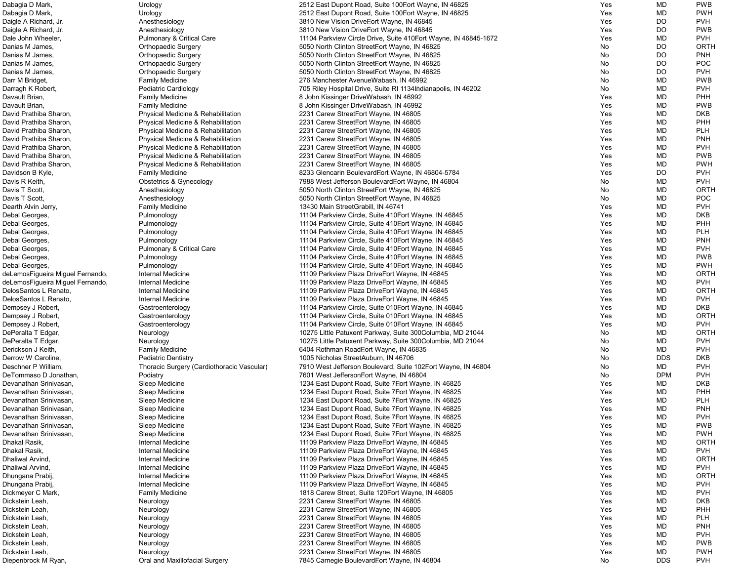| Dabagia D Mark,                    | Urology                                    | 2512 East Dupont Road, Suite 100 Fort Wayne, IN 46825                          | Yes        | MD         | <b>PWB</b>               |
|------------------------------------|--------------------------------------------|--------------------------------------------------------------------------------|------------|------------|--------------------------|
| Dabagia D Mark,                    | Urology                                    | 2512 East Dupont Road, Suite 100 Fort Wayne, IN 46825                          | Yes        | MD         | <b>PWH</b>               |
| Daigle A Richard, Jr.              | Anesthesiology                             | 3810 New Vision DriveEort Wayne, IN 46845                                      | Yes        | <b>DO</b>  | <b>PVH</b>               |
| Daigle A Richard, Jr.              | Anesthesiology                             | 3810 New Vision DriveEort Wayne, IN 46845                                      | Yes        | <b>DO</b>  | <b>PWB</b>               |
| Dale John Wheeler,                 | <b>Pulmonary &amp; Critical Care</b>       | 11104 Parkview Circle Drive, Suite 410 Eort Wayne, IN 46845-1672               | Yes        | MD         | <b>PVH</b>               |
| Danias M James,                    | <b>Orthopaedic Surgery</b>                 | 5050 North Clinton StreetEort Wayne, IN 46825                                  | No         | DO         | <b>ORTH</b>              |
| Danias M James,                    | <b>Orthopaedic Surgery</b>                 | 5050 North Clinton StreetEort Wayne, IN 46825                                  | No         | DO         | <b>PNH</b>               |
| Danias M James,                    | <b>Orthopaedic Surgery</b>                 | 5050 North Clinton StreetEort Wayne, IN 46825                                  | No         | DO         | <b>POC</b>               |
| Danias M James,                    | <b>Orthopaedic Surgery</b>                 | 5050 North Clinton StreetEort Wayne, IN 46825                                  | No         | DO         | <b>PVH</b>               |
| Darr M Bridget,                    | <b>Family Medicine</b>                     | 276 Manchester AvenueWabash, IN 46992                                          | No         | MD         | <b>PWB</b>               |
| Darragh K Robert,                  | Pediatric Cardiology                       | 705 Riley Hospital Drive, Suite RI 1134 Indianapolis, IN 46202                 | No         | MD         | <b>PVH</b>               |
| Davault Brian,                     | <b>Family Medicine</b>                     | 8 John Kissinger DriveWabash, IN 46992                                         | Yes        | <b>MD</b>  | PHH                      |
| Davault Brian,                     | <b>Family Medicine</b>                     | 8 John Kissinger DriveWabash, IN 46992                                         | Yes        | <b>MD</b>  | <b>PWB</b>               |
| David Prathiba Sharon,             | Physical Medicine & Rehabilitation         | 2231 Carew StreetEort Wayne, IN 46805                                          | Yes        | MD         | <b>DKB</b>               |
| David Prathiba Sharon,             | Physical Medicine & Rehabilitation         | 2231 Carew StreetEort Wayne, IN 46805                                          | Yes        | MD         | PHH                      |
| David Prathiba Sharon,             | Physical Medicine & Rehabilitation         | 2231 Carew StreetEort Wayne, IN 46805                                          | Yes        | MD         | <b>PLH</b>               |
| David Prathiba Sharon,             | Physical Medicine & Rehabilitation         | 2231 Carew StreetEort Wayne, IN 46805                                          | Yes        | MD         | <b>PNH</b>               |
| David Prathiba Sharon,             | Physical Medicine & Rehabilitation         | 2231 Carew StreetEort Wayne, IN 46805                                          | Yes        | MD         | <b>PVH</b>               |
| David Prathiba Sharon,             | Physical Medicine & Rehabilitation         | 2231 Carew StreetEort Wayne, IN 46805                                          | Yes        | <b>MD</b>  | <b>PWB</b>               |
| David Prathiba Sharon,             | Physical Medicine & Rehabilitation         | 2231 Carew StreetEort Wayne, IN 46805                                          | Yes        | <b>MD</b>  | <b>PWH</b>               |
| Davidson B Kyle,                   | <b>Family Medicine</b>                     | 8233 Glencarin BoulevardEort Wayne, IN 46804-5784                              | Yes        | DO         | <b>PVH</b>               |
| Davis R Keith,                     | <b>Obstetrics &amp; Gynecology</b>         | 7988 West Jefferson BoulevardEort Wayne, IN 46804                              | No         | MD         | <b>PVH</b>               |
| Davis T Scott,                     | Anesthesiology                             | 5050 North Clinton StreetEort Wayne, IN 46825                                  | No         | MD         | ORTH                     |
| Davis T Scott,                     | Anesthesiology                             | 5050 North Clinton StreetEort Wayne, IN 46825                                  | No         | MD         | <b>POC</b>               |
| Dearth Alvin Jerry,                | <b>Family Medicine</b>                     | 13430 Main StreetGrabill, IN 46741                                             | Yes        | MD         | <b>PVH</b>               |
| Debal Georges,                     | Pulmonology                                | 11104 Parkview Circle, Suite 410 Fort Wayne, IN 46845                          | Yes        | MD         | <b>DKB</b>               |
| Debal Georges,                     | Pulmonology                                | 11104 Parkview Circle, Suite 410 Fort Wayne, IN 46845                          | Yes        | MD         | PHH                      |
| Debal Georges,                     | Pulmonology                                | 11104 Parkview Circle, Suite 410 Fort Wayne, IN 46845                          | Yes        | MD         | <b>PLH</b>               |
| Debal Georges,                     | Pulmonology                                | 11104 Parkview Circle, Suite 410 Fort Wayne, IN 46845                          | Yes        | MD         | <b>PNH</b>               |
| Debal Georges,                     | <b>Pulmonary &amp; Critical Care</b>       | 11104 Parkview Circle, Suite 410 Fort Wayne, IN 46845                          | Yes        | MD         | <b>PVH</b>               |
| Debal Georges,                     | Pulmonology                                | 11104 Parkview Circle, Suite 410 Fort Wayne, IN 46845                          | Yes        | <b>MD</b>  | <b>PWB</b>               |
| Debal Georges,                     | Pulmonology                                | 11104 Parkview Circle, Suite 410 Eort Wayne, IN 46845                          | Yes        | <b>MD</b>  | <b>PWH</b>               |
| deLemosFigueira Miguel Fernando,   | Internal Medicine                          | 11109 Parkview Plaza DriveEort Wayne, IN 46845                                 | Yes        | MD         | ORTH                     |
| deLemosFigueira Miguel Fernando,   | Internal Medicine                          | 11109 Parkview Plaza DriveEort Wayne, IN 46845                                 | Yes        | MD         | <b>PVH</b>               |
| DelosSantos L Renato,              | Internal Medicine                          | 11109 Parkview Plaza DriveEort Wayne, IN 46845                                 | Yes        | MD         | ORTH                     |
| DelosSantos L Renato,              | Internal Medicine                          | 11109 Parkview Plaza DriveEort Wayne, IN 46845                                 | Yes        | <b>MD</b>  | <b>PVH</b>               |
| Dempsey J Robert,                  | Gastroenterology                           | 11104 Parkview Circle, Suite 010 Eort Wayne, IN 46845                          | Yes        | MD         | <b>DKB</b>               |
| Dempsey J Robert,                  | Gastroenterology                           | 11104 Parkview Circle, Suite 010Eort Wayne, IN 46845                           | Yes        | MD         | ORTH                     |
| Dempsey J Robert,                  | Gastroenterology                           | 11104 Parkview Circle, Suite 010Eort Wayne, IN 46845                           | Yes        | MD         | <b>PVH</b>               |
| DePeralta T Edgar,                 | Neurology                                  | 10275 Little Patuxent Parkway, Suite 300Columbia, MD 21044                     | No         | MD         | ORTH                     |
| DePeralta T Edgar,                 | Neurology                                  | 10275 Little Patuxent Parkway, Suite 300Columbia, MD 21044                     | No         | MD         | <b>PVH</b>               |
| Derickson J Keith,                 | <b>Family Medicine</b>                     | 6404 Rothman RoadEort Wayne, IN 46835                                          | No         | MD         | <b>PVH</b>               |
| Derrow W Caroline,                 | <b>Pediatric Dentistry</b>                 | 1005 Nicholas StreetAuburn, IN 46706                                           | No         | <b>DDS</b> | <b>DKB</b>               |
| Deschner P William,                | Thoracic Surgery (Cardiothoracic Vascular) | 7910 West Jefferson Boulevard, Suite 102Eort Wayne, IN 46804                   | No         | MD         | <b>PVH</b>               |
| DeTommaso D Jonathan,              | Podiatry                                   | 7601 West JeffersonEort Wayne, IN 46804                                        | No         | <b>DPM</b> | <b>PVH</b>               |
| Devanathan Srinivasan,             | Sleep Medicine                             | 1234 East Dupont Road, Suite 7Eort Wayne, IN 46825                             | Yes        | MD         | <b>DKB</b>               |
| Devanathan Srinivasan,             | Sleep Medicine                             | 1234 East Dupont Road, Suite 7Eort Wayne, IN 46825                             | Yes        | MD         | PHH                      |
| Devanathan Srinivasan,             | Sleep Medicine                             | 1234 East Dupont Road, Suite 7 Eort Wayne, IN 46825                            | Yes        | <b>MD</b>  | <b>PLH</b>               |
| Devanathan Srinivasan,             | Sleep Medicine                             | 1234 East Dupont Road, Suite 7 Eort Wayne, IN 46825                            | Yes        | MD         | <b>PNH</b>               |
| Devanathan Srinivasan,             | Sleep Medicine                             | 1234 East Dupont Road, Suite 7 Eort Wayne, IN 46825                            | Yes        | MD         | <b>PVH</b>               |
| Devanathan Srinivasan,             | Sleep Medicine                             | 1234 East Dupont Road, Suite 7 Eort Wayne, IN 46825                            | Yes        | MD         | <b>PWB</b>               |
| Devanathan Srinivasan,             | Sleep Medicine                             | 1234 East Dupont Road, Suite 7 Eort Wayne, IN 46825                            | Yes        | MD         | <b>PWH</b>               |
| Dhakal Rasik,                      | Internal Medicine                          | 11109 Parkview Plaza DriveEort Wayne, IN 46845                                 | Yes        | MD         | ORTH                     |
| Dhakal Rasik,                      | Internal Medicine                          | 11109 Parkview Plaza DriveEort Wayne, IN 46845                                 | Yes        | MD         | <b>PVH</b>               |
| Dhaliwal Arvind,                   | Internal Medicine                          | 11109 Parkview Plaza DriveEort Wayne, IN 46845                                 | Yes        | MD         | <b>ORTH</b>              |
| Dhaliwal Arvind,                   | Internal Medicine                          | 11109 Parkview Plaza DriveEort Wayne, IN 46845                                 | Yes        | MD         | <b>PVH</b>               |
| Dhungana Prabij,                   | Internal Medicine                          | 11109 Parkview Plaza DriveEort Wayne, IN 46845                                 | Yes        | MD         | <b>ORTH</b>              |
| Dhungana Prabij,                   | Internal Medicine                          | 11109 Parkview Plaza DriveEort Wayne, IN 46845                                 | Yes        | MD         | <b>PVH</b>               |
| Dickmeyer C Mark,                  | <b>Family Medicine</b>                     | 1818 Carew Street, Suite 120 Eort Wayne, IN 46805                              | Yes        | MD         | <b>PVH</b>               |
| Dickstein Leah,                    | Neurology                                  | 2231 Carew StreetEort Wayne, IN 46805                                          | Yes        | <b>MD</b>  | <b>DKB</b>               |
| Dickstein Leah,                    | Neurology                                  | 2231 Carew StreetEort Wayne, IN 46805                                          | Yes        | MD         | PHH                      |
| Dickstein Leah,                    | Neurology                                  | 2231 Carew StreetEort Wayne, IN 46805                                          | Yes        | MD         | <b>PLH</b>               |
| Dickstein Leah,<br>Dickstein Leah, | Neurology                                  | 2231 Carew StreetEort Wayne, IN 46805<br>2231 Carew StreetEort Wayne, IN 46805 | Yes<br>Yes | MD<br>MD   | <b>PNH</b><br><b>PVH</b> |
| Dickstein Leah,                    | Neurology<br>Neurology                     | 2231 Carew StreetEort Wayne, IN 46805                                          | Yes        | MD         | <b>PWB</b>               |
| Dickstein Leah,                    | Neurology                                  | 2231 Carew StreetEort Wayne, IN 46805                                          | Yes        | MD         | <b>PWH</b>               |
| Diepenbrock M Ryan,                | Oral and Maxillofacial Surgery             | 7845 Carnegie BoulevardEort Wayne, IN 46804                                    | No         | <b>DDS</b> | <b>PVH</b>               |
|                                    |                                            |                                                                                |            |            |                          |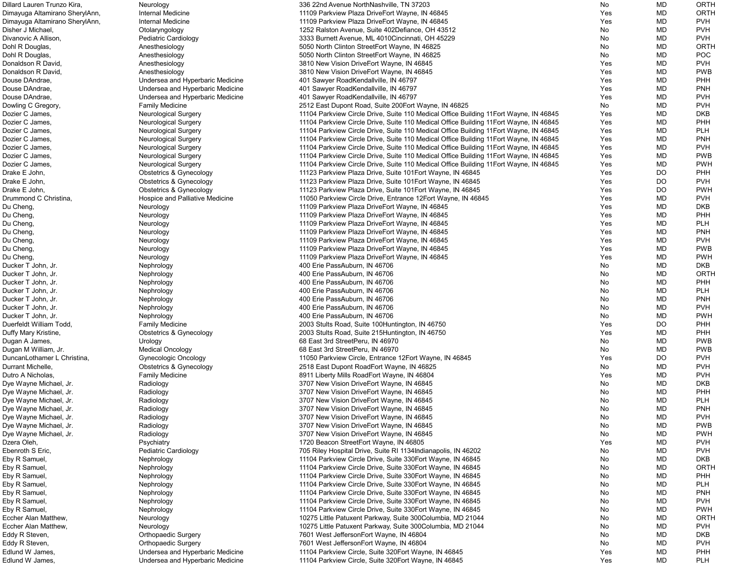| Dillard Lauren Trunzo Kira,              | Neurology                                             | 336 22nd Avenue NorthNashville, TN 37203                                                                                                        | No         | MD       | <b>ORTH</b>              |
|------------------------------------------|-------------------------------------------------------|-------------------------------------------------------------------------------------------------------------------------------------------------|------------|----------|--------------------------|
| Dimayuga Altamirano SherylAnn,           | Internal Medicine                                     | 11109 Parkview Plaza DriveEort Wayne, IN 46845                                                                                                  | Yes        | MD       | <b>ORTH</b>              |
| Dimayuga Altamirano SherylAnn,           | Internal Medicine                                     | 11109 Parkview Plaza DriveEort Wayne, IN 46845                                                                                                  | <b>Yes</b> | MD       | <b>PVH</b>               |
| Disher J Michael,                        | Otolaryngology                                        | 1252 Ralston Avenue, Suite 402Defiance, OH 43512                                                                                                | No         | MD       | <b>PVH</b>               |
| Divanovic A Allison,                     | <b>Pediatric Cardiology</b>                           | 3333 Burnett Avenue, ML 4010Cincinnati, OH 45229                                                                                                | No         | MD       | <b>PVH</b>               |
| Dohl R Douglas,                          | Anesthesiology                                        | 5050 North Clinton StreetEort Wayne, IN 46825                                                                                                   | No         | MD       | <b>ORTH</b>              |
| Dohl R Douglas,                          | Anesthesiology                                        | 5050 North Clinton StreetEort Wayne, IN 46825                                                                                                   | No         | MD       | <b>POC</b>               |
| Donaldson R David,                       | Anesthesiology                                        | 3810 New Vision DriveEort Wayne, IN 46845                                                                                                       | Yes        | MD       | <b>PVH</b>               |
| Donaldson R David,                       | Anesthesiology                                        | 3810 New Vision DriveEort Wayne, IN 46845                                                                                                       | Yes        | MD       | <b>PWB</b>               |
| Douse DAndrae,                           | Undersea and Hyperbaric Medicine                      | 401 Sawyer RoadKendallville, IN 46797                                                                                                           | Yes        | MD       | PHH                      |
| Douse DAndrae,                           | Undersea and Hyperbaric Medicine                      | 401 Sawyer RoadKendallville, IN 46797                                                                                                           | Yes        | MD       | <b>PNH</b>               |
| Douse DAndrae,                           | Undersea and Hyperbaric Medicine                      | 401 Sawyer RoadKendallville, IN 46797                                                                                                           | <b>Yes</b> | MD       | <b>PVH</b><br><b>PVH</b> |
| Dowling C Gregory,<br>Dozier C James,    | <b>Family Medicine</b><br><b>Neurological Surgery</b> | 2512 East Dupont Road, Suite 200 Fort Wayne, IN 46825<br>11104 Parkview Circle Drive, Suite 110 Medical Office Building 11 Eort Wayne, IN 46845 | No<br>Yes  | MD<br>MD | <b>DKB</b>               |
| Dozier C James,                          | <b>Neurological Surgery</b>                           | 11104 Parkview Circle Drive, Suite 110 Medical Office Building 11 Eort Wayne, IN 46845                                                          | Yes        | MD       | PHH                      |
| Dozier C James                           | <b>Neurological Surgery</b>                           | 11104 Parkview Circle Drive, Suite 110 Medical Office Building 11 Eort Wayne, IN 46845                                                          | Yes        | MD       | <b>PLH</b>               |
| Dozier C James                           | <b>Neurological Surgery</b>                           | 11104 Parkview Circle Drive, Suite 110 Medical Office Building 11 Eort Wayne, IN 46845                                                          | Yes        | MD       | <b>PNH</b>               |
| Dozier C James                           | <b>Neurological Surgery</b>                           | 11104 Parkview Circle Drive, Suite 110 Medical Office Building 11 Eort Wayne, IN 46845                                                          | Yes        | MD       | <b>PVH</b>               |
| Dozier C James,                          | <b>Neurological Surgery</b>                           | 11104 Parkview Circle Drive, Suite 110 Medical Office Building 11 Eort Wayne, IN 46845                                                          | Yes        | MD       | <b>PWB</b>               |
| Dozier C James                           | <b>Neurological Surgery</b>                           | 11104 Parkview Circle Drive, Suite 110 Medical Office Building 11 Eort Wayne, IN 46845                                                          | Yes        | MD       | <b>PWH</b>               |
| Drake E John,                            | <b>Obstetrics &amp; Gynecology</b>                    | 11123 Parkview Plaza Drive, Suite 101 Eort Wayne, IN 46845                                                                                      | Yes        | DO       | PHH                      |
| Drake E John,                            | <b>Obstetrics &amp; Gynecology</b>                    | 11123 Parkview Plaza Drive, Suite 101 Eort Wayne, IN 46845                                                                                      | Yes        | DO       | <b>PVH</b>               |
| Drake E John,                            | <b>Obstetrics &amp; Gynecology</b>                    | 11123 Parkview Plaza Drive, Suite 101 Eort Wayne, IN 46845                                                                                      | Yes        | DO       | <b>PWH</b>               |
| Drummond C Christina,                    | Hospice and Palliative Medicine                       | 11050 Parkview Circle Drive, Entrance 12Eort Wayne, IN 46845                                                                                    | Yes        | MD       | <b>PVH</b>               |
| Du Cheng,                                | Neurology                                             | 11109 Parkview Plaza DriveEort Wayne, IN 46845                                                                                                  | Yes        | MD       | <b>DKB</b>               |
| Du Cheng,                                | Neurology                                             | 11109 Parkview Plaza DriveEort Wayne, IN 46845                                                                                                  | Yes        | MD       | PHH                      |
| Du Cheng,                                | Neurology                                             | 11109 Parkview Plaza DriveEort Wayne, IN 46845                                                                                                  | Yes        | MD       | <b>PLH</b>               |
| Du Cheng,                                | Neurology                                             | 11109 Parkview Plaza DriveEort Wayne, IN 46845                                                                                                  | Yes        | MD       | <b>PNH</b>               |
| Du Cheng,                                | Neurology                                             | 11109 Parkview Plaza DriveEort Wayne, IN 46845                                                                                                  | Yes        | MD       | <b>PVH</b>               |
| Du Cheng,                                | Neurology                                             | 11109 Parkview Plaza DriveEort Wayne, IN 46845                                                                                                  | Yes        | MD       | <b>PWB</b>               |
| Du Cheng,                                | Neurology                                             | 11109 Parkview Plaza DriveEort Wayne, IN 46845                                                                                                  | Yes        | MD       | <b>PWH</b>               |
| Ducker T John, Jr.                       | Nephrology                                            | 400 Erie PassAuburn, IN 46706                                                                                                                   | No         | MD       | <b>DKB</b>               |
| Ducker T John, Jr.                       | Nephrology                                            | 400 Erie PassAuburn, IN 46706                                                                                                                   | No         | MD       | <b>ORTH</b>              |
| Ducker T John, Jr.<br>Ducker T John, Jr. | Nephrology                                            | 400 Erie PassAuburn, IN 46706<br>400 Erie PassAuburn, IN 46706                                                                                  | No         | MD<br>MD | PHH<br><b>PLH</b>        |
| Ducker T John, Jr.                       | Nephrology<br>Nephrology                              | 400 Erie PassAuburn, IN 46706                                                                                                                   | No<br>No.  | MD       | <b>PNH</b>               |
| Ducker T John, Jr.                       | Nephrology                                            | 400 Erie PassAuburn, IN 46706                                                                                                                   | No         | MD       | <b>PVH</b>               |
| Ducker T John, Jr.                       | Nephrology                                            | 400 Erie PassAuburn, IN 46706                                                                                                                   | No         | MD       | <b>PWH</b>               |
| Duerfeldt William Todd,                  | <b>Family Medicine</b>                                | 2003 Stults Road, Suite 100 Huntington, IN 46750                                                                                                | Yes        | DO       | PHH                      |
| Duffy Mary Kristine,                     | <b>Obstetrics &amp; Gynecology</b>                    | 2003 Stults Road, Suite 215 Huntington, IN 46750                                                                                                | Yes        | MD       | <b>PHH</b>               |
| Dugan A James,                           | Urology                                               | 68 East 3rd StreetPeru, IN 46970                                                                                                                | No         | MD       | <b>PWB</b>               |
| Dugan M William, Jr.                     | <b>Medical Oncology</b>                               | 68 East 3rd StreetPeru, IN 46970                                                                                                                | No         | MD       | <b>PWB</b>               |
| DuncanLothamer L Christina,              | <b>Gynecologic Oncology</b>                           | 11050 Parkview Circle, Entrance 12 Eort Wayne, IN 46845                                                                                         | Yes        | DO       | <b>PVH</b>               |
| Durrant Michelle,                        | <b>Obstetrics &amp; Gynecology</b>                    | 2518 East Dupont RoadEort Wayne, IN 46825                                                                                                       | No         | MD       | <b>PVH</b>               |
| Dutro A Nicholas,                        | <b>Family Medicine</b>                                | 8911 Liberty Mills RoadEort Wayne, IN 46804                                                                                                     | Yes        | MD       | <b>PVH</b>               |
| Dye Wayne Michael, Jr.                   | Radiology                                             | 3707 New Vision DriveEort Wayne, IN 46845                                                                                                       | No         | MD       | <b>DKB</b>               |
| Dye Wayne Michael, Jr.                   | Radiology                                             | 3707 New Vision DriveEort Wayne, IN 46845                                                                                                       | No         | MD       | PHH                      |
| Dye Wayne Michael, Jr.                   | Radiology                                             | 3707 New Vision DriveEort Wayne, IN 46845                                                                                                       | No         | MD       | <b>PLH</b>               |
| Dye Wayne Michael, Jr.                   | Radiology                                             | 3707 New Vision DriveEort Wayne, IN 46845                                                                                                       | No         | MD       | <b>PNH</b>               |
| Dye Wayne Michael, Jr.                   | Radiology                                             | 3707 New Vision DriveEort Wayne, IN 46845                                                                                                       | No         | MD       | <b>PVH</b>               |
| Dye Wayne Michael, Jr.                   | Radiology                                             | 3707 New Vision DriveEort Wayne, IN 46845                                                                                                       | No         | MD       | <b>PWB</b>               |
| Dye Wayne Michael, Jr.                   | Radiology                                             | 3707 New Vision DriveEort Wayne, IN 46845                                                                                                       | No         | MD       | <b>PWH</b><br><b>PVH</b> |
| Dzera Oleh,<br>Ebenroth S Eric,          | Psychiatry<br><b>Pediatric Cardiology</b>             | 1720 Beacon StreetEort Wayne, IN 46805<br>705 Riley Hospital Drive, Suite RI 1134 Indianapolis, IN 46202                                        | Yes<br>No  | MD<br>MD | <b>PVH</b>               |
| Eby R Samuel,                            | Nephrology                                            | 11104 Parkview Circle Drive, Suite 330 Fort Wayne, IN 46845                                                                                     | No         | MD       | <b>DKB</b>               |
| Eby R Samuel                             | Nephrology                                            | 11104 Parkview Circle Drive, Suite 330 Eort Wayne, IN 46845                                                                                     | No         | MD       | <b>ORTH</b>              |
| Eby R Samuel,                            | Nephrology                                            | 11104 Parkview Circle Drive, Suite 330 Eort Wayne, IN 46845                                                                                     | No         | MD       | <b>PHH</b>               |
| Eby R Samuel                             | Nephrology                                            | 11104 Parkview Circle Drive, Suite 330 Eort Wayne, IN 46845                                                                                     | No         | MD       | <b>PLH</b>               |
| Eby R Samuel                             | Nephrology                                            | 11104 Parkview Circle Drive, Suite 330 Eort Wayne, IN 46845                                                                                     | No         | MD       | <b>PNH</b>               |
| Eby R Samuel                             | Nephrology                                            | 11104 Parkview Circle Drive, Suite 330 Eort Wayne, IN 46845                                                                                     | No         | MD       | <b>PVH</b>               |
| Eby R Samuel                             | Nephrology                                            | 11104 Parkview Circle Drive, Suite 330 Eort Wayne, IN 46845                                                                                     | No         | MD       | <b>PWH</b>               |
| Eccher Alan Matthew,                     | Neurology                                             | 10275 Little Patuxent Parkway, Suite 300Columbia, MD 21044                                                                                      | No         | MD       | <b>ORTH</b>              |
| Eccher Alan Matthew,                     | Neurology                                             | 10275 Little Patuxent Parkway, Suite 300Columbia, MD 21044                                                                                      | No         | MD       | <b>PVH</b>               |
| Eddy R Steven,                           | <b>Orthopaedic Surgery</b>                            | 7601 West JeffersonEort Wayne, IN 46804                                                                                                         | No         | MD       | <b>DKB</b>               |
| Eddy R Steven,                           | <b>Orthopaedic Surgery</b>                            | 7601 West JeffersonEort Wayne, IN 46804                                                                                                         | No         | MD       | <b>PVH</b>               |
| Edlund W James,                          | Undersea and Hyperbaric Medicine                      | 11104 Parkview Circle, Suite 320 Fort Wayne, IN 46845                                                                                           | Yes        | MD       | PHH                      |
| Edlund W James,                          | Undersea and Hyperbaric Medicine                      | 11104 Parkview Circle, Suite 320 Fort Wayne, IN 46845                                                                                           | Yes        | MD       | <b>PLH</b>               |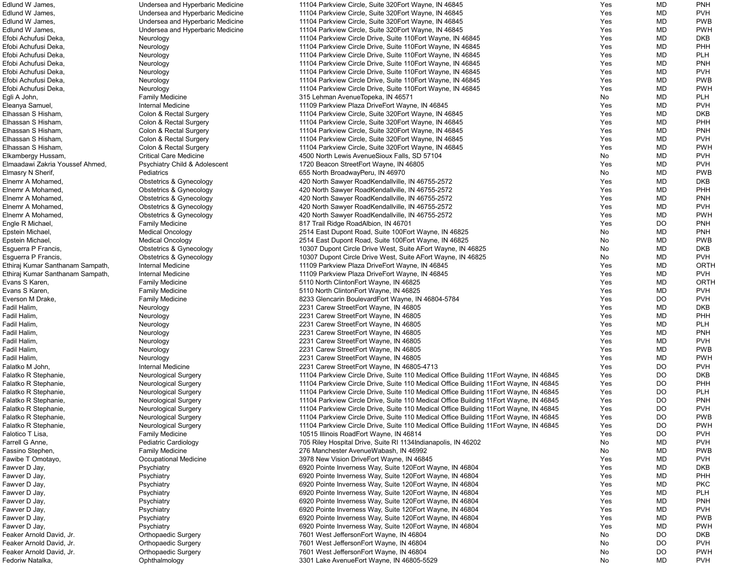| Edlund W James,                  | Undersea and Hyperbaric Medicine         | 11104 Parkview Circle, Suite 320 Eort Wayne, IN 46845                                  | Yes | MD        | <b>PNH</b>  |
|----------------------------------|------------------------------------------|----------------------------------------------------------------------------------------|-----|-----------|-------------|
| Edlund W James,                  | Undersea and Hyperbaric Medicine         | 11104 Parkview Circle, Suite 320 Fort Wayne, IN 46845                                  | Yes | MD        | <b>PVH</b>  |
| Edlund W James,                  | Undersea and Hyperbaric Medicine         | 11104 Parkview Circle, Suite 320 Fort Wayne, IN 46845                                  | Yes | MD        | <b>PWB</b>  |
| Edlund W James,                  | Undersea and Hyperbaric Medicine         | 11104 Parkview Circle, Suite 320 Fort Wayne, IN 46845                                  | Yes | MD        | <b>PWH</b>  |
| Efobi Achufusi Deka,             | Neurology                                | 11104 Parkview Circle Drive, Suite 110 Eort Wayne, IN 46845                            | Yes | MD        | <b>DKB</b>  |
| Efobi Achufusi Deka,             | Neurology                                | 11104 Parkview Circle Drive, Suite 110 Fort Wayne, IN 46845                            | Yes | MD        | PHH         |
| Efobi Achufusi Deka,             |                                          | 11104 Parkview Circle Drive, Suite 110 Eort Wayne, IN 46845                            | Yes | MD        | <b>PLH</b>  |
|                                  | Neurology                                |                                                                                        |     |           |             |
| Efobi Achufusi Deka,             | Neurology                                | 11104 Parkview Circle Drive, Suite 110 Eort Wayne, IN 46845                            | Yes | MD        | <b>PNH</b>  |
| Efobi Achufusi Deka,             | Neurology                                | 11104 Parkview Circle Drive, Suite 110 Eort Wayne, IN 46845                            | Yes | MD        | <b>PVH</b>  |
| Efobi Achufusi Deka,             | Neurology                                | 11104 Parkview Circle Drive, Suite 110Eort Wayne, IN 46845                             | Yes | MD        | <b>PWB</b>  |
| Efobi Achufusi Deka,             | Neurology                                | 11104 Parkview Circle Drive, Suite 110 Eort Wayne, IN 46845                            | Yes | MD        | <b>PWH</b>  |
| Egli A John,                     | <b>Family Medicine</b>                   | 315 Lehman AvenueTopeka, IN 46571                                                      | No  | MD        | <b>PLH</b>  |
| Eleanya Samuel,                  | Internal Medicine                        | 11109 Parkview Plaza DriveEort Wayne, IN 46845                                         | Yes | MD        | <b>PVH</b>  |
| Elhassan S Hisham,               | Colon & Rectal Surgery                   | 11104 Parkview Circle, Suite 320 Eort Wayne, IN 46845                                  | Yes | MD        | <b>DKB</b>  |
| Elhassan S Hisham,               | Colon & Rectal Surgery                   | 11104 Parkview Circle, Suite 320 Fort Wayne, IN 46845                                  | Yes | MD        | PHH         |
| Elhassan S Hisham,               | Colon & Rectal Surgery                   | 11104 Parkview Circle, Suite 320 Fort Wayne, IN 46845                                  | Yes | MD        | <b>PNH</b>  |
| Elhassan S Hisham,               | Colon & Rectal Surgery                   | 11104 Parkview Circle, Suite 320 Fort Wayne, IN 46845                                  | Yes | MD        | <b>PVH</b>  |
| Elhassan S Hisham,               | Colon & Rectal Surgery                   | 11104 Parkview Circle, Suite 320 Fort Wayne, IN 46845                                  | Yes | MD        | <b>PWH</b>  |
| Elkambergy Hussam,               | <b>Critical Care Medicine</b>            | 4500 North Lewis AvenueSioux Falls, SD 57104                                           | No  | MD        | <b>PVH</b>  |
| Elmaadawi Zakria Youssef Ahmed,  | <b>Psychiatry Child &amp; Adolescent</b> | 1720 Beacon StreetEort Wayne, IN 46805                                                 | Yes | MD        | <b>PVH</b>  |
|                                  |                                          |                                                                                        | No  | MD        | <b>PWB</b>  |
| Elmasry N Sherif,                | Pediatrics                               | 655 North Broadway Peru, IN 46970                                                      |     |           |             |
| Elnemr A Mohamed,                | <b>Obstetrics &amp; Gynecology</b>       | 420 North Sawyer RoadKendallville, IN 46755-2572                                       | Yes | MD        | <b>DKB</b>  |
| Elnemr A Mohamed,                | Obstetrics & Gynecology                  | 420 North Sawyer RoadKendallville, IN 46755-2572                                       | Yes | MD        | PHH         |
| Elnemr A Mohamed,                | <b>Obstetrics &amp; Gynecology</b>       | 420 North Sawyer RoadKendallville, IN 46755-2572                                       | Yes | MD        | <b>PNH</b>  |
| Elnemr A Mohamed,                | <b>Obstetrics &amp; Gynecology</b>       | 420 North Sawyer RoadKendallville, IN 46755-2572                                       | Yes | MD        | <b>PVH</b>  |
| Elnemr A Mohamed,                | <b>Obstetrics &amp; Gynecology</b>       | 420 North Sawyer RoadKendallville, IN 46755-2572                                       | Yes | MD        | <b>PWH</b>  |
| Engle R Michael,                 | <b>Family Medicine</b>                   | 817 Trail Ridge RoadAlbion, IN 46701                                                   | Yes | DO        | <b>PNH</b>  |
| Epstein Michael,                 | <b>Medical Oncology</b>                  | 2514 East Dupont Road, Suite 100 Fort Wayne, IN 46825                                  | No  | MD        | <b>PNH</b>  |
| Epstein Michael,                 | <b>Medical Oncology</b>                  | 2514 East Dupont Road, Suite 100 Fort Wayne, IN 46825                                  | No  | MD        | <b>PWB</b>  |
| Esguerra P Francis,              | <b>Obstetrics &amp; Gynecology</b>       | 10307 Dupont Circle Drive West, Suite AEort Wayne, IN 46825                            | No  | MD        | <b>DKB</b>  |
| Esguerra P Francis,              | <b>Obstetrics &amp; Gynecology</b>       | 10307 Dupont Circle Drive West, Suite AEort Wayne, IN 46825                            | No  | MD        | <b>PVH</b>  |
| Ethiraj Kumar Santhanam Sampath, | Internal Medicine                        | 11109 Parkview Plaza DriveEort Wayne, IN 46845                                         | Yes | MD        | <b>ORTH</b> |
| Ethiraj Kumar Santhanam Sampath, | Internal Medicine                        | 11109 Parkview Plaza DriveEort Wayne, IN 46845                                         | Yes | MD        | <b>PVH</b>  |
|                                  |                                          |                                                                                        |     |           |             |
| Evans S Karen,                   | <b>Family Medicine</b>                   | 5110 North ClintonEort Wayne, IN 46825                                                 | Yes | MD        | <b>ORTH</b> |
| Evans S Karen,                   | <b>Family Medicine</b>                   | 5110 North ClintonEort Wayne, IN 46825                                                 | Yes | MD        | <b>PVH</b>  |
| Everson M Drake,                 | <b>Family Medicine</b>                   | 8233 Glencarin BoulevardEort Wayne, IN 46804-5784                                      | Yes | <b>DO</b> | <b>PVH</b>  |
| Fadil Halim,                     | Neurology                                | 2231 Carew StreetEort Wayne, IN 46805                                                  | Yes | MD        | DKB         |
| Fadil Halim,                     | Neurology                                | 2231 Carew StreetEort Wayne, IN 46805                                                  | Yes | MD        | PHH         |
| Fadil Halim,                     | Neurology                                | 2231 Carew StreetEort Wayne, IN 46805                                                  | Yes | MD        | <b>PLH</b>  |
| Fadil Halim,                     | Neurology                                | 2231 Carew StreetEort Wayne, IN 46805                                                  | Yes | MD        | <b>PNH</b>  |
| Fadil Halim,                     | Neurology                                | 2231 Carew StreetEort Wayne, IN 46805                                                  | Yes | MD        | <b>PVH</b>  |
| Fadil Halim,                     | Neurology                                | 2231 Carew StreetEort Wayne, IN 46805                                                  | Yes | MD        | <b>PWB</b>  |
| Fadil Halim,                     | Neurology                                | 2231 Carew StreetEort Wayne, IN 46805                                                  | Yes | MD        | <b>PWH</b>  |
| Falatko M John,                  | Internal Medicine                        | 2231 Carew StreetEort Wayne, IN 46805-4713                                             | Yes | DO        | <b>PVH</b>  |
| Falatko R Stephanie,             | <b>Neurological Surgery</b>              | 11104 Parkview Circle Drive, Suite 110 Medical Office Building 11 Eort Wayne, IN 46845 | Yes | <b>DO</b> | <b>DKB</b>  |
| Falatko R Stephanie,             | <b>Neurological Surgery</b>              | 11104 Parkview Circle Drive, Suite 110 Medical Office Building 11 Eort Wayne, IN 46845 | Yes | <b>DO</b> | PHH         |
| Falatko R Stephanie,             | <b>Neurological Surgery</b>              | 11104 Parkview Circle Drive, Suite 110 Medical Office Building 11 Eort Wayne, IN 46845 | Yes | <b>DO</b> | <b>PLH</b>  |
| Falatko R Stephanie,             | <b>Neurological Surgery</b>              | 11104 Parkview Circle Drive, Suite 110 Medical Office Building 11 Eort Wayne, IN 46845 | Yes | <b>DO</b> | <b>PNH</b>  |
| Falatko R Stephanie,             | <b>Neurological Surgery</b>              | 11104 Parkview Circle Drive, Suite 110 Medical Office Building 11 Eort Wayne, IN 46845 | Yes | DO        | <b>PVH</b>  |
|                                  |                                          |                                                                                        |     |           |             |
| Falatko R Stephanie,             | <b>Neurological Surgery</b>              | 11104 Parkview Circle Drive, Suite 110 Medical Office Building 11 Eort Wayne, IN 46845 | Yes | DO        | <b>PWB</b>  |
| Falatko R Stephanie,             | <b>Neurological Surgery</b>              | 11104 Parkview Circle Drive, Suite 110 Medical Office Building 11 Eort Wayne, IN 46845 | Yes | DO        | <b>PWH</b>  |
| Falotico T Lisa,                 | <b>Family Medicine</b>                   | 10515 Illinois RoadEort Wayne, IN 46814                                                | Yes | DO        | <b>PVH</b>  |
| Farrell G Anne,                  | <b>Pediatric Cardiology</b>              | 705 Riley Hospital Drive, Suite RI 1134 Indianapolis, IN 46202                         | No  | MD        | <b>PVH</b>  |
| Fassino Stephen,                 | <b>Family Medicine</b>                   | 276 Manchester AvenueWabash, IN 46992                                                  | No  | MD        | <b>PWB</b>  |
| Fawibe T Omotayo,                | Occupational Medicine                    | 3978 New Vision DriveEort Wayne, IN 46845                                              | Yes | MD        | <b>PVH</b>  |
| Fawver D Jay,                    | Psychiatry                               | 6920 Pointe Inverness Way, Suite 120 Eort Wayne, IN 46804                              | Yes | MD        | <b>DKB</b>  |
| Fawver D Jay,                    | Psychiatry                               | 6920 Pointe Inverness Way, Suite 120 Eort Wayne, IN 46804                              | Yes | <b>MD</b> | PHH         |
| Fawver D Jay,                    | Psychiatry                               | 6920 Pointe Inverness Way, Suite 120 Eort Wayne, IN 46804                              | Yes | MD        | <b>PKC</b>  |
| Fawver D Jay,                    | Psychiatry                               | 6920 Pointe Inverness Way, Suite 120 Eort Wayne, IN 46804                              | Yes | MD        | <b>PLH</b>  |
| Fawver D Jay,                    | Psychiatry                               | 6920 Pointe Inverness Way, Suite 120 Eort Wayne, IN 46804                              | Yes | MD        | <b>PNH</b>  |
| Fawver D Jay,                    | Psychiatry                               | 6920 Pointe Inverness Way, Suite 120 Eort Wayne, IN 46804                              | Yes | MD        | <b>PVH</b>  |
| Fawver D Jay,                    | Psychiatry                               | 6920 Pointe Inverness Way, Suite 120 Eort Wayne, IN 46804                              | Yes | MD        | <b>PWB</b>  |
| Fawver D Jay,                    |                                          |                                                                                        |     | <b>MD</b> | <b>PWH</b>  |
|                                  | Psychiatry                               | 6920 Pointe Inverness Way, Suite 120 Eort Wayne, IN 46804                              | Yes |           |             |
| Feaker Arnold David, Jr.         | <b>Orthopaedic Surgery</b>               | 7601 West JeffersonEort Wayne, IN 46804                                                | No  | <b>DO</b> | <b>DKB</b>  |
| Feaker Arnold David, Jr.         | <b>Orthopaedic Surgery</b>               | 7601 West JeffersonEort Wayne, IN 46804                                                | No  | <b>DO</b> | <b>PVH</b>  |
| Feaker Arnold David, Jr.         | <b>Orthopaedic Surgery</b>               | 7601 West JeffersonEort Wayne, IN 46804                                                | No  | DO        | <b>PWH</b>  |
| Fedoriw Natalka,                 | Ophthalmology                            | 3301 Lake AvenueEort Wayne, IN 46805-5529                                              | No  | MD        | <b>PVH</b>  |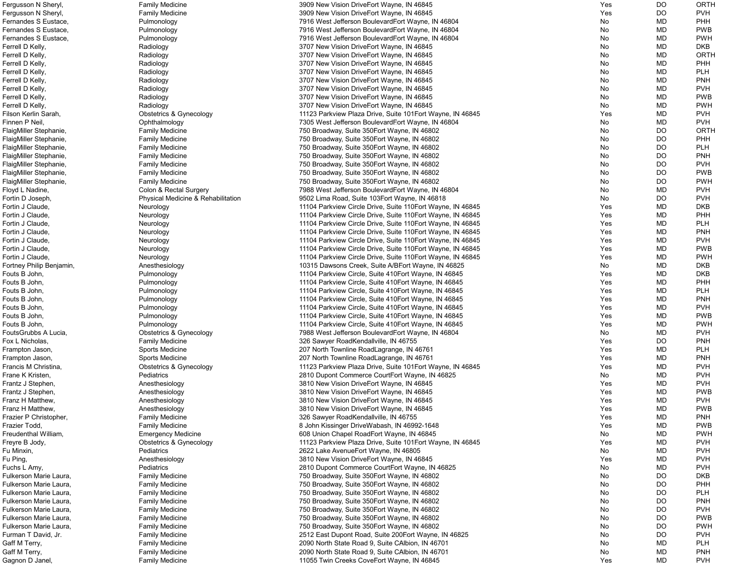| Fergusson N Sheryl,      | <b>Family Medicine</b>             | 3909 New Vision DriveEort Wayne, IN 46845                   | Yes | DO        | <b>ORTH</b> |
|--------------------------|------------------------------------|-------------------------------------------------------------|-----|-----------|-------------|
| Fergusson N Sheryl,      | <b>Family Medicine</b>             | 3909 New Vision DriveEort Wayne, IN 46845                   | Yes | DO        | <b>PVH</b>  |
| Fernandes S Eustace,     | Pulmonology                        | 7916 West Jefferson BoulevardEort Wayne, IN 46804           | No  | <b>MD</b> | PHH         |
| Fernandes S Eustace.     | Pulmonology                        | 7916 West Jefferson BoulevardEort Wayne, IN 46804           | No  | MD        | <b>PWB</b>  |
| Fernandes S Eustace.     |                                    |                                                             | No  | MD        | <b>PWH</b>  |
|                          | Pulmonology                        | 7916 West Jefferson BoulevardEort Wayne, IN 46804           |     |           |             |
| Ferrell D Kelly,         | Radiology                          | 3707 New Vision DriveEort Wayne, IN 46845                   | No  | MD        | <b>DKB</b>  |
| Ferrell D Kelly,         | Radiology                          | 3707 New Vision DriveEort Wayne, IN 46845                   | No  | MD        | ORTH        |
| Ferrell D Kelly,         | Radiology                          | 3707 New Vision DriveEort Wayne, IN 46845                   | No  | MD        | <b>PHH</b>  |
| Ferrell D Kelly,         | Radiology                          | 3707 New Vision DriveEort Wayne, IN 46845                   | No  | MD        | <b>PLH</b>  |
| Ferrell D Kelly,         | Radiology                          | 3707 New Vision DriveEort Wayne, IN 46845                   | No  | MD        | <b>PNH</b>  |
| Ferrell D Kelly,         | Radiology                          | 3707 New Vision DriveEort Wayne, IN 46845                   | No  | <b>MD</b> | <b>PVH</b>  |
| Ferrell D Kelly,         | Radiology                          | 3707 New Vision DriveEort Wayne, IN 46845                   | No  | MD        | <b>PWB</b>  |
| Ferrell D Kelly,         |                                    | 3707 New Vision DriveEort Wayne, IN 46845                   |     | <b>MD</b> | <b>PWH</b>  |
|                          | Radiology                          |                                                             | No  |           |             |
| Filson Kerlin Sarah,     | <b>Obstetrics &amp; Gynecology</b> | 11123 Parkview Plaza Drive, Suite 101 Eort Wayne, IN 46845  | Yes | <b>MD</b> | <b>PVH</b>  |
| Finnen P Neil,           | Ophthalmology                      | 7305 West Jefferson BoulevardEort Wayne, IN 46804           | No  | <b>MD</b> | <b>PVH</b>  |
| FlaigMiller Stephanie,   | <b>Family Medicine</b>             | 750 Broadway, Suite 350 Eort Wayne, IN 46802                | No  | DO        | <b>ORTH</b> |
| FlaigMiller Stephanie,   | <b>Family Medicine</b>             | 750 Broadway, Suite 350 Eort Wayne, IN 46802                | No  | DO        | <b>PHH</b>  |
| FlaigMiller Stephanie,   | <b>Family Medicine</b>             | 750 Broadway, Suite 350 Eort Wayne, IN 46802                | No  | DO        | <b>PLH</b>  |
| FlaigMiller Stephanie,   | <b>Family Medicine</b>             | 750 Broadway, Suite 350 Eort Wayne, IN 46802                | No  | <b>DO</b> | <b>PNH</b>  |
| FlaigMiller Stephanie,   | <b>Family Medicine</b>             | 750 Broadway, Suite 350 Eort Wayne, IN 46802                | No  | <b>DO</b> | <b>PVH</b>  |
|                          |                                    |                                                             |     |           |             |
| FlaigMiller Stephanie,   | <b>Family Medicine</b>             | 750 Broadway, Suite 350 Eort Wayne, IN 46802                | No  | <b>DO</b> | <b>PWB</b>  |
| FlaigMiller Stephanie,   | <b>Family Medicine</b>             | 750 Broadway, Suite 350 Eort Wayne, IN 46802                | No  | DO        | <b>PWH</b>  |
| Floyd L Nadine,          | Colon & Rectal Surgery             | 7988 West Jefferson BoulevardEort Wayne, IN 46804           | No  | <b>MD</b> | <b>PVH</b>  |
| Fortin D Joseph,         | Physical Medicine & Rehabilitation | 9502 Lima Road, Suite 103Eort Wayne, IN 46818               | No  | DO        | <b>PVH</b>  |
| Fortin J Claude,         | Neurology                          | 11104 Parkview Circle Drive, Suite 110 Eort Wayne, IN 46845 | Yes | <b>MD</b> | <b>DKB</b>  |
| Fortin J Claude,         | Neurology                          | 11104 Parkview Circle Drive, Suite 110 Eort Wayne, IN 46845 | Yes | MD        | PHH         |
| Fortin J Claude,         | Neurology                          | 11104 Parkview Circle Drive, Suite 110 Fort Wayne, IN 46845 | Yes | MD        | <b>PLH</b>  |
| Fortin J Claude,         |                                    | 11104 Parkview Circle Drive, Suite 110 Eort Wayne, IN 46845 | Yes | MD        | <b>PNH</b>  |
|                          | Neurology                          |                                                             |     |           |             |
| Fortin J Claude,         | Neurology                          | 11104 Parkview Circle Drive, Suite 110 Eort Wayne, IN 46845 | Yes | MD        | <b>PVH</b>  |
| Fortin J Claude,         | Neurology                          | 11104 Parkview Circle Drive, Suite 110 Fort Wayne, IN 46845 | Yes | MD        | <b>PWB</b>  |
| Fortin J Claude,         | Neurology                          | 11104 Parkview Circle Drive, Suite 110 Eort Wayne, IN 46845 | Yes | MD        | <b>PWH</b>  |
| Fortney Philip Benjamin, | Anesthesiology                     | 10315 Dawsons Creek, Suite A/BEort Wayne, IN 46825          | No  | MD        | <b>DKB</b>  |
| Fouts B John,            | Pulmonology                        | 11104 Parkview Circle, Suite 410 Fort Wayne, IN 46845       | Yes | MD        | <b>DKB</b>  |
| Fouts B John,            | Pulmonology                        | 11104 Parkview Circle, Suite 410Eort Wayne, IN 46845        | Yes | MD        | <b>PHH</b>  |
| Fouts B John,            | Pulmonology                        | 11104 Parkview Circle, Suite 410 Eort Wayne, IN 46845       | Yes | <b>MD</b> | <b>PLH</b>  |
| Fouts B John,            |                                    |                                                             | Yes | MD        | <b>PNH</b>  |
|                          | Pulmonology                        | 11104 Parkview Circle, Suite 410 Eort Wayne, IN 46845       |     |           |             |
| Fouts B John,            | Pulmonology                        | 11104 Parkview Circle, Suite 410Eort Wayne, IN 46845        | Yes | MD        | <b>PVH</b>  |
| Fouts B John,            | Pulmonology                        | 11104 Parkview Circle, Suite 410 Eort Wayne, IN 46845       | Yes | <b>MD</b> | <b>PWB</b>  |
| Fouts B John,            | Pulmonology                        | 11104 Parkview Circle, Suite 410 Eort Wayne, IN 46845       | Yes | <b>MD</b> | <b>PWH</b>  |
| FoutsGrubbs A Lucia,     | Obstetrics & Gynecology            | 7988 West Jefferson BoulevardEort Wayne, IN 46804           | No  | MD        | <b>PVH</b>  |
| Fox L Nicholas,          | <b>Family Medicine</b>             | 326 Sawyer RoadKendallville, IN 46755                       | Yes | DO        | <b>PNH</b>  |
| Frampton Jason,          | Sports Medicine                    | 207 North Townline Road Lagrange, IN 46761                  | Yes | MD        | <b>PLH</b>  |
| Frampton Jason,          | <b>Sports Medicine</b>             | 207 North Townline Road Lagrange, IN 46761                  | Yes | MD        | <b>PNH</b>  |
| Francis M Christina,     | <b>Obstetrics &amp; Gynecology</b> | 11123 Parkview Plaza Drive, Suite 101 Eort Wayne, IN 46845  | Yes | MD        | <b>PVH</b>  |
|                          |                                    |                                                             |     |           |             |
| Frane K Kristen,         | Pediatrics                         | 2810 Dupont Commerce CourtEort Wayne, IN 46825              | No  | MD        | <b>PVH</b>  |
| Frantz J Stephen,        | Anesthesiology                     | 3810 New Vision DriveEort Wayne, IN 46845                   | Yes | MD        | <b>PVH</b>  |
| Frantz J Stephen,        | Anesthesiology                     | 3810 New Vision DriveEort Wayne, IN 46845                   | Yes | <b>MD</b> | <b>PWB</b>  |
| Franz H Matthew,         | Anesthesiology                     | 3810 New Vision DriveEort Wayne, IN 46845                   | Yes | MD        | <b>PVH</b>  |
| Franz H Matthew,         | Anesthesiology                     | 3810 New Vision DriveEort Wayne, IN 46845                   | Yes | <b>MD</b> | <b>PWB</b>  |
| Frazier P Christopher,   | <b>Family Medicine</b>             | 326 Sawyer RoadKendallville, IN 46755                       | Yes | <b>MD</b> | <b>PNH</b>  |
| Frazier Todd,            | <b>Family Medicine</b>             | 8 John Kissinger DriveWabash, IN 46992-1648                 | Yes | <b>MD</b> | <b>PWB</b>  |
| Freudenthal William,     | <b>Emergency Medicine</b>          | 608 Union Chapel RoadEort Wayne, IN 46845                   | No  | MD        | <b>PWH</b>  |
|                          |                                    |                                                             |     |           |             |
| Freyre B Jody,           | Obstetrics & Gynecology            | 11123 Parkview Plaza Drive, Suite 101 Eort Wayne, IN 46845  | Yes | MD        | <b>PVH</b>  |
| Fu Minxin,               | Pediatrics                         | 2622 Lake Avenue Fort Wayne, IN 46805                       | No  | MD        | <b>PVH</b>  |
| Fu Ping,                 | Anesthesiology                     | 3810 New Vision DriveEort Wayne, IN 46845                   | Yes | MD        | <b>PVH</b>  |
| Fuchs L Amy,             | Pediatrics                         | 2810 Dupont Commerce CourtEort Wayne, IN 46825              | No  | <b>MD</b> | <b>PVH</b>  |
| Fulkerson Marie Laura,   | <b>Family Medicine</b>             | 750 Broadway, Suite 350 Eort Wayne, IN 46802                | No  | DO        | <b>DKB</b>  |
| Fulkerson Marie Laura,   | <b>Family Medicine</b>             | 750 Broadway, Suite 350 Eort Wayne, IN 46802                | No  | DO        | PHH         |
| Fulkerson Marie Laura,   | <b>Family Medicine</b>             | 750 Broadway, Suite 350 Eort Wayne, IN 46802                | No  | <b>DO</b> | <b>PLH</b>  |
| Fulkerson Marie Laura,   |                                    | 750 Broadway, Suite 350 Eort Wayne, IN 46802                |     | DO        | <b>PNH</b>  |
|                          | <b>Family Medicine</b>             |                                                             | No  |           |             |
| Fulkerson Marie Laura,   | <b>Family Medicine</b>             | 750 Broadway, Suite 350 Eort Wayne, IN 46802                | No  | DO        | <b>PVH</b>  |
| Fulkerson Marie Laura,   | <b>Family Medicine</b>             | 750 Broadway, Suite 350 Eort Wayne, IN 46802                | No  | DO        | <b>PWB</b>  |
| Fulkerson Marie Laura,   | <b>Family Medicine</b>             | 750 Broadway, Suite 350 Eort Wayne, IN 46802                | No  | DO        | <b>PWH</b>  |
| Furman T David, Jr.      | <b>Family Medicine</b>             | 2512 East Dupont Road, Suite 200Eort Wayne, IN 46825        | No  | DO        | <b>PVH</b>  |
| Gaff M Terry,            | <b>Family Medicine</b>             | 2090 North State Road 9, Suite CAlbion, IN 46701            | No  | MD        | <b>PLH</b>  |
| Gaff M Terry,            | <b>Family Medicine</b>             | 2090 North State Road 9, Suite CAlbion, IN 46701            | No  | MD        | <b>PNH</b>  |
| Gagnon D Janel,          | <b>Family Medicine</b>             | 11055 Twin Creeks CoveEort Wayne, IN 46845                  | Yes | MD        | <b>PVH</b>  |
|                          |                                    |                                                             |     |           |             |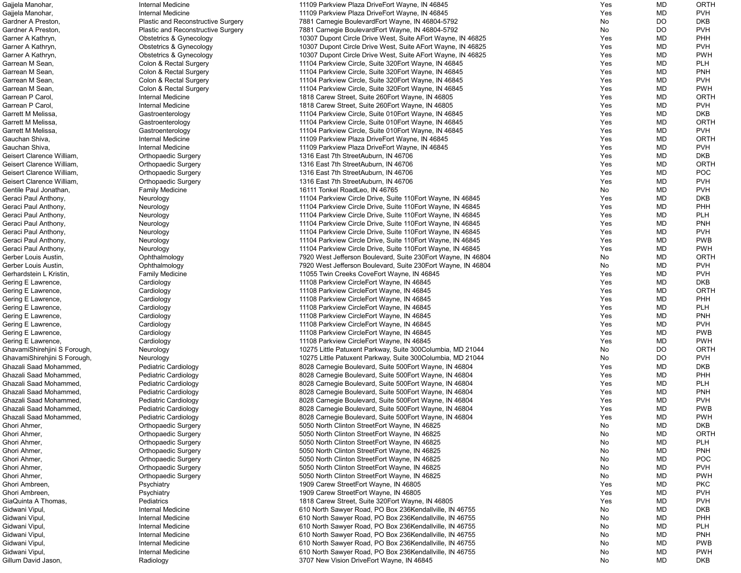| Gajjela Manohar,             | Internal Medicine                         | 11109 Parkview Plaza DriveEort Wayne, IN 46845                | Yes | MD        | <b>ORTH</b> |
|------------------------------|-------------------------------------------|---------------------------------------------------------------|-----|-----------|-------------|
| Gajjela Manohar,             | <b>Internal Medicine</b>                  | 11109 Parkview Plaza DriveEort Wayne, IN 46845                | Yes | MD        | <b>PVH</b>  |
| Gardner A Preston,           | Plastic and Reconstructive Surgery        | 7881 Carnegie BoulevardEort Wayne, IN 46804-5792              | No  | DO        | <b>DKB</b>  |
| Gardner A Preston,           | <b>Plastic and Reconstructive Surgery</b> | 7881 Carnegie BoulevardEort Wayne, IN 46804-5792              | No  | <b>DO</b> | <b>PVH</b>  |
|                              |                                           |                                                               |     |           |             |
| Garner A Kathryn,            | <b>Obstetrics &amp; Gynecology</b>        | 10307 Dupont Circle Drive West, Suite AEort Wayne, IN 46825   | Yes | MD        | PHH         |
| Garner A Kathryn,            | <b>Obstetrics &amp; Gynecology</b>        | 10307 Dupont Circle Drive West, Suite AEort Wayne, IN 46825   | Yes | MD        | <b>PVH</b>  |
| Garner A Kathryn,            | Obstetrics & Gynecology                   | 10307 Dupont Circle Drive West, Suite AEort Wayne, IN 46825   | Yes | MD        | <b>PWH</b>  |
| Garrean M Sean,              | Colon & Rectal Surgery                    | 11104 Parkview Circle, Suite 320 Fort Wayne, IN 46845         | Yes | MD        | <b>PLH</b>  |
| Garrean M Sean,              | Colon & Rectal Surgery                    | 11104 Parkview Circle, Suite 320 Eort Wayne, IN 46845         | Yes | MD        | <b>PNH</b>  |
| Garrean M Sean,              | Colon & Rectal Surgery                    | 11104 Parkview Circle, Suite 320 Eort Wayne, IN 46845         | Yes | MD        | <b>PVH</b>  |
| Garrean M Sean,              | Colon & Rectal Surgery                    | 11104 Parkview Circle, Suite 320 Fort Wayne, IN 46845         | Yes | MD        | <b>PWH</b>  |
|                              |                                           |                                                               |     |           |             |
| Garrean P Carol,             | Internal Medicine                         | 1818 Carew Street, Suite 260 Eort Wayne, IN 46805             | Yes | MD        | <b>ORTH</b> |
| Garrean P Carol,             | <b>Internal Medicine</b>                  | 1818 Carew Street, Suite 260 Eort Wayne, IN 46805             | Yes | MD        | <b>PVH</b>  |
| Garrett M Melissa,           | Gastroenterology                          | 11104 Parkview Circle, Suite 010Eort Wayne, IN 46845          | Yes | MD        | <b>DKB</b>  |
| Garrett M Melissa,           | Gastroenterology                          | 11104 Parkview Circle, Suite 010Eort Wayne, IN 46845          | Yes | MD        | <b>ORTH</b> |
| Garrett M Melissa,           | Gastroenterology                          | 11104 Parkview Circle, Suite 010 Eort Wayne, IN 46845         | Yes | MD        | <b>PVH</b>  |
| Gauchan Shiva,               | Internal Medicine                         | 11109 Parkview Plaza DriveEort Wayne, IN 46845                | Yes | MD        | <b>ORTH</b> |
|                              |                                           |                                                               |     |           |             |
| Gauchan Shiva,               | Internal Medicine                         | 11109 Parkview Plaza DriveEort Wayne, IN 46845                | Yes | MD        | <b>PVH</b>  |
| Geisert Clarence William,    | <b>Orthopaedic Surgery</b>                | 1316 East 7th StreetAuburn, IN 46706                          | Yes | MD        | <b>DKB</b>  |
| Geisert Clarence William,    | <b>Orthopaedic Surgery</b>                | 1316 East 7th StreetAuburn, IN 46706                          | Yes | MD        | <b>ORTH</b> |
| Geisert Clarence William,    | <b>Orthopaedic Surgery</b>                | 1316 East 7th StreetAuburn, IN 46706                          | Yes | MD        | POC         |
| Geisert Clarence William,    | <b>Orthopaedic Surgery</b>                | 1316 East 7th StreetAuburn, IN 46706                          | Yes | MD        | <b>PVH</b>  |
| Gentile Paul Jonathan,       | <b>Family Medicine</b>                    | 16111 Tonkel RoadLeo, IN 46765                                | No  | MD        | <b>PVH</b>  |
|                              |                                           | 11104 Parkview Circle Drive, Suite 110 Eort Wayne, IN 46845   | Yes | MD        | <b>DKB</b>  |
| Geraci Paul Anthony,         | Neurology                                 |                                                               |     |           |             |
| Geraci Paul Anthony,         | Neurology                                 | 11104 Parkview Circle Drive, Suite 110 Eort Wayne, IN 46845   | Yes | MD        | PHH         |
| Geraci Paul Anthony,         | Neurology                                 | 11104 Parkview Circle Drive, Suite 110 Eort Wayne, IN 46845   | Yes | MD        | <b>PLH</b>  |
| Geraci Paul Anthony,         | Neurology                                 | 11104 Parkview Circle Drive, Suite 110 Eort Wayne, IN 46845   | Yes | MD        | <b>PNH</b>  |
| Geraci Paul Anthony,         | Neurology                                 | 11104 Parkview Circle Drive, Suite 110 Eort Wayne, IN 46845   | Yes | MD        | <b>PVH</b>  |
| Geraci Paul Anthony,         | Neurology                                 | 11104 Parkview Circle Drive, Suite 110 Eort Wayne, IN 46845   | Yes | MD        | <b>PWB</b>  |
|                              |                                           |                                                               | Yes | MD        | <b>PWH</b>  |
| Geraci Paul Anthony,         | Neurology                                 | 11104 Parkview Circle Drive, Suite 110 Eort Wayne, IN 46845   |     |           |             |
| Gerber Louis Austin,         | Ophthalmology                             | 7920 West Jefferson Boulevard, Suite 230 Eort Wayne, IN 46804 | No  | MD        | <b>ORTH</b> |
| Gerber Louis Austin,         | Ophthalmology                             | 7920 West Jefferson Boulevard, Suite 230 Eort Wayne, IN 46804 | No  | MD        | <b>PVH</b>  |
| Gerhardstein L Kristin,      | <b>Family Medicine</b>                    | 11055 Twin Creeks CoveEort Wayne, IN 46845                    | Yes | MD        | <b>PVH</b>  |
| Gering E Lawrence,           | Cardiology                                | 11108 Parkview CircleEort Wayne, IN 46845                     | Yes | MD        | <b>DKB</b>  |
| Gering E Lawrence,           | Cardiology                                | 11108 Parkview CircleEort Wayne, IN 46845                     | Yes | MD        | <b>ORTH</b> |
| Gering E Lawrence,           | Cardiology                                | 11108 Parkview CircleEort Wayne, IN 46845                     | Yes | MD        | PHH         |
|                              |                                           |                                                               |     |           |             |
| Gering E Lawrence,           | Cardiology                                | 11108 Parkview CircleEort Wayne, IN 46845                     | Yes | MD        | <b>PLH</b>  |
| Gering E Lawrence,           | Cardiology                                | 11108 Parkview CircleEort Wayne, IN 46845                     | Yes | MD        | <b>PNH</b>  |
| Gering E Lawrence,           | Cardiology                                | 11108 Parkview CircleEort Wayne, IN 46845                     | Yes | MD        | <b>PVH</b>  |
| Gering E Lawrence,           | Cardiology                                | 11108 Parkview CircleEort Wayne, IN 46845                     | Yes | MD        | <b>PWB</b>  |
| Gering E Lawrence,           | Cardiology                                | 11108 Parkview CircleEort Wayne, IN 46845                     | Yes | MD        | <b>PWH</b>  |
| GhavamiShirehjini S Forough, | Neurology                                 | 10275 Little Patuxent Parkway, Suite 300Columbia, MD 21044    | No  | <b>DO</b> | <b>ORTH</b> |
|                              |                                           |                                                               |     |           |             |
| GhavamiShirehjini S Forough, | Neurology                                 | 10275 Little Patuxent Parkway, Suite 300Columbia, MD 21044    | No  | <b>DO</b> | <b>PVH</b>  |
| Ghazali Saad Mohammed        | Pediatric Cardiology                      | 8028 Carnegie Boulevard, Suite 500 Eort Wayne, IN 46804       | Yes | MD        | <b>DKB</b>  |
| Ghazali Saad Mohammed        | Pediatric Cardiology                      | 8028 Carnegie Boulevard, Suite 500 Eort Wayne, IN 46804       | Yes | MD        | PHH         |
| Ghazali Saad Mohammed,       | Pediatric Cardiology                      | 8028 Carnegie Boulevard, Suite 500 Eort Wayne, IN 46804       | Yes | MD        | <b>PLH</b>  |
| Ghazali Saad Mohammed,       | Pediatric Cardiology                      | 8028 Carnegie Boulevard, Suite 500 Eort Wayne, IN 46804       | Yes | MD        | <b>PNH</b>  |
| Ghazali Saad Mohammed,       | <b>Pediatric Cardiology</b>               | 8028 Carnegie Boulevard, Suite 500 Eort Wayne, IN 46804       | Yes | MD        | <b>PVH</b>  |
| Ghazali Saad Mohammed,       |                                           |                                                               |     |           | <b>PWB</b>  |
|                              | Pediatric Cardiology                      | 8028 Carnegie Boulevard, Suite 500 Eort Wayne, IN 46804       | Yes | MD        |             |
| Ghazali Saad Mohammed,       | Pediatric Cardiology                      | 8028 Carnegie Boulevard, Suite 500 Eort Wayne, IN 46804       | Yes | MD        | <b>PWH</b>  |
| Ghori Ahmer,                 | <b>Orthopaedic Surgery</b>                | 5050 North Clinton StreetEort Wayne, IN 46825                 | No  | MD        | <b>DKB</b>  |
| Ghori Ahmer,                 | <b>Orthopaedic Surgery</b>                | 5050 North Clinton StreetEort Wayne, IN 46825                 | No  | MD        | <b>ORTH</b> |
| Ghori Ahmer,                 | <b>Orthopaedic Surgery</b>                | 5050 North Clinton StreetEort Wayne, IN 46825                 | No  | MD        | <b>PLH</b>  |
| Ghori Ahmer,                 | <b>Orthopaedic Surgery</b>                | 5050 North Clinton StreetEort Wayne, IN 46825                 | No  | MD        | <b>PNH</b>  |
| Ghori Ahmer,                 | <b>Orthopaedic Surgery</b>                | 5050 North Clinton StreetEort Wayne, IN 46825                 | No  | MD        | <b>POC</b>  |
|                              |                                           |                                                               |     |           |             |
| Ghori Ahmer,                 | <b>Orthopaedic Surgery</b>                | 5050 North Clinton StreetEort Wayne, IN 46825                 | No  | MD        | <b>PVH</b>  |
| Ghori Ahmer,                 | <b>Orthopaedic Surgery</b>                | 5050 North Clinton StreetEort Wayne, IN 46825                 | No  | MD        | <b>PWH</b>  |
| Ghori Ambreen,               | Psychiatry                                | 1909 Carew StreetEort Wayne, IN 46805                         | Yes | MD        | <b>PKC</b>  |
| Ghori Ambreen,               | Psychiatry                                | 1909 Carew StreetEort Wayne, IN 46805                         | Yes | MD        | <b>PVH</b>  |
| GiaQuinta A Thomas,          | Pediatrics                                | 1818 Carew Street, Suite 320 Eort Wayne, IN 46805             | Yes | MD        | <b>PVH</b>  |
| Gidwani Vipul,               | <b>Internal Medicine</b>                  | 610 North Sawyer Road, PO Box 236Kendallville, IN 46755       | No  | MD        | <b>DKB</b>  |
|                              |                                           |                                                               |     |           |             |
| Gidwani Vipul,               | Internal Medicine                         | 610 North Sawyer Road, PO Box 236Kendallville, IN 46755       | No  | MD        | PHH         |
| Gidwani Vipul,               | Internal Medicine                         | 610 North Sawyer Road, PO Box 236Kendallville, IN 46755       | No  | MD        | <b>PLH</b>  |
| Gidwani Vipul,               | Internal Medicine                         | 610 North Sawyer Road, PO Box 236Kendallville, IN 46755       | No  | MD        | <b>PNH</b>  |
| Gidwani Vipul,               | Internal Medicine                         | 610 North Sawyer Road, PO Box 236Kendallville, IN 46755       | No  | MD        | <b>PWB</b>  |
| Gidwani Vipul,               | Internal Medicine                         | 610 North Sawyer Road, PO Box 236Kendallville, IN 46755       | No  | MD        | <b>PWH</b>  |
| Gillum David Jason,          | Radiology                                 | 3707 New Vision DriveEort Wayne, IN 46845                     | No  | MD        | <b>DKB</b>  |
|                              |                                           |                                                               |     |           |             |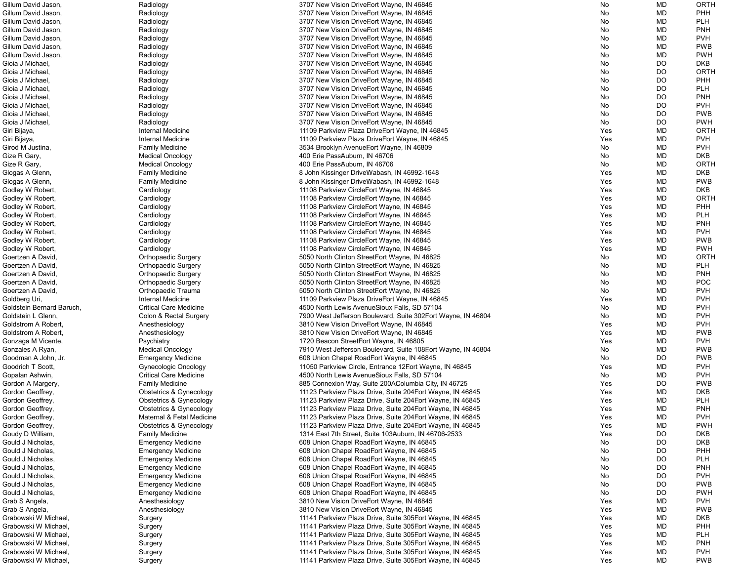| Gillum David Jason,       | Radiology                          | 3707 New Vision DriveEort Wayne, IN 46845                    | No  | <b>MD</b> | ORTH        |
|---------------------------|------------------------------------|--------------------------------------------------------------|-----|-----------|-------------|
| Gillum David Jason,       | Radiology                          | 3707 New Vision DriveEort Wayne, IN 46845                    | No  | <b>MD</b> | <b>PHH</b>  |
| Gillum David Jason,       | Radiology                          | 3707 New Vision DriveEort Wayne, IN 46845                    | No  | MD        | <b>PLH</b>  |
| Gillum David Jason,       | Radiology                          | 3707 New Vision DriveEort Wayne, IN 46845                    | No  | MD        | <b>PNH</b>  |
| Gillum David Jason,       | Radiology                          | 3707 New Vision DriveEort Wayne, IN 46845                    | No  | MD        | <b>PVH</b>  |
| Gillum David Jason,       | Radiology                          | 3707 New Vision DriveEort Wayne, IN 46845                    | No  | MD        | <b>PWB</b>  |
| Gillum David Jason,       | Radiology                          | 3707 New Vision DriveEort Wayne, IN 46845                    | No  | MD        | <b>PWH</b>  |
| Gioia J Michael,          | Radiology                          | 3707 New Vision DriveEort Wayne, IN 46845                    | No  | <b>DO</b> | <b>DKB</b>  |
| Gioia J Michael,          | Radiology                          | 3707 New Vision DriveEort Wayne, IN 46845                    | No  | DO        | <b>ORTH</b> |
| Gioia J Michael,          | Radiology                          | 3707 New Vision DriveEort Wayne, IN 46845                    | No  | DO        | PHH         |
| Gioia J Michael.          | Radiology                          | 3707 New Vision DriveEort Wayne, IN 46845                    | No  | DO        | <b>PLH</b>  |
| Gioia J Michael,          | Radiology                          | 3707 New Vision DriveEort Wayne, IN 46845                    | No  | <b>DO</b> | <b>PNH</b>  |
| Gioia J Michael,          | Radiology                          | 3707 New Vision DriveEort Wayne, IN 46845                    | No  | DO        | <b>PVH</b>  |
| Gioia J Michael,          | Radiology                          | 3707 New Vision DriveEort Wayne, IN 46845                    | No  | <b>DO</b> | <b>PWB</b>  |
| Gioia J Michael,          | Radiology                          | 3707 New Vision DriveEort Wayne, IN 46845                    | No  | <b>DO</b> | <b>PWH</b>  |
| Giri Bijaya,              | Internal Medicine                  | 11109 Parkview Plaza DriveEort Wayne, IN 46845               | Yes | MD        | <b>ORTH</b> |
| Giri Bijaya,              | Internal Medicine                  | 11109 Parkview Plaza DriveEort Wayne, IN 46845               | Yes | MD        | <b>PVH</b>  |
| Girod M Justina,          | <b>Family Medicine</b>             | 3534 Brooklyn Avenue Eort Wayne, IN 46809                    | No  | MD        | <b>PVH</b>  |
| Gize R Gary,              | <b>Medical Oncology</b>            | 400 Erie PassAuburn, IN 46706                                | No  | MD        | <b>DKB</b>  |
| Gize R Gary,              | <b>Medical Oncology</b>            | 400 Erie PassAuburn, IN 46706                                | No  | <b>MD</b> | <b>ORTH</b> |
| Glogas A Glenn,           | <b>Family Medicine</b>             | 8 John Kissinger DriveWabash, IN 46992-1648                  | Yes | MD        | <b>DKB</b>  |
| Glogas A Glenn,           | <b>Family Medicine</b>             | 8 John Kissinger DriveWabash, IN 46992-1648                  | Yes | MD        | <b>PWB</b>  |
| Godley W Robert,          | Cardiology                         | 11108 Parkview CircleEort Wayne, IN 46845                    | Yes | <b>MD</b> | <b>DKB</b>  |
| Godley W Robert,          | Cardiology                         | 11108 Parkview CircleEort Wayne, IN 46845                    | Yes | <b>MD</b> | <b>ORTH</b> |
| Godley W Robert,          | Cardiology                         | 11108 Parkview CircleEort Wayne, IN 46845                    | Yes | MD        | PHH         |
| Godley W Robert,          | Cardiology                         | 11108 Parkview CircleEort Wayne, IN 46845                    | Yes | MD        | <b>PLH</b>  |
| Godley W Robert,          | Cardiology                         | 11108 Parkview CircleEort Wayne, IN 46845                    | Yes | MD        | <b>PNH</b>  |
| Godley W Robert,          | Cardiology                         | 11108 Parkview CircleEort Wayne, IN 46845                    | Yes | MD        | <b>PVH</b>  |
| Godley W Robert,          | Cardiology                         | 11108 Parkview CircleEort Wayne, IN 46845                    | Yes | <b>MD</b> | <b>PWB</b>  |
| Godley W Robert,          | Cardiology                         | 11108 Parkview CircleEort Wayne, IN 46845                    | Yes | MD        | <b>PWH</b>  |
| Goertzen A David,         | <b>Orthopaedic Surgery</b>         | 5050 North Clinton StreetEort Wayne, IN 46825                | No  | <b>MD</b> | <b>ORTH</b> |
| Goertzen A David,         | <b>Orthopaedic Surgery</b>         | 5050 North Clinton StreetEort Wayne, IN 46825                | No  | MD        | <b>PLH</b>  |
| Goertzen A David,         | Orthopaedic Surgery                | 5050 North Clinton StreetEort Wayne, IN 46825                | No  | MD        | <b>PNH</b>  |
| Goertzen A David,         | <b>Orthopaedic Surgery</b>         | 5050 North Clinton StreetEort Wayne, IN 46825                | No  | MD        | <b>POC</b>  |
| Goertzen A David,         | Orthopaedic Trauma                 | 5050 North Clinton StreetEort Wayne, IN 46825                | No  | MD        | <b>PVH</b>  |
| Goldberg Uri,             | Internal Medicine                  | 11109 Parkview Plaza DriveEort Wayne, IN 46845               | Yes | <b>MD</b> | <b>PVH</b>  |
| Goldstein Bernard Baruch, | <b>Critical Care Medicine</b>      | 4500 North Lewis AvenueSioux Falls, SD 57104                 | No  | <b>MD</b> | <b>PVH</b>  |
| Goldstein L Glenn,        | Colon & Rectal Surgery             | 7900 West Jefferson Boulevard, Suite 302Eort Wayne, IN 46804 | No  | MD        | <b>PVH</b>  |
| Goldstrom A Robert,       |                                    | 3810 New Vision DriveEort Wayne, IN 46845                    | Yes | MD        | <b>PVH</b>  |
| Goldstrom A Robert,       | Anesthesiology                     | 3810 New Vision DriveEort Wayne, IN 46845                    |     | MD        | <b>PWB</b>  |
|                           | Anesthesiology                     |                                                              | Yes |           |             |
| Gonzaga M Vicente,        | Psychiatry                         | 1720 Beacon StreetEort Wayne, IN 46805                       | Yes | MD        | <b>PVH</b>  |
| Gonzales A Ryan,          | <b>Medical Oncology</b>            | 7910 West Jefferson Boulevard, Suite 108Eort Wayne, IN 46804 | No  | MD        | <b>PWB</b>  |
| Goodman A John, Jr.       | <b>Emergency Medicine</b>          | 608 Union Chapel RoadEort Wayne, IN 46845                    | No  | <b>DO</b> | <b>PWB</b>  |
| Goodrich T Scott,         | <b>Gynecologic Oncology</b>        | 11050 Parkview Circle, Entrance 12Eort Wayne, IN 46845       | Yes | MD        | <b>PVH</b>  |
| Gopalan Ashwin,           | <b>Critical Care Medicine</b>      | 4500 North Lewis AvenueSioux Falls, SD 57104                 | No  | MD        | <b>PVH</b>  |
| Gordon A Margery,         | <b>Family Medicine</b>             | 885 Connexion Way, Suite 200AColumbia City, IN 46725         | Yes | DO        | <b>PWB</b>  |
| Gordon Geoffrey,          | <b>Obstetrics &amp; Gynecology</b> | 11123 Parkview Plaza Drive, Suite 204 Eort Wayne, IN 46845   | Yes | MD        | <b>DKB</b>  |
| Gordon Geoffrey,          | <b>Obstetrics &amp; Gynecology</b> | 11123 Parkview Plaza Drive, Suite 204Eort Wayne, IN 46845    | Yes | MD        | <b>PLH</b>  |
| Gordon Geoffrey,          | <b>Obstetrics &amp; Gynecology</b> | 11123 Parkview Plaza Drive, Suite 204 Eort Wayne, IN 46845   | Yes | MD        | <b>PNH</b>  |
| Gordon Geoffrey,          | Maternal & Fetal Medicine          | 11123 Parkview Plaza Drive, Suite 204Eort Wayne, IN 46845    | Yes | MD        | <b>PVH</b>  |
| Gordon Geoffrey,          | <b>Obstetrics &amp; Gynecology</b> | 11123 Parkview Plaza Drive, Suite 204Eort Wayne, IN 46845    | Yes | MD        | <b>PWH</b>  |
| Goudy D William,          | <b>Family Medicine</b>             | 1314 East 7th Street, Suite 103Auburn, IN 46706-2533         | Yes | <b>DO</b> | <b>DKB</b>  |
| Gould J Nicholas,         | <b>Emergency Medicine</b>          | 608 Union Chapel RoadEort Wayne, IN 46845                    | No  | <b>DO</b> | <b>DKB</b>  |
| Gould J Nicholas,         | <b>Emergency Medicine</b>          | 608 Union Chapel RoadEort Wayne, IN 46845                    | No  | <b>DO</b> | PHH         |
| Gould J Nicholas,         | <b>Emergency Medicine</b>          | 608 Union Chapel RoadEort Wayne, IN 46845                    | No  | <b>DO</b> | <b>PLH</b>  |
| Gould J Nicholas,         | <b>Emergency Medicine</b>          | 608 Union Chapel RoadEort Wayne, IN 46845                    | No  | <b>DO</b> | <b>PNH</b>  |
| Gould J Nicholas,         | <b>Emergency Medicine</b>          | 608 Union Chapel RoadEort Wayne, IN 46845                    | No  | <b>DO</b> | <b>PVH</b>  |
| Gould J Nicholas,         | <b>Emergency Medicine</b>          | 608 Union Chapel RoadEort Wayne, IN 46845                    | No  | DO        | <b>PWB</b>  |
| Gould J Nicholas,         | <b>Emergency Medicine</b>          | 608 Union Chapel RoadEort Wayne, IN 46845                    | No  | <b>DO</b> | <b>PWH</b>  |
| Grab S Angela,            | Anesthesiology                     | 3810 New Vision DriveEort Wayne, IN 46845                    | Yes | MD        | <b>PVH</b>  |
| Grab S Angela,            | Anesthesiology                     | 3810 New Vision DriveEort Wayne, IN 46845                    | Yes | MD        | <b>PWB</b>  |
| Grabowski W Michael,      | Surgery                            | 11141 Parkview Plaza Drive, Suite 305Eort Wayne, IN 46845    | Yes | MD        | <b>DKB</b>  |
| Grabowski W Michael,      | Surgery                            | 11141 Parkview Plaza Drive, Suite 305Eort Wayne, IN 46845    | Yes | MD        | PHH         |
| Grabowski W Michael,      | Surgery                            | 11141 Parkview Plaza Drive, Suite 305Eort Wayne, IN 46845    | Yes | MD        | <b>PLH</b>  |
| Grabowski W Michael,      | Surgery                            | 11141 Parkview Plaza Drive, Suite 305Eort Wayne, IN 46845    | Yes | MD        | <b>PNH</b>  |
| Grabowski W Michael,      | Surgery                            | 11141 Parkview Plaza Drive, Suite 305Eort Wayne, IN 46845    | Yes | MD        | <b>PVH</b>  |
| Grabowski W Michael,      | Surgery                            | 11141 Parkview Plaza Drive, Suite 305Eort Wayne, IN 46845    | Yes | MD        | <b>PWB</b>  |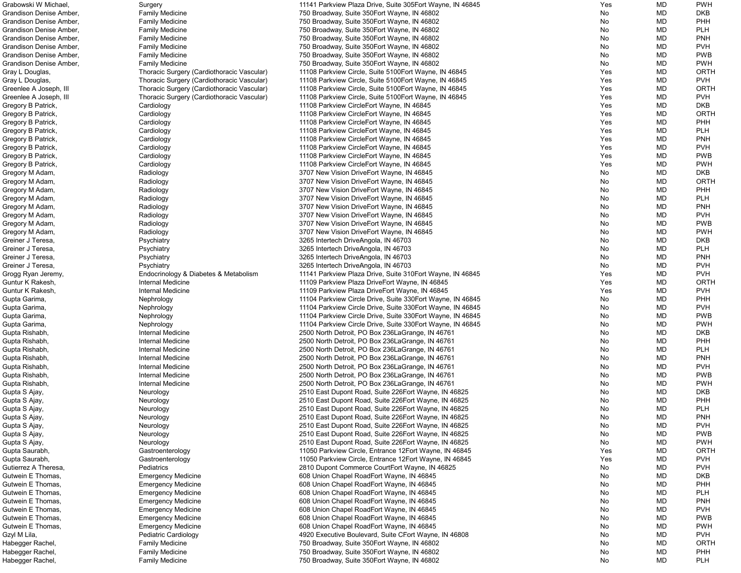| Grabowski W Michael,    | Surgery                                    | 11141 Parkview Plaza Drive, Suite 305Eort Wayne, IN 46845   | Yes | MD | <b>PWH</b>  |
|-------------------------|--------------------------------------------|-------------------------------------------------------------|-----|----|-------------|
| Grandison Denise Amber, | <b>Family Medicine</b>                     | 750 Broadway, Suite 350 Eort Wayne, IN 46802                | No  | MD | <b>DKB</b>  |
| Grandison Denise Amber, | <b>Family Medicine</b>                     | 750 Broadway, Suite 350 Eort Wayne, IN 46802                | No  | MD | PHH         |
| Grandison Denise Amber, | <b>Family Medicine</b>                     | 750 Broadway, Suite 350 Eort Wayne, IN 46802                | No  | MD | <b>PLH</b>  |
| Grandison Denise Amber, | <b>Family Medicine</b>                     | 750 Broadway, Suite 350 Eort Wayne, IN 46802                | No  | MD | <b>PNH</b>  |
| Grandison Denise Amber, | <b>Family Medicine</b>                     | 750 Broadway, Suite 350 Eort Wayne, IN 46802                | No  | MD | <b>PVH</b>  |
| Grandison Denise Amber, | <b>Family Medicine</b>                     | 750 Broadway, Suite 350 Eort Wayne, IN 46802                | No. | MD | <b>PWB</b>  |
| Grandison Denise Amber, | <b>Family Medicine</b>                     | 750 Broadway, Suite 350 Eort Wayne, IN 46802                | No  | MD | <b>PWH</b>  |
| Gray L Douglas,         | Thoracic Surgery (Cardiothoracic Vascular) | 11108 Parkview Circle, Suite 5100 Fort Wayne, IN 46845      | Yes | MD | <b>ORTH</b> |
|                         |                                            |                                                             |     | MD | <b>PVH</b>  |
| Gray L Douglas,         | Thoracic Surgery (Cardiothoracic Vascular) | 11108 Parkview Circle, Suite 5100Eort Wayne, IN 46845       | Yes |    |             |
| Greenlee A Joseph, III  | Thoracic Surgery (Cardiothoracic Vascular) | 11108 Parkview Circle, Suite 5100Eort Wayne, IN 46845       | Yes | MD | <b>ORTH</b> |
| Greenlee A Joseph, III  | Thoracic Surgery (Cardiothoracic Vascular) | 11108 Parkview Circle, Suite 5100 Fort Wayne, IN 46845      | Yes | MD | <b>PVH</b>  |
| Gregory B Patrick,      | Cardiology                                 | 11108 Parkview CircleEort Wayne, IN 46845                   | Yes | MD | <b>DKB</b>  |
| Gregory B Patrick,      | Cardiology                                 | 11108 Parkview CircleEort Wayne, IN 46845                   | Yes | MD | <b>ORTH</b> |
| Gregory B Patrick,      | Cardiology                                 | 11108 Parkview CircleEort Wayne, IN 46845                   | Yes | MD | PHH         |
| Gregory B Patrick,      | Cardiology                                 | 11108 Parkview CircleEort Wayne, IN 46845                   | Yes | MD | <b>PLH</b>  |
| Gregory B Patrick,      | Cardiology                                 | 11108 Parkview CircleEort Wayne, IN 46845                   | Yes | MD | <b>PNH</b>  |
| Gregory B Patrick,      | Cardiology                                 | 11108 Parkview CircleEort Wayne, IN 46845                   | Yes | MD | <b>PVH</b>  |
| Gregory B Patrick,      | Cardiology                                 | 11108 Parkview CircleEort Wayne, IN 46845                   | Yes | MD | <b>PWB</b>  |
| Gregory B Patrick,      | Cardiology                                 | 11108 Parkview CircleEort Wayne, IN 46845                   | Yes | MD | <b>PWH</b>  |
| Gregory M Adam,         | Radiology                                  | 3707 New Vision DriveEort Wayne, IN 46845                   | No  | MD | <b>DKB</b>  |
| Gregory M Adam,         | Radiology                                  | 3707 New Vision DriveEort Wayne, IN 46845                   | No  | MD | <b>ORTH</b> |
| Gregory M Adam,         | Radiology                                  | 3707 New Vision DriveEort Wayne, IN 46845                   | No  | MD | PHH         |
| Gregory M Adam,         | Radiology                                  | 3707 New Vision DriveEort Wayne, IN 46845                   | No  | MD | <b>PLH</b>  |
| Gregory M Adam,         | Radiology                                  | 3707 New Vision DriveEort Wayne, IN 46845                   | No  | MD | <b>PNH</b>  |
| Gregory M Adam,         | Radiology                                  | 3707 New Vision DriveEort Wayne, IN 46845                   | No  | MD | <b>PVH</b>  |
| Gregory M Adam,         | Radiology                                  | 3707 New Vision DriveEort Wayne, IN 46845                   | No  | MD | <b>PWB</b>  |
|                         |                                            | 3707 New Vision DriveEort Wayne, IN 46845                   |     | MD | <b>PWH</b>  |
| Gregory M Adam,         | Radiology                                  |                                                             | No  |    |             |
| Greiner J Teresa,       | Psychiatry                                 | 3265 Intertech DriveAngola, IN 46703                        | No  | MD | <b>DKB</b>  |
| Greiner J Teresa,       | Psychiatry                                 | 3265 Intertech DriveAngola, IN 46703                        | No  | MD | <b>PLH</b>  |
| Greiner J Teresa,       | Psychiatry                                 | 3265 Intertech DriveAngola, IN 46703                        | No  | MD | <b>PNH</b>  |
| Greiner J Teresa,       | Psychiatry                                 | 3265 Intertech DriveAngola, IN 46703                        | No  | MD | <b>PVH</b>  |
| Grogg Ryan Jeremy,      | Endocrinology & Diabetes & Metabolism      | 11141 Parkview Plaza Drive, Suite 310 Eort Wayne, IN 46845  | Yes | MD | <b>PVH</b>  |
| Guntur K Rakesh,        | Internal Medicine                          | 11109 Parkview Plaza DriveEort Wayne, IN 46845              | Yes | MD | <b>ORTH</b> |
| Guntur K Rakesh,        | Internal Medicine                          | 11109 Parkview Plaza DriveEort Wayne, IN 46845              | Yes | MD | <b>PVH</b>  |
| Gupta Garima,           | Nephrology                                 | 11104 Parkview Circle Drive, Suite 330 Fort Wayne, IN 46845 | No  | MD | PHH         |
| Gupta Garima,           | Nephrology                                 | 11104 Parkview Circle Drive, Suite 330 Eort Wayne, IN 46845 | No  | MD | <b>PVH</b>  |
| Gupta Garima,           | Nephrology                                 | 11104 Parkview Circle Drive, Suite 330 Eort Wayne, IN 46845 | No  | MD | <b>PWB</b>  |
| Gupta Garima,           | Nephrology                                 | 11104 Parkview Circle Drive, Suite 330 Eort Wayne, IN 46845 | No  | MD | <b>PWH</b>  |
| Gupta Rishabh,          | Internal Medicine                          | 2500 North Detroit, PO Box 236 La Grange, IN 46761          | No  | MD | <b>DKB</b>  |
| Gupta Rishabh,          | Internal Medicine                          | 2500 North Detroit, PO Box 236 La Grange, IN 46761          | No  | MD | PHH         |
| Gupta Rishabh,          | Internal Medicine                          | 2500 North Detroit, PO Box 236 La Grange, IN 46761          | No  | MD | <b>PLH</b>  |
| Gupta Rishabh,          | Internal Medicine                          | 2500 North Detroit, PO Box 236 La Grange, IN 46761          | No  | MD | <b>PNH</b>  |
| Gupta Rishabh,          | Internal Medicine                          | 2500 North Detroit, PO Box 236 La Grange, IN 46761          | No  | MD | <b>PVH</b>  |
| Gupta Rishabh,          | Internal Medicine                          | 2500 North Detroit, PO Box 236 La Grange, IN 46761          | No  | MD | <b>PWB</b>  |
| Gupta Rishabh,          | Internal Medicine                          | 2500 North Detroit, PO Box 236 La Grange, IN 46761          | No  | MD | <b>PWH</b>  |
| Gupta S Ajay,           | Neurology                                  | 2510 East Dupont Road, Suite 226 Eort Wayne, IN 46825       | No  | MD | <b>DKB</b>  |
| Gupta S Ajay,           | Neurology                                  | 2510 East Dupont Road, Suite 226 Fort Wayne, IN 46825       | No  | MD | PHH         |
| Gupta S Ajay,           |                                            | 2510 East Dupont Road, Suite 226 Fort Wayne, IN 46825       | No  | MD | <b>PLH</b>  |
|                         | Neurology                                  |                                                             |     |    |             |
| Gupta S Ajay,           | Neurology                                  | 2510 East Dupont Road, Suite 226 Fort Wayne, IN 46825       | No  | MD | <b>PNH</b>  |
| Gupta S Ajay,           | Neurology                                  | 2510 East Dupont Road, Suite 226 Fort Wayne, IN 46825       | No  | MD | <b>PVH</b>  |
| Gupta S Ajay,           | Neurology                                  | 2510 East Dupont Road, Suite 226 Fort Wayne, IN 46825       | No  | MD | <b>PWB</b>  |
| Gupta S Ajay,           | Neurology                                  | 2510 East Dupont Road, Suite 226 Fort Wayne, IN 46825       | No  | MD | <b>PWH</b>  |
| Gupta Saurabh,          | Gastroenterology                           | 11050 Parkview Circle, Entrance 12Eort Wayne, IN 46845      | Yes | MD | <b>ORTH</b> |
| Gupta Saurabh,          | Gastroenterology                           | 11050 Parkview Circle, Entrance 12Eort Wayne, IN 46845      | Yes | MD | <b>PVH</b>  |
| Gutierrez A Theresa,    | Pediatrics                                 | 2810 Dupont Commerce CourtEort Wayne, IN 46825              | No  | MD | <b>PVH</b>  |
| Gutwein E Thomas,       | <b>Emergency Medicine</b>                  | 608 Union Chapel RoadEort Wayne, IN 46845                   | No  | MD | <b>DKB</b>  |
| Gutwein E Thomas,       | <b>Emergency Medicine</b>                  | 608 Union Chapel RoadEort Wayne, IN 46845                   | No  | MD | PHH         |
| Gutwein E Thomas,       | <b>Emergency Medicine</b>                  | 608 Union Chapel RoadEort Wayne, IN 46845                   | No  | MD | <b>PLH</b>  |
| Gutwein E Thomas,       | <b>Emergency Medicine</b>                  | 608 Union Chapel RoadEort Wayne, IN 46845                   | No  | MD | <b>PNH</b>  |
| Gutwein E Thomas,       | <b>Emergency Medicine</b>                  | 608 Union Chapel RoadEort Wayne, IN 46845                   | No  | MD | <b>PVH</b>  |
| Gutwein E Thomas,       | <b>Emergency Medicine</b>                  | 608 Union Chapel RoadEort Wayne, IN 46845                   | No  | MD | <b>PWB</b>  |
| Gutwein E Thomas,       | <b>Emergency Medicine</b>                  | 608 Union Chapel RoadEort Wayne, IN 46845                   | No  | MD | <b>PWH</b>  |
| Gzyl M Lila,            | Pediatric Cardiology                       | 4920 Executive Boulevard, Suite CEort Wayne, IN 46808       | No  | MD | <b>PVH</b>  |
| Habegger Rachel,        | <b>Family Medicine</b>                     | 750 Broadway, Suite 350 Eort Wayne, IN 46802                | No  | MD | <b>ORTH</b> |
| Habegger Rachel,        | <b>Family Medicine</b>                     | 750 Broadway, Suite 350 Fort Wayne, IN 46802                | No  | MD | PHH         |
| Habegger Rachel,        | <b>Family Medicine</b>                     | 750 Broadway, Suite 350 Eort Wayne, IN 46802                | No  | MD | <b>PLH</b>  |
|                         |                                            |                                                             |     |    |             |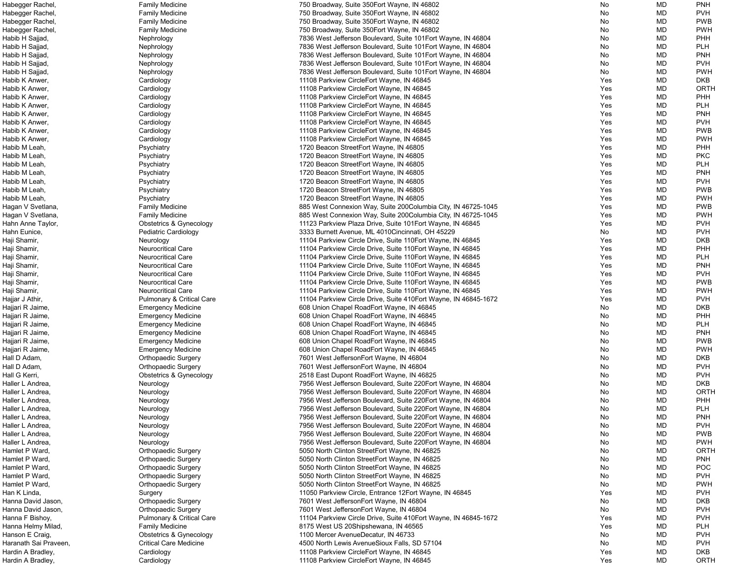| Habegger Rachel,      | <b>Family Medicine</b>               | 750 Broadway, Suite 350 Eort Wayne, IN 46802                     | No  | MD        | <b>PNH</b>  |
|-----------------------|--------------------------------------|------------------------------------------------------------------|-----|-----------|-------------|
| Habegger Rachel,      | <b>Family Medicine</b>               | 750 Broadway, Suite 350 Eort Wayne, IN 46802                     | No  | MD        | <b>PVH</b>  |
| Habegger Rachel,      | <b>Family Medicine</b>               | 750 Broadway, Suite 350 Eort Wayne, IN 46802                     | No  | MD        | <b>PWB</b>  |
| Habegger Rachel,      | <b>Family Medicine</b>               | 750 Broadway, Suite 350 Eort Wayne, IN 46802                     | No  | MD        | <b>PWH</b>  |
| Habib H Sajjad        | Nephrology                           | 7836 West Jefferson Boulevard, Suite 101 Eort Wayne, IN 46804    | No  | MD        | <b>PHH</b>  |
| Habib H Sajjad        | Nephrology                           | 7836 West Jefferson Boulevard, Suite 101 Eort Wayne, IN 46804    | No  | MD        | <b>PLH</b>  |
| Habib H Sajjad        | Nephrology                           | 7836 West Jefferson Boulevard, Suite 101 Eort Wayne, IN 46804    | No  | MD        | <b>PNH</b>  |
| Habib H Sajjad        | Nephrology                           | 7836 West Jefferson Boulevard, Suite 101 Eort Wayne, IN 46804    | No  | MD        | <b>PVH</b>  |
| Habib H Sajjad        |                                      | 7836 West Jefferson Boulevard, Suite 101 Eort Wayne, IN 46804    | No  | MD        | <b>PWH</b>  |
|                       | Nephrology                           |                                                                  |     |           |             |
| Habib K Anwer,        | Cardiology                           | 11108 Parkview CircleEort Wayne, IN 46845                        | Yes | MD        | <b>DKB</b>  |
| Habib K Anwer,        | Cardiology                           | 11108 Parkview CircleEort Wayne, IN 46845                        | Yes | MD        | <b>ORTH</b> |
| Habib K Anwer,        | Cardiology                           | 11108 Parkview CircleEort Wayne, IN 46845                        | Yes | MD        | <b>PHH</b>  |
| Habib K Anwer,        | Cardiology                           | 11108 Parkview CircleEort Wayne, IN 46845                        | Yes | MD        | <b>PLH</b>  |
| Habib K Anwer,        | Cardiology                           | 11108 Parkview CircleEort Wayne, IN 46845                        | Yes | MD        | <b>PNH</b>  |
| Habib K Anwer         | Cardiology                           | 11108 Parkview CircleEort Wayne, IN 46845                        | Yes | MD        | <b>PVH</b>  |
| Habib K Anwer         | Cardiology                           | 11108 Parkview CircleEort Wayne, IN 46845                        | Yes | MD        | <b>PWB</b>  |
| Habib K Anwer         | Cardiology                           | 11108 Parkview CircleEort Wayne, IN 46845                        | Yes | MD        | <b>PWH</b>  |
| Habib M Leah,         | Psychiatry                           | 1720 Beacon StreetEort Wayne, IN 46805                           | Yes | MD        | PHH         |
| Habib M Leah,         | Psychiatry                           | 1720 Beacon StreetEort Wayne, IN 46805                           | Yes | MD        | <b>PKC</b>  |
| Habib M Leah,         | Psychiatry                           | 1720 Beacon StreetEort Wayne, IN 46805                           | Yes | MD        | <b>PLH</b>  |
| Habib M Leah,         | Psychiatry                           | 1720 Beacon StreetEort Wayne, IN 46805                           | Yes | MD        | <b>PNH</b>  |
| Habib M Leah,         | Psychiatry                           | 1720 Beacon StreetEort Wayne, IN 46805                           | Yes | MD        | <b>PVH</b>  |
| Habib M Leah,         | Psychiatry                           | 1720 Beacon StreetEort Wayne, IN 46805                           | Yes | MD        | <b>PWB</b>  |
| Habib M Leah,         | Psychiatry                           | 1720 Beacon StreetEort Wayne, IN 46805                           | Yes | MD        | <b>PWH</b>  |
|                       |                                      |                                                                  |     | MD        | <b>PWB</b>  |
| Hagan V Svetlana,     | <b>Family Medicine</b>               | 885 West Connexion Way, Suite 200Columbia City, IN 46725-1045    | Yes |           |             |
| Hagan V Svetlana,     | <b>Family Medicine</b>               | 885 West Connexion Way, Suite 200Columbia City, IN 46725-1045    | Yes | MD        | <b>PWH</b>  |
| Hahn Anne Taylor,     | Obstetrics & Gynecology              | 11123 Parkview Plaza Drive, Suite 101 Eort Wayne, IN 46845       | Yes | MD        | <b>PVH</b>  |
| Hahn Eunice,          | <b>Pediatric Cardiology</b>          | 3333 Burnett Avenue, ML 4010Cincinnati, OH 45229                 | No  | MD        | <b>PVH</b>  |
| Haji Shamir,          | Neurology                            | 11104 Parkview Circle Drive, Suite 110 Eort Wayne, IN 46845      | Yes | MD        | <b>DKB</b>  |
| Haji Shamir,          | <b>Neurocritical Care</b>            | 11104 Parkview Circle Drive, Suite 110 Eort Wayne, IN 46845      | Yes | MD        | <b>PHH</b>  |
| Haji Shamir,          | <b>Neurocritical Care</b>            | 11104 Parkview Circle Drive, Suite 110 Eort Wayne, IN 46845      | Yes | MD        | <b>PLH</b>  |
| Haji Shamir,          | <b>Neurocritical Care</b>            | 11104 Parkview Circle Drive, Suite 110 Eort Wayne, IN 46845      | Yes | MD        | <b>PNH</b>  |
| Haji Shamir,          | Neurocritical Care                   | 11104 Parkview Circle Drive, Suite 110Eort Wayne, IN 46845       | Yes | MD        | <b>PVH</b>  |
| Haji Shamir,          | <b>Neurocritical Care</b>            | 11104 Parkview Circle Drive, Suite 110 Eort Wayne, IN 46845      | Yes | MD        | <b>PWB</b>  |
| Haji Shamir,          | Neurocritical Care                   | 11104 Parkview Circle Drive, Suite 110 Eort Wayne, IN 46845      | Yes | MD        | <b>PWH</b>  |
| Hajjar J Athir,       | <b>Pulmonary &amp; Critical Care</b> | 11104 Parkview Circle Drive, Suite 410 Eort Wayne, IN 46845-1672 | Yes | <b>MD</b> | <b>PVH</b>  |
| Hajjari R Jaime,      | <b>Emergency Medicine</b>            | 608 Union Chapel RoadEort Wayne, IN 46845                        | No  | MD        | DKB         |
| Hajjari R Jaime,      | <b>Emergency Medicine</b>            | 608 Union Chapel RoadEort Wayne, IN 46845                        | No  | MD        | <b>PHH</b>  |
| Hajjari R Jaime,      | <b>Emergency Medicine</b>            | 608 Union Chapel RoadEort Wayne, IN 46845                        | No  | MD        | <b>PLH</b>  |
| Hajjari R Jaime,      | <b>Emergency Medicine</b>            | 608 Union Chapel RoadEort Wayne, IN 46845                        | No  | MD        | <b>PNH</b>  |
| Hajjari R Jaime,      | <b>Emergency Medicine</b>            | 608 Union Chapel RoadEort Wayne, IN 46845                        | No  | MD        | <b>PWB</b>  |
| Hajjari R Jaime,      | <b>Emergency Medicine</b>            | 608 Union Chapel RoadEort Wayne, IN 46845                        | No  | MD        | <b>PWH</b>  |
| Hall D Adam,          | <b>Orthopaedic Surgery</b>           | 7601 West JeffersonEort Wayne, IN 46804                          | No  | MD        | <b>DKB</b>  |
|                       |                                      |                                                                  |     |           | <b>PVH</b>  |
| Hall D Adam,          | <b>Orthopaedic Surgery</b>           | 7601 West JeffersonEort Wayne, IN 46804                          | No  | MD        |             |
| Hall G Kerri,         | Obstetrics & Gynecology              | 2518 East Dupont RoadEort Wayne, IN 46825                        | No  | MD        | <b>PVH</b>  |
| Haller L Andrea,      | Neurology                            | 7956 West Jefferson Boulevard, Suite 220 Eort Wayne, IN 46804    | No  | MD        | <b>DKB</b>  |
| Haller L Andrea,      | Neurology                            | 7956 West Jefferson Boulevard, Suite 220 Eort Wayne, IN 46804    | No  | MD        | <b>ORTH</b> |
| Haller L Andrea,      | Neurology                            | 7956 West Jefferson Boulevard, Suite 220 Fort Wayne, IN 46804    | No  | MD        | <b>PHH</b>  |
| Haller L Andrea,      | Neurology                            | 7956 West Jefferson Boulevard, Suite 220 Fort Wayne, IN 46804    | No  | MD        | <b>PLH</b>  |
| Haller L Andrea,      | Neurology                            | 7956 West Jefferson Boulevard, Suite 220 Eort Wayne, IN 46804    | No  | MD        | <b>PNH</b>  |
| Haller L Andrea,      | Neurology                            | 7956 West Jefferson Boulevard, Suite 220 Eort Wayne, IN 46804    | No  | MD        | <b>PVH</b>  |
| Haller L Andrea,      | Neurology                            | 7956 West Jefferson Boulevard, Suite 220 Eort Wayne, IN 46804    | No  | MD        | <b>PWB</b>  |
| Haller L Andrea,      | Neurology                            | 7956 West Jefferson Boulevard, Suite 220 Eort Wayne, IN 46804    | No  | MD        | <b>PWH</b>  |
| Hamlet P Ward,        | <b>Orthopaedic Surgery</b>           | 5050 North Clinton StreetEort Wayne, IN 46825                    | No  | MD        | <b>ORTH</b> |
| Hamlet P Ward,        | <b>Orthopaedic Surgery</b>           | 5050 North Clinton StreetEort Wayne, IN 46825                    | No  | MD        | <b>PNH</b>  |
| Hamlet P Ward,        | <b>Orthopaedic Surgery</b>           | 5050 North Clinton StreetEort Wayne, IN 46825                    | No  | MD        | <b>POC</b>  |
| Hamlet P Ward,        | <b>Orthopaedic Surgery</b>           | 5050 North Clinton StreetEort Wayne, IN 46825                    | No  | MD        | <b>PVH</b>  |
| Hamlet P Ward,        | <b>Orthopaedic Surgery</b>           | 5050 North Clinton StreetEort Wayne, IN 46825                    | No  | MD        | <b>PWH</b>  |
| Han K Linda,          | Surgery                              | 11050 Parkview Circle, Entrance 12Eort Wayne, IN 46845           | Yes | MD        | <b>PVH</b>  |
| Hanna David Jason,    | <b>Orthopaedic Surgery</b>           | 7601 West JeffersonEort Wayne, IN 46804                          | No  | MD        | <b>DKB</b>  |
| Hanna David Jason,    | <b>Orthopaedic Surgery</b>           | 7601 West JeffersonEort Wayne, IN 46804                          | No  | MD        | <b>PVH</b>  |
| Hanna F Bishoy,       |                                      |                                                                  | Yes | MD        | <b>PVH</b>  |
|                       | <b>Pulmonary &amp; Critical Care</b> | 11104 Parkview Circle Drive, Suite 410 Eort Wayne, IN 46845-1672 |     |           |             |
| Hanna Helmy Milad,    | <b>Family Medicine</b>               | 8175 West US 20Shipshewana, IN 46565                             | Yes | MD        | <b>PLH</b>  |
| Hanson E Craig,       | Obstetrics & Gynecology              | 1100 Mercer AvenueDecatur, IN 46733                              | No  | MD        | <b>PVH</b>  |
| Haranath Sai Praveen, | <b>Critical Care Medicine</b>        | 4500 North Lewis AvenueSioux Falls, SD 57104                     | No  | MD        | <b>PVH</b>  |
| Hardin A Bradley,     | Cardiology                           | 11108 Parkview CircleEort Wayne, IN 46845                        | Yes | MD        | <b>DKB</b>  |
| Hardin A Bradley,     | Cardiology                           | 11108 Parkview CircleEort Wayne, IN 46845                        | Yes | MD        | ORTH        |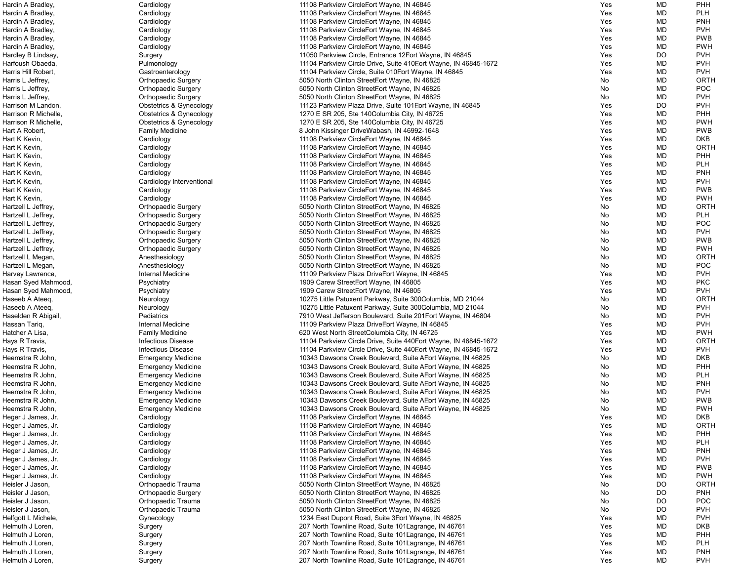| Hardin A Bradley,    | Cardiology                         | 11108 Parkview CircleEort Wayne, IN 46845                        | Yes | MD        | <b>PHH</b>  |
|----------------------|------------------------------------|------------------------------------------------------------------|-----|-----------|-------------|
| Hardin A Bradley,    | Cardiology                         | 11108 Parkview CircleEort Wayne, IN 46845                        | Yes | <b>MD</b> | <b>PLH</b>  |
| Hardin A Bradley,    | Cardiology                         | 11108 Parkview CircleEort Wayne, IN 46845                        | Yes | MD        | <b>PNH</b>  |
|                      |                                    | 11108 Parkview CircleEort Wayne, IN 46845                        | Yes | MD        | <b>PVH</b>  |
| Hardin A Bradley,    | Cardiology                         |                                                                  |     |           |             |
| Hardin A Bradley,    | Cardiology                         | 11108 Parkview CircleEort Wayne, IN 46845                        | Yes | MD        | <b>PWB</b>  |
| Hardin A Bradley,    | Cardiology                         | 11108 Parkview CircleEort Wayne, IN 46845                        | Yes | MD        | <b>PWH</b>  |
| Hardley B Lindsay,   | Surgery                            | 11050 Parkview Circle, Entrance 12Eort Wayne, IN 46845           | Yes | DO        | <b>PVH</b>  |
| Harfoush Obaeda,     | Pulmonology                        | 11104 Parkview Circle Drive, Suite 410 Eort Wayne, IN 46845-1672 | Yes | MD        | <b>PVH</b>  |
| Harris Hill Robert,  | Gastroenterology                   | 11104 Parkview Circle, Suite 010Eort Wayne, IN 46845             | Yes | MD        | <b>PVH</b>  |
| Harris L Jeffrey,    | <b>Orthopaedic Surgery</b>         | 5050 North Clinton StreetEort Wayne, IN 46825                    | No  | MD        | <b>ORTH</b> |
| Harris L Jeffrey,    | <b>Orthopaedic Surgery</b>         | 5050 North Clinton StreetEort Wayne, IN 46825                    | No  | MD        | POC         |
| Harris L Jeffrey,    | <b>Orthopaedic Surgery</b>         | 5050 North Clinton StreetEort Wayne, IN 46825                    | No  | MD        | <b>PVH</b>  |
|                      |                                    |                                                                  |     |           |             |
| Harrison M Landon,   | Obstetrics & Gynecology            | 11123 Parkview Plaza Drive, Suite 101 Eort Wayne, IN 46845       | Yes | DO        | <b>PVH</b>  |
| Harrison R Michelle, | <b>Obstetrics &amp; Gynecology</b> | 1270 E SR 205, Ste 140 Columbia City, IN 46725                   | Yes | <b>MD</b> | <b>PHH</b>  |
| Harrison R Michelle, | <b>Obstetrics &amp; Gynecology</b> | 1270 E SR 205, Ste 140 Columbia City, IN 46725                   | Yes | MD        | <b>PWH</b>  |
| Hart A Robert,       | <b>Family Medicine</b>             | 8 John Kissinger DriveWabash, IN 46992-1648                      | Yes | MD        | <b>PWB</b>  |
| Hart K Kevin,        | Cardiology                         | 11108 Parkview CircleEort Wayne, IN 46845                        | Yes | MD        | <b>DKB</b>  |
| Hart K Kevin,        | Cardiology                         | 11108 Parkview CircleEort Wayne, IN 46845                        | Yes | MD        | <b>ORTH</b> |
| Hart K Kevin,        | Cardiology                         | 11108 Parkview CircleEort Wayne, IN 46845                        | Yes | MD        | <b>PHH</b>  |
| Hart K Kevin,        | Cardiology                         | 11108 Parkview CircleEort Wayne, IN 46845                        | Yes | MD        | <b>PLH</b>  |
|                      |                                    |                                                                  |     |           | <b>PNH</b>  |
| Hart K Kevin,        | Cardiology                         | 11108 Parkview CircleEort Wayne, IN 46845                        | Yes | MD        |             |
| Hart K Kevin,        | Cardiology Interventional          | 11108 Parkview CircleEort Wayne, IN 46845                        | Yes | MD        | <b>PVH</b>  |
| Hart K Kevin,        | Cardiology                         | 11108 Parkview CircleEort Wayne, IN 46845                        | Yes | MD        | <b>PWB</b>  |
| Hart K Kevin,        | Cardiology                         | 11108 Parkview CircleEort Wayne, IN 46845                        | Yes | MD        | <b>PWH</b>  |
| Hartzell L Jeffrey,  | <b>Orthopaedic Surgery</b>         | 5050 North Clinton StreetEort Wayne, IN 46825                    | No  | MD        | <b>ORTH</b> |
| Hartzell L Jeffrey,  | <b>Orthopaedic Surgery</b>         | 5050 North Clinton StreetEort Wayne, IN 46825                    | No  | <b>MD</b> | <b>PLH</b>  |
| Hartzell L Jeffrey,  | <b>Orthopaedic Surgery</b>         | 5050 North Clinton StreetEort Wayne, IN 46825                    | No  | MD        | <b>POC</b>  |
| Hartzell L Jeffrey,  | <b>Orthopaedic Surgery</b>         | 5050 North Clinton StreetEort Wayne, IN 46825                    | No  | MD        | <b>PVH</b>  |
|                      |                                    |                                                                  |     |           | <b>PWB</b>  |
| Hartzell L Jeffrey,  | <b>Orthopaedic Surgery</b>         | 5050 North Clinton StreetEort Wayne, IN 46825                    | No  | MD        |             |
| Hartzell L Jeffrey,  | <b>Orthopaedic Surgery</b>         | 5050 North Clinton StreetEort Wayne, IN 46825                    | No  | MD        | <b>PWH</b>  |
| Hartzell L Megan,    | Anesthesiology                     | 5050 North Clinton StreetEort Wayne, IN 46825                    | No  | MD        | <b>ORTH</b> |
| Hartzell L Megan,    | Anesthesiology                     | 5050 North Clinton StreetEort Wayne, IN 46825                    | No  | MD        | POC         |
| Harvey Lawrence,     | Internal Medicine                  | 11109 Parkview Plaza DriveEort Wayne, IN 46845                   | Yes | MD        | <b>PVH</b>  |
| Hasan Syed Mahmood,  | Psychiatry                         | 1909 Carew StreetEort Wayne, IN 46805                            | Yes | MD        | <b>PKC</b>  |
| Hasan Syed Mahmood,  | Psychiatry                         | 1909 Carew StreetEort Wayne, IN 46805                            | Yes | <b>MD</b> | <b>PVH</b>  |
| Haseeb A Ateeq,      | Neurology                          | 10275 Little Patuxent Parkway, Suite 300Columbia, MD 21044       | No  | MD        | ORTH        |
| Haseeb A Ateeq,      |                                    | 10275 Little Patuxent Parkway, Suite 300Columbia, MD 21044       |     | <b>MD</b> | <b>PVH</b>  |
|                      | Neurology                          |                                                                  | No  |           |             |
| Haselden R Abigail,  | Pediatrics                         | 7910 West Jefferson Boulevard, Suite 201Eort Wayne, IN 46804     | No  | <b>MD</b> | <b>PVH</b>  |
| Hassan Tariq,        | Internal Medicine                  | 11109 Parkview Plaza DriveEort Wayne, IN 46845                   | Yes | MD        | <b>PVH</b>  |
| Hatcher A Lisa,      | <b>Family Medicine</b>             | 620 West North StreetColumbia City, IN 46725                     | Yes | MD        | <b>PWH</b>  |
| Hays R Travis,       | <b>Infectious Disease</b>          | 11104 Parkview Circle Drive, Suite 440 Eort Wayne, IN 46845-1672 | Yes | MD        | <b>ORTH</b> |
| Hays R Travis,       | <b>Infectious Disease</b>          | 11104 Parkview Circle Drive, Suite 440 Eort Wayne, IN 46845-1672 | Yes | MD        | <b>PVH</b>  |
| Heemstra R John,     | <b>Emergency Medicine</b>          | 10343 Dawsons Creek Boulevard, Suite AEort Wayne, IN 46825       | No  | MD        | <b>DKB</b>  |
| Heemstra R John,     | <b>Emergency Medicine</b>          | 10343 Dawsons Creek Boulevard, Suite AEort Wayne, IN 46825       | No  | MD        | <b>PHH</b>  |
| Heemstra R John,     | <b>Emergency Medicine</b>          | 10343 Dawsons Creek Boulevard, Suite AEort Wayne, IN 46825       | No  | MD        | <b>PLH</b>  |
|                      |                                    | 10343 Dawsons Creek Boulevard, Suite AEort Wayne, IN 46825       |     | MD        | <b>PNH</b>  |
| Heemstra R John,     | <b>Emergency Medicine</b>          |                                                                  | No  |           |             |
| Heemstra R John,     | <b>Emergency Medicine</b>          | 10343 Dawsons Creek Boulevard, Suite AEort Wayne, IN 46825       | No  | MD        | <b>PVH</b>  |
| Heemstra R John,     | <b>Emergency Medicine</b>          | 10343 Dawsons Creek Boulevard, Suite AEort Wayne, IN 46825       | No  | MD        | <b>PWB</b>  |
| Heemstra R John,     | <b>Emergency Medicine</b>          | 10343 Dawsons Creek Boulevard, Suite AEort Wayne, IN 46825       | No  | MD        | <b>PWH</b>  |
| Heger J James, Jr.   | Cardiology                         | 11108 Parkview CircleEort Wayne, IN 46845                        | Yes | <b>MD</b> | <b>DKB</b>  |
| Heger J James, Jr.   | Cardiology                         | 11108 Parkview CircleEort Wayne, IN 46845                        | Yes | MD        | ORTH        |
| Heger J James, Jr.   | Cardiology                         | 11108 Parkview CircleEort Wayne, IN 46845                        | Yes | MD        | PHH         |
| Heger J James, Jr.   | Cardiology                         | 11108 Parkview CircleEort Wayne, IN 46845                        | Yes | MD        | <b>PLH</b>  |
| Heger J James, Jr.   | Cardiology                         | 11108 Parkview CircleEort Wayne, IN 46845                        | Yes | MD        | <b>PNH</b>  |
|                      |                                    |                                                                  |     |           | <b>PVH</b>  |
| Heger J James, Jr.   | Cardiology                         | 11108 Parkview CircleEort Wayne, IN 46845                        | Yes | MD        |             |
| Heger J James, Jr.   | Cardiology                         | 11108 Parkview CircleEort Wayne, IN 46845                        | Yes | MD        | <b>PWB</b>  |
| Heger J James, Jr.   | Cardiology                         | 11108 Parkview CircleEort Wayne, IN 46845                        | Yes | MD        | <b>PWH</b>  |
| Heisler J Jason,     | Orthopaedic Trauma                 | 5050 North Clinton StreetEort Wayne, IN 46825                    | No  | <b>DO</b> | <b>ORTH</b> |
| Heisler J Jason,     | <b>Orthopaedic Surgery</b>         | 5050 North Clinton StreetEort Wayne, IN 46825                    | No  | <b>DO</b> | <b>PNH</b>  |
| Heisler J Jason,     | Orthopaedic Trauma                 | 5050 North Clinton StreetEort Wayne, IN 46825                    | No  | DO        | <b>POC</b>  |
| Heisler J Jason,     | Orthopaedic Trauma                 | 5050 North Clinton StreetEort Wayne, IN 46825                    | No  | DO        | <b>PVH</b>  |
| Helfgott L Michele,  | Gynecology                         | 1234 East Dupont Road, Suite 3 Eort Wayne, IN 46825              | Yes | MD        | <b>PVH</b>  |
| Helmuth J Loren,     | Surgery                            | 207 North Townline Road, Suite 101 Lagrange, IN 46761            | Yes | MD        | <b>DKB</b>  |
|                      |                                    |                                                                  |     |           |             |
| Helmuth J Loren,     | Surgery                            | 207 North Townline Road, Suite 101 Lagrange, IN 46761            | Yes | MD        | PHH         |
| Helmuth J Loren,     | Surgery                            | 207 North Townline Road, Suite 101 Lagrange, IN 46761            | Yes | MD        | <b>PLH</b>  |
| Helmuth J Loren,     | Surgery                            | 207 North Townline Road, Suite 101 Lagrange, IN 46761            | Yes | MD        | <b>PNH</b>  |
| Helmuth J Loren,     | Surgery                            | 207 North Townline Road, Suite 101 Lagrange, IN 46761            | Yes | MD        | <b>PVH</b>  |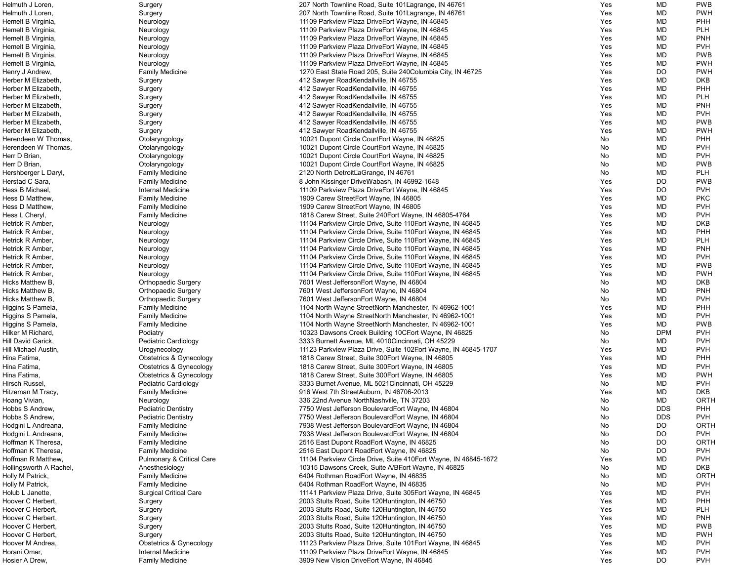| Helmuth J Loren,        | Surgery                              | 207 North Townline Road, Suite 101 Lagrange, IN 46761            | Yes        | <b>MD</b>  | <b>PWB</b>  |
|-------------------------|--------------------------------------|------------------------------------------------------------------|------------|------------|-------------|
| Helmuth J Loren,        | Surgery                              | 207 North Townline Road, Suite 101 Lagrange, IN 46761            | Yes        | <b>MD</b>  | <b>PWH</b>  |
| Hemelt B Virginia,      | Neurology                            | 11109 Parkview Plaza DriveEort Wayne, IN 46845                   | Yes        | <b>MD</b>  | <b>PHH</b>  |
| Hemelt B Virginia,      | Neurology                            | 11109 Parkview Plaza DriveEort Wayne, IN 46845                   | Yes        | <b>MD</b>  | <b>PLH</b>  |
| Hemelt B Virginia,      | Neurology                            | 11109 Parkview Plaza DriveEort Wayne, IN 46845                   | Yes        | <b>MD</b>  | <b>PNH</b>  |
| Hemelt B Virginia,      | Neurology                            | 11109 Parkview Plaza DriveEort Wayne, IN 46845                   | Yes        | <b>MD</b>  | <b>PVH</b>  |
| Hemelt B Virginia,      | Neurology                            | 11109 Parkview Plaza DriveEort Wayne, IN 46845                   | Yes        | <b>MD</b>  | <b>PWB</b>  |
| Hemelt B Virginia,      | Neurology                            | 11109 Parkview Plaza DriveEort Wayne, IN 46845                   | Yes        | <b>MD</b>  | <b>PWH</b>  |
|                         |                                      | 1270 East State Road 205, Suite 240 Columbia City, IN 46725      |            | <b>DO</b>  | <b>PWH</b>  |
| Henry J Andrew,         | <b>Family Medicine</b>               |                                                                  | Yes        |            |             |
| Herber M Elizabeth,     | Surgery                              | 412 Sawyer RoadKendallville, IN 46755                            | Yes        | <b>MD</b>  | <b>DKB</b>  |
| Herber M Elizabeth,     | Surgery                              | 412 Sawyer RoadKendallville, IN 46755                            | <b>Yes</b> | <b>MD</b>  | <b>PHH</b>  |
| Herber M Elizabeth,     | Surgery                              | 412 Sawyer RoadKendallville, IN 46755                            | Yes        | <b>MD</b>  | <b>PLH</b>  |
| Herber M Elizabeth,     | Surgery                              | 412 Sawyer RoadKendallville, IN 46755                            | Yes        | <b>MD</b>  | <b>PNH</b>  |
| Herber M Elizabeth,     | Surgery                              | 412 Sawyer RoadKendallville, IN 46755                            | Yes        | <b>MD</b>  | <b>PVH</b>  |
| Herber M Elizabeth,     | Surgery                              | 412 Sawyer RoadKendallville, IN 46755                            | Yes        | <b>MD</b>  | <b>PWB</b>  |
| Herber M Elizabeth,     | Surgery                              | 412 Sawyer RoadKendallville, IN 46755                            | Yes        | <b>MD</b>  | <b>PWH</b>  |
| Herendeen W Thomas,     | Otolaryngology                       | 10021 Dupont Circle CourtEort Wayne, IN 46825                    | No         | <b>MD</b>  | <b>PHH</b>  |
| Herendeen W Thomas,     | Otolaryngology                       | 10021 Dupont Circle CourtEort Wayne, IN 46825                    | No         | <b>MD</b>  | <b>PVH</b>  |
| Herr D Brian,           | Otolaryngology                       | 10021 Dupont Circle CourtEort Wayne, IN 46825                    | No         | <b>MD</b>  | <b>PVH</b>  |
| Herr D Brian,           | Otolaryngology                       | 10021 Dupont Circle CourtEort Wayne, IN 46825                    | No         | <b>MD</b>  | <b>PWB</b>  |
| Hershberger L Daryl,    | <b>Family Medicine</b>               | 2120 North DetroitLaGrange, IN 46761                             | No.        | <b>MD</b>  | <b>PLH</b>  |
| Herstad C Sara,         | <b>Family Medicine</b>               | 8 John Kissinger DriveWabash, IN 46992-1648                      | Yes        | <b>DO</b>  | <b>PWB</b>  |
| Hess B Michael,         | Internal Medicine                    | 11109 Parkview Plaza DriveEort Wayne, IN 46845                   | Yes        | <b>DO</b>  | <b>PVH</b>  |
| Hess D Matthew,         | <b>Family Medicine</b>               | 1909 Carew StreetEort Wayne, IN 46805                            | Yes        | <b>MD</b>  | <b>PKC</b>  |
|                         |                                      |                                                                  |            |            |             |
| Hess D Matthew,         | <b>Family Medicine</b>               | 1909 Carew StreetEort Wayne, IN 46805                            | Yes        | <b>MD</b>  | <b>PVH</b>  |
| Hess L Cheryl,          | <b>Family Medicine</b>               | 1818 Carew Street, Suite 240 Eort Wayne, IN 46805-4764           | Yes        | <b>MD</b>  | <b>PVH</b>  |
| Hetrick R Amber,        | Neurology                            | 11104 Parkview Circle Drive, Suite 110 Fort Wayne, IN 46845      | Yes        | <b>MD</b>  | <b>DKB</b>  |
| Hetrick R Amber,        | Neurology                            | 11104 Parkview Circle Drive, Suite 110 Fort Wayne, IN 46845      | Yes        | <b>MD</b>  | <b>PHH</b>  |
| Hetrick R Amber,        | Neurology                            | 11104 Parkview Circle Drive, Suite 110Eort Wayne, IN 46845       | Yes        | <b>MD</b>  | <b>PLH</b>  |
| Hetrick R Amber,        | Neurology                            | 11104 Parkview Circle Drive, Suite 110 Eort Wayne, IN 46845      | Yes        | <b>MD</b>  | <b>PNH</b>  |
| Hetrick R Amber,        | Neurology                            | 11104 Parkview Circle Drive, Suite 110 Eort Wayne, IN 46845      | Yes        | <b>MD</b>  | <b>PVH</b>  |
| Hetrick R Amber,        | Neurology                            | 11104 Parkview Circle Drive, Suite 110Eort Wayne, IN 46845       | Yes        | <b>MD</b>  | <b>PWB</b>  |
| Hetrick R Amber,        | Neurology                            | 11104 Parkview Circle Drive, Suite 110 Eort Wayne, IN 46845      | Yes        | <b>MD</b>  | <b>PWH</b>  |
| Hicks Matthew B.        | <b>Orthopaedic Surgery</b>           | 7601 West JeffersonEort Wayne, IN 46804                          | No         | <b>MD</b>  | <b>DKB</b>  |
| Hicks Matthew B.        | <b>Orthopaedic Surgery</b>           | 7601 West JeffersonEort Wayne, IN 46804                          | No         | <b>MD</b>  | <b>PNH</b>  |
| Hicks Matthew B.        | <b>Orthopaedic Surgery</b>           | 7601 West JeffersonEort Wayne, IN 46804                          | No         | <b>MD</b>  | <b>PVH</b>  |
| Higgins S Pamela,       | <b>Family Medicine</b>               | 1104 North Wayne StreetNorth Manchester, IN 46962-1001           | Yes        | <b>MD</b>  | <b>PHH</b>  |
| Higgins S Pamela,       | <b>Family Medicine</b>               | 1104 North Wayne StreetNorth Manchester, IN 46962-1001           | Yes        | <b>MD</b>  | <b>PVH</b>  |
| Higgins S Pamela,       | <b>Family Medicine</b>               | 1104 North Wayne StreetNorth Manchester, IN 46962-1001           | Yes        | <b>MD</b>  | <b>PWB</b>  |
| Hilker M Richard,       | Podiatry                             | 10323 Dawsons Creek Building 10CEort Wayne, IN 46825             | No         | <b>DPM</b> | <b>PVH</b>  |
| Hill David Garick,      | Pediatric Cardiology                 | 3333 Burnett Avenue, ML 4010Cincinnati, OH 45229                 | No         | <b>MD</b>  | <b>PVH</b>  |
| Hill Michael Austin,    | Urogynecology                        | 11123 Parkview Plaza Drive, Suite 102Eort Wayne, IN 46845-1707   | Yes        | <b>MD</b>  | <b>PVH</b>  |
|                         |                                      |                                                                  |            |            |             |
| Hina Fatima,            | <b>Obstetrics &amp; Gynecology</b>   | 1818 Carew Street, Suite 300 Eort Wayne, IN 46805                | Yes        | <b>MD</b>  | PHH         |
| Hina Fatima,            | Obstetrics & Gynecology              | 1818 Carew Street, Suite 300 Eort Wayne, IN 46805                | Yes        | <b>MD</b>  | <b>PVH</b>  |
| Hina Fatima,            | Obstetrics & Gynecology              | 1818 Carew Street, Suite 300 Eort Wayne, IN 46805                | Yes        | <b>MD</b>  | <b>PWH</b>  |
| Hirsch Russel,          | Pediatric Cardiology                 | 3333 Burnet Avenue, ML 5021 Cincinnati, OH 45229                 | No         | <b>MD</b>  | <b>PVH</b>  |
| Hitzeman M Tracy,       | <b>Family Medicine</b>               | 916 West 7th StreetAuburn, IN 46706-2013                         | <b>Yes</b> | <b>MD</b>  | DKB         |
| Hoang Vivian,           | Neurology                            | 336 22nd Avenue NorthNashville, TN 37203                         | No         | <b>MD</b>  | <b>ORTH</b> |
| Hobbs S Andrew,         | <b>Pediatric Dentistry</b>           | 7750 West Jefferson BoulevardEort Wayne, IN 46804                | No         | <b>DDS</b> | <b>PHH</b>  |
| Hobbs S Andrew,         | <b>Pediatric Dentistry</b>           | 7750 West Jefferson BoulevardEort Wayne, IN 46804                | No         | <b>DDS</b> | <b>PVH</b>  |
| Hodgini L Andreana,     | <b>Family Medicine</b>               | 7938 West Jefferson BoulevardEort Wayne, IN 46804                | No         | DO         | <b>ORTH</b> |
| Hodgini L Andreana,     | <b>Family Medicine</b>               | 7938 West Jefferson BoulevardEort Wayne, IN 46804                | No         | <b>DO</b>  | <b>PVH</b>  |
| Hoffman K Theresa,      | <b>Family Medicine</b>               | 2516 East Dupont RoadEort Wayne, IN 46825                        | No         | <b>DO</b>  | <b>ORTH</b> |
| Hoffman K Theresa,      | <b>Family Medicine</b>               | 2516 East Dupont RoadEort Wayne, IN 46825                        | No         | <b>DO</b>  | <b>PVH</b>  |
| Hoffman R Matthew,      | <b>Pulmonary &amp; Critical Care</b> | 11104 Parkview Circle Drive, Suite 410 Eort Wayne, IN 46845-1672 | Yes        | <b>MD</b>  | <b>PVH</b>  |
| Hollingsworth A Rachel, | Anesthesiology                       | 10315 Dawsons Creek, Suite A/BEort Wayne, IN 46825               | No         | <b>MD</b>  | <b>DKB</b>  |
| Holly M Patrick,        | <b>Family Medicine</b>               | 6404 Rothman RoadEort Wayne, IN 46835                            | No         | <b>MD</b>  | ORTH        |
| Holly M Patrick,        | <b>Family Medicine</b>               | 6404 Rothman RoadEort Wayne, IN 46835                            | No         | <b>MD</b>  | <b>PVH</b>  |
| Holub L Janette,        | <b>Surgical Critical Care</b>        | 11141 Parkview Plaza Drive, Suite 305 Eort Wayne, IN 46845       | Yes        | <b>MD</b>  | <b>PVH</b>  |
| Hoover C Herbert,       |                                      |                                                                  |            |            | <b>PHH</b>  |
|                         | Surgery                              | 2003 Stults Road, Suite 120 Huntington, IN 46750                 | Yes        | <b>MD</b>  |             |
| Hoover C Herbert,       | Surgery                              | 2003 Stults Road, Suite 120 Huntington, IN 46750                 | Yes        | <b>MD</b>  | <b>PLH</b>  |
| Hoover C Herbert,       | Surgery                              | 2003 Stults Road, Suite 120 Huntington, IN 46750                 | Yes        | <b>MD</b>  | <b>PNH</b>  |
| Hoover C Herbert,       | Surgery                              | 2003 Stults Road, Suite 120 Huntington, IN 46750                 | Yes        | MD         | <b>PWB</b>  |
| Hoover C Herbert,       | Surgery                              | 2003 Stults Road, Suite 120 Huntington, IN 46750                 | Yes        | <b>MD</b>  | <b>PWH</b>  |
| Hoover M Andrea,        | <b>Obstetrics &amp; Gynecology</b>   | 11123 Parkview Plaza Drive, Suite 101 Eort Wayne, IN 46845       | Yes        | <b>MD</b>  | <b>PVH</b>  |
| Horani Omar,            | Internal Medicine                    | 11109 Parkview Plaza DriveEort Wayne, IN 46845                   | Yes        | <b>MD</b>  | <b>PVH</b>  |
| Hosier A Drew,          | <b>Family Medicine</b>               | 3909 New Vision DriveEort Wayne, IN 46845                        | Yes        | <b>DO</b>  | <b>PVH</b>  |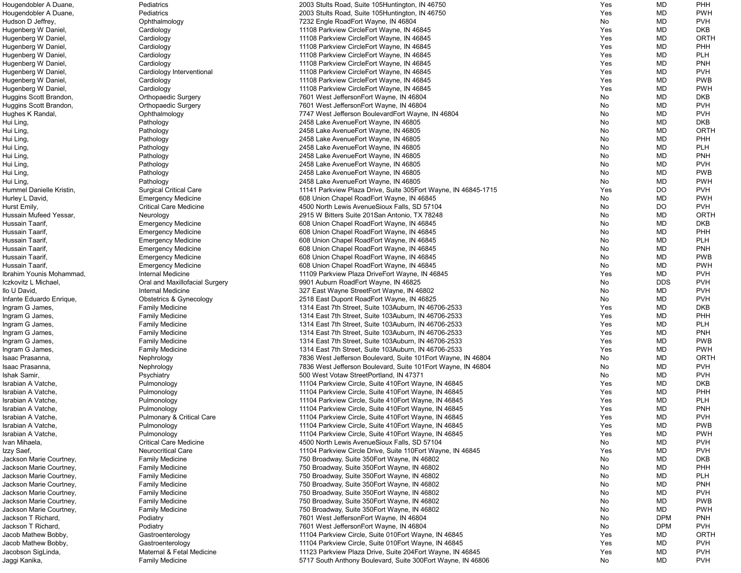| Hougendobler A Duane,    | Pediatrics                           | 2003 Stults Road, Suite 105 Huntington, IN 46750               | Yes        | MD         | <b>PHH</b>  |
|--------------------------|--------------------------------------|----------------------------------------------------------------|------------|------------|-------------|
| Hougendobler A Duane,    | Pediatrics                           | 2003 Stults Road, Suite 105 Huntington, IN 46750               | Yes        | MD         | <b>PWH</b>  |
| Hudson D Jeffrey,        | Ophthalmology                        | 7232 Engle RoadEort Wayne, IN 46804                            | No         | MD         | <b>PVH</b>  |
| Hugenberg W Daniel,      | Cardiology                           | 11108 Parkview CircleEort Wayne, IN 46845                      | Yes        | MD         | <b>DKB</b>  |
|                          |                                      |                                                                |            |            |             |
| Hugenberg W Daniel,      | Cardiology                           | 11108 Parkview CircleEort Wayne, IN 46845                      | Yes        | MD         | <b>ORTH</b> |
| Hugenberg W Daniel,      | Cardiology                           | 11108 Parkview CircleEort Wayne, IN 46845                      | Yes        | MD         | PHH         |
| Hugenberg W Daniel,      | Cardiology                           | 11108 Parkview CircleEort Wayne, IN 46845                      | Yes        | MD         | <b>PLH</b>  |
| Hugenberg W Daniel,      | Cardiology                           | 11108 Parkview CircleEort Wayne, IN 46845                      | Yes        | MD         | <b>PNH</b>  |
| Hugenberg W Daniel,      | Cardiology Interventional            | 11108 Parkview CircleEort Wayne, IN 46845                      | Yes        | MD         | <b>PVH</b>  |
| Hugenberg W Daniel,      | Cardiology                           | 11108 Parkview CircleEort Wayne, IN 46845                      | Yes        | MD         | <b>PWB</b>  |
|                          |                                      | 11108 Parkview CircleEort Wayne, IN 46845                      | Yes        | MD         | <b>PWH</b>  |
| Hugenberg W Daniel,      | Cardiology                           |                                                                |            |            |             |
| Huggins Scott Brandon,   | <b>Orthopaedic Surgery</b>           | 7601 West JeffersonEort Wayne, IN 46804                        | No         | MD         | <b>DKB</b>  |
| Huggins Scott Brandon,   | <b>Orthopaedic Surgery</b>           | 7601 West JeffersonEort Wayne, IN 46804                        | No         | MD         | <b>PVH</b>  |
| Hughes K Randal,         | Ophthalmology                        | 7747 West Jefferson BoulevardEort Wayne, IN 46804              | No         | MD         | <b>PVH</b>  |
| Hui Ling,                | Pathology                            | 2458 Lake Avenue Eort Wayne, IN 46805                          | No         | MD         | <b>DKB</b>  |
| Hui Ling,                | Pathology                            | 2458 Lake AvenueEort Wayne, IN 46805                           | No         | MD         | <b>ORTH</b> |
|                          |                                      |                                                                |            |            |             |
| Hui Ling,                | Pathology                            | 2458 Lake AvenueEort Wayne, IN 46805                           | No         | MD         | PHH         |
| Hui Ling,                | Pathology                            | 2458 Lake AvenueEort Wayne, IN 46805                           | No         | MD         | <b>PLH</b>  |
| Hui Ling,                | Pathology                            | 2458 Lake AvenueEort Wayne, IN 46805                           | No         | MD         | <b>PNH</b>  |
| Hui Ling,                | Pathology                            | 2458 Lake AvenueEort Wayne, IN 46805                           | No         | MD         | <b>PVH</b>  |
| Hui Ling,                | Pathology                            | 2458 Lake AvenueEort Wayne, IN 46805                           | No.        | MD         | <b>PWB</b>  |
| Hui Ling,                | Pathology                            | 2458 Lake AvenueEort Wayne, IN 46805                           | No         | MD         | <b>PWH</b>  |
|                          |                                      |                                                                |            |            |             |
| Hummel Danielle Kristin, | <b>Surgical Critical Care</b>        | 11141 Parkview Plaza Drive, Suite 305Eort Wayne, IN 46845-1715 | Yes        | <b>DO</b>  | <b>PVH</b>  |
| Hurley L David,          | <b>Emergency Medicine</b>            | 608 Union Chapel RoadEort Wayne, IN 46845                      | No         | MD         | <b>PWH</b>  |
| Hurst Emily,             | <b>Critical Care Medicine</b>        | 4500 North Lewis AvenueSioux Falls, SD 57104                   | No         | <b>DO</b>  | <b>PVH</b>  |
| Hussain Mufeed Yessar,   | Neurology                            | 2915 W Bitters Suite 201San Antonio, TX 78248                  | No         | MD         | <b>ORTH</b> |
| Hussain Taarif,          | <b>Emergency Medicine</b>            | 608 Union Chapel RoadEort Wayne, IN 46845                      | No         | MD         | <b>DKB</b>  |
| Hussain Taarif,          |                                      |                                                                | No         | MD         | PHH         |
|                          | <b>Emergency Medicine</b>            | 608 Union Chapel RoadEort Wayne, IN 46845                      |            |            |             |
| Hussain Taarif,          | <b>Emergency Medicine</b>            | 608 Union Chapel RoadEort Wayne, IN 46845                      | No         | MD         | <b>PLH</b>  |
| Hussain Taarif,          | <b>Emergency Medicine</b>            | 608 Union Chapel RoadEort Wayne, IN 46845                      | No         | MD         | <b>PNH</b>  |
| Hussain Taarif,          | <b>Emergency Medicine</b>            | 608 Union Chapel RoadEort Wayne, IN 46845                      | No         | MD         | <b>PWB</b>  |
| Hussain Taarif,          | <b>Emergency Medicine</b>            | 608 Union Chapel RoadEort Wayne, IN 46845                      | No         | MD         | <b>PWH</b>  |
| Ibrahim Younis Mohammad, | Internal Medicine                    | 11109 Parkview Plaza DriveEort Wayne, IN 46845                 | Yes        | MD         | <b>PVH</b>  |
| Iczkovitz L Michael,     |                                      |                                                                | No         | <b>DDS</b> | <b>PVH</b>  |
|                          | Oral and Maxillofacial Surgery       | 9901 Auburn RoadEort Wayne, IN 46825                           |            |            |             |
| Ilo U David,             | Internal Medicine                    | 327 East Wayne StreetEort Wayne, IN 46802                      | No         | MD         | <b>PVH</b>  |
| Infante Eduardo Enrique, | Obstetrics & Gynecology              | 2518 East Dupont RoadEort Wayne, IN 46825                      | No         | MD         | <b>PVH</b>  |
| Ingram G James,          | <b>Family Medicine</b>               | 1314 East 7th Street, Suite 103Auburn, IN 46706-2533           | Yes        | MD         | DKB         |
| Ingram G James,          | <b>Family Medicine</b>               | 1314 East 7th Street, Suite 103Auburn, IN 46706-2533           | Yes        | MD         | PHH         |
| Ingram G James,          | <b>Family Medicine</b>               | 1314 East 7th Street, Suite 103Auburn, IN 46706-2533           | Yes        | MD         | <b>PLH</b>  |
|                          |                                      |                                                                | Yes        | MD         | <b>PNH</b>  |
| Ingram G James,          | <b>Family Medicine</b>               | 1314 East 7th Street, Suite 103Auburn, IN 46706-2533           |            |            |             |
| Ingram G James,          | <b>Family Medicine</b>               | 1314 East 7th Street, Suite 103Auburn, IN 46706-2533           | Yes        | MD         | <b>PWB</b>  |
| Ingram G James,          | <b>Family Medicine</b>               | 1314 East 7th Street, Suite 103Auburn, IN 46706-2533           | Yes        | MD         | <b>PWH</b>  |
| Isaac Prasanna,          | Nephrology                           | 7836 West Jefferson Boulevard, Suite 101Eort Wayne, IN 46804   | No         | MD         | <b>ORTH</b> |
| Isaac Prasanna,          | Nephrology                           | 7836 West Jefferson Boulevard, Suite 101 Eort Wayne, IN 46804  | No         | MD         | <b>PVH</b>  |
| Ishak Samir,             | Psychiatry                           | 500 West Votaw StreetPortland, IN 47371                        | No.        | MD         | <b>PVH</b>  |
|                          |                                      |                                                                |            |            |             |
| Israbian A Vatche,       | Pulmonology                          | 11104 Parkview Circle, Suite 410Eort Wayne, IN 46845           | Yes        | MD         | <b>DKB</b>  |
| Israbian A Vatche,       | Pulmonology                          | 11104 Parkview Circle, Suite 410Eort Wayne, IN 46845           | Yes        | MD         | PHH         |
| Israbian A Vatche,       | Pulmonology                          | 11104 Parkview Circle, Suite 410 Eort Wayne, IN 46845          | Yes        | MD         | <b>PLH</b>  |
| Israbian A Vatche,       | Pulmonology                          | 11104 Parkview Circle, Suite 410 Fort Wayne, IN 46845          | Yes        | MD         | <b>PNH</b>  |
| Israbian A Vatche,       | <b>Pulmonary &amp; Critical Care</b> | 11104 Parkview Circle, Suite 410 Eort Wayne, IN 46845          | <b>Yes</b> | MD         | <b>PVH</b>  |
| Israbian A Vatche,       | Pulmonology                          | 11104 Parkview Circle, Suite 410 Eort Wayne, IN 46845          | Yes        | MD         | <b>PWB</b>  |
|                          |                                      |                                                                |            |            |             |
| Israbian A Vatche,       | Pulmonology                          | 11104 Parkview Circle, Suite 410 Fort Wayne, IN 46845          | Yes        | MD         | <b>PWH</b>  |
| Ivan Mihaela,            | <b>Critical Care Medicine</b>        | 4500 North Lewis AvenueSioux Falls, SD 57104                   | No         | MD         | <b>PVH</b>  |
| Izzy Saef,               | <b>Neurocritical Care</b>            | 11104 Parkview Circle Drive, Suite 110 Eort Wayne, IN 46845    | Yes        | MD         | <b>PVH</b>  |
| Jackson Marie Courtney,  | <b>Family Medicine</b>               | 750 Broadway, Suite 350 Eort Wayne, IN 46802                   | No         | MD         | <b>DKB</b>  |
| Jackson Marie Courtney,  | <b>Family Medicine</b>               | 750 Broadway, Suite 350 Eort Wayne, IN 46802                   | No         | MD         | PHH         |
|                          |                                      |                                                                |            |            |             |
| Jackson Marie Courtney,  | <b>Family Medicine</b>               | 750 Broadway, Suite 350 Eort Wayne, IN 46802                   | No.        | MD         | <b>PLH</b>  |
| Jackson Marie Courtney,  | <b>Family Medicine</b>               | 750 Broadway, Suite 350 Eort Wayne, IN 46802                   | No         | MD         | <b>PNH</b>  |
| Jackson Marie Courtney,  | <b>Family Medicine</b>               | 750 Broadway, Suite 350 Eort Wayne, IN 46802                   | No         | MD         | <b>PVH</b>  |
| Jackson Marie Courtney,  | <b>Family Medicine</b>               | 750 Broadway, Suite 350 Eort Wayne, IN 46802                   | No         | MD         | <b>PWB</b>  |
| Jackson Marie Courtney,  | <b>Family Medicine</b>               | 750 Broadway, Suite 350 Eort Wayne, IN 46802                   | No         | MD         | <b>PWH</b>  |
| Jackson T Richard,       | Podiatry                             | 7601 West JeffersonEort Wayne, IN 46804                        | No         | <b>DPM</b> | <b>PNH</b>  |
|                          |                                      |                                                                |            |            |             |
| Jackson T Richard,       | Podiatry                             | 7601 West JeffersonEort Wayne, IN 46804                        | No         | <b>DPM</b> | <b>PVH</b>  |
| Jacob Mathew Bobby,      | Gastroenterology                     | 11104 Parkview Circle, Suite 010Eort Wayne, IN 46845           | Yes        | MD         | <b>ORTH</b> |
| Jacob Mathew Bobby,      | Gastroenterology                     | 11104 Parkview Circle, Suite 010Eort Wayne, IN 46845           | Yes        | MD         | <b>PVH</b>  |
| Jacobson SigLinda,       | Maternal & Fetal Medicine            | 11123 Parkview Plaza Drive, Suite 204Eort Wayne, IN 46845      | Yes        | MD         | <b>PVH</b>  |
| Jaggi Kanika,            | <b>Family Medicine</b>               | 5717 South Anthony Boulevard, Suite 300 Eort Wayne, IN 46806   | No         | MD         | <b>PVH</b>  |
|                          |                                      |                                                                |            |            |             |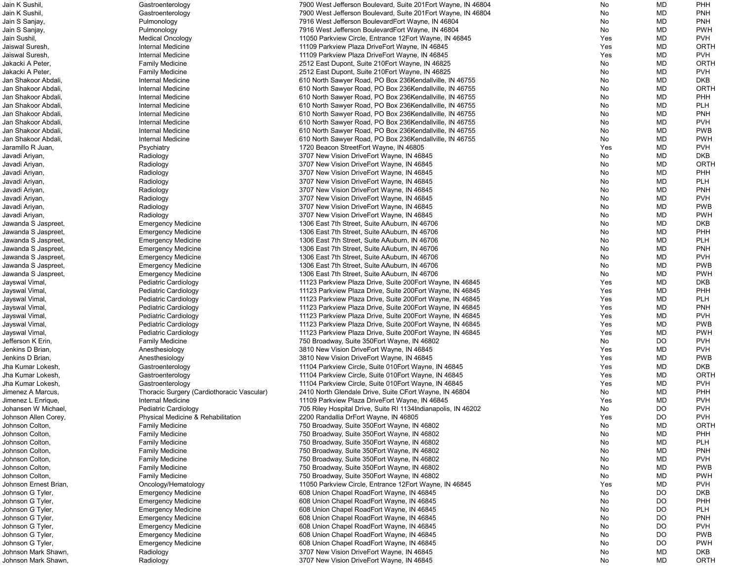| Jain K Sushil,        | Gastroenterology                           | 7900 West Jefferson Boulevard, Suite 201Eort Wayne, IN 46804   | No  | MD        | PHH         |
|-----------------------|--------------------------------------------|----------------------------------------------------------------|-----|-----------|-------------|
| Jain K Sushil,        | Gastroenterology                           | 7900 West Jefferson Boulevard, Suite 201 Eort Wayne, IN 46804  | No  | MD        | <b>PNH</b>  |
| Jain S Sanjay,        | Pulmonology                                | 7916 West Jefferson BoulevardEort Wayne, IN 46804              | No  | MD        | <b>PNH</b>  |
| Jain S Sanjay,        | Pulmonology                                | 7916 West Jefferson BoulevardEort Wayne, IN 46804              | No  | <b>MD</b> | <b>PWH</b>  |
| Jain Sushil,          | <b>Medical Oncology</b>                    | 11050 Parkview Circle, Entrance 12Eort Wayne, IN 46845         | Yes | <b>MD</b> | <b>PVH</b>  |
| Jaiswal Suresh,       | Internal Medicine                          | 11109 Parkview Plaza DriveEort Wayne, IN 46845                 | Yes | <b>MD</b> | ORTH        |
| Jaiswal Suresh,       | <b>Internal Medicine</b>                   | 11109 Parkview Plaza DriveEort Wayne, IN 46845                 | Yes | <b>MD</b> | <b>PVH</b>  |
| Jakacki A Peter,      | <b>Family Medicine</b>                     | 2512 East Dupont, Suite 210 Eort Wayne, IN 46825               | No  | <b>MD</b> | ORTH        |
| Jakacki A Peter,      | <b>Family Medicine</b>                     | 2512 East Dupont, Suite 210 Eort Wayne, IN 46825               | No  | MD        | <b>PVH</b>  |
| Jan Shakoor Abdali.   | <b>Internal Medicine</b>                   | 610 North Sawyer Road, PO Box 236Kendallville, IN 46755        | No  | <b>MD</b> | <b>DKB</b>  |
| Jan Shakoor Abdali.   | <b>Internal Medicine</b>                   | 610 North Sawyer Road, PO Box 236Kendallville, IN 46755        | No  | <b>MD</b> | ORTH        |
| Jan Shakoor Abdali    | <b>Internal Medicine</b>                   | 610 North Sawyer Road, PO Box 236Kendallville, IN 46755        | No  | <b>MD</b> | PHH         |
| Jan Shakoor Abdali,   | <b>Internal Medicine</b>                   | 610 North Sawyer Road, PO Box 236Kendallville, IN 46755        | No  | MD        | <b>PLH</b>  |
| Jan Shakoor Abdali.   | <b>Internal Medicine</b>                   | 610 North Sawyer Road, PO Box 236Kendallville, IN 46755        | No  | MD        | <b>PNH</b>  |
| Jan Shakoor Abdali.   | <b>Internal Medicine</b>                   | 610 North Sawyer Road, PO Box 236Kendallville, IN 46755        | No  | MD        | <b>PVH</b>  |
| Jan Shakoor Abdali.   | <b>Internal Medicine</b>                   | 610 North Sawyer Road, PO Box 236Kendallville, IN 46755        | No  | <b>MD</b> | <b>PWB</b>  |
| Jan Shakoor Abdali.   | Internal Medicine                          | 610 North Sawyer Road, PO Box 236Kendallville, IN 46755        | No  | <b>MD</b> | <b>PWH</b>  |
| Jaramillo R Juan,     | Psychiatry                                 | 1720 Beacon StreetEort Wayne, IN 46805                         | Yes | <b>MD</b> | <b>PVH</b>  |
| Javadi Ariyan,        | Radiology                                  | 3707 New Vision DriveEort Wayne, IN 46845                      | No  | MD        | <b>DKB</b>  |
| Javadi Ariyan,        | Radiology                                  | 3707 New Vision DriveEort Wayne, IN 46845                      | No  | MD        | ORTH        |
| Javadi Ariyan,        | Radiology                                  | 3707 New Vision DriveEort Wayne, IN 46845                      | No  | MD        | PHH         |
| Javadi Ariyan,        | Radiology                                  | 3707 New Vision DriveEort Wayne, IN 46845                      | No  | <b>MD</b> | <b>PLH</b>  |
| Javadi Ariyan,        | Radiology                                  | 3707 New Vision DriveEort Wayne, IN 46845                      | No  | <b>MD</b> | <b>PNH</b>  |
| Javadi Ariyan,        | Radiology                                  | 3707 New Vision DriveEort Wayne, IN 46845                      | No  | <b>MD</b> | <b>PVH</b>  |
|                       |                                            |                                                                |     |           |             |
| Javadi Ariyan,        | Radiology                                  | 3707 New Vision DriveEort Wayne, IN 46845                      | No  | MD        | <b>PWB</b>  |
| Javadi Ariyan,        | Radiology                                  | 3707 New Vision DriveEort Wayne, IN 46845                      | No  | MD        | <b>PWH</b>  |
| Jawanda S Jaspreet,   | <b>Emergency Medicine</b>                  | 1306 East 7th Street, Suite AAuburn, IN 46706                  | No  | <b>MD</b> | <b>DKB</b>  |
| Jawanda S Jaspreet,   | <b>Emergency Medicine</b>                  | 1306 East 7th Street, Suite AAuburn, IN 46706                  | No  | <b>MD</b> | PHH         |
| Jawanda S Jaspreet,   | <b>Emergency Medicine</b>                  | 1306 East 7th Street, Suite AAuburn, IN 46706                  | No  | <b>MD</b> | <b>PLH</b>  |
| Jawanda S Jaspreet,   | <b>Emergency Medicine</b>                  | 1306 East 7th Street, Suite AAuburn, IN 46706                  | No  | <b>MD</b> | <b>PNH</b>  |
| Jawanda S Jaspreet,   | <b>Emergency Medicine</b>                  | 1306 East 7th Street, Suite AAuburn, IN 46706                  | No  | MD        | <b>PVH</b>  |
| Jawanda S Jaspreet,   | <b>Emergency Medicine</b>                  | 1306 East 7th Street, Suite AAuburn, IN 46706                  | No  | MD        | <b>PWB</b>  |
| Jawanda S Jaspreet,   | <b>Emergency Medicine</b>                  | 1306 East 7th Street, Suite AAuburn, IN 46706                  | No  | MD        | <b>PWH</b>  |
| Jayswal Vimal,        | Pediatric Cardiology                       | 11123 Parkview Plaza Drive, Suite 200Eort Wayne, IN 46845      | Yes | MD        | <b>DKB</b>  |
| Jayswal Vimal,        | Pediatric Cardiology                       | 11123 Parkview Plaza Drive, Suite 200Eort Wayne, IN 46845      | Yes | MD        | PHH         |
| Jayswal Vimal,        | Pediatric Cardiology                       | 11123 Parkview Plaza Drive, Suite 200 Fort Wayne, IN 46845     | Yes | <b>MD</b> | <b>PLH</b>  |
| Jayswal Vimal,        | Pediatric Cardiology                       | 11123 Parkview Plaza Drive, Suite 200Eort Wayne, IN 46845      | Yes | MD        | <b>PNH</b>  |
| Jayswal Vimal,        | Pediatric Cardiology                       | 11123 Parkview Plaza Drive, Suite 200Eort Wayne, IN 46845      | Yes | <b>MD</b> | <b>PVH</b>  |
| Jayswal Vimal,        | Pediatric Cardiology                       | 11123 Parkview Plaza Drive, Suite 200Eort Wayne, IN 46845      | Yes | <b>MD</b> | <b>PWB</b>  |
| Jayswal Vimal,        | Pediatric Cardiology                       | 11123 Parkview Plaza Drive, Suite 200Eort Wayne, IN 46845      | Yes | <b>MD</b> | <b>PWH</b>  |
| Jefferson K Erin,     | <b>Family Medicine</b>                     | 750 Broadway, Suite 350 Eort Wayne, IN 46802                   | No  | <b>DO</b> | <b>PVH</b>  |
| Jenkins D Brian,      | Anesthesiology                             | 3810 New Vision DriveEort Wayne, IN 46845                      | Yes | <b>MD</b> | <b>PVH</b>  |
| Jenkins D Brian,      | Anesthesiology                             | 3810 New Vision DriveEort Wayne, IN 46845                      | Yes | <b>MD</b> | <b>PWB</b>  |
| Jha Kumar Lokesh,     | Gastroenterology                           | 11104 Parkview Circle, Suite 010Eort Wayne, IN 46845           | Yes | MD        | <b>DKB</b>  |
| Jha Kumar Lokesh,     | Gastroenterology                           | 11104 Parkview Circle, Suite 010Eort Wayne, IN 46845           | Yes | MD        | ORTH        |
| Jha Kumar Lokesh,     | Gastroenterology                           | 11104 Parkview Circle, Suite 010 Eort Wayne, IN 46845          | Yes | <b>MD</b> | <b>PVH</b>  |
| Jimenez A Marcus,     | Thoracic Surgery (Cardiothoracic Vascular) | 2410 North Glendale Drive, Suite CEort Wayne, IN 46804         | No  | <b>MD</b> | PHH         |
| Jimenez L Enrique,    | Internal Medicine                          | 11109 Parkview Plaza DriveEort Wayne, IN 46845                 | Yes | <b>MD</b> | <b>PVH</b>  |
| Johansen W Michael,   | Pediatric Cardiology                       | 705 Riley Hospital Drive, Suite RI 1134 Indianapolis, IN 46202 | No  | <b>DO</b> | <b>PVH</b>  |
| Johnson Allen Corey,  | Physical Medicine & Rehabilitation         | 2200 Randallia DrEort Wayne, IN 46805                          | Yes | <b>DO</b> | <b>PVH</b>  |
| Johnson Colton,       | <b>Family Medicine</b>                     | 750 Broadway, Suite 350 Eort Wayne, IN 46802                   | No  | MD        | ORTH        |
|                       |                                            | 750 Broadway, Suite 350 Eort Wayne, IN 46802                   | No  | MD        | PHH         |
| Johnson Colton,       | <b>Family Medicine</b>                     |                                                                |     | MD        | <b>PLH</b>  |
| Johnson Colton,       | <b>Family Medicine</b>                     | 750 Broadway, Suite 350 Eort Wayne, IN 46802                   | No  | MD        |             |
| Johnson Colton,       | <b>Family Medicine</b>                     | 750 Broadway, Suite 350 Eort Wayne, IN 46802                   | No  |           | <b>PNH</b>  |
| Johnson Colton,       | <b>Family Medicine</b>                     | 750 Broadway, Suite 350 Eort Wayne, IN 46802                   | No  | <b>MD</b> | <b>PVH</b>  |
| Johnson Colton,       | <b>Family Medicine</b>                     | 750 Broadway, Suite 350 Eort Wayne, IN 46802                   | No  | MD        | <b>PWB</b>  |
| Johnson Colton,       | <b>Family Medicine</b>                     | 750 Broadway, Suite 350 Eort Wayne, IN 46802                   | No  | MD        | <b>PWH</b>  |
| Johnson Ernest Brian, | Oncology/Hematology                        | 11050 Parkview Circle, Entrance 12Eort Wayne, IN 46845         | Yes | <b>MD</b> | <b>PVH</b>  |
| Johnson G Tyler,      | <b>Emergency Medicine</b>                  | 608 Union Chapel RoadEort Wayne, IN 46845                      | No  | DO        | <b>DKB</b>  |
| Johnson G Tyler,      | <b>Emergency Medicine</b>                  | 608 Union Chapel RoadEort Wayne, IN 46845                      | No  | <b>DO</b> | PHH         |
| Johnson G Tyler,      | <b>Emergency Medicine</b>                  | 608 Union Chapel RoadEort Wayne, IN 46845                      | No  | <b>DO</b> | <b>PLH</b>  |
| Johnson G Tyler,      | <b>Emergency Medicine</b>                  | 608 Union Chapel RoadEort Wayne, IN 46845                      | No  | <b>DO</b> | <b>PNH</b>  |
| Johnson G Tyler,      | <b>Emergency Medicine</b>                  | 608 Union Chapel RoadEort Wayne, IN 46845                      | No  | <b>DO</b> | <b>PVH</b>  |
| Johnson G Tyler,      | <b>Emergency Medicine</b>                  | 608 Union Chapel RoadEort Wayne, IN 46845                      | No  | <b>DO</b> | <b>PWB</b>  |
| Johnson G Tyler,      | <b>Emergency Medicine</b>                  | 608 Union Chapel RoadEort Wayne, IN 46845                      | No  | <b>DO</b> | <b>PWH</b>  |
| Johnson Mark Shawn,   | Radiology                                  | 3707 New Vision DriveEort Wayne, IN 46845                      | No  | <b>MD</b> | <b>DKB</b>  |
| Johnson Mark Shawn,   | Radiology                                  | 3707 New Vision DriveEort Wayne, IN 46845                      | No  | MD        | <b>ORTH</b> |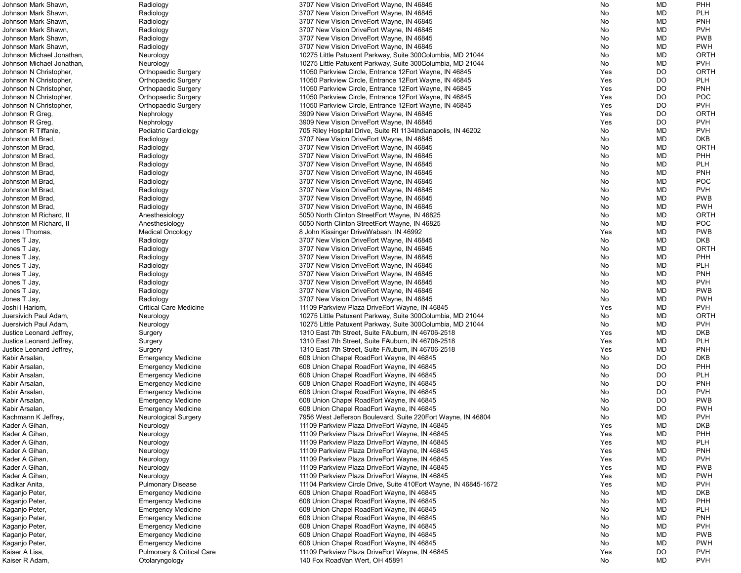| Johnson Mark Shawn,       | Radiology                     | 3707 New Vision DriveEort Wayne, IN 46845                        | No  | MD        | <b>PHH</b>  |
|---------------------------|-------------------------------|------------------------------------------------------------------|-----|-----------|-------------|
| Johnson Mark Shawn.       | Radiology                     | 3707 New Vision DriveEort Wayne, IN 46845                        | No  | MD        | <b>PLH</b>  |
| Johnson Mark Shawn,       | Radiology                     | 3707 New Vision DriveEort Wayne, IN 46845                        | No  | MD        | <b>PNH</b>  |
| Johnson Mark Shawn.       | Radiology                     | 3707 New Vision DriveEort Wayne, IN 46845                        | No  | MD        | <b>PVH</b>  |
| Johnson Mark Shawn,       | Radiology                     | 3707 New Vision DriveEort Wayne, IN 46845                        | No  | MD        | <b>PWB</b>  |
| Johnson Mark Shawn.       | Radiology                     | 3707 New Vision DriveEort Wayne, IN 46845                        | No  | MD        | <b>PWH</b>  |
| Johnson Michael Jonathan, | Neurology                     | 10275 Little Patuxent Parkway, Suite 300Columbia, MD 21044       | No  | MD        | <b>ORTH</b> |
| Johnson Michael Jonathan, | Neurology                     | 10275 Little Patuxent Parkway, Suite 300Columbia, MD 21044       | No  | MD        | <b>PVH</b>  |
| Johnson N Christopher,    | <b>Orthopaedic Surgery</b>    | 11050 Parkview Circle, Entrance 12Eort Wayne, IN 46845           | Yes | DO.       | <b>ORTH</b> |
|                           |                               |                                                                  |     |           |             |
| Johnson N Christopher,    | <b>Orthopaedic Surgery</b>    | 11050 Parkview Circle, Entrance 12Eort Wayne, IN 46845           | Yes | DO        | <b>PLH</b>  |
| Johnson N Christopher,    | <b>Orthopaedic Surgery</b>    | 11050 Parkview Circle, Entrance 12Eort Wayne, IN 46845           | Yes | DO        | <b>PNH</b>  |
| Johnson N Christopher,    | <b>Orthopaedic Surgery</b>    | 11050 Parkview Circle, Entrance 12Eort Wayne, IN 46845           | Yes | DO.       | <b>POC</b>  |
| Johnson N Christopher,    | <b>Orthopaedic Surgery</b>    | 11050 Parkview Circle, Entrance 12Eort Wayne, IN 46845           | Yes | DO        | <b>PVH</b>  |
| Johnson R Greg,           | Nephrology                    | 3909 New Vision DriveEort Wayne, IN 46845                        | Yes | DO        | <b>ORTH</b> |
| Johnson R Greg,           | Nephrology                    | 3909 New Vision DriveEort Wayne, IN 46845                        | Yes | DO        | <b>PVH</b>  |
| Johnson R Tiffanie,       | Pediatric Cardiology          | 705 Riley Hospital Drive, Suite RI 1134 Indianapolis, IN 46202   | No  | MD        | <b>PVH</b>  |
| Johnston M Brad           | Radiology                     | 3707 New Vision DriveEort Wayne, IN 46845                        | No  | MD        | <b>DKB</b>  |
| Johnston M Brad           | Radiology                     | 3707 New Vision DriveEort Wayne, IN 46845                        | No  | MD        | <b>ORTH</b> |
| Johnston M Brad,          | Radiology                     | 3707 New Vision DriveEort Wayne, IN 46845                        | No  | MD        | PHH         |
| Johnston M Brad,          | Radiology                     | 3707 New Vision DriveEort Wayne, IN 46845                        | No  | MD        | <b>PLH</b>  |
| Johnston M Brad,          | Radiology                     | 3707 New Vision DriveEort Wayne, IN 46845                        | No  | MD        | <b>PNH</b>  |
| Johnston M Brad           | Radiology                     | 3707 New Vision DriveEort Wayne, IN 46845                        | No  | MD        | <b>POC</b>  |
| Johnston M Brad           | Radiology                     | 3707 New Vision DriveEort Wayne, IN 46845                        | No  | MD        | <b>PVH</b>  |
| Johnston M Brad           | Radiology                     | 3707 New Vision DriveEort Wayne, IN 46845                        | No  | MD        | <b>PWB</b>  |
|                           |                               |                                                                  |     |           | <b>PWH</b>  |
| Johnston M Brad           | Radiology                     | 3707 New Vision DriveEort Wayne, IN 46845                        | No  | MD        |             |
| Johnston M Richard, II    | Anesthesiology                | 5050 North Clinton StreetEort Wayne, IN 46825                    | No  | MD        | <b>ORTH</b> |
| Johnston M Richard, II    | Anesthesiology                | 5050 North Clinton StreetEort Wayne, IN 46825                    | No  | MD        | POC         |
| Jones I Thomas,           | <b>Medical Oncology</b>       | 8 John Kissinger DriveWabash, IN 46992                           | Yes | MD        | <b>PWB</b>  |
| Jones T Jay,              | Radiology                     | 3707 New Vision DriveEort Wayne, IN 46845                        | No  | MD        | <b>DKB</b>  |
| Jones T Jay,              | Radiology                     | 3707 New Vision DriveEort Wayne, IN 46845                        | No  | MD        | <b>ORTH</b> |
| Jones T Jay,              | Radiology                     | 3707 New Vision DriveEort Wayne, IN 46845                        | No  | MD        | PHH         |
| Jones T Jay,              | Radiology                     | 3707 New Vision DriveEort Wayne, IN 46845                        | No  | MD        | <b>PLH</b>  |
| Jones T Jay,              | Radiology                     | 3707 New Vision DriveEort Wayne, IN 46845                        | No  | MD        | <b>PNH</b>  |
| Jones T Jay,              | Radiology                     | 3707 New Vision DriveEort Wayne, IN 46845                        | No  | MD        | <b>PVH</b>  |
| Jones T Jay,              | Radiology                     | 3707 New Vision DriveEort Wayne, IN 46845                        | No  | MD        | <b>PWB</b>  |
| Jones T Jay,              | Radiology                     | 3707 New Vision DriveEort Wayne, IN 46845                        | No  | <b>MD</b> | <b>PWH</b>  |
| Joshi I Hariom,           | <b>Critical Care Medicine</b> | 11109 Parkview Plaza DriveEort Wayne, IN 46845                   | Yes | MD        | <b>PVH</b>  |
| Juersivich Paul Adam,     | Neurology                     | 10275 Little Patuxent Parkway, Suite 300Columbia, MD 21044       | No  | MD        | <b>ORTH</b> |
| Juersivich Paul Adam,     | Neurology                     | 10275 Little Patuxent Parkway, Suite 300Columbia, MD 21044       | No  | MD        | <b>PVH</b>  |
| Justice Leonard Jeffrey,  | Surgery                       | 1310 East 7th Street, Suite FAuburn, IN 46706-2518               | Yes | MD        | <b>DKB</b>  |
| Justice Leonard Jeffrey,  |                               | 1310 East 7th Street, Suite FAuburn, IN 46706-2518               | Yes | MD        | <b>PLH</b>  |
| Justice Leonard Jeffrey,  | Surgery                       | 1310 East 7th Street, Suite FAuburn, IN 46706-2518               | Yes | MD        | <b>PNH</b>  |
|                           | Surgery                       |                                                                  |     |           |             |
| Kabir Arsalan,            | <b>Emergency Medicine</b>     | 608 Union Chapel RoadEort Wayne, IN 46845                        | No  | DO        | <b>DKB</b>  |
| Kabir Arsalan,            | <b>Emergency Medicine</b>     | 608 Union Chapel RoadEort Wayne, IN 46845                        | No  | DO        | PHH         |
| Kabir Arsalan,            | <b>Emergency Medicine</b>     | 608 Union Chapel RoadEort Wayne, IN 46845                        | No  | DO.       | <b>PLH</b>  |
| Kabir Arsalan,            | <b>Emergency Medicine</b>     | 608 Union Chapel RoadEort Wayne, IN 46845                        | No  | DO        | <b>PNH</b>  |
| Kabir Arsalan,            | <b>Emergency Medicine</b>     | 608 Union Chapel RoadEort Wayne, IN 46845                        | No  | DO        | <b>PVH</b>  |
| Kabir Arsalan,            | <b>Emergency Medicine</b>     | 608 Union Chapel RoadEort Wayne, IN 46845                        | No  | DO.       | <b>PWB</b>  |
| Kabir Arsalan,            | <b>Emergency Medicine</b>     | 608 Union Chapel RoadEort Wayne, IN 46845                        | No  | DO        | <b>PWH</b>  |
| Kachmann K Jeffrey,       | <b>Neurological Surgery</b>   | 7956 West Jefferson Boulevard, Suite 220 Fort Wayne, IN 46804    | No  | MD        | <b>PVH</b>  |
| Kader A Gihan,            | Neurology                     | 11109 Parkview Plaza DriveEort Wayne, IN 46845                   | Yes | MD        | <b>DKB</b>  |
| Kader A Gihan,            | Neurology                     | 11109 Parkview Plaza DriveEort Wayne, IN 46845                   | Yes | MD        | PHH         |
| Kader A Gihan,            | Neurology                     | 11109 Parkview Plaza DriveEort Wayne, IN 46845                   | Yes | MD        | <b>PLH</b>  |
| Kader A Gihan,            | Neurology                     | 11109 Parkview Plaza DriveEort Wayne, IN 46845                   | Yes | MD        | <b>PNH</b>  |
| Kader A Gihan,            | Neurology                     | 11109 Parkview Plaza DriveEort Wayne, IN 46845                   | Yes | MD        | <b>PVH</b>  |
| Kader A Gihan,            | Neurology                     | 11109 Parkview Plaza DriveEort Wayne, IN 46845                   | Yes | MD        | <b>PWB</b>  |
| Kader A Gihan,            | Neurology                     | 11109 Parkview Plaza DriveEort Wayne, IN 46845                   | Yes | MD        | <b>PWH</b>  |
| Kadikar Anita,            | <b>Pulmonary Disease</b>      | 11104 Parkview Circle Drive, Suite 410 Eort Wayne, IN 46845-1672 | Yes | MD        | <b>PVH</b>  |
|                           |                               |                                                                  |     | MD        | <b>DKB</b>  |
| Kaganjo Peter,            | <b>Emergency Medicine</b>     | 608 Union Chapel RoadEort Wayne, IN 46845                        | No  |           | PHH         |
| Kaganjo Peter,            | <b>Emergency Medicine</b>     | 608 Union Chapel RoadEort Wayne, IN 46845                        | No  | MD        |             |
| Kaganjo Peter,            | <b>Emergency Medicine</b>     | 608 Union Chapel RoadEort Wayne, IN 46845                        | No  | MD        | <b>PLH</b>  |
| Kaganjo Peter,            | <b>Emergency Medicine</b>     | 608 Union Chapel RoadEort Wayne, IN 46845                        | No  | MD        | <b>PNH</b>  |
| Kaganjo Peter,            | <b>Emergency Medicine</b>     | 608 Union Chapel RoadEort Wayne, IN 46845                        | No  | MD        | <b>PVH</b>  |
| Kaganjo Peter,            | <b>Emergency Medicine</b>     | 608 Union Chapel RoadEort Wayne, IN 46845                        | No  | MD        | <b>PWB</b>  |
| Kaganjo Peter,            | <b>Emergency Medicine</b>     | 608 Union Chapel RoadEort Wayne, IN 46845                        | No  | MD        | <b>PWH</b>  |
| Kaiser A Lisa,            | Pulmonary & Critical Care     | 11109 Parkview Plaza DriveEort Wayne, IN 46845                   | Yes | DO        | <b>PVH</b>  |
| Kaiser R Adam,            | Otolaryngology                | 140 Fox RoadVan Wert, OH 45891                                   | No  | MD        | <b>PVH</b>  |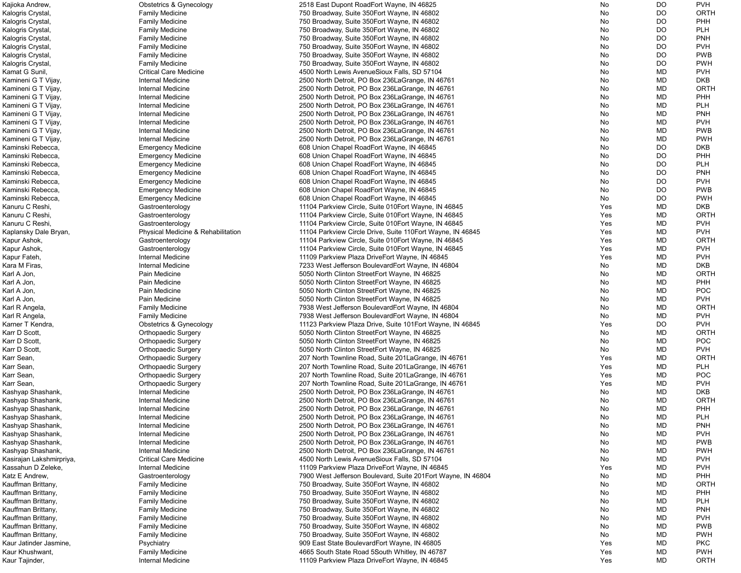| Kajioka Andrew,          | <b>Obstetrics &amp; Gynecology</b> | 2518 East Dupont RoadEort Wayne, IN 46825                     | No  | DO        | <b>PVH</b>  |
|--------------------------|------------------------------------|---------------------------------------------------------------|-----|-----------|-------------|
| Kalogris Crystal,        | <b>Family Medicine</b>             | 750 Broadway, Suite 350 Eort Wayne, IN 46802                  | No  | DO        | ORTH        |
| Kalogris Crystal,        | <b>Family Medicine</b>             | 750 Broadway, Suite 350 Eort Wayne, IN 46802                  | No  | DO        | <b>PHH</b>  |
| Kalogris Crystal,        | <b>Family Medicine</b>             | 750 Broadway, Suite 350 Eort Wayne, IN 46802                  | No  | DO        | <b>PLH</b>  |
| Kalogris Crystal,        | <b>Family Medicine</b>             | 750 Broadway, Suite 350 Eort Wayne, IN 46802                  | No  | <b>DO</b> | <b>PNH</b>  |
| Kalogris Crystal,        | <b>Family Medicine</b>             | 750 Broadway, Suite 350 Eort Wayne, IN 46802                  | No  | DO        | <b>PVH</b>  |
| Kalogris Crystal,        | <b>Family Medicine</b>             | 750 Broadway, Suite 350 Eort Wayne, IN 46802                  | No  | DO        | <b>PWB</b>  |
| Kalogris Crystal,        | <b>Family Medicine</b>             | 750 Broadway, Suite 350 Eort Wayne, IN 46802                  | No  | DO        | <b>PWH</b>  |
| Kamat G Sunil,           | <b>Critical Care Medicine</b>      | 4500 North Lewis AvenueSioux Falls, SD 57104                  | No  | MD        | <b>PVH</b>  |
| Kamineni G T Vijay,      | <b>Internal Medicine</b>           | 2500 North Detroit, PO Box 236 La Grange, IN 46761            | No  | MD        | <b>DKB</b>  |
|                          | Internal Medicine                  | 2500 North Detroit, PO Box 236 La Grange, IN 46761            |     | MD        | ORTH        |
| Kamineni G T Vijay,      |                                    |                                                               | No  |           |             |
| Kamineni G T Vijay,      | Internal Medicine                  | 2500 North Detroit, PO Box 236 La Grange, IN 46761            | No  | MD        | PHH         |
| Kamineni G T Vijay,      | Internal Medicine                  | 2500 North Detroit, PO Box 236 La Grange, IN 46761            | No  | MD        | <b>PLH</b>  |
| Kamineni G T Vijay,      | Internal Medicine                  | 2500 North Detroit, PO Box 236 La Grange, IN 46761            | No  | MD        | PNH         |
| Kamineni G T Vijay,      | Internal Medicine                  | 2500 North Detroit, PO Box 236 La Grange, IN 46761            | No  | MD        | <b>PVH</b>  |
| Kamineni G T Vijay,      | Internal Medicine                  | 2500 North Detroit, PO Box 236 La Grange, IN 46761            | No  | MD        | <b>PWB</b>  |
| Kamineni G T Vijay,      | Internal Medicine                  | 2500 North Detroit, PO Box 236 La Grange, IN 46761            | No  | MD        | <b>PWH</b>  |
| Kaminski Rebecca,        | <b>Emergency Medicine</b>          | 608 Union Chapel RoadEort Wayne, IN 46845                     | No  | DO        | <b>DKB</b>  |
| Kaminski Rebecca,        | <b>Emergency Medicine</b>          | 608 Union Chapel RoadEort Wayne, IN 46845                     | No  | DO        | PHH         |
| Kaminski Rebecca,        | <b>Emergency Medicine</b>          | 608 Union Chapel RoadEort Wayne, IN 46845                     | No  | DO        | <b>PLH</b>  |
| Kaminski Rebecca,        | <b>Emergency Medicine</b>          | 608 Union Chapel RoadEort Wayne, IN 46845                     | No  | DO        | <b>PNH</b>  |
| Kaminski Rebecca,        | <b>Emergency Medicine</b>          | 608 Union Chapel RoadEort Wayne, IN 46845                     | No  | <b>DO</b> | <b>PVH</b>  |
| Kaminski Rebecca,        | <b>Emergency Medicine</b>          | 608 Union Chapel RoadEort Wayne, IN 46845                     | No  | <b>DO</b> | <b>PWB</b>  |
| Kaminski Rebecca,        | <b>Emergency Medicine</b>          | 608 Union Chapel RoadEort Wayne, IN 46845                     | No  | <b>DO</b> | <b>PWH</b>  |
| Kanuru C Reshi,          | Gastroenterology                   | 11104 Parkview Circle, Suite 010Eort Wayne, IN 46845          | Yes | MD        | <b>DKB</b>  |
| Kanuru C Reshi,          | Gastroenterology                   | 11104 Parkview Circle, Suite 010Eort Wayne, IN 46845          | Yes | MD        | ORTH        |
| Kanuru C Reshi,          | Gastroenterology                   | 11104 Parkview Circle, Suite 010 Fort Wayne, IN 46845         | Yes | MD        | <b>PVH</b>  |
|                          |                                    |                                                               | Yes | MD        | <b>PVH</b>  |
| Kaplansky Dale Bryan,    | Physical Medicine & Rehabilitation | 11104 Parkview Circle Drive, Suite 110 Eort Wayne, IN 46845   |     |           |             |
| Kapur Ashok,             | Gastroenterology                   | 11104 Parkview Circle, Suite 010Eort Wayne, IN 46845          | Yes | MD        | <b>ORTH</b> |
| Kapur Ashok,             | Gastroenterology                   | 11104 Parkview Circle, Suite 010 Fort Wayne, IN 46845         | Yes | MD        | <b>PVH</b>  |
| Kapur Fateh,             | Internal Medicine                  | 11109 Parkview Plaza DriveEort Wayne, IN 46845                | Yes | MD        | <b>PVH</b>  |
| Kara M Firas,            | Internal Medicine                  | 7233 West Jefferson BoulevardEort Wayne, IN 46804             | No  | MD        | <b>DKB</b>  |
| Karl A Jon,              | Pain Medicine                      | 5050 North Clinton StreetEort Wayne, IN 46825                 | No  | MD        | ORTH        |
| Karl A Jon,              | Pain Medicine                      | 5050 North Clinton StreetEort Wayne, IN 46825                 | No  | MD        | <b>PHH</b>  |
| Karl A Jon,              | Pain Medicine                      | 5050 North Clinton StreetEort Wayne, IN 46825                 | No  | MD        | <b>POC</b>  |
| Karl A Jon,              | Pain Medicine                      | 5050 North Clinton StreetEort Wayne, IN 46825                 | No. | MD        | <b>PVH</b>  |
| Karl R Angela,           | <b>Family Medicine</b>             | 7938 West Jefferson BoulevardEort Wayne, IN 46804             | No  | MD        | <b>ORTH</b> |
| Karl R Angela,           | <b>Family Medicine</b>             | 7938 West Jefferson BoulevardEort Wayne, IN 46804             | No  | <b>MD</b> | <b>PVH</b>  |
| Karner T Kendra,         | <b>Obstetrics &amp; Gynecology</b> | 11123 Parkview Plaza Drive, Suite 101 Eort Wayne, IN 46845    | Yes | <b>DO</b> | <b>PVH</b>  |
| Karr D Scott,            | <b>Orthopaedic Surgery</b>         | 5050 North Clinton StreetEort Wayne, IN 46825                 | No  | MD        | ORTH        |
| Karr D Scott,            | <b>Orthopaedic Surgery</b>         | 5050 North Clinton StreetEort Wayne, IN 46825                 | No  | MD        | <b>POC</b>  |
| Karr D Scott,            | <b>Orthopaedic Surgery</b>         | 5050 North Clinton StreetEort Wayne, IN 46825                 | No  | MD        | <b>PVH</b>  |
| Karr Sean,               | <b>Orthopaedic Surgery</b>         | 207 North Townline Road, Suite 201 La Grange, IN 46761        | Yes | MD        | ORTH        |
| Karr Sean,               | <b>Orthopaedic Surgery</b>         | 207 North Townline Road, Suite 201 La Grange, IN 46761        | Yes | MD        | <b>PLH</b>  |
| Karr Sean,               | <b>Orthopaedic Surgery</b>         | 207 North Townline Road, Suite 201 La Grange, IN 46761        | Yes | MD        | <b>POC</b>  |
| Karr Sean,               | <b>Orthopaedic Surgery</b>         | 207 North Townline Road, Suite 201 La Grange, IN 46761        | Yes | MD        | <b>PVH</b>  |
| Kashyap Shashank,        | Internal Medicine                  | 2500 North Detroit, PO Box 236 La Grange, IN 46761            | No  | MD        | <b>DKB</b>  |
|                          | Internal Medicine                  |                                                               |     |           | ORTH        |
| Kashyap Shashank,        |                                    | 2500 North Detroit, PO Box 236 La Grange, IN 46761            | No  | MD        |             |
| Kashyap Shashank,        | Internal Medicine                  | 2500 North Detroit, PO Box 236 La Grange, IN 46761            | No  | MD        | PHH         |
| Kashyap Shashank,        | Internal Medicine                  | 2500 North Detroit, PO Box 236 La Grange, IN 46761            | No  | <b>MD</b> | <b>PLH</b>  |
| Kashyap Shashank,        | Internal Medicine                  | 2500 North Detroit, PO Box 236 La Grange, IN 46761            | No  | MD        | PNH         |
| Kashyap Shashank,        | Internal Medicine                  | 2500 North Detroit, PO Box 236 La Grange, IN 46761            | No  | MD        | <b>PVH</b>  |
| Kashyap Shashank,        | Internal Medicine                  | 2500 North Detroit, PO Box 236 La Grange, IN 46761            | No  | MD        | <b>PWB</b>  |
| Kashyap Shashank,        | Internal Medicine                  | 2500 North Detroit, PO Box 236 La Grange, IN 46761            | No  | MD        | <b>PWH</b>  |
| Kasirajan Lakshmirpriya, | <b>Critical Care Medicine</b>      | 4500 North Lewis AvenueSioux Falls, SD 57104                  | No  | MD        | <b>PVH</b>  |
| Kassahun D Zeleke,       | Internal Medicine                  | 11109 Parkview Plaza DriveEort Wayne, IN 46845                | Yes | MD        | <b>PVH</b>  |
| Katz E Andrew,           | Gastroenterology                   | 7900 West Jefferson Boulevard, Suite 201 Eort Wayne, IN 46804 | No  | MD        | PHH         |
| Kauffman Brittany,       | <b>Family Medicine</b>             | 750 Broadway, Suite 350 Eort Wayne, IN 46802                  | No  | MD        | ORTH        |
| Kauffman Brittany,       | <b>Family Medicine</b>             | 750 Broadway, Suite 350 Eort Wayne, IN 46802                  | No  | MD        | <b>PHH</b>  |
| Kauffman Brittany,       | <b>Family Medicine</b>             | 750 Broadway, Suite 350 Eort Wayne, IN 46802                  | No  | MD        | <b>PLH</b>  |
| Kauffman Brittany,       | <b>Family Medicine</b>             | 750 Broadway, Suite 350 Eort Wayne, IN 46802                  | No  | MD        | <b>PNH</b>  |
| Kauffman Brittany,       | <b>Family Medicine</b>             | 750 Broadway, Suite 350 Eort Wayne, IN 46802                  | No  | MD        | <b>PVH</b>  |
| Kauffman Brittany,       | <b>Family Medicine</b>             | 750 Broadway, Suite 350 Eort Wayne, IN 46802                  | No  | MD        | <b>PWB</b>  |
| Kauffman Brittany,       | <b>Family Medicine</b>             | 750 Broadway, Suite 350 Eort Wayne, IN 46802                  | No  | MD        | <b>PWH</b>  |
| Kaur Jatinder Jasmine,   | Psychiatry                         | 909 East State BoulevardEort Wayne, IN 46805                  | Yes | MD        | <b>PKC</b>  |
| Kaur Khushwant,          | <b>Family Medicine</b>             | 4665 South State Road 5South Whitley, IN 46787                | Yes | MD        | <b>PWH</b>  |
|                          |                                    |                                                               |     |           |             |
| Kaur Tajinder,           | Internal Medicine                  | 11109 Parkview Plaza DriveEort Wayne, IN 46845                | Yes | MD        | <b>ORTH</b> |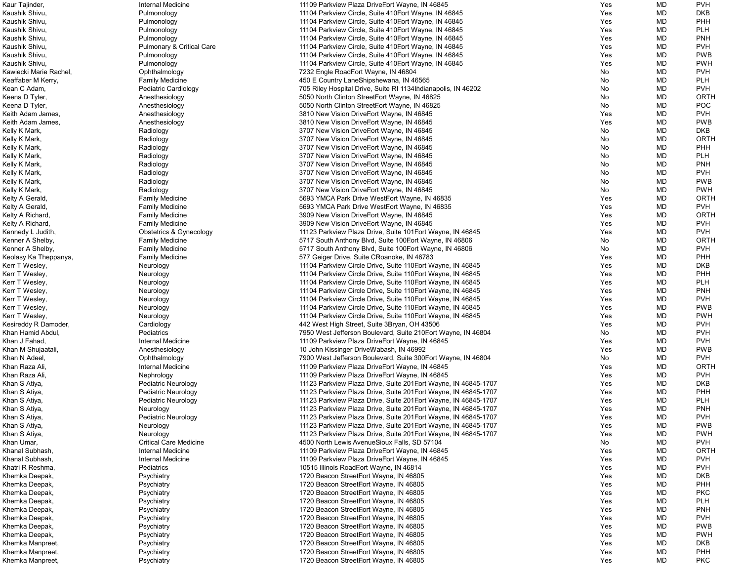| Kaur Tajinder,         | Internal Medicine                    | 11109 Parkview Plaza DriveEort Wayne, IN 46845                  | Yes | MD        | <b>PVH</b>  |
|------------------------|--------------------------------------|-----------------------------------------------------------------|-----|-----------|-------------|
| Kaushik Shivu,         | Pulmonology                          | 11104 Parkview Circle, Suite 410 Eort Wayne, IN 46845           | Yes | <b>MD</b> | DKB         |
| Kaushik Shivu,         | Pulmonology                          | 11104 Parkview Circle, Suite 410 Eort Wayne, IN 46845           | Yes | <b>MD</b> | <b>PHH</b>  |
| Kaushik Shivu,         | Pulmonology                          | 11104 Parkview Circle, Suite 410 Eort Wayne, IN 46845           | Yes | MD        | <b>PLH</b>  |
| Kaushik Shivu,         | Pulmonology                          | 11104 Parkview Circle, Suite 410 Eort Wayne, IN 46845           | Yes | MD        | <b>PNH</b>  |
| Kaushik Shivu,         | <b>Pulmonary &amp; Critical Care</b> | 11104 Parkview Circle, Suite 410 Eort Wayne, IN 46845           | Yes | MD        | <b>PVH</b>  |
| Kaushik Shivu,         | Pulmonology                          | 11104 Parkview Circle, Suite 410 Eort Wayne, IN 46845           | Yes | <b>MD</b> | <b>PWB</b>  |
| Kaushik Shivu,         | Pulmonology                          | 11104 Parkview Circle, Suite 410 Eort Wayne, IN 46845           | Yes | <b>MD</b> | <b>PWH</b>  |
| Kawiecki Marie Rachel, | Ophthalmology                        | 7232 Engle RoadEort Wayne, IN 46804                             | No  | MD        | <b>PVH</b>  |
|                        |                                      | 450 E Country LaneShipshewana, IN 46565                         |     | MD        | <b>PLH</b>  |
| Keaffaber M Kerry,     | <b>Family Medicine</b>               |                                                                 | No  |           |             |
| Kean C Adam,           | Pediatric Cardiology                 | 705 Riley Hospital Drive, Suite RI 1134 Indianapolis, IN 46202  | No  | <b>MD</b> | <b>PVH</b>  |
| Keena D Tyler,         | Anesthesiology                       | 5050 North Clinton StreetEort Wayne, IN 46825                   | No  | MD        | <b>ORTH</b> |
| Keena D Tyler,         | Anesthesiology                       | 5050 North Clinton StreetEort Wayne, IN 46825                   | No  | <b>MD</b> | <b>POC</b>  |
| Keith Adam James,      | Anesthesiology                       | 3810 New Vision DriveEort Wayne, IN 46845                       | Yes | <b>MD</b> | <b>PVH</b>  |
| Keith Adam James,      | Anesthesiology                       | 3810 New Vision DriveEort Wayne, IN 46845                       | Yes | MD        | <b>PWB</b>  |
| Kelly K Mark,          | Radiology                            | 3707 New Vision DriveEort Wayne, IN 46845                       | No  | <b>MD</b> | <b>DKB</b>  |
| Kelly K Mark,          | Radiology                            | 3707 New Vision DriveEort Wayne, IN 46845                       | No  | <b>MD</b> | <b>ORTH</b> |
| Kelly K Mark,          | Radiology                            | 3707 New Vision DriveEort Wayne, IN 46845                       | No  | MD        | <b>PHH</b>  |
| Kelly K Mark,          | Radiology                            | 3707 New Vision DriveEort Wayne, IN 46845                       | No  | <b>MD</b> | <b>PLH</b>  |
| Kelly K Mark,          | Radiology                            | 3707 New Vision DriveEort Wayne, IN 46845                       | No  | <b>MD</b> | <b>PNH</b>  |
| Kelly K Mark,          | Radiology                            | 3707 New Vision DriveEort Wayne, IN 46845                       | No  | <b>MD</b> | <b>PVH</b>  |
| Kelly K Mark,          | Radiology                            | 3707 New Vision DriveEort Wayne, IN 46845                       | No  | <b>MD</b> | <b>PWB</b>  |
| Kelly K Mark,          | Radiology                            | 3707 New Vision DriveEort Wayne, IN 46845                       | No  | MD        | <b>PWH</b>  |
| Kelty A Gerald,        | <b>Family Medicine</b>               | 5693 YMCA Park Drive WestEort Wayne, IN 46835                   | Yes | MD        | <b>ORTH</b> |
| Kelty A Gerald,        | <b>Family Medicine</b>               | 5693 YMCA Park Drive WestEort Wayne, IN 46835                   | Yes | <b>MD</b> | <b>PVH</b>  |
|                        |                                      |                                                                 |     |           | <b>ORTH</b> |
| Kelty A Richard,       | <b>Family Medicine</b>               | 3909 New Vision DriveEort Wayne, IN 46845                       | Yes | MD        |             |
| Kelty A Richard,       | <b>Family Medicine</b>               | 3909 New Vision DriveEort Wayne, IN 46845                       | Yes | <b>MD</b> | <b>PVH</b>  |
| Kennedy L Judith,      | Obstetrics & Gynecology              | 11123 Parkview Plaza Drive, Suite 101 Eort Wayne, IN 46845      | Yes | MD        | <b>PVH</b>  |
| Kenner A Shelby,       | <b>Family Medicine</b>               | 5717 South Anthony Blvd, Suite 100Eort Wayne, IN 46806          | No  | MD        | <b>ORTH</b> |
| Kenner A Shelby,       | <b>Family Medicine</b>               | 5717 South Anthony Blvd, Suite 100 Eort Wayne, IN 46806         | No  | MD        | <b>PVH</b>  |
| Keolasy Ka Theppanya,  | <b>Family Medicine</b>               | 577 Geiger Drive, Suite CRoanoke, IN 46783                      | Yes | MD        | <b>PHH</b>  |
| Kerr T Wesley,         | Neurology                            | 11104 Parkview Circle Drive, Suite 110 Eort Wayne, IN 46845     | Yes | MD        | <b>DKB</b>  |
| Kerr T Wesley,         | Neurology                            | 11104 Parkview Circle Drive, Suite 110 Eort Wayne, IN 46845     | Yes | MD        | <b>PHH</b>  |
| Kerr T Wesley,         | Neurology                            | 11104 Parkview Circle Drive, Suite 110 Eort Wayne, IN 46845     | Yes | MD        | <b>PLH</b>  |
| Kerr T Wesley,         | Neurology                            | 11104 Parkview Circle Drive, Suite 110 Eort Wayne, IN 46845     | Yes | <b>MD</b> | <b>PNH</b>  |
| Kerr T Wesley,         | Neurology                            | 11104 Parkview Circle Drive, Suite 110 Eort Wayne, IN 46845     | Yes | <b>MD</b> | <b>PVH</b>  |
| Kerr T Wesley,         | Neurology                            | 11104 Parkview Circle Drive, Suite 110Eort Wayne, IN 46845      | Yes | MD        | <b>PWB</b>  |
| Kerr T Wesley,         | Neurology                            | 11104 Parkview Circle Drive, Suite 110 Eort Wayne, IN 46845     | Yes | <b>MD</b> | <b>PWH</b>  |
| Kesireddy R Damoder,   | Cardiology                           | 442 West High Street, Suite 3Bryan, OH 43506                    | Yes | <b>MD</b> | <b>PVH</b>  |
| Khan Hamid Abdul,      | Pediatrics                           | 7950 West Jefferson Boulevard, Suite 210 Eort Wayne, IN 46804   | No  | <b>MD</b> | <b>PVH</b>  |
| Khan J Fahad,          | Internal Medicine                    | 11109 Parkview Plaza DriveEort Wayne, IN 46845                  | Yes | MD        | <b>PVH</b>  |
| Khan M Shujaatali,     | Anesthesiology                       | 10 John Kissinger DriveWabash, IN 46992                         | Yes | MD        | <b>PWB</b>  |
| Khan N Adeel,          | Ophthalmology                        | 7900 West Jefferson Boulevard, Suite 300Eort Wayne, IN 46804    | No  | <b>MD</b> | <b>PVH</b>  |
| Khan Raza Ali,         | Internal Medicine                    | 11109 Parkview Plaza DriveEort Wayne, IN 46845                  | Yes | <b>MD</b> | <b>ORTH</b> |
| Khan Raza Ali,         | Nephrology                           | 11109 Parkview Plaza DriveEort Wayne, IN 46845                  | Yes | <b>MD</b> | <b>PVH</b>  |
|                        |                                      |                                                                 |     |           |             |
| Khan S Atiya,          | <b>Pediatric Neurology</b>           | 11123 Parkview Plaza Drive, Suite 201 Eort Wayne, IN 46845-1707 | Yes | <b>MD</b> | <b>DKB</b>  |
| Khan S Atiya,          | Pediatric Neurology                  | 11123 Parkview Plaza Drive, Suite 201 Eort Wayne, IN 46845-1707 | Yes | <b>MD</b> | <b>PHH</b>  |
| Khan S Atiya,          | Pediatric Neurology                  | 11123 Parkview Plaza Drive, Suite 201 Eort Wayne, IN 46845-1707 | Yes | MD        | <b>PLH</b>  |
| Khan S Atiya,          | Neurology                            | 11123 Parkview Plaza Drive, Suite 201 Eort Wayne, IN 46845-1707 | Yes | <b>MD</b> | <b>PNH</b>  |
| Khan S Atiya,          | <b>Pediatric Neurology</b>           | 11123 Parkview Plaza Drive, Suite 201Eort Wayne, IN 46845-1707  | Yes | <b>MD</b> | <b>PVH</b>  |
| Khan S Atiya,          | Neurology                            | 11123 Parkview Plaza Drive, Suite 201 Eort Wayne, IN 46845-1707 | Yes | MD        | <b>PWB</b>  |
| Khan S Atiya,          | Neurology                            | 11123 Parkview Plaza Drive, Suite 201 Eort Wayne, IN 46845-1707 | Yes | <b>MD</b> | <b>PWH</b>  |
| Khan Umar,             | <b>Critical Care Medicine</b>        | 4500 North Lewis AvenueSioux Falls, SD 57104                    | No  | <b>MD</b> | <b>PVH</b>  |
| Khanal Subhash,        | Internal Medicine                    | 11109 Parkview Plaza DriveEort Wayne, IN 46845                  | Yes | <b>MD</b> | <b>ORTH</b> |
| Khanal Subhash,        | Internal Medicine                    | 11109 Parkview Plaza DriveEort Wayne, IN 46845                  | Yes | <b>MD</b> | <b>PVH</b>  |
| Khatri R Reshma,       | Pediatrics                           | 10515 Illinois RoadEort Wayne, IN 46814                         | Yes | <b>MD</b> | <b>PVH</b>  |
| Khemka Deepak,         | Psychiatry                           | 1720 Beacon StreetEort Wayne, IN 46805                          | Yes | <b>MD</b> | <b>DKB</b>  |
| Khemka Deepak,         | Psychiatry                           | 1720 Beacon StreetEort Wayne, IN 46805                          | Yes | <b>MD</b> | <b>PHH</b>  |
| Khemka Deepak,         | Psychiatry                           | 1720 Beacon StreetEort Wayne, IN 46805                          | Yes | <b>MD</b> | <b>PKC</b>  |
| Khemka Deepak,         | Psychiatry                           | 1720 Beacon StreetEort Wayne, IN 46805                          | Yes | <b>MD</b> | <b>PLH</b>  |
| Khemka Deepak,         | Psychiatry                           | 1720 Beacon StreetEort Wayne, IN 46805                          | Yes | <b>MD</b> | <b>PNH</b>  |
| Khemka Deepak,         | Psychiatry                           | 1720 Beacon StreetEort Wayne, IN 46805                          | Yes | <b>MD</b> | <b>PVH</b>  |
|                        |                                      | 1720 Beacon StreetEort Wayne, IN 46805                          |     | <b>MD</b> | <b>PWB</b>  |
| Khemka Deepak,         | Psychiatry                           |                                                                 | Yes |           |             |
| Khemka Deepak,         | Psychiatry                           | 1720 Beacon StreetEort Wayne, IN 46805                          | Yes | <b>MD</b> | <b>PWH</b>  |
| Khemka Manpreet,       | Psychiatry                           | 1720 Beacon StreetEort Wayne, IN 46805                          | Yes | MD        | <b>DKB</b>  |
| Khemka Manpreet,       | Psychiatry                           | 1720 Beacon StreetEort Wayne, IN 46805                          | Yes | MD        | <b>PHH</b>  |
| Khemka Manpreet,       | Psychiatry                           | 1720 Beacon StreetEort Wayne, IN 46805                          | Yes | <b>MD</b> | <b>PKC</b>  |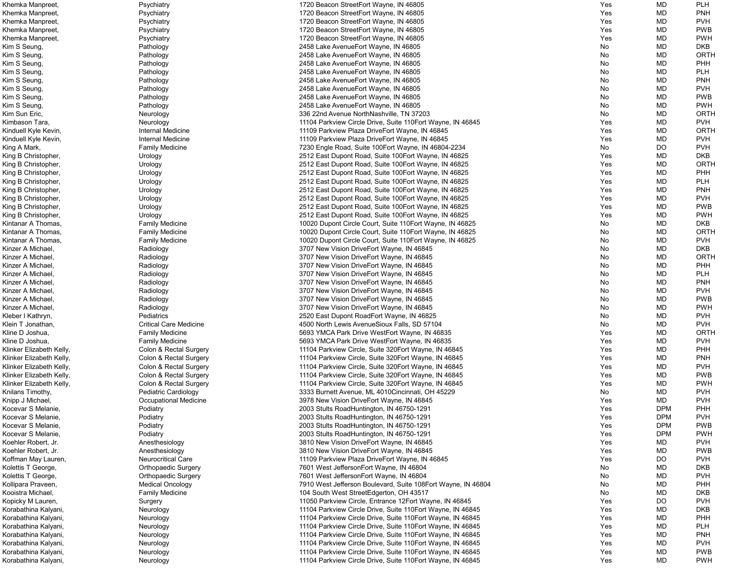| Khemka Manpreet,         | Psychiatry                    | 1720 Beacon StreetEort Wayne, IN 46805                       | Yes | MD         | <b>PLH</b>  |
|--------------------------|-------------------------------|--------------------------------------------------------------|-----|------------|-------------|
| Khemka Manpreet,         | Psychiatry                    | 1720 Beacon StreetEort Wayne, IN 46805                       | Yes | MD         | <b>PNH</b>  |
| Khemka Manpreet,         | Psychiatry                    | 1720 Beacon StreetEort Wayne, IN 46805                       | Yes | MD         | <b>PVH</b>  |
| Khemka Manpreet,         | Psychiatry                    | 1720 Beacon StreetEort Wayne, IN 46805                       | Yes | MD         | <b>PWB</b>  |
|                          |                               |                                                              | Yes | MD         | <b>PWH</b>  |
| Khemka Manpreet,         | Psychiatry                    | 1720 Beacon StreetEort Wayne, IN 46805                       |     |            |             |
| Kim S Seung,             | Pathology                     | 2458 Lake Avenue Eort Wayne, IN 46805                        | No  | MD         | <b>DKB</b>  |
| Kim S Seung,             | Pathology                     | 2458 Lake Avenue Eort Wayne, IN 46805                        | No  | MD         | <b>ORTH</b> |
| Kim S Seung,             | Pathology                     | 2458 Lake Avenue Eort Wayne, IN 46805                        | No  | MD         | PHH         |
| Kim S Seung,             | Pathology                     | 2458 Lake AvenueEort Wayne, IN 46805                         | No  | MD         | <b>PLH</b>  |
| Kim S Seung,             | Pathology                     | 2458 Lake Avenue Eort Wayne, IN 46805                        | No  | MD         | <b>PNH</b>  |
| Kim S Seung,             | Pathology                     | 2458 Lake Avenue Eort Wayne, IN 46805                        | No  | MD         | <b>PVH</b>  |
| Kim S Seung,             | Pathology                     | 2458 Lake Avenue Eort Wayne, IN 46805                        | No  | MD         | <b>PWB</b>  |
| Kim S Seung,             |                               | 2458 Lake Avenue Eort Wayne, IN 46805                        | No  | MD         | <b>PWH</b>  |
|                          | Pathology                     |                                                              |     |            |             |
| Kim Sun Eric,            | Neurology                     | 336 22nd Avenue NorthNashville, TN 37203                     | No  | MD         | <b>ORTH</b> |
| Kimbason Tara,           | Neurology                     | 11104 Parkview Circle Drive, Suite 110 Eort Wayne, IN 46845  | Yes | MD         | <b>PVH</b>  |
| Kinduell Kyle Kevin,     | Internal Medicine             | 11109 Parkview Plaza DriveEort Wayne, IN 46845               | Yes | MD         | <b>ORTH</b> |
| Kinduell Kyle Kevin,     | Internal Medicine             | 11109 Parkview Plaza DriveEort Wayne, IN 46845               | Yes | MD         | <b>PVH</b>  |
| King A Mark,             | <b>Family Medicine</b>        | 7230 Engle Road, Suite 100Eort Wayne, IN 46804-2234          | No  | <b>DO</b>  | <b>PVH</b>  |
| King B Christopher,      | Urology                       | 2512 East Dupont Road, Suite 100 Fort Wayne, IN 46825        | Yes | MD         | <b>DKB</b>  |
| King B Christopher,      | Urology                       | 2512 East Dupont Road, Suite 100 Fort Wayne, IN 46825        | Yes | MD         | <b>ORTH</b> |
| King B Christopher,      | Urology                       | 2512 East Dupont Road, Suite 100 Fort Wayne, IN 46825        | Yes | MD         | PHH         |
|                          |                               |                                                              |     |            |             |
| King B Christopher,      | Urology                       | 2512 East Dupont Road, Suite 100 Fort Wayne, IN 46825        | Yes | MD         | <b>PLH</b>  |
| King B Christopher,      | Urology                       | 2512 East Dupont Road, Suite 100 Fort Wayne, IN 46825        | Yes | MD         | <b>PNH</b>  |
| King B Christopher,      | Urology                       | 2512 East Dupont Road, Suite 100 Fort Wayne, IN 46825        | Yes | MD         | <b>PVH</b>  |
| King B Christopher,      | Urology                       | 2512 East Dupont Road, Suite 100 Fort Wayne, IN 46825        | Yes | MD         | <b>PWB</b>  |
| King B Christopher,      | Urology                       | 2512 East Dupont Road, Suite 100 Fort Wayne, IN 46825        | Yes | MD         | <b>PWH</b>  |
| Kintanar A Thomas,       | <b>Family Medicine</b>        | 10020 Dupont Circle Court, Suite 110 Eort Wayne, IN 46825    | No  | MD         | <b>DKB</b>  |
| Kintanar A Thomas,       | <b>Family Medicine</b>        | 10020 Dupont Circle Court, Suite 110 Eort Wayne, IN 46825    | No  | MD         | <b>ORTH</b> |
| Kintanar A Thomas,       | <b>Family Medicine</b>        | 10020 Dupont Circle Court, Suite 110 Eort Wayne, IN 46825    | No  | MD         | <b>PVH</b>  |
|                          |                               |                                                              |     |            | <b>DKB</b>  |
| Kinzer A Michael,        | Radiology                     | 3707 New Vision DriveEort Wayne, IN 46845                    | No  | MD         |             |
| Kinzer A Michael,        | Radiology                     | 3707 New Vision DriveEort Wayne, IN 46845                    | No  | MD         | <b>ORTH</b> |
| Kinzer A Michael,        | Radiology                     | 3707 New Vision DriveEort Wayne, IN 46845                    | No  | MD         | PHH         |
| Kinzer A Michael,        | Radiology                     | 3707 New Vision DriveEort Wayne, IN 46845                    | No  | MD         | <b>PLH</b>  |
| Kinzer A Michael,        | Radiology                     | 3707 New Vision DriveEort Wayne, IN 46845                    | No  | MD         | <b>PNH</b>  |
| Kinzer A Michael,        | Radiology                     | 3707 New Vision DriveEort Wayne, IN 46845                    | No  | MD         | <b>PVH</b>  |
| Kinzer A Michael,        | Radiology                     | 3707 New Vision DriveEort Wayne, IN 46845                    | No  | <b>MD</b>  | <b>PWB</b>  |
| Kinzer A Michael,        | Radiology                     | 3707 New Vision DriveEort Wayne, IN 46845                    | No  | MD         | <b>PWH</b>  |
| Kleber I Kathryn,        | Pediatrics                    | 2520 East Dupont RoadEort Wayne, IN 46825                    | No  | <b>MD</b>  | <b>PVH</b>  |
|                          | <b>Critical Care Medicine</b> |                                                              |     |            | <b>PVH</b>  |
| Klein T Jonathan,        |                               | 4500 North Lewis AvenueSioux Falls, SD 57104                 | No  | MD         |             |
| Kline D Joshua,          | <b>Family Medicine</b>        | 5693 YMCA Park Drive WestEort Wayne, IN 46835                | Yes | MD         | <b>ORTH</b> |
| Kline D Joshua,          | <b>Family Medicine</b>        | 5693 YMCA Park Drive WestEort Wayne, IN 46835                | Yes | MD         | <b>PVH</b>  |
| Klinker Elizabeth Kelly, | Colon & Rectal Surgery        | 11104 Parkview Circle, Suite 320 Eort Wayne, IN 46845        | Yes | MD         | PHH         |
| Klinker Elizabeth Kelly, | Colon & Rectal Surgery        | 11104 Parkview Circle, Suite 320 Fort Wayne, IN 46845        | Yes | MD         | <b>PNH</b>  |
| Klinker Elizabeth Kelly, | Colon & Rectal Surgery        | 11104 Parkview Circle, Suite 320 Eort Wayne, IN 46845        | Yes | MD         | <b>PVH</b>  |
| Klinker Elizabeth Kelly, | Colon & Rectal Surgery        | 11104 Parkview Circle, Suite 320 Fort Wayne, IN 46845        | Yes | MD         | <b>PWB</b>  |
| Klinker Elizabeth Kelly, | Colon & Rectal Surgery        | 11104 Parkview Circle, Suite 320 Fort Wayne, IN 46845        | Yes | MD         | <b>PWH</b>  |
| Knilans Timothy,         | Pediatric Cardiology          | 3333 Burnett Avenue, ML 4010Cincinnati, OH 45229             | No  | MD         | <b>PVH</b>  |
| Knipp J Michael,         | Occupational Medicine         | 3978 New Vision DriveEort Wayne, IN 46845                    | Yes | MD         | <b>PVH</b>  |
| Kocevar S Melanie,       | Podiatry                      | 2003 Stults RoadHuntington, IN 46750-1291                    | Yes | <b>DPM</b> | PHH         |
|                          |                               |                                                              |     |            |             |
| Kocevar S Melanie,       | Podiatry                      | 2003 Stults RoadHuntington, IN 46750-1291                    | Yes | <b>DPM</b> | <b>PVH</b>  |
| Kocevar S Melanie,       | Podiatry                      | 2003 Stults RoadHuntington, IN 46750-1291                    | Yes | <b>DPM</b> | <b>PWB</b>  |
| Kocevar S Melanie,       | Podiatry                      | 2003 Stults RoadHuntington, IN 46750-1291                    | Yes | <b>DPM</b> | <b>PWH</b>  |
| Koehler Robert, Jr.      | Anesthesiology                | 3810 New Vision DriveEort Wayne, IN 46845                    | Yes | MD         | <b>PVH</b>  |
| Koehler Robert, Jr.      | Anesthesiology                | 3810 New Vision DriveEort Wayne, IN 46845                    | Yes | MD         | <b>PWB</b>  |
| Koffman May Lauren,      | <b>Neurocritical Care</b>     | 11109 Parkview Plaza DriveEort Wayne, IN 46845               | Yes | <b>DO</b>  | <b>PVH</b>  |
| Kolettis T George,       | <b>Orthopaedic Surgery</b>    | 7601 West JeffersonEort Wayne, IN 46804                      | No  | MD         | <b>DKB</b>  |
| Kolettis T George,       | <b>Orthopaedic Surgery</b>    | 7601 West JeffersonEort Wayne, IN 46804                      | No  | MD         | <b>PVH</b>  |
| Kollipara Praveen,       | <b>Medical Oncology</b>       | 7910 West Jefferson Boulevard, Suite 108Eort Wayne, IN 46804 | No  | MD         | <b>PHH</b>  |
|                          |                               |                                                              |     |            | <b>DKB</b>  |
| Kooistra Michael,        | <b>Family Medicine</b>        | 104 South West StreetEdgerton, OH 43517                      | No  | MD         |             |
| Kopicky M Lauren,        | Surgery                       | 11050 Parkview Circle, Entrance 12Eort Wayne, IN 46845       | Yes | <b>DO</b>  | <b>PVH</b>  |
| Korabathina Kalyani,     | Neurology                     | 11104 Parkview Circle Drive, Suite 110 Eort Wayne, IN 46845  | Yes | MD         | <b>DKB</b>  |
| Korabathina Kalyani,     | Neurology                     | 11104 Parkview Circle Drive, Suite 110 Eort Wayne, IN 46845  | Yes | MD         | PHH         |
| Korabathina Kalyani,     | Neurology                     | 11104 Parkview Circle Drive, Suite 110 Eort Wayne, IN 46845  | Yes | MD         | <b>PLH</b>  |
| Korabathina Kalyani,     | Neurology                     | 11104 Parkview Circle Drive, Suite 110 Eort Wayne, IN 46845  | Yes | MD         | <b>PNH</b>  |
| Korabathina Kalyani,     | Neurology                     | 11104 Parkview Circle Drive, Suite 110 Eort Wayne, IN 46845  | Yes | MD         | <b>PVH</b>  |
| Korabathina Kalyani,     | Neurology                     | 11104 Parkview Circle Drive, Suite 110 Eort Wayne, IN 46845  | Yes | MD         | <b>PWB</b>  |
| Korabathina Kalyani,     | Neurology                     | 11104 Parkview Circle Drive, Suite 110 Eort Wayne, IN 46845  | Yes | MD         | <b>PWH</b>  |
|                          |                               |                                                              |     |            |             |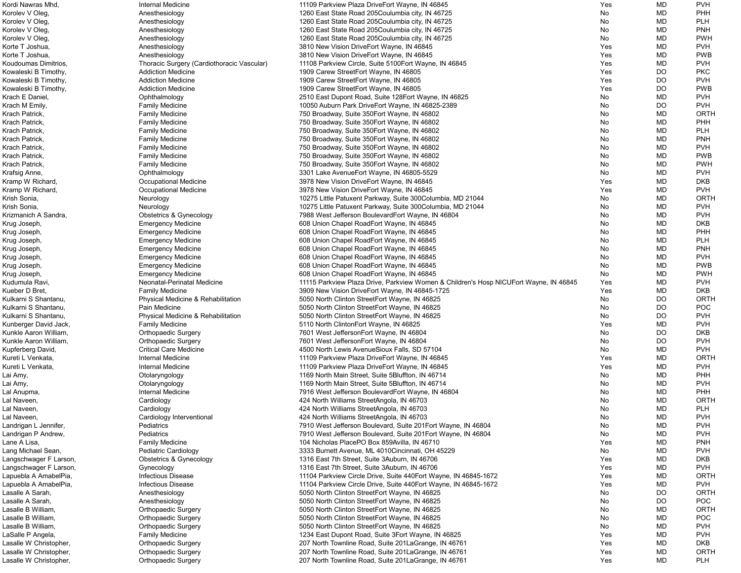| Kordi Nawras Mhd,      | Internal Medicine                          | 11109 Parkview Plaza DriveEort Wayne, IN 46845                                        | Yes | MD        | <b>PVH</b>  |
|------------------------|--------------------------------------------|---------------------------------------------------------------------------------------|-----|-----------|-------------|
| Korolev V Oleg,        | Anesthesiology                             | 1260 East State Road 205Coulumbia city, IN 46725                                      | No  | MD        | PHH         |
| Korolev V Oleg,        | Anesthesiology                             | 1260 East State Road 205Coulumbia city, IN 46725                                      | No  | <b>MD</b> | <b>PLH</b>  |
| Korolev V Oleg,        | Anesthesiology                             | 1260 East State Road 205Coulumbia city, IN 46725                                      | No  | MD        | <b>PNH</b>  |
|                        |                                            |                                                                                       | No  | MD        | <b>PWH</b>  |
| Korolev V Oleg,        | Anesthesiology                             | 1260 East State Road 205Coulumbia city, IN 46725                                      |     |           |             |
| Korte T Joshua,        | Anesthesiology                             | 3810 New Vision DriveEort Wayne, IN 46845                                             | Yes | MD        | <b>PVH</b>  |
| Korte T Joshua,        | Anesthesiology                             | 3810 New Vision DriveEort Wayne, IN 46845                                             | Yes | MD        | <b>PWB</b>  |
| Koudoumas Dimitrios,   | Thoracic Surgery (Cardiothoracic Vascular) | 11108 Parkview Circle, Suite 5100Eort Wayne, IN 46845                                 | Yes | MD        | <b>PVH</b>  |
| Kowaleski B Timothy,   | <b>Addiction Medicine</b>                  | 1909 Carew StreetEort Wayne, IN 46805                                                 | Yes | DO        | <b>PKC</b>  |
| Kowaleski B Timothy,   | <b>Addiction Medicine</b>                  | 1909 Carew StreetEort Wayne, IN 46805                                                 | Yes | DO        | <b>PVH</b>  |
| Kowaleski B Timothy,   | <b>Addiction Medicine</b>                  | 1909 Carew StreetEort Wayne, IN 46805                                                 | Yes | DO        | <b>PWB</b>  |
|                        |                                            |                                                                                       |     |           | <b>PVH</b>  |
| Krach E Daniel,        | Ophthalmology                              | 2510 East Dupont Road, Suite 128 Eort Wayne, IN 46825                                 | No  | <b>MD</b> |             |
| Krach M Emily,         | <b>Family Medicine</b>                     | 10050 Auburn Park DriveEort Wayne, IN 46825-2389                                      | No  | DO        | <b>PVH</b>  |
| Krach Patrick,         | <b>Family Medicine</b>                     | 750 Broadway, Suite 350 Eort Wayne, IN 46802                                          | No  | <b>MD</b> | ORTH        |
| Krach Patrick,         | <b>Family Medicine</b>                     | 750 Broadway, Suite 350 Eort Wayne, IN 46802                                          | No  | <b>MD</b> | PHH         |
| Krach Patrick,         | <b>Family Medicine</b>                     | 750 Broadway, Suite 350 Eort Wayne, IN 46802                                          | No  | MD        | <b>PLH</b>  |
| Krach Patrick,         | <b>Family Medicine</b>                     | 750 Broadway, Suite 350 Eort Wayne, IN 46802                                          | No  | MD        | <b>PNH</b>  |
| Krach Patrick,         | <b>Family Medicine</b>                     | 750 Broadway, Suite 350 Eort Wayne, IN 46802                                          | No  | MD        | <b>PVH</b>  |
|                        |                                            |                                                                                       |     |           | <b>PWB</b>  |
| Krach Patrick,         | <b>Family Medicine</b>                     | 750 Broadway, Suite 350 Eort Wayne, IN 46802                                          | No  | MD        |             |
| Krach Patrick,         | <b>Family Medicine</b>                     | 750 Broadway, Suite 350 Eort Wayne, IN 46802                                          | No  | MD        | <b>PWH</b>  |
| Krafsig Anne,          | Ophthalmology                              | 3301 Lake AvenueEort Wayne, IN 46805-5529                                             | No  | <b>MD</b> | <b>PVH</b>  |
| Kramp W Richard,       | <b>Occupational Medicine</b>               | 3978 New Vision DriveEort Wayne, IN 46845                                             | Yes | <b>MD</b> | <b>DKB</b>  |
| Kramp W Richard,       | <b>Occupational Medicine</b>               | 3978 New Vision DriveEort Wayne, IN 46845                                             | Yes | <b>MD</b> | <b>PVH</b>  |
| Krish Sonia,           | Neurology                                  | 10275 Little Patuxent Parkway, Suite 300Columbia, MD 21044                            | No  | <b>MD</b> | <b>ORTH</b> |
| Krish Sonia,           | Neurology                                  | 10275 Little Patuxent Parkway, Suite 300Columbia, MD 21044                            | No  | MD        | <b>PVH</b>  |
|                        |                                            |                                                                                       |     |           |             |
| Krizmanich A Sandra,   | Obstetrics & Gynecology                    | 7988 West Jefferson BoulevardEort Wayne, IN 46804                                     | No  | <b>MD</b> | <b>PVH</b>  |
| Krug Joseph,           | <b>Emergency Medicine</b>                  | 608 Union Chapel RoadEort Wayne, IN 46845                                             | No  | <b>MD</b> | <b>DKB</b>  |
| Krug Joseph,           | <b>Emergency Medicine</b>                  | 608 Union Chapel RoadEort Wayne, IN 46845                                             | No  | MD        | PHH         |
| Krug Joseph,           | <b>Emergency Medicine</b>                  | 608 Union Chapel RoadEort Wayne, IN 46845                                             | No  | MD        | <b>PLH</b>  |
| Krug Joseph,           | <b>Emergency Medicine</b>                  | 608 Union Chapel RoadEort Wayne, IN 46845                                             | No  | MD        | <b>PNH</b>  |
| Krug Joseph,           | <b>Emergency Medicine</b>                  | 608 Union Chapel RoadEort Wayne, IN 46845                                             | No  | MD        | <b>PVH</b>  |
| Krug Joseph,           | <b>Emergency Medicine</b>                  | 608 Union Chapel RoadEort Wayne, IN 46845                                             | No  | MD        | <b>PWB</b>  |
|                        |                                            |                                                                                       |     |           |             |
| Krug Joseph,           | <b>Emergency Medicine</b>                  | 608 Union Chapel RoadEort Wayne, IN 46845                                             | No  | MD        | <b>PWH</b>  |
| Kudumula Ravi,         | Neonatal-Perinatal Medicine                | 11115 Parkview Plaza Drive, Parkview Women & Children's Hosp NICUEort Wayne, IN 46845 | Yes | MD        | <b>PVH</b>  |
| Kueber D Bret,         | <b>Family Medicine</b>                     | 3909 New Vision DriveEort Wayne, IN 46845-1725                                        | Yes | MD        | <b>DKB</b>  |
| Kulkarni S Shantanu,   | Physical Medicine & Rehabilitation         | 5050 North Clinton StreetEort Wayne, IN 46825                                         | No  | <b>DO</b> | <b>ORTH</b> |
| Kulkarni S Shantanu,   | Pain Medicine                              | 5050 North Clinton StreetEort Wayne, IN 46825                                         | No  | DO        | <b>POC</b>  |
| Kulkarni S Shantanu,   | Physical Medicine & Rehabilitation         | 5050 North Clinton StreetEort Wayne, IN 46825                                         | No  | <b>DO</b> | <b>PVH</b>  |
| Kunberger David Jack,  | <b>Family Medicine</b>                     | 5110 North ClintonEort Wayne, IN 46825                                                | Yes | <b>MD</b> | <b>PVH</b>  |
|                        |                                            |                                                                                       |     |           |             |
| Kunkle Aaron William,  | <b>Orthopaedic Surgery</b>                 | 7601 West JeffersonEort Wayne, IN 46804                                               | No  | <b>DO</b> | <b>DKB</b>  |
| Kunkle Aaron William,  | <b>Orthopaedic Surgery</b>                 | 7601 West JeffersonEort Wayne, IN 46804                                               | No  | <b>DO</b> | <b>PVH</b>  |
| Kupferberg David,      | <b>Critical Care Medicine</b>              | 4500 North Lewis AvenueSioux Falls, SD 57104                                          | No  | MD        | <b>PVH</b>  |
| Kureti L Venkata,      | <b>Internal Medicine</b>                   | 11109 Parkview Plaza DriveEort Wayne, IN 46845                                        | Yes | MD        | ORTH        |
| Kureti L Venkata,      | Internal Medicine                          | 11109 Parkview Plaza DriveEort Wayne, IN 46845                                        | Yes | MD        | <b>PVH</b>  |
| Lai Amy,               | Otolaryngology                             | 1169 North Main Street, Suite 5Bluffton, IN 46714                                     | No  | MD        | PHH         |
| Lai Amy,               | Otolaryngology                             | 1169 North Main Street, Suite 5Bluffton, IN 46714                                     | No  | <b>MD</b> | <b>PVH</b>  |
|                        |                                            |                                                                                       |     |           |             |
| Lal Anupma,            | Internal Medicine                          | 7916 West Jefferson BoulevardEort Wayne, IN 46804                                     | No  | <b>MD</b> | <b>PHH</b>  |
| Lal Naveen,            | Cardiology                                 | 424 North Williams StreetAngola, IN 46703                                             | No  | MD        | ORTH        |
| Lal Naveen,            | Cardiology                                 | 424 North Williams StreetAngola, IN 46703                                             | No  | MD        | <b>PLH</b>  |
| Lal Naveen,            | Cardiology Interventional                  | 424 North Williams StreetAngola, IN 46703                                             | No  | <b>MD</b> | <b>PVH</b>  |
| Landrigan L Jennifer,  | Pediatrics                                 | 7910 West Jefferson Boulevard, Suite 201Eort Wayne, IN 46804                          | No  | <b>MD</b> | <b>PVH</b>  |
| Landrigan P Andrew,    | Pediatrics                                 | 7910 West Jefferson Boulevard, Suite 201Eort Wayne, IN 46804                          | No  | MD        | <b>PVH</b>  |
| Lane A Lisa,           | <b>Family Medicine</b>                     | 104 Nicholas Place PO Box 859 Avilla, IN 46710                                        | Yes | MD        | <b>PNH</b>  |
| Lang Michael Sean,     | Pediatric Cardiology                       | 3333 Burnett Avenue, ML 4010 Cincinnati, OH 45229                                     | No  | MD        | <b>PVH</b>  |
|                        |                                            |                                                                                       |     |           |             |
| Langschwager F Larson, | <b>Obstetrics &amp; Gynecology</b>         | 1316 East 7th Street, Suite 3Auburn, IN 46706                                         | Yes | MD        | <b>DKB</b>  |
| Langschwager F Larson, | Gynecology                                 | 1316 East 7th Street, Suite 3Auburn, IN 46706                                         | Yes | MD        | <b>PVH</b>  |
| Lapuebla A AmabelPia,  | <b>Infectious Disease</b>                  | 11104 Parkview Circle Drive, Suite 440 Eort Wayne, IN 46845-1672                      | Yes | <b>MD</b> | <b>ORTH</b> |
| Lapuebla A AmabelPia,  | <b>Infectious Disease</b>                  | 11104 Parkview Circle Drive, Suite 440 Eort Wayne, IN 46845-1672                      | Yes | MD        | <b>PVH</b>  |
| Lasalle A Sarah,       | Anesthesiology                             | 5050 North Clinton StreetEort Wayne, IN 46825                                         | No  | DO        | <b>ORTH</b> |
| Lasalle A Sarah,       | Anesthesiology                             | 5050 North Clinton StreetEort Wayne, IN 46825                                         | No  | DO        | <b>POC</b>  |
| Lasalle B William,     |                                            |                                                                                       |     | MD        | ORTH        |
|                        | <b>Orthopaedic Surgery</b>                 | 5050 North Clinton StreetEort Wayne, IN 46825                                         | No  |           |             |
| Lasalle B William,     | <b>Orthopaedic Surgery</b>                 | 5050 North Clinton StreetEort Wayne, IN 46825                                         | No  | MD        | <b>POC</b>  |
| Lasalle B William,     | <b>Orthopaedic Surgery</b>                 | 5050 North Clinton StreetEort Wayne, IN 46825                                         | No  | MD        | <b>PVH</b>  |
| LaSalle P Angela,      | <b>Family Medicine</b>                     | 1234 East Dupont Road, Suite 3Eort Wayne, IN 46825                                    | Yes | MD        | <b>PVH</b>  |
| Lasalle W Christopher, | <b>Orthopaedic Surgery</b>                 | 207 North Townline Road, Suite 201 La Grange, IN 46761                                | Yes | MD        | <b>DKB</b>  |
| Lasalle W Christopher, | <b>Orthopaedic Surgery</b>                 | 207 North Townline Road, Suite 201 La Grange, IN 46761                                | Yes | MD        | ORTH        |
| Lasalle W Christopher, | <b>Orthopaedic Surgery</b>                 | 207 North Townline Road, Suite 201 La Grange, IN 46761                                | Yes | <b>MD</b> | PLH         |
|                        |                                            |                                                                                       |     |           |             |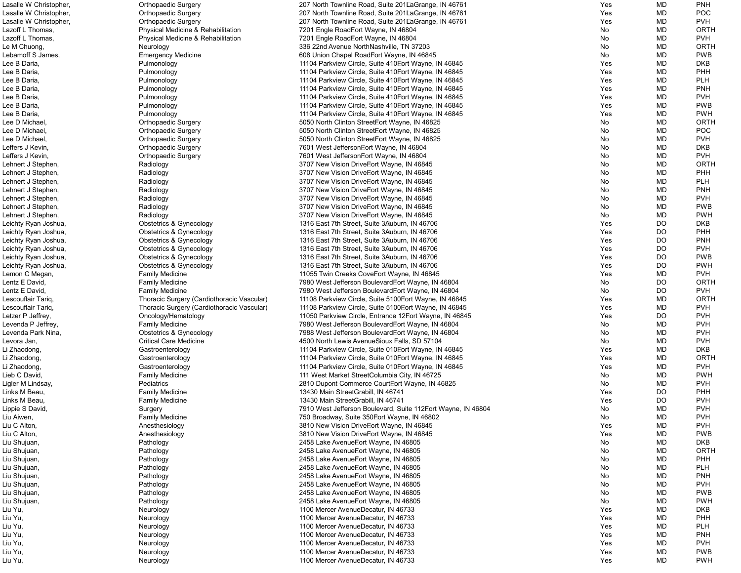| Lasalle W Christopher, | <b>Orthopaedic Surgery</b>                 | 207 North Townline Road, Suite 201 La Grange, IN 46761       | Yes | MD        | <b>PNH</b>  |
|------------------------|--------------------------------------------|--------------------------------------------------------------|-----|-----------|-------------|
| Lasalle W Christopher, | <b>Orthopaedic Surgery</b>                 | 207 North Townline Road, Suite 201 La Grange, IN 46761       | Yes | MD        | <b>POC</b>  |
| Lasalle W Christopher, | <b>Orthopaedic Surgery</b>                 | 207 North Townline Road, Suite 201 La Grange, IN 46761       | Yes | MD        | <b>PVH</b>  |
| Lazoff L Thomas,       | Physical Medicine & Rehabilitation         | 7201 Engle RoadEort Wayne, IN 46804                          | No  | MD        | ORTH        |
| Lazoff L Thomas,       | Physical Medicine & Rehabilitation         | 7201 Engle RoadEort Wayne, IN 46804                          | No  | MD        | <b>PVH</b>  |
| Le M Chuong,           | Neurology                                  | 336 22nd Avenue NorthNashville, TN 37203                     | No  | MD        | ORTH        |
| Lebamoff S James,      | <b>Emergency Medicine</b>                  | 608 Union Chapel RoadEort Wayne, IN 46845                    | No  | <b>MD</b> | <b>PWB</b>  |
| Lee B Daria,           | Pulmonology                                | 11104 Parkview Circle, Suite 410 Eort Wayne, IN 46845        | Yes | <b>MD</b> | <b>DKB</b>  |
| Lee B Daria,           |                                            |                                                              | Yes | <b>MD</b> | PHH         |
|                        | Pulmonology                                | 11104 Parkview Circle, Suite 410 Fort Wayne, IN 46845        |     |           |             |
| Lee B Daria,           | Pulmonology                                | 11104 Parkview Circle, Suite 410 Fort Wayne, IN 46845        | Yes | MD        | <b>PLH</b>  |
| Lee B Daria,           | Pulmonology                                | 11104 Parkview Circle, Suite 410 Fort Wayne, IN 46845        | Yes | MD        | <b>PNH</b>  |
| Lee B Daria,           | Pulmonology                                | 11104 Parkview Circle, Suite 410Eort Wayne, IN 46845         | Yes | MD        | <b>PVH</b>  |
| Lee B Daria,           | Pulmonology                                | 11104 Parkview Circle, Suite 410 Fort Wayne, IN 46845        | Yes | MD        | <b>PWB</b>  |
| Lee B Daria,           | Pulmonology                                | 11104 Parkview Circle, Suite 410 Fort Wayne, IN 46845        | Yes | MD        | <b>PWH</b>  |
| Lee D Michael,         | <b>Orthopaedic Surgery</b>                 | 5050 North Clinton StreetEort Wayne, IN 46825                | No  | MD        | ORTH        |
| Lee D Michael,         | <b>Orthopaedic Surgery</b>                 | 5050 North Clinton StreetEort Wayne, IN 46825                | No  | MD        | <b>POC</b>  |
| Lee D Michael,         | <b>Orthopaedic Surgery</b>                 | 5050 North Clinton StreetEort Wayne, IN 46825                | No  | MD        | <b>PVH</b>  |
| Leffers J Kevin,       | <b>Orthopaedic Surgery</b>                 | 7601 West JeffersonEort Wayne, IN 46804                      | No  | MD        | <b>DKB</b>  |
| Leffers J Kevin,       | <b>Orthopaedic Surgery</b>                 | 7601 West JeffersonEort Wayne, IN 46804                      | No  | MD        | <b>PVH</b>  |
| Lehnert J Stephen,     | Radiology                                  | 3707 New Vision DriveEort Wayne, IN 46845                    | No  | <b>MD</b> | <b>ORTH</b> |
| Lehnert J Stephen,     | Radiology                                  | 3707 New Vision DriveEort Wayne, IN 46845                    | No  | MD        | PHH         |
| Lehnert J Stephen,     | Radiology                                  | 3707 New Vision DriveEort Wayne, IN 46845                    | No  | MD        | <b>PLH</b>  |
| Lehnert J Stephen,     | Radiology                                  | 3707 New Vision DriveEort Wayne, IN 46845                    | No  | MD        | <b>PNH</b>  |
| Lehnert J Stephen,     | Radiology                                  | 3707 New Vision DriveEort Wayne, IN 46845                    | No  | MD        | <b>PVH</b>  |
| Lehnert J Stephen,     | Radiology                                  | 3707 New Vision DriveEort Wayne, IN 46845                    | No  | MD        | <b>PWB</b>  |
| Lehnert J Stephen,     | Radiology                                  | 3707 New Vision DriveEort Wayne, IN 46845                    | No  | MD        | <b>PWH</b>  |
|                        |                                            |                                                              | Yes | <b>DO</b> | <b>DKB</b>  |
| Leichty Ryan Joshua,   | Obstetrics & Gynecology                    | 1316 East 7th Street, Suite 3Auburn, IN 46706                |     |           |             |
| Leichty Ryan Joshua,   | <b>Obstetrics &amp; Gynecology</b>         | 1316 East 7th Street, Suite 3Auburn, IN 46706                | Yes | DO        | PHH         |
| Leichty Ryan Joshua,   | <b>Obstetrics &amp; Gynecology</b>         | 1316 East 7th Street, Suite 3Auburn, IN 46706                | Yes | <b>DO</b> | <b>PNH</b>  |
| Leichty Ryan Joshua,   | <b>Obstetrics &amp; Gynecology</b>         | 1316 East 7th Street, Suite 3Auburn, IN 46706                | Yes | DO        | <b>PVH</b>  |
| Leichty Ryan Joshua,   | <b>Obstetrics &amp; Gynecology</b>         | 1316 East 7th Street, Suite 3Auburn, IN 46706                | Yes | DO        | <b>PWB</b>  |
| Leichty Ryan Joshua,   | <b>Obstetrics &amp; Gynecology</b>         | 1316 East 7th Street, Suite 3Auburn, IN 46706                | Yes | DO        | <b>PWH</b>  |
| Lemon C Megan,         | <b>Family Medicine</b>                     | 11055 Twin Creeks CoveEort Wayne, IN 46845                   | Yes | MD        | <b>PVH</b>  |
| Lentz E David,         | <b>Family Medicine</b>                     | 7980 West Jefferson BoulevardEort Wayne, IN 46804            | No  | DO        | ORTH        |
| Lentz E David,         | <b>Family Medicine</b>                     | 7980 West Jefferson BoulevardEort Wayne, IN 46804            | No  | DO        | <b>PVH</b>  |
| Lescouflair Tariq,     | Thoracic Surgery (Cardiothoracic Vascular) | 11108 Parkview Circle, Suite 5100Eort Wayne, IN 46845        | Yes | <b>MD</b> | <b>ORTH</b> |
| Lescouflair Tariq,     | Thoracic Surgery (Cardiothoracic Vascular) | 11108 Parkview Circle, Suite 5100Eort Wayne, IN 46845        | Yes | MD        | <b>PVH</b>  |
| Letzer P Jeffrey,      | Oncology/Hematology                        | 11050 Parkview Circle, Entrance 12Eort Wayne, IN 46845       | Yes | DO        | <b>PVH</b>  |
| Levenda P Jeffrey,     | <b>Family Medicine</b>                     | 7980 West Jefferson BoulevardEort Wayne, IN 46804            | No  | MD        | <b>PVH</b>  |
| Levenda Park Nina,     | <b>Obstetrics &amp; Gynecology</b>         | 7988 West Jefferson BoulevardEort Wayne, IN 46804            | No  | MD        | <b>PVH</b>  |
| Levora Jan,            | <b>Critical Care Medicine</b>              | 4500 North Lewis AvenueSioux Falls, SD 57104                 | No  | MD        | <b>PVH</b>  |
| Li Zhaodong,           | Gastroenterology                           | 11104 Parkview Circle, Suite 010Eort Wayne, IN 46845         | Yes | MD        | <b>DKB</b>  |
| Li Zhaodong,           | Gastroenterology                           | 11104 Parkview Circle, Suite 010 Eort Wayne, IN 46845        | Yes | <b>MD</b> | <b>ORTH</b> |
| Li Zhaodong,           | Gastroenterology                           | 11104 Parkview Circle, Suite 010Eort Wayne, IN 46845         | Yes | <b>MD</b> | <b>PVH</b>  |
| Lieb C David,          | <b>Family Medicine</b>                     | 111 West Market StreetColumbia City, IN 46725                | No  | <b>MD</b> | <b>PWH</b>  |
| Ligler M Lindsay,      | Pediatrics                                 | 2810 Dupont Commerce CourtEort Wayne, IN 46825               | No  | MD        | <b>PVH</b>  |
| Links M Beau,          | <b>Family Medicine</b>                     | 13430 Main StreetGrabill, IN 46741                           | Yes | DO        | PHH         |
| Links M Beau,          | <b>Family Medicine</b>                     | 13430 Main StreetGrabill, IN 46741                           | Yes | DO        | <b>PVH</b>  |
| Lippie S David,        |                                            | 7910 West Jefferson Boulevard, Suite 112Eort Wayne, IN 46804 | No  | <b>MD</b> | <b>PVH</b>  |
|                        | Surgery                                    |                                                              | No  | MD        | <b>PVH</b>  |
| Liu Aiwen,             | <b>Family Medicine</b>                     | 750 Broadway, Suite 350 Eort Wayne, IN 46802                 |     | MD        |             |
| Liu C Alton,           | Anesthesiology                             | 3810 New Vision DriveEort Wayne, IN 46845                    | Yes |           | <b>PVH</b>  |
| Liu C Alton,           | Anesthesiology                             | 3810 New Vision DriveEort Wayne, IN 46845                    | Yes | MD        | <b>PWB</b>  |
| Liu Shujuan,           | Pathology                                  | 2458 Lake AvenueEort Wayne, IN 46805                         | No  | MD        | <b>DKB</b>  |
| Liu Shujuan,           | Pathology                                  | 2458 Lake AvenueEort Wayne, IN 46805                         | No  | MD        | <b>ORTH</b> |
| Liu Shujuan,           | Pathology                                  | 2458 Lake AvenueEort Wayne, IN 46805                         | No  | <b>MD</b> | PHH         |
| Liu Shujuan,           | Pathology                                  | 2458 Lake AvenueEort Wayne, IN 46805                         | No  | <b>MD</b> | <b>PLH</b>  |
| Liu Shujuan,           | Pathology                                  | 2458 Lake AvenueEort Wayne, IN 46805                         | No  | <b>MD</b> | <b>PNH</b>  |
| Liu Shujuan,           | Pathology                                  | 2458 Lake AvenueEort Wayne, IN 46805                         | No  | MD        | <b>PVH</b>  |
| Liu Shujuan,           | Pathology                                  | 2458 Lake AvenueEort Wayne, IN 46805                         | No  | MD        | <b>PWB</b>  |
| Liu Shujuan,           | Pathology                                  | 2458 Lake AvenueEort Wayne, IN 46805                         | No  | <b>MD</b> | <b>PWH</b>  |
| Liu Yu,                | Neurology                                  | 1100 Mercer AvenueDecatur, IN 46733                          | Yes | MD        | <b>DKB</b>  |
| Liu Yu,                | Neurology                                  | 1100 Mercer AvenueDecatur, IN 46733                          | Yes | MD        | PHH         |
| Liu Yu,                | Neurology                                  | 1100 Mercer AvenueDecatur, IN 46733                          | Yes | MD        | <b>PLH</b>  |
| Liu Yu,                | Neurology                                  | 1100 Mercer AvenueDecatur, IN 46733                          | Yes | MD        | <b>PNH</b>  |
| Liu Yu,                | Neurology                                  | 1100 Mercer AvenueDecatur, IN 46733                          | Yes | MD        | <b>PVH</b>  |
| Liu Yu,                | Neurology                                  | 1100 Mercer AvenueDecatur, IN 46733                          | Yes | MD        | <b>PWB</b>  |
| Liu Yu,                | Neurology                                  | 1100 Mercer AvenueDecatur, IN 46733                          | Yes | MD        | <b>PWH</b>  |
|                        |                                            |                                                              |     |           |             |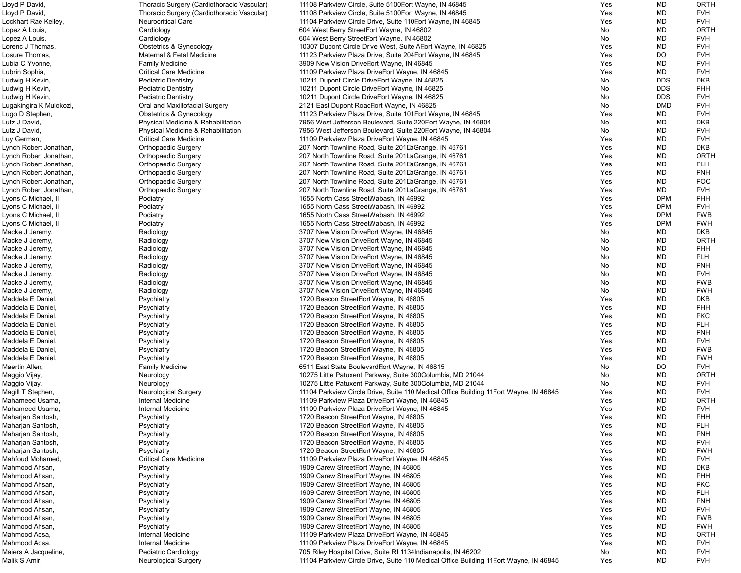| Lloyd P David,          | Thoracic Surgery (Cardiothoracic Vascular) | 11108 Parkview Circle, Suite 5100 Fort Wayne, IN 46845                                 | Yes | MD         | ORTH        |
|-------------------------|--------------------------------------------|----------------------------------------------------------------------------------------|-----|------------|-------------|
| Lloyd P David,          | Thoracic Surgery (Cardiothoracic Vascular) | 11108 Parkview Circle, Suite 5100Eort Wayne, IN 46845                                  | Yes | MD         | <b>PVH</b>  |
| Lockhart Rae Kelley,    | <b>Neurocritical Care</b>                  | 11104 Parkview Circle Drive, Suite 110 Fort Wayne, IN 46845                            | Yes | <b>MD</b>  | <b>PVH</b>  |
| Lopez A Louis,          | Cardiology                                 | 604 West Berry StreetEort Wayne, IN 46802                                              | No  | MD         | ORTH        |
| Lopez A Louis,          | Cardiology                                 | 604 West Berry StreetEort Wayne, IN 46802                                              | No  | MD         | <b>PVH</b>  |
| Lorenc J Thomas,        | <b>Obstetrics &amp; Gynecology</b>         | 10307 Dupont Circle Drive West, Suite AEort Wayne, IN 46825                            | Yes | MD         | <b>PVH</b>  |
| Losure Thomas,          | Maternal & Fetal Medicine                  | 11123 Parkview Plaza Drive, Suite 204Eort Wayne, IN 46845                              | Yes | <b>DO</b>  | <b>PVH</b>  |
|                         |                                            |                                                                                        |     | MD         | <b>PVH</b>  |
| Lubia C Yvonne,         | <b>Family Medicine</b>                     | 3909 New Vision DriveEort Wayne, IN 46845                                              | Yes |            |             |
| Lubrin Sophia,          | <b>Critical Care Medicine</b>              | 11109 Parkview Plaza DriveEort Wayne, IN 46845                                         | Yes | MD         | <b>PVH</b>  |
| Ludwig H Kevin,         | <b>Pediatric Dentistry</b>                 | 10211 Dupont Circle DriveEort Wayne, IN 46825                                          | No  | <b>DDS</b> | <b>DKB</b>  |
| Ludwig H Kevin,         | <b>Pediatric Dentistry</b>                 | 10211 Dupont Circle DriveEort Wayne, IN 46825                                          | No  | <b>DDS</b> | PHH         |
| Ludwig H Kevin,         | <b>Pediatric Dentistry</b>                 | 10211 Dupont Circle DriveEort Wayne, IN 46825                                          | No  | <b>DDS</b> | <b>PVH</b>  |
| Lugakingira K Mulokozi, | Oral and Maxillofacial Surgery             | 2121 East Dupont RoadEort Wayne, IN 46825                                              | No  | <b>DMD</b> | <b>PVH</b>  |
| Lugo D Stephen,         | <b>Obstetrics &amp; Gynecology</b>         | 11123 Parkview Plaza Drive, Suite 101 Eort Wayne, IN 46845                             | Yes | MD         | <b>PVH</b>  |
| Lutz J David,           | Physical Medicine & Rehabilitation         | 7956 West Jefferson Boulevard, Suite 220 Eort Wayne, IN 46804                          | No  | MD         | <b>DKB</b>  |
| Lutz J David,           | Physical Medicine & Rehabilitation         | 7956 West Jefferson Boulevard, Suite 220 Eort Wayne, IN 46804                          | No  | MD         | <b>PVH</b>  |
| Luy German,             | <b>Critical Care Medicine</b>              | 11109 Parkview Plaza DriveEort Wayne, IN 46845                                         | Yes | MD         | <b>PVH</b>  |
| Lynch Robert Jonathan,  | <b>Orthopaedic Surgery</b>                 | 207 North Townline Road, Suite 201 La Grange, IN 46761                                 | Yes | MD         | <b>DKB</b>  |
| Lynch Robert Jonathan,  | <b>Orthopaedic Surgery</b>                 | 207 North Townline Road, Suite 201 La Grange, IN 46761                                 | Yes | MD         | <b>ORTH</b> |
| Lynch Robert Jonathan,  | <b>Orthopaedic Surgery</b>                 | 207 North Townline Road, Suite 201 La Grange, IN 46761                                 | Yes | MD         | <b>PLH</b>  |
|                         |                                            |                                                                                        |     | MD         | <b>PNH</b>  |
| Lynch Robert Jonathan,  | <b>Orthopaedic Surgery</b>                 | 207 North Townline Road, Suite 201 La Grange, IN 46761                                 | Yes |            |             |
| Lynch Robert Jonathan,  | <b>Orthopaedic Surgery</b>                 | 207 North Townline Road, Suite 201 La Grange, IN 46761                                 | Yes | MD         | <b>POC</b>  |
| Lynch Robert Jonathan,  | <b>Orthopaedic Surgery</b>                 | 207 North Townline Road, Suite 201 La Grange, IN 46761                                 | Yes | MD         | <b>PVH</b>  |
| Lyons C Michael, II     | Podiatry                                   | 1655 North Cass StreetWabash, IN 46992                                                 | Yes | <b>DPM</b> | PHH         |
| Lyons C Michael, II     | Podiatry                                   | 1655 North Cass StreetWabash, IN 46992                                                 | Yes | <b>DPM</b> | <b>PVH</b>  |
| Lyons C Michael, II     | Podiatry                                   | 1655 North Cass StreetWabash, IN 46992                                                 | Yes | <b>DPM</b> | <b>PWB</b>  |
| Lyons C Michael, II     | Podiatry                                   | 1655 North Cass StreetWabash, IN 46992                                                 | Yes | <b>DPM</b> | <b>PWH</b>  |
| Macke J Jeremy,         | Radiology                                  | 3707 New Vision DriveEort Wayne, IN 46845                                              | No  | MD         | <b>DKB</b>  |
| Macke J Jeremy,         | Radiology                                  | 3707 New Vision DriveEort Wayne, IN 46845                                              | No  | MD         | ORTH        |
| Macke J Jeremy,         | Radiology                                  | 3707 New Vision DriveEort Wayne, IN 46845                                              | No  | MD         | <b>PHH</b>  |
| Macke J Jeremy,         | Radiology                                  | 3707 New Vision DriveEort Wayne, IN 46845                                              | No  | MD         | <b>PLH</b>  |
| Macke J Jeremy,         | Radiology                                  | 3707 New Vision DriveEort Wayne, IN 46845                                              | No  | MD         | <b>PNH</b>  |
|                         |                                            |                                                                                        |     |            |             |
| Macke J Jeremy,         | Radiology                                  | 3707 New Vision DriveEort Wayne, IN 46845                                              | No  | MD         | <b>PVH</b>  |
| Macke J Jeremy,         | Radiology                                  | 3707 New Vision DriveEort Wayne, IN 46845                                              | No  | MD         | <b>PWB</b>  |
| Macke J Jeremy,         | Radiology                                  | 3707 New Vision DriveEort Wayne, IN 46845                                              | No  | MD         | <b>PWH</b>  |
| Maddela E Daniel,       | Psychiatry                                 | 1720 Beacon StreetEort Wayne, IN 46805                                                 | Yes | <b>MD</b>  | <b>DKB</b>  |
| Maddela E Daniel,       | Psychiatry                                 | 1720 Beacon StreetEort Wayne, IN 46805                                                 | Yes | MD         | PHH         |
| Maddela E Daniel.       | Psychiatry                                 | 1720 Beacon StreetEort Wayne, IN 46805                                                 | Yes | MD         | <b>PKC</b>  |
| Maddela E Daniel,       | Psychiatry                                 | 1720 Beacon StreetEort Wayne, IN 46805                                                 | Yes | <b>MD</b>  | <b>PLH</b>  |
| Maddela E Daniel.       | Psychiatry                                 | 1720 Beacon StreetEort Wayne, IN 46805                                                 | Yes | MD         | <b>PNH</b>  |
| Maddela E Daniel.       | Psychiatry                                 | 1720 Beacon StreetEort Wayne, IN 46805                                                 | Yes | MD         | <b>PVH</b>  |
| Maddela E Daniel,       | Psychiatry                                 | 1720 Beacon StreetEort Wayne, IN 46805                                                 | Yes | MD         | <b>PWB</b>  |
| Maddela E Daniel,       | Psychiatry                                 | 1720 Beacon StreetEort Wayne, IN 46805                                                 | Yes | MD         | <b>PWH</b>  |
| Maertin Allen,          | <b>Family Medicine</b>                     | 6511 East State BoulevardEort Wayne, IN 46815                                          | No  | DO         | <b>PVH</b>  |
|                         |                                            |                                                                                        |     |            | <b>ORTH</b> |
| Maggio Vijay,           | Neurology                                  | 10275 Little Patuxent Parkway, Suite 300Columbia, MD 21044                             | No  | <b>MD</b>  |             |
| Maggio Vijay,           | Neurology                                  | 10275 Little Patuxent Parkway, Suite 300Columbia, MD 21044                             | No  | MD         | <b>PVH</b>  |
| Magill T Stephen,       | <b>Neurological Surgery</b>                | 11104 Parkview Circle Drive, Suite 110 Medical Office Building 11 Eort Wayne, IN 46845 | Yes | <b>MD</b>  | <b>PVH</b>  |
| Mahameed Usama,         | Internal Medicine                          | 11109 Parkview Plaza DriveEort Wayne, IN 46845                                         | Yes | <b>MD</b>  | ORTH        |
| Mahameed Usama,         | Internal Medicine                          | 11109 Parkview Plaza DriveEort Wayne, IN 46845                                         | Yes | MD         | <b>PVH</b>  |
| Maharjan Santosh,       | Psychiatry                                 | 1720 Beacon StreetEort Wayne, IN 46805                                                 | Yes | <b>MD</b>  | PHH         |
| Maharjan Santosh,       | Psychiatry                                 | 1720 Beacon StreetEort Wayne, IN 46805                                                 | Yes | <b>MD</b>  | <b>PLH</b>  |
| Maharjan Santosh,       | Psychiatry                                 | 1720 Beacon StreetEort Wayne, IN 46805                                                 | Yes | MD         | <b>PNH</b>  |
| Maharjan Santosh,       | Psychiatry                                 | 1720 Beacon StreetEort Wayne, IN 46805                                                 | Yes | MD         | <b>PVH</b>  |
| Maharjan Santosh,       | Psychiatry                                 | 1720 Beacon StreetEort Wayne, IN 46805                                                 | Yes | MD         | <b>PWH</b>  |
| Mahfoud Mohamed,        | <b>Critical Care Medicine</b>              | 11109 Parkview Plaza DriveEort Wayne, IN 46845                                         | Yes | MD         | <b>PVH</b>  |
| Mahmood Ahsan,          |                                            |                                                                                        | Yes | MD         | <b>DKB</b>  |
|                         | Psychiatry                                 | 1909 Carew StreetEort Wayne, IN 46805                                                  |     |            |             |
| Mahmood Ahsan,          | Psychiatry                                 | 1909 Carew StreetEort Wayne, IN 46805                                                  | Yes | <b>MD</b>  | PHH         |
| Mahmood Ahsan,          | Psychiatry                                 | 1909 Carew StreetEort Wayne, IN 46805                                                  | Yes | <b>MD</b>  | <b>PKC</b>  |
| Mahmood Ahsan,          | Psychiatry                                 | 1909 Carew StreetEort Wayne, IN 46805                                                  | Yes | <b>MD</b>  | <b>PLH</b>  |
| Mahmood Ahsan,          | Psychiatry                                 | 1909 Carew StreetEort Wayne, IN 46805                                                  | Yes | MD         | <b>PNH</b>  |
| Mahmood Ahsan,          | Psychiatry                                 | 1909 Carew StreetEort Wayne, IN 46805                                                  | Yes | MD         | <b>PVH</b>  |
| Mahmood Ahsan,          | Psychiatry                                 | 1909 Carew StreetEort Wayne, IN 46805                                                  | Yes | <b>MD</b>  | <b>PWB</b>  |
| Mahmood Ahsan,          | Psychiatry                                 | 1909 Carew StreetEort Wayne, IN 46805                                                  | Yes | <b>MD</b>  | <b>PWH</b>  |
| Mahmood Aqsa,           | Internal Medicine                          | 11109 Parkview Plaza DriveEort Wayne, IN 46845                                         | Yes | MD         | ORTH        |
| Mahmood Aqsa,           | Internal Medicine                          | 11109 Parkview Plaza DriveEort Wayne, IN 46845                                         | Yes | MD         | <b>PVH</b>  |
| Maiers A Jacqueline,    | <b>Pediatric Cardiology</b>                | 705 Riley Hospital Drive, Suite RI 1134 Indianapolis, IN 46202                         | No  | MD         | <b>PVH</b>  |
|                         |                                            |                                                                                        |     |            |             |
| Malik S Amir,           | <b>Neurological Surgery</b>                | 11104 Parkview Circle Drive, Suite 110 Medical Office Building 11 Eort Wayne, IN 46845 | Yes | <b>MD</b>  | <b>PVH</b>  |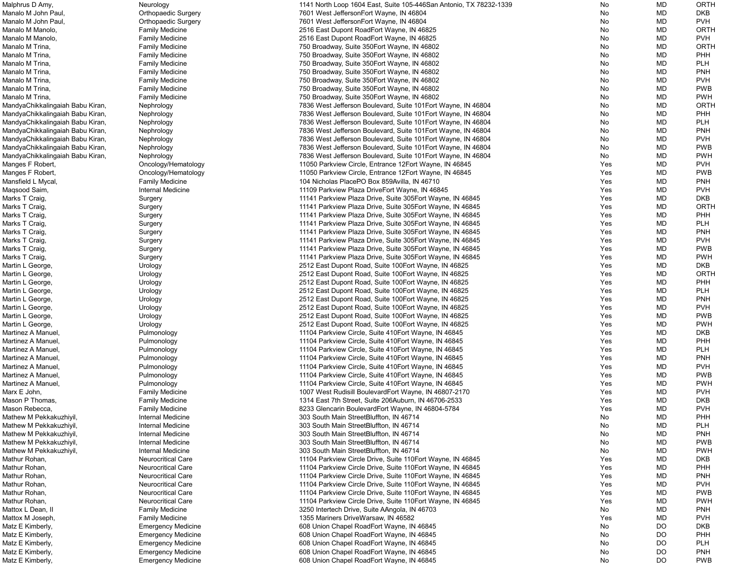| Malphrus D Amy,                  | Neurology                  | 1141 North Loop 1604 East, Suite 105-446San Antonio, TX 78232-1339 | No         | MD                     | <b>ORTH</b>              |
|----------------------------------|----------------------------|--------------------------------------------------------------------|------------|------------------------|--------------------------|
| Manalo M John Paul,              | <b>Orthopaedic Surgery</b> | 7601 West JeffersonEort Wayne, IN 46804                            | No         | <b>MD</b>              | <b>DKB</b>               |
| Manalo M John Paul,              | <b>Orthopaedic Surgery</b> | 7601 West JeffersonEort Wayne, IN 46804                            | No         | MD                     | <b>PVH</b>               |
| Manalo M Manolo,                 | <b>Family Medicine</b>     | 2516 East Dupont RoadEort Wayne, IN 46825                          | No         | MD                     | <b>ORTH</b>              |
| Manalo M Manolo,                 | <b>Family Medicine</b>     | 2516 East Dupont RoadEort Wayne, IN 46825                          | No         | MD                     | <b>PVH</b>               |
| Manalo M Trina,                  | <b>Family Medicine</b>     | 750 Broadway, Suite 350 Eort Wayne, IN 46802                       | No         | <b>MD</b>              | <b>ORTH</b>              |
| Manalo M Trina,                  | <b>Family Medicine</b>     | 750 Broadway, Suite 350 Eort Wayne, IN 46802                       | No         | <b>MD</b>              | PHH                      |
| Manalo M Trina,                  | <b>Family Medicine</b>     | 750 Broadway, Suite 350 Eort Wayne, IN 46802                       | No         | <b>MD</b>              | <b>PLH</b>               |
| Manalo M Trina,                  | <b>Family Medicine</b>     | 750 Broadway, Suite 350 Eort Wayne, IN 46802                       | No         | MD                     | <b>PNH</b>               |
| Manalo M Trina,                  | <b>Family Medicine</b>     | 750 Broadway, Suite 350 Eort Wayne, IN 46802                       | No         | <b>MD</b>              | <b>PVH</b>               |
| Manalo M Trina,                  | <b>Family Medicine</b>     | 750 Broadway, Suite 350 Eort Wayne, IN 46802                       | No         | MD                     | <b>PWB</b>               |
| Manalo M Trina,                  | <b>Family Medicine</b>     | 750 Broadway, Suite 350 Eort Wayne, IN 46802                       | No         | <b>MD</b>              | <b>PWH</b>               |
| MandyaChikkalingaiah Babu Kiran, | Nephrology                 | 7836 West Jefferson Boulevard, Suite 101 Eort Wayne, IN 46804      | No         | <b>MD</b>              | <b>ORTH</b>              |
| MandyaChikkalingaiah Babu Kiran, | Nephrology                 | 7836 West Jefferson Boulevard, Suite 101 Eort Wayne, IN 46804      | No         | <b>MD</b>              | PHH                      |
| MandyaChikkalingaiah Babu Kiran, | Nephrology                 | 7836 West Jefferson Boulevard, Suite 101 Eort Wayne, IN 46804      | No         | <b>MD</b>              | <b>PLH</b>               |
| MandyaChikkalingaiah Babu Kiran, | Nephrology                 | 7836 West Jefferson Boulevard, Suite 101 Eort Wayne, IN 46804      | No         | MD                     | <b>PNH</b>               |
| MandyaChikkalingaiah Babu Kiran, | Nephrology                 | 7836 West Jefferson Boulevard, Suite 101 Eort Wayne, IN 46804      | No         | <b>MD</b>              | <b>PVH</b>               |
| MandyaChikkalingaiah Babu Kiran, | Nephrology                 | 7836 West Jefferson Boulevard, Suite 101 Eort Wayne, IN 46804      | No         | <b>MD</b>              | <b>PWB</b>               |
| MandyaChikkalingaiah Babu Kiran, | Nephrology                 | 7836 West Jefferson Boulevard, Suite 101 Eort Wayne, IN 46804      | No         | <b>MD</b>              | <b>PWH</b>               |
| Manges F Robert,                 | Oncology/Hematology        | 11050 Parkview Circle, Entrance 12Eort Wayne, IN 46845             | Yes        | <b>MD</b>              | <b>PVH</b>               |
| Manges F Robert,                 | Oncology/Hematology        | 11050 Parkview Circle, Entrance 12Eort Wayne, IN 46845             | Yes        | MD                     | <b>PWB</b>               |
| Mansfield L Mycal,               | <b>Family Medicine</b>     | 104 Nicholas PlacePO Box 859Avilla, IN 46710                       | Yes        | <b>MD</b>              | <b>PNH</b>               |
| Maqsood Saim,                    | Internal Medicine          | 11109 Parkview Plaza DriveEort Wayne, IN 46845                     | Yes        | <b>MD</b>              | <b>PVH</b>               |
| Marks T Craig,                   | Surgery                    | 11141 Parkview Plaza Drive, Suite 305 Eort Wayne, IN 46845         | Yes        | MD                     | <b>DKB</b>               |
| Marks T Craig,                   | Surgery                    | 11141 Parkview Plaza Drive, Suite 305 Eort Wayne, IN 46845         | Yes        | <b>MD</b>              | <b>ORTH</b>              |
| Marks T Craig,                   | Surgery                    | 11141 Parkview Plaza Drive, Suite 305 Eort Wayne, IN 46845         | Yes        | <b>MD</b>              | PHH                      |
| Marks T Craig,                   | Surgery                    | 11141 Parkview Plaza Drive, Suite 305 Eort Wayne, IN 46845         | Yes        | MD                     | <b>PLH</b>               |
| Marks T Craig,                   |                            | 11141 Parkview Plaza Drive, Suite 305 Eort Wayne, IN 46845         | Yes        | MD                     | <b>PNH</b>               |
| Marks T Craig,                   | Surgery                    | 11141 Parkview Plaza Drive, Suite 305 Eort Wayne, IN 46845         | Yes        | <b>MD</b>              | <b>PVH</b>               |
| Marks T Craig,                   | Surgery                    | 11141 Parkview Plaza Drive, Suite 305 Eort Wayne, IN 46845         | Yes        | <b>MD</b>              | <b>PWB</b>               |
| Marks T Craig,                   | Surgery                    | 11141 Parkview Plaza Drive, Suite 305 Eort Wayne, IN 46845         | Yes        | <b>MD</b>              | <b>PWH</b>               |
|                                  | Surgery                    |                                                                    |            |                        | <b>DKB</b>               |
| Martin L George,                 | Urology                    | 2512 East Dupont Road, Suite 100 Eort Wayne, IN 46825              | Yes        | MD                     | <b>ORTH</b>              |
| Martin L George,                 | Urology                    | 2512 East Dupont Road, Suite 100 Fort Wayne, IN 46825              | Yes        | MD                     |                          |
| Martin L George,                 | Urology                    | 2512 East Dupont Road, Suite 100 Eort Wayne, IN 46825              | Yes        | MD                     | PHH                      |
| Martin L George,                 | Urology                    | 2512 East Dupont Road, Suite 100 Eort Wayne, IN 46825              | Yes        | <b>MD</b><br><b>MD</b> | <b>PLH</b><br><b>PNH</b> |
| Martin L George,                 | Urology                    | 2512 East Dupont Road, Suite 100 Eort Wayne, IN 46825              | <b>Yes</b> |                        |                          |
| Martin L George,                 | Urology                    | 2512 East Dupont Road, Suite 100 Eort Wayne, IN 46825              | Yes        | MD                     | <b>PVH</b>               |
| Martin L George,                 | Urology                    | 2512 East Dupont Road, Suite 100 Eort Wayne, IN 46825              | Yes        | MD                     | <b>PWB</b>               |
| Martin L George,                 | Urology                    | 2512 East Dupont Road, Suite 100 Eort Wayne, IN 46825              | Yes        | <b>MD</b>              | <b>PWH</b>               |
| Martinez A Manuel,               | Pulmonology                | 11104 Parkview Circle, Suite 410 Fort Wayne, IN 46845              | Yes        | <b>MD</b>              | <b>DKB</b>               |
| Martinez A Manuel.               | Pulmonology                | 11104 Parkview Circle, Suite 410 Fort Wayne, IN 46845              | Yes        | <b>MD</b>              | PHH                      |
| Martinez A Manuel,               | Pulmonology                | 11104 Parkview Circle, Suite 410Eort Wayne, IN 46845               | Yes        | <b>MD</b>              | <b>PLH</b>               |
| Martinez A Manuel,               | Pulmonology                | 11104 Parkview Circle, Suite 410Eort Wayne, IN 46845               | Yes        | <b>MD</b>              | <b>PNH</b>               |
| Martinez A Manuel,               | Pulmonology                | 11104 Parkview Circle, Suite 410 Eort Wayne, IN 46845              | Yes        | <b>MD</b>              | <b>PVH</b>               |
| Martinez A Manuel,               | Pulmonology                | 11104 Parkview Circle, Suite 410Eort Wayne, IN 46845               | Yes        | MD                     | <b>PWB</b>               |
| Martinez A Manuel,               | Pulmonology                | 11104 Parkview Circle, Suite 410 Fort Wayne, IN 46845              | Yes        | <b>MD</b>              | <b>PWH</b>               |
| Marx E John,                     | <b>Family Medicine</b>     | 1007 West Rudisill BoulevardEort Wayne, IN 46807-2170              | Yes        | <b>MD</b>              | <b>PVH</b>               |
| Mason P Thomas,                  | <b>Family Medicine</b>     | 1314 East 7th Street, Suite 206Auburn, IN 46706-2533               | Yes        | <b>MD</b>              | <b>DKB</b>               |
| Mason Rebecca,                   | <b>Family Medicine</b>     | 8233 Glencarin BoulevardEort Wayne, IN 46804-5784                  | Yes        | <b>MD</b>              | <b>PVH</b>               |
| Mathew M Pekkakuzhiyil           | Internal Medicine          | 303 South Main StreetBluffton, IN 46714                            | No         | <b>MD</b>              | PHH                      |
| Mathew M Pekkakuzhiyil,          | Internal Medicine          | 303 South Main StreetBluffton, IN 46714                            | No         | <b>MD</b>              | <b>PLH</b>               |
| Mathew M Pekkakuzhiyil           | Internal Medicine          | 303 South Main StreetBluffton, IN 46714                            | No         | <b>MD</b>              | <b>PNH</b>               |
| Mathew M Pekkakuzhiyil           | <b>Internal Medicine</b>   | 303 South Main StreetBluffton, IN 46714                            | No         | <b>MD</b>              | <b>PWB</b>               |
| Mathew M Pekkakuzhiyil,          | Internal Medicine          | 303 South Main StreetBluffton, IN 46714                            | No         | <b>MD</b>              | <b>PWH</b>               |
| Mathur Rohan,                    | <b>Neurocritical Care</b>  | 11104 Parkview Circle Drive, Suite 110 Eort Wayne, IN 46845        | Yes        | <b>MD</b>              | <b>DKB</b>               |
| Mathur Rohan,                    | <b>Neurocritical Care</b>  | 11104 Parkview Circle Drive, Suite 110 Eort Wayne, IN 46845        | Yes        | <b>MD</b>              | PHH                      |
| Mathur Rohan,                    | <b>Neurocritical Care</b>  | 11104 Parkview Circle Drive, Suite 110 Eort Wayne, IN 46845        | Yes        | MD                     | <b>PNH</b>               |
| Mathur Rohan,                    | <b>Neurocritical Care</b>  | 11104 Parkview Circle Drive, Suite 110 Eort Wayne, IN 46845        | Yes        | <b>MD</b>              | <b>PVH</b>               |
| Mathur Rohan,                    | <b>Neurocritical Care</b>  | 11104 Parkview Circle Drive, Suite 110 Eort Wayne, IN 46845        | Yes        | <b>MD</b>              | <b>PWB</b>               |
| Mathur Rohan,                    | <b>Neurocritical Care</b>  | 11104 Parkview Circle Drive, Suite 110 Eort Wayne, IN 46845        | Yes        | MD                     | <b>PWH</b>               |
| Mattox L Dean, II                | <b>Family Medicine</b>     | 3250 Intertech Drive, Suite AAngola, IN 46703                      | No         | <b>MD</b>              | <b>PNH</b>               |
| Mattox M Joseph,                 | <b>Family Medicine</b>     | 1355 Mariners DriveWarsaw, IN 46582                                | Yes        | <b>MD</b>              | <b>PVH</b>               |
| Matz E Kimberly,                 | <b>Emergency Medicine</b>  | 608 Union Chapel RoadEort Wayne, IN 46845                          | No         | DO                     | <b>DKB</b>               |
| Matz E Kimberly,                 | <b>Emergency Medicine</b>  | 608 Union Chapel RoadEort Wayne, IN 46845                          | No         | DO                     | PHH                      |
| Matz E Kimberly,                 | <b>Emergency Medicine</b>  | 608 Union Chapel RoadEort Wayne, IN 46845                          | No         | <b>DO</b>              | <b>PLH</b>               |
| Matz E Kimberly,                 | <b>Emergency Medicine</b>  | 608 Union Chapel RoadEort Wayne, IN 46845                          | No         | DO                     | <b>PNH</b>               |
| Matz E Kimberly,                 | <b>Emergency Medicine</b>  | 608 Union Chapel RoadEort Wayne, IN 46845                          | No         | <b>DO</b>              | <b>PWB</b>               |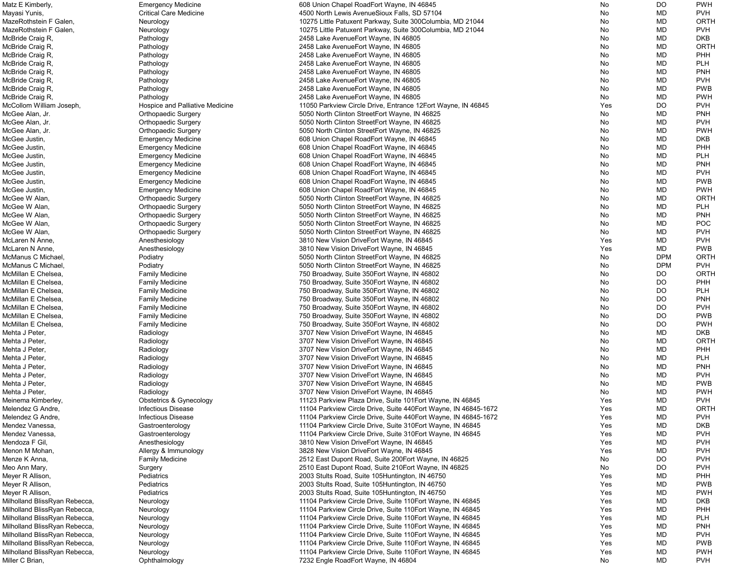| Matz E Kimberly,              | <b>Emergency Medicine</b>       | 608 Union Chapel RoadEort Wayne, IN 46845                        | No.        | DO         | <b>PWH</b>  |
|-------------------------------|---------------------------------|------------------------------------------------------------------|------------|------------|-------------|
| Mayasi Yunis,                 | <b>Critical Care Medicine</b>   | 4500 North Lewis AvenueSioux Falls, SD 57104                     | No         | MD         | <b>PVH</b>  |
| MazeRothstein F Galen,        | Neurology                       | 10275 Little Patuxent Parkway, Suite 300Columbia, MD 21044       | No         | MD         | <b>ORTH</b> |
| MazeRothstein F Galen,        | Neurology                       | 10275 Little Patuxent Parkway, Suite 300Columbia, MD 21044       | No         | MD         | <b>PVH</b>  |
|                               |                                 |                                                                  |            |            |             |
| McBride Craig R,              | Pathology                       | 2458 Lake AvenueEort Wayne, IN 46805                             | No         | MD         | <b>DKB</b>  |
| McBride Craig R,              | Pathology                       | 2458 Lake AvenueEort Wayne, IN 46805                             | No         | MD         | <b>ORTH</b> |
| McBride Craig R,              | Pathology                       | 2458 Lake AvenueEort Wayne, IN 46805                             | No         | MD         | PHH         |
| McBride Craig R,              | Pathology                       | 2458 Lake AvenueEort Wayne, IN 46805                             | No         | MD         | <b>PLH</b>  |
| McBride Craig R,              | Pathology                       | 2458 Lake AvenueEort Wayne, IN 46805                             | No         | MD         | <b>PNH</b>  |
| McBride Craig R,              | Pathology                       | 2458 Lake AvenueEort Wayne, IN 46805                             | No         | MD         | <b>PVH</b>  |
|                               |                                 |                                                                  |            |            | <b>PWB</b>  |
| McBride Craig R,              | Pathology                       | 2458 Lake AvenueEort Wayne, IN 46805                             | No         | MD         |             |
| McBride Craig R,              | Pathology                       | 2458 Lake AvenueEort Wayne, IN 46805                             | No         | MD         | <b>PWH</b>  |
| McCollom William Joseph,      | Hospice and Palliative Medicine | 11050 Parkview Circle Drive, Entrance 12Eort Wayne, IN 46845     | Yes        | <b>DO</b>  | <b>PVH</b>  |
| McGee Alan, Jr.               | <b>Orthopaedic Surgery</b>      | 5050 North Clinton StreetEort Wayne, IN 46825                    | No         | MD         | <b>PNH</b>  |
| McGee Alan, Jr.               | <b>Orthopaedic Surgery</b>      | 5050 North Clinton StreetEort Wayne, IN 46825                    | No         | MD         | <b>PVH</b>  |
| McGee Alan, Jr.               | <b>Orthopaedic Surgery</b>      | 5050 North Clinton StreetEort Wayne, IN 46825                    | No         | MD         | <b>PWH</b>  |
|                               |                                 |                                                                  |            |            |             |
| McGee Justin,                 | <b>Emergency Medicine</b>       | 608 Union Chapel RoadEort Wayne, IN 46845                        | No         | MD         | <b>DKB</b>  |
| McGee Justin,                 | <b>Emergency Medicine</b>       | 608 Union Chapel RoadEort Wayne, IN 46845                        | No         | MD         | PHH         |
| McGee Justin,                 | <b>Emergency Medicine</b>       | 608 Union Chapel RoadEort Wayne, IN 46845                        | No         | MD         | <b>PLH</b>  |
| McGee Justin,                 | <b>Emergency Medicine</b>       | 608 Union Chapel RoadEort Wayne, IN 46845                        | No         | MD         | <b>PNH</b>  |
| McGee Justin,                 | <b>Emergency Medicine</b>       | 608 Union Chapel RoadEort Wayne, IN 46845                        | No         | MD         | <b>PVH</b>  |
| McGee Justin,                 | <b>Emergency Medicine</b>       | 608 Union Chapel RoadEort Wayne, IN 46845                        | No         | MD         | <b>PWB</b>  |
|                               |                                 |                                                                  |            |            |             |
| McGee Justin,                 | <b>Emergency Medicine</b>       | 608 Union Chapel RoadEort Wayne, IN 46845                        | No         | MD         | <b>PWH</b>  |
| McGee W Alan,                 | <b>Orthopaedic Surgery</b>      | 5050 North Clinton StreetEort Wayne, IN 46825                    | No         | MD         | <b>ORTH</b> |
| McGee W Alan,                 | <b>Orthopaedic Surgery</b>      | 5050 North Clinton StreetEort Wayne, IN 46825                    | No         | MD         | <b>PLH</b>  |
| McGee W Alan,                 | <b>Orthopaedic Surgery</b>      | 5050 North Clinton StreetEort Wayne, IN 46825                    | No         | MD         | <b>PNH</b>  |
| McGee W Alan,                 | <b>Orthopaedic Surgery</b>      | 5050 North Clinton StreetEort Wayne, IN 46825                    | No         | MD         | <b>POC</b>  |
| McGee W Alan,                 |                                 |                                                                  | No         | MD         | <b>PVH</b>  |
|                               | <b>Orthopaedic Surgery</b>      | 5050 North Clinton StreetEort Wayne, IN 46825                    |            |            |             |
| McLaren N Anne,               | Anesthesiology                  | 3810 New Vision DriveEort Wayne, IN 46845                        | Yes        | MD         | <b>PVH</b>  |
| McLaren N Anne,               | Anesthesiology                  | 3810 New Vision DriveEort Wayne, IN 46845                        | Yes        | MD         | <b>PWB</b>  |
| McManus C Michael,            | Podiatry                        | 5050 North Clinton StreetEort Wayne, IN 46825                    | No         | <b>DPM</b> | <b>ORTH</b> |
| McManus C Michael,            | Podiatry                        | 5050 North Clinton StreetEort Wayne, IN 46825                    | No         | <b>DPM</b> | <b>PVH</b>  |
| McMillan E Chelsea,           | <b>Family Medicine</b>          | 750 Broadway, Suite 350 Eort Wayne, IN 46802                     | No         | DO         | <b>ORTH</b> |
| McMillan E Chelsea,           |                                 |                                                                  |            |            | PHH         |
|                               | <b>Family Medicine</b>          | 750 Broadway, Suite 350 Eort Wayne, IN 46802                     | No         | <b>DO</b>  |             |
| McMillan E Chelsea,           | <b>Family Medicine</b>          | 750 Broadway, Suite 350 Eort Wayne, IN 46802                     | No         | <b>DO</b>  | <b>PLH</b>  |
| McMillan E Chelsea,           | <b>Family Medicine</b>          | 750 Broadway, Suite 350 Eort Wayne, IN 46802                     | No         | <b>DO</b>  | <b>PNH</b>  |
| McMillan E Chelsea,           | <b>Family Medicine</b>          | 750 Broadway, Suite 350 Eort Wayne, IN 46802                     | No         | DO         | <b>PVH</b>  |
| McMillan E Chelsea,           | <b>Family Medicine</b>          | 750 Broadway, Suite 350 Eort Wayne, IN 46802                     | No         | DO         | <b>PWB</b>  |
| McMillan E Chelsea,           | <b>Family Medicine</b>          | 750 Broadway, Suite 350 Eort Wayne, IN 46802                     | No         | DO         | <b>PWH</b>  |
|                               |                                 |                                                                  |            |            |             |
| Mehta J Peter,                | Radiology                       | 3707 New Vision DriveEort Wayne, IN 46845                        | No         | MD         | <b>DKB</b>  |
| Mehta J Peter,                | Radiology                       | 3707 New Vision DriveEort Wayne, IN 46845                        | No         | MD         | <b>ORTH</b> |
| Mehta J Peter,                | Radiology                       | 3707 New Vision DriveEort Wayne, IN 46845                        | No         | MD         | PHH         |
| Mehta J Peter,                | Radiology                       | 3707 New Vision DriveEort Wayne, IN 46845                        | No         | MD         | <b>PLH</b>  |
| Mehta J Peter,                | Radiology                       | 3707 New Vision DriveEort Wayne, IN 46845                        | No         | MD         | <b>PNH</b>  |
| Mehta J Peter,                | Radiology                       | 3707 New Vision DriveEort Wayne, IN 46845                        | No         | MD         | <b>PVH</b>  |
|                               |                                 |                                                                  |            |            |             |
| Mehta J Peter,                | Radiology                       | 3707 New Vision DriveEort Wayne, IN 46845                        | No         | MD         | <b>PWB</b>  |
| Mehta J Peter,                | Radiology                       | 3707 New Vision DriveEort Wayne, IN 46845                        | No         | MD         | <b>PWH</b>  |
| Meinema Kimberley,            | Obstetrics & Gynecology         | 11123 Parkview Plaza Drive, Suite 101 Eort Wayne, IN 46845       | Yes        | MD         | <b>PVH</b>  |
| Melendez G Andre,             | <b>Infectious Disease</b>       | 11104 Parkview Circle Drive, Suite 440 Eort Wayne, IN 46845-1672 | Yes        | MD         | <b>ORTH</b> |
| Melendez G Andre,             | <b>Infectious Disease</b>       | 11104 Parkview Circle Drive, Suite 440 Eort Wayne, IN 46845-1672 | Yes        | MD         | <b>PVH</b>  |
|                               |                                 |                                                                  |            |            |             |
| Mendez Vanessa,               | Gastroenterology                | 11104 Parkview Circle Drive, Suite 310 Eort Wayne, IN 46845      | Yes        | MD         | <b>DKB</b>  |
| Mendez Vanessa,               | Gastroenterology                | 11104 Parkview Circle Drive, Suite 310 Eort Wayne, IN 46845      | Yes        | MD         | <b>PVH</b>  |
| Mendoza F Gil,                | Anesthesiology                  | 3810 New Vision DriveEort Wayne, IN 46845                        | Yes        | MD         | <b>PVH</b>  |
| Menon M Mohan,                | Allergy & Immunology            | 3828 New Vision DriveEort Wayne, IN 46845                        | Yes        | MD         | <b>PVH</b>  |
| Menze K Anna,                 | <b>Family Medicine</b>          | 2512 East Dupont Road, Suite 200 Fort Wayne, IN 46825            | No         | <b>DO</b>  | <b>PVH</b>  |
| Meo Ann Mary,                 | Surgery                         | 2510 East Dupont Road, Suite 210 Fort Wayne, IN 46825            | No         | <b>DO</b>  | <b>PVH</b>  |
|                               |                                 |                                                                  |            |            |             |
| Meyer R Allison,              | Pediatrics                      | 2003 Stults Road, Suite 105 Huntington, IN 46750                 | Yes        | MD         | PHH         |
| Meyer R Allison,              | Pediatrics                      | 2003 Stults Road, Suite 105 Huntington, IN 46750                 | Yes        | MD         | <b>PWB</b>  |
| Meyer R Allison,              | Pediatrics                      | 2003 Stults Road, Suite 105 Huntington, IN 46750                 | Yes        | MD         | <b>PWH</b>  |
| Milholland BlissRyan Rebecca, | Neurology                       | 11104 Parkview Circle Drive, Suite 110 Eort Wayne, IN 46845      | Yes        | MD         | <b>DKB</b>  |
| Milholland BlissRyan Rebecca, | Neurology                       | 11104 Parkview Circle Drive, Suite 110 Eort Wayne, IN 46845      | Yes        | MD         | PHH         |
|                               |                                 |                                                                  | <b>Yes</b> | MD         | <b>PLH</b>  |
| Milholland BlissRyan Rebecca, | Neurology                       | 11104 Parkview Circle Drive, Suite 110 Eort Wayne, IN 46845      |            |            |             |
| Milholland BlissRyan Rebecca, | Neurology                       | 11104 Parkview Circle Drive, Suite 110 Fort Wayne, IN 46845      | Yes        | MD         | <b>PNH</b>  |
| Milholland BlissRyan Rebecca, | Neurology                       | 11104 Parkview Circle Drive, Suite 110 Eort Wayne, IN 46845      | Yes        | MD         | <b>PVH</b>  |
| Milholland BlissRyan Rebecca, | Neurology                       | 11104 Parkview Circle Drive, Suite 110 Eort Wayne, IN 46845      | Yes        | MD         | <b>PWB</b>  |
| Milholland BlissRyan Rebecca, | Neurology                       | 11104 Parkview Circle Drive, Suite 110 Eort Wayne, IN 46845      | Yes        | MD         | <b>PWH</b>  |
| Miller C Brian,               | Ophthalmology                   | 7232 Engle RoadEort Wayne, IN 46804                              | No         | MD         | <b>PVH</b>  |
|                               |                                 |                                                                  |            |            |             |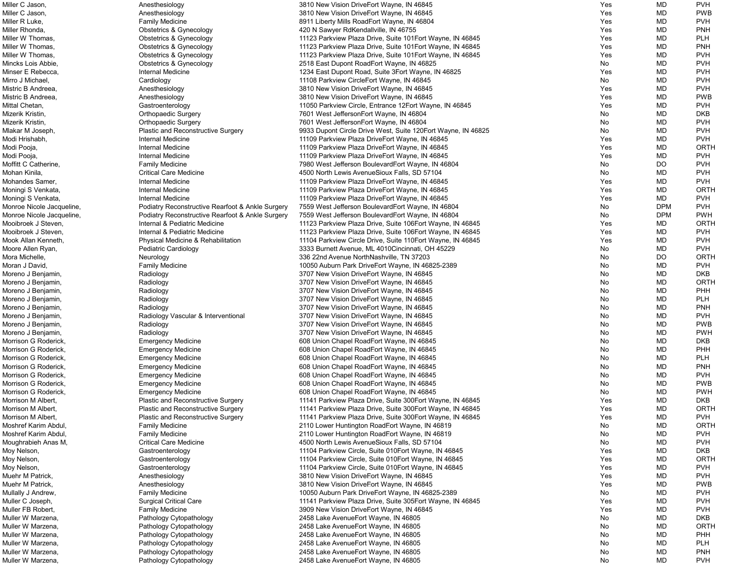| Miller C Jason,           | Anesthesiology                                   | 3810 New Vision DriveEort Wayne, IN 46845                     | Yes | MD         | <b>PVH</b>  |
|---------------------------|--------------------------------------------------|---------------------------------------------------------------|-----|------------|-------------|
| Miller C Jason,           | Anesthesiology                                   | 3810 New Vision DriveEort Wayne, IN 46845                     | Yes | MD         | <b>PWB</b>  |
| Miller R Luke,            | <b>Family Medicine</b>                           | 8911 Liberty Mills RoadEort Wayne, IN 46804                   | Yes | MD         | <b>PVH</b>  |
| Miller Rhonda,            | <b>Obstetrics &amp; Gynecology</b>               | 420 N Sawyer RdKendallville, IN 46755                         | Yes | MD         | <b>PNH</b>  |
| Miller W Thomas,          | <b>Obstetrics &amp; Gynecology</b>               | 11123 Parkview Plaza Drive, Suite 101 Eort Wayne, IN 46845    | Yes | MD         | <b>PLH</b>  |
| Miller W Thomas,          | <b>Obstetrics &amp; Gynecology</b>               | 11123 Parkview Plaza Drive, Suite 101 Eort Wayne, IN 46845    | Yes | MD         | <b>PNH</b>  |
| Miller W Thomas,          | <b>Obstetrics &amp; Gynecology</b>               | 11123 Parkview Plaza Drive, Suite 101 Eort Wayne, IN 46845    | Yes | MD         | <b>PVH</b>  |
| Mincks Lois Abbie,        |                                                  |                                                               | No  | <b>MD</b>  | <b>PVH</b>  |
|                           | <b>Obstetrics &amp; Gynecology</b>               | 2518 East Dupont RoadEort Wayne, IN 46825                     |     |            |             |
| Minser E Rebecca,         | Internal Medicine                                | 1234 East Dupont Road, Suite 3Eort Wayne, IN 46825            | Yes | <b>MD</b>  | <b>PVH</b>  |
| Mirro J Michael,          | Cardiology                                       | 11108 Parkview CircleEort Wayne, IN 46845                     | No  | MD         | <b>PVH</b>  |
| Mistric B Andreea,        | Anesthesiology                                   | 3810 New Vision DriveEort Wayne, IN 46845                     | Yes | MD         | <b>PVH</b>  |
| Mistric B Andreea,        | Anesthesiology                                   | 3810 New Vision DriveEort Wayne, IN 46845                     | Yes | <b>MD</b>  | <b>PWB</b>  |
| Mittal Chetan,            | Gastroenterology                                 | 11050 Parkview Circle, Entrance 12Eort Wayne, IN 46845        | Yes | <b>MD</b>  | <b>PVH</b>  |
| Mizerik Kristin,          | <b>Orthopaedic Surgery</b>                       | 7601 West JeffersonEort Wayne, IN 46804                       | No  | MD         | <b>DKB</b>  |
| Mizerik Kristin,          | <b>Orthopaedic Surgery</b>                       | 7601 West JeffersonEort Wayne, IN 46804                       | No  | MD         | <b>PVH</b>  |
| Mlakar M Joseph,          | Plastic and Reconstructive Surgery               | 9933 Dupont Circle Drive West, Suite 120 Eort Wayne, IN 46825 | No  | MD         | <b>PVH</b>  |
| Modi Hrishabh,            | Internal Medicine                                | 11109 Parkview Plaza DriveEort Wayne, IN 46845                | Yes | MD         | <b>PVH</b>  |
| Modi Pooja,               | Internal Medicine                                | 11109 Parkview Plaza DriveEort Wayne, IN 46845                | Yes | MD         | <b>ORTH</b> |
| Modi Pooja,               | Internal Medicine                                | 11109 Parkview Plaza DriveEort Wayne, IN 46845                | Yes | <b>MD</b>  | <b>PVH</b>  |
| Moffitt C Catherine,      | <b>Family Medicine</b>                           | 7980 West Jefferson BoulevardEort Wayne, IN 46804             | No  | DO         | <b>PVH</b>  |
|                           |                                                  |                                                               |     | <b>MD</b>  | <b>PVH</b>  |
| Mohan Kinila,             | <b>Critical Care Medicine</b>                    | 4500 North Lewis AvenueSioux Falls, SD 57104                  | No  |            |             |
| Mohandes Samer,           | <b>Internal Medicine</b>                         | 11109 Parkview Plaza DriveEort Wayne, IN 46845                | Yes | MD         | <b>PVH</b>  |
| Moningi S Venkata,        | <b>Internal Medicine</b>                         | 11109 Parkview Plaza DriveEort Wayne, IN 46845                | Yes | MD         | ORTH        |
| Moningi S Venkata,        | Internal Medicine                                | 11109 Parkview Plaza DriveEort Wayne, IN 46845                | Yes | MD         | <b>PVH</b>  |
| Monroe Nicole Jacqueline, | Podiatry Reconstructive Rearfoot & Ankle Surgery | 7559 West Jefferson BoulevardEort Wayne, IN 46804             | No  | <b>DPM</b> | <b>PVH</b>  |
| Monroe Nicole Jacqueline, | Podiatry Reconstructive Rearfoot & Ankle Surgery | 7559 West Jefferson BoulevardEort Wayne, IN 46804             | No  | <b>DPM</b> | <b>PWH</b>  |
| Mooibroek J Steven,       | Internal & Pediatric Medicine                    | 11123 Parkview Plaza Drive, Suite 106Eort Wayne, IN 46845     | Yes | MD         | ORTH        |
| Mooibroek J Steven,       | Internal & Pediatric Medicine                    | 11123 Parkview Plaza Drive, Suite 106Eort Wayne, IN 46845     | Yes | MD         | <b>PVH</b>  |
| Mook Allan Kenneth,       | Physical Medicine & Rehabilitation               | 11104 Parkview Circle Drive, Suite 110 Fort Wayne, IN 46845   | Yes | MD         | <b>PVH</b>  |
| Moore Allen Ryan,         | Pediatric Cardiology                             | 3333 Burnett Avenue, ML 4010Cincinnati, OH 45229              | No  | MD         | <b>PVH</b>  |
| Mora Michelle,            | Neurology                                        | 336 22nd Avenue NorthNashville, TN 37203                      | No  | DO         | <b>ORTH</b> |
| Moran J David,            | <b>Family Medicine</b>                           | 10050 Auburn Park DriveEort Wayne, IN 46825-2389              | No  | <b>MD</b>  | <b>PVH</b>  |
| Moreno J Benjamin,        | Radiology                                        | 3707 New Vision DriveEort Wayne, IN 46845                     | No  | MD         | <b>DKB</b>  |
|                           |                                                  |                                                               |     |            | ORTH        |
| Moreno J Benjamin,        | Radiology                                        | 3707 New Vision DriveEort Wayne, IN 46845                     | No  | MD         |             |
| Moreno J Benjamin,        | Radiology                                        | 3707 New Vision DriveEort Wayne, IN 46845                     | No  | MD         | PHH         |
| Moreno J Benjamin,        | Radiology                                        | 3707 New Vision DriveEort Wayne, IN 46845                     | No  | <b>MD</b>  | <b>PLH</b>  |
| Moreno J Benjamin,        | Radiology                                        | 3707 New Vision DriveEort Wayne, IN 46845                     | No  | MD         | <b>PNH</b>  |
| Moreno J Benjamin,        | Radiology Vascular & Interventional              | 3707 New Vision DriveEort Wayne, IN 46845                     | No  | MD         | <b>PVH</b>  |
| Moreno J Benjamin,        | Radiology                                        | 3707 New Vision DriveEort Wayne, IN 46845                     | No  | MD         | <b>PWB</b>  |
| Moreno J Benjamin,        | Radiology                                        | 3707 New Vision DriveEort Wayne, IN 46845                     | No  | MD         | <b>PWH</b>  |
| Morrison G Roderick,      | <b>Emergency Medicine</b>                        | 608 Union Chapel RoadEort Wayne, IN 46845                     | No  | MD         | <b>DKB</b>  |
| Morrison G Roderick,      | <b>Emergency Medicine</b>                        | 608 Union Chapel RoadEort Wayne, IN 46845                     | No  | MD         | PHH         |
| Morrison G Roderick,      | <b>Emergency Medicine</b>                        | 608 Union Chapel RoadEort Wayne, IN 46845                     | No  | MD         | <b>PLH</b>  |
| Morrison G Roderick,      | <b>Emergency Medicine</b>                        | 608 Union Chapel RoadEort Wayne, IN 46845                     | No  | <b>MD</b>  | <b>PNH</b>  |
| Morrison G Roderick,      | <b>Emergency Medicine</b>                        | 608 Union Chapel RoadEort Wayne, IN 46845                     | No  | <b>MD</b>  | <b>PVH</b>  |
| Morrison G Roderick,      |                                                  | 608 Union Chapel RoadEort Wayne, IN 46845                     |     | MD         | <b>PWB</b>  |
|                           | <b>Emergency Medicine</b>                        |                                                               | No  |            |             |
| Morrison G Roderick,      | <b>Emergency Medicine</b>                        | 608 Union Chapel RoadEort Wayne, IN 46845                     | No  | MD         | <b>PWH</b>  |
| Morrison M Albert,        | Plastic and Reconstructive Surgery               | 11141 Parkview Plaza Drive, Suite 300 Eort Wayne, IN 46845    | Yes | MD         | <b>DKB</b>  |
| Morrison M Albert,        | Plastic and Reconstructive Surgery               | 11141 Parkview Plaza Drive, Suite 300 Eort Wayne, IN 46845    | Yes | MD         | ORTH        |
| Morrison M Albert,        | Plastic and Reconstructive Surgery               | 11141 Parkview Plaza Drive, Suite 300 Eort Wayne, IN 46845    | Yes | MD         | <b>PVH</b>  |
| Moshref Karim Abdul,      | <b>Family Medicine</b>                           | 2110 Lower Huntington RoadEort Wayne, IN 46819                | No  | MD         | ORTH        |
| Moshref Karim Abdul,      | <b>Family Medicine</b>                           | 2110 Lower Huntington RoadEort Wayne, IN 46819                | No  | MD         | <b>PVH</b>  |
| Moughrabieh Anas M,       | <b>Critical Care Medicine</b>                    | 4500 North Lewis AvenueSioux Falls, SD 57104                  | No  | MD         | <b>PVH</b>  |
| Moy Nelson,               | Gastroenterology                                 | 11104 Parkview Circle, Suite 010 Fort Wayne, IN 46845         | Yes | MD         | <b>DKB</b>  |
| Moy Nelson,               | Gastroenterology                                 | 11104 Parkview Circle, Suite 010Eort Wayne, IN 46845          | Yes | MD         | <b>ORTH</b> |
| Moy Nelson,               | Gastroenterology                                 | 11104 Parkview Circle, Suite 010Eort Wayne, IN 46845          | Yes | <b>MD</b>  | <b>PVH</b>  |
| Muehr M Patrick,          | Anesthesiology                                   | 3810 New Vision DriveEort Wayne, IN 46845                     | Yes | <b>MD</b>  | <b>PVH</b>  |
| Muehr M Patrick,          | Anesthesiology                                   | 3810 New Vision DriveEort Wayne, IN 46845                     | Yes | MD         | <b>PWB</b>  |
| Mullally J Andrew,        | <b>Family Medicine</b>                           | 10050 Auburn Park DriveEort Wayne, IN 46825-2389              | No  | MD         | <b>PVH</b>  |
|                           |                                                  |                                                               |     | <b>MD</b>  | <b>PVH</b>  |
| Muller C Joseph,          | <b>Surgical Critical Care</b>                    | 11141 Parkview Plaza Drive, Suite 305 Eort Wayne, IN 46845    | Yes |            |             |
| Muller FB Robert,         | <b>Family Medicine</b>                           | 3909 New Vision DriveEort Wayne, IN 46845                     | Yes | MD         | <b>PVH</b>  |
| Muller W Marzena,         | Pathology Cytopathology                          | 2458 Lake AvenueEort Wayne, IN 46805                          | No  | MD         | <b>DKB</b>  |
| Muller W Marzena,         | Pathology Cytopathology                          | 2458 Lake AvenueEort Wayne, IN 46805                          | No  | MD         | ORTH        |
| Muller W Marzena,         | Pathology Cytopathology                          | 2458 Lake AvenueEort Wayne, IN 46805                          | No  | MD         | <b>PHH</b>  |
| Muller W Marzena,         | Pathology Cytopathology                          | 2458 Lake AvenueEort Wayne, IN 46805                          | No  | MD         | PLH         |
| Muller W Marzena,         | Pathology Cytopathology                          | 2458 Lake AvenueEort Wayne, IN 46805                          | No  | MD         | <b>PNH</b>  |
| Muller W Marzena,         | Pathology Cytopathology                          | 2458 Lake AvenueEort Wayne, IN 46805                          | No  | MD         | <b>PVH</b>  |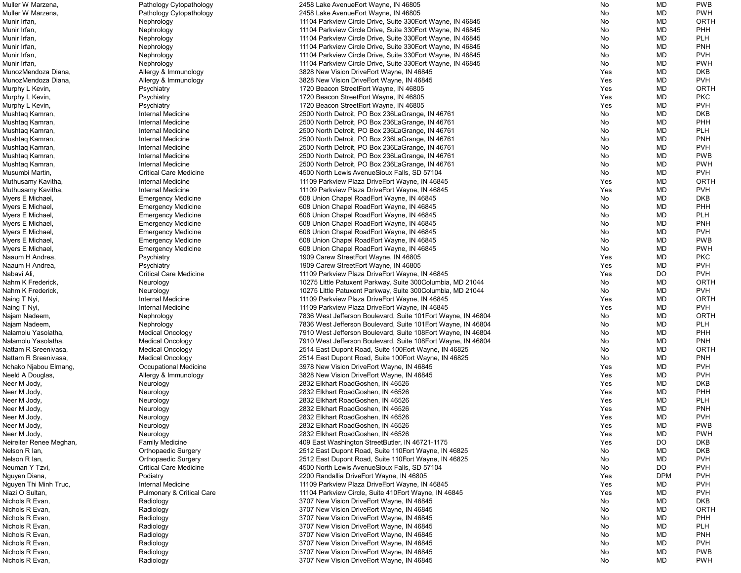| Muller W Marzena,       | Pathology Cytopathology              | 2458 Lake AvenueEort Wayne, IN 46805                          | No         | MD         | <b>PWB</b>  |
|-------------------------|--------------------------------------|---------------------------------------------------------------|------------|------------|-------------|
| Muller W Marzena,       | Pathology Cytopathology              | 2458 Lake AvenueEort Wayne, IN 46805                          | No         | <b>MD</b>  | <b>PWH</b>  |
| Munir Irfan,            | Nephrology                           | 11104 Parkview Circle Drive, Suite 330 Eort Wayne, IN 46845   | No         | <b>MD</b>  | <b>ORTH</b> |
| Munir Irfan,            | Nephrology                           | 11104 Parkview Circle Drive, Suite 330 Fort Wayne, IN 46845   | No         | MD         | PHH         |
| Munir Irfan,            | Nephrology                           | 11104 Parkview Circle Drive, Suite 330 Eort Wayne, IN 46845   | No         | MD         | <b>PLH</b>  |
| Munir Irfan,            | Nephrology                           | 11104 Parkview Circle Drive, Suite 330 Fort Wayne, IN 46845   | No         | MD         | <b>PNH</b>  |
| Munir Irfan,            | Nephrology                           | 11104 Parkview Circle Drive, Suite 330 Eort Wayne, IN 46845   | No         | MD         | <b>PVH</b>  |
| Munir Irfan,            | Nephrology                           | 11104 Parkview Circle Drive, Suite 330 Eort Wayne, IN 46845   | No         | MD         | <b>PWH</b>  |
| MunozMendoza Diana      | Allergy & Immunology                 | 3828 New Vision DriveEort Wayne, IN 46845                     | Yes        | MD         | <b>DKB</b>  |
| MunozMendoza Diana      |                                      |                                                               |            | <b>MD</b>  | <b>PVH</b>  |
|                         | Allergy & Immunology                 | 3828 New Vision DriveEort Wayne, IN 46845                     | Yes        |            |             |
| Murphy L Kevin,         | Psychiatry                           | 1720 Beacon StreetEort Wayne, IN 46805                        | Yes        | MD         | <b>ORTH</b> |
| Murphy L Kevin,         | Psychiatry                           | 1720 Beacon StreetEort Wayne, IN 46805                        | Yes        | MD         | <b>PKC</b>  |
| Murphy L Kevin,         | Psychiatry                           | 1720 Beacon StreetEort Wayne, IN 46805                        | Yes        | MD         | <b>PVH</b>  |
| Mushtaq Kamran,         | Internal Medicine                    | 2500 North Detroit, PO Box 236 La Grange, IN 46761            | No         | MD         | <b>DKB</b>  |
| Mushtaq Kamran,         | Internal Medicine                    | 2500 North Detroit, PO Box 236 La Grange, IN 46761            | No         | MD         | PHH         |
| Mushtaq Kamran,         | Internal Medicine                    | 2500 North Detroit, PO Box 236 La Grange, IN 46761            | No         | MD         | <b>PLH</b>  |
| Mushtaq Kamran,         | Internal Medicine                    | 2500 North Detroit, PO Box 236 La Grange, IN 46761            | No         | MD         | <b>PNH</b>  |
| Mushtaq Kamran,         | Internal Medicine                    | 2500 North Detroit, PO Box 236 La Grange, IN 46761            | No         | MD         | <b>PVH</b>  |
| Mushtaq Kamran,         | <b>Internal Medicine</b>             | 2500 North Detroit, PO Box 236 La Grange, IN 46761            | No         | MD         | <b>PWB</b>  |
| Mushtaq Kamran,         | <b>Internal Medicine</b>             | 2500 North Detroit, PO Box 236 La Grange, IN 46761            | No         | <b>MD</b>  | <b>PWH</b>  |
| Musumbi Martin,         | <b>Critical Care Medicine</b>        | 4500 North Lewis AvenueSioux Falls, SD 57104                  | No         | <b>MD</b>  | <b>PVH</b>  |
| Muthusamy Kavitha,      | Internal Medicine                    | 11109 Parkview Plaza DriveEort Wayne, IN 46845                | Yes        | MD         | ORTH        |
| Muthusamy Kavitha,      | Internal Medicine                    | 11109 Parkview Plaza DriveEort Wayne, IN 46845                | Yes        | MD         | <b>PVH</b>  |
| Myers E Michael,        | <b>Emergency Medicine</b>            | 608 Union Chapel RoadEort Wayne, IN 46845                     | No         | MD         | <b>DKB</b>  |
| Myers E Michael,        | <b>Emergency Medicine</b>            | 608 Union Chapel RoadEort Wayne, IN 46845                     | No         | MD         | PHH         |
| Myers E Michael,        | <b>Emergency Medicine</b>            | 608 Union Chapel RoadEort Wayne, IN 46845                     | No         | MD         | <b>PLH</b>  |
| Myers E Michael,        | <b>Emergency Medicine</b>            | 608 Union Chapel RoadEort Wayne, IN 46845                     | No         | MD         | <b>PNH</b>  |
|                         |                                      |                                                               |            |            |             |
| Myers E Michael,        | <b>Emergency Medicine</b>            | 608 Union Chapel RoadEort Wayne, IN 46845                     | No         | MD         | <b>PVH</b>  |
| Myers E Michael,        | <b>Emergency Medicine</b>            | 608 Union Chapel RoadEort Wayne, IN 46845                     | No         | MD         | <b>PWB</b>  |
| Myers E Michael,        | <b>Emergency Medicine</b>            | 608 Union Chapel RoadEort Wayne, IN 46845                     | No         | MD         | <b>PWH</b>  |
| Naaum H Andrea,         | Psychiatry                           | 1909 Carew StreetEort Wayne, IN 46805                         | Yes        | MD         | <b>PKC</b>  |
| Naaum H Andrea,         | Psychiatry                           | 1909 Carew StreetEort Wayne, IN 46805                         | Yes        | MD         | <b>PVH</b>  |
| Nabavi Ali,             | <b>Critical Care Medicine</b>        | 11109 Parkview Plaza DriveEort Wayne, IN 46845                | Yes        | DO         | <b>PVH</b>  |
| Nahm K Frederick,       | Neurology                            | 10275 Little Patuxent Parkway, Suite 300Columbia, MD 21044    | No         | MD         | <b>ORTH</b> |
| Nahm K Frederick,       | Neurology                            | 10275 Little Patuxent Parkway, Suite 300Columbia, MD 21044    | No         | MD         | <b>PVH</b>  |
| Naing T Nyi,            | Internal Medicine                    | 11109 Parkview Plaza DriveEort Wayne, IN 46845                | Yes        | MD         | ORTH        |
| Naing T Nyi,            | Internal Medicine                    | 11109 Parkview Plaza DriveEort Wayne, IN 46845                | Yes        | MD         | <b>PVH</b>  |
| Najam Nadeem,           | Nephrology                           | 7836 West Jefferson Boulevard, Suite 101 Eort Wayne, IN 46804 | No         | MD         | <b>ORTH</b> |
| Najam Nadeem,           | Nephrology                           | 7836 West Jefferson Boulevard, Suite 101 Eort Wayne, IN 46804 | No         | MD         | <b>PLH</b>  |
| Nalamolu Yasolatha,     | <b>Medical Oncology</b>              | 7910 West Jefferson Boulevard, Suite 108Eort Wayne, IN 46804  | No         | MD         | <b>PHH</b>  |
| Nalamolu Yasolatha,     | <b>Medical Oncology</b>              | 7910 West Jefferson Boulevard, Suite 108Eort Wayne, IN 46804  | No         | MD         | <b>PNH</b>  |
| Nattam R Sreenivasa,    | <b>Medical Oncology</b>              | 2514 East Dupont Road, Suite 100 Eort Wayne, IN 46825         | No         | MD         | ORTH        |
| Nattam R Sreenivasa,    | <b>Medical Oncology</b>              | 2514 East Dupont Road, Suite 100 Eort Wayne, IN 46825         | No         | MD         | <b>PNH</b>  |
| Nchako Njabou Elmang,   | <b>Occupational Medicine</b>         | 3978 New Vision DriveEort Wayne, IN 46845                     | <b>Yes</b> | MD         | <b>PVH</b>  |
| Neeld A Douglas,        | Allergy & Immunology                 | 3828 New Vision DriveEort Wayne, IN 46845                     | Yes        | MD         | <b>PVH</b>  |
| Neer M Jody,            | Neurology                            | 2832 Elkhart RoadGoshen, IN 46526                             | Yes        | MD         | <b>DKB</b>  |
| Neer M Jody,            | Neurology                            | 2832 Elkhart RoadGoshen, IN 46526                             | Yes        | MD         | PHH         |
| Neer M Jody,            | Neurology                            | 2832 Elkhart RoadGoshen, IN 46526                             | Yes        | MD         | <b>PLH</b>  |
|                         |                                      |                                                               |            |            |             |
| Neer M Jody,            | Neurology                            | 2832 Elkhart RoadGoshen, IN 46526                             | Yes        | MD         | <b>PNH</b>  |
| Neer M Jody,            | Neurology                            | 2832 Elkhart RoadGoshen, IN 46526                             | Yes        | MD         | <b>PVH</b>  |
| Neer M Jody,            | Neurology                            | 2832 Elkhart RoadGoshen, IN 46526                             | Yes        | MD         | <b>PWB</b>  |
| Neer M Jody,            | Neurology                            | 2832 Elkhart RoadGoshen, IN 46526                             | Yes        | MD         | <b>PWH</b>  |
| Neireiter Renee Meghan, | <b>Family Medicine</b>               | 409 East Washington StreetButler, IN 46721-1175               | Yes        | DO         | <b>DKB</b>  |
| Nelson R lan,           | <b>Orthopaedic Surgery</b>           | 2512 East Dupont Road, Suite 110 Fort Wayne, IN 46825         | No         | MD         | <b>DKB</b>  |
| Nelson R lan,           | <b>Orthopaedic Surgery</b>           | 2512 East Dupont Road, Suite 110 Fort Wayne, IN 46825         | No         | <b>MD</b>  | <b>PVH</b>  |
| Neuman Y Tzvi,          | <b>Critical Care Medicine</b>        | 4500 North Lewis AvenueSioux Falls, SD 57104                  | No         | <b>DO</b>  | <b>PVH</b>  |
| Nguyen Diana,           | Podiatry                             | 2200 Randallia DriveEort Wayne, IN 46805                      | Yes        | <b>DPM</b> | <b>PVH</b>  |
| Nguyen Thi Minh Truc,   | Internal Medicine                    | 11109 Parkview Plaza DriveEort Wayne, IN 46845                | Yes        | MD         | <b>PVH</b>  |
| Niazi O Sultan,         | <b>Pulmonary &amp; Critical Care</b> | 11104 Parkview Circle, Suite 410 Eort Wayne, IN 46845         | Yes        | MD         | <b>PVH</b>  |
| Nichols R Evan,         | Radiology                            | 3707 New Vision DriveEort Wayne, IN 46845                     | No         | MD         | <b>DKB</b>  |
| Nichols R Evan,         | Radiology                            | 3707 New Vision DriveEort Wayne, IN 46845                     | No         | MD         | ORTH        |
| Nichols R Evan,         | Radiology                            | 3707 New Vision DriveEort Wayne, IN 46845                     | No         | <b>MD</b>  | PHH         |
| Nichols R Evan,         | Radiology                            | 3707 New Vision DriveEort Wayne, IN 46845                     | No         | MD         | <b>PLH</b>  |
| Nichols R Evan,         | Radiology                            | 3707 New Vision DriveEort Wayne, IN 46845                     | No         | MD         | <b>PNH</b>  |
| Nichols R Evan,         | Radiology                            | 3707 New Vision DriveEort Wayne, IN 46845                     | No         | MD         | <b>PVH</b>  |
| Nichols R Evan,         | Radiology                            | 3707 New Vision DriveEort Wayne, IN 46845                     | No         | MD         | <b>PWB</b>  |
| Nichols R Evan,         | Radiology                            | 3707 New Vision DriveEort Wayne, IN 46845                     | No         | MD         | <b>PWH</b>  |
|                         |                                      |                                                               |            |            |             |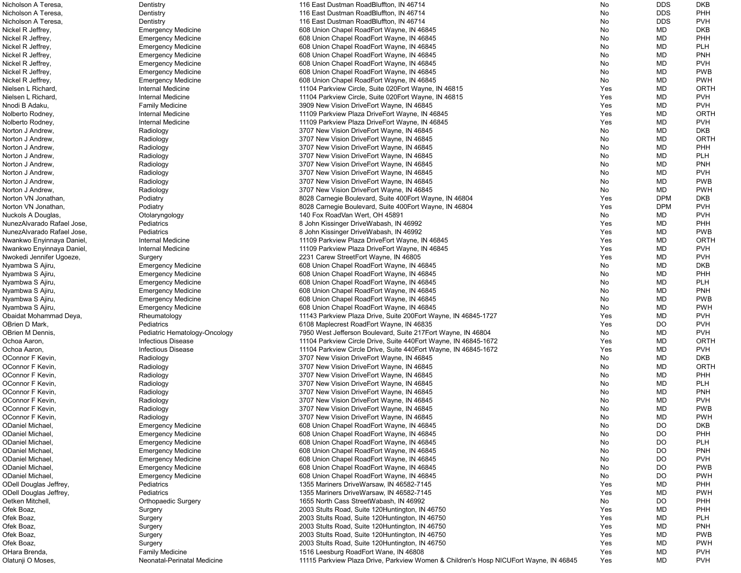| Nicholson A Teresa,        | Dentistry                     | 116 East Dustman Road Bluffton, IN 46714                                              | No  | <b>DDS</b> | <b>DKB</b>  |
|----------------------------|-------------------------------|---------------------------------------------------------------------------------------|-----|------------|-------------|
| Nicholson A Teresa,        | Dentistry                     | 116 East Dustman RoadBluffton, IN 46714                                               | No  | <b>DDS</b> | PHH         |
| Nicholson A Teresa,        | Dentistry                     | 116 East Dustman RoadBluffton, IN 46714                                               | No  | <b>DDS</b> | <b>PVH</b>  |
| Nickel R Jeffrey,          | <b>Emergency Medicine</b>     | 608 Union Chapel RoadEort Wayne, IN 46845                                             | No  | MD         | <b>DKB</b>  |
| Nickel R Jeffrey,          | <b>Emergency Medicine</b>     | 608 Union Chapel RoadEort Wayne, IN 46845                                             | No  | MD         | PHH         |
| Nickel R Jeffrey,          | <b>Emergency Medicine</b>     | 608 Union Chapel RoadEort Wayne, IN 46845                                             | No  | MD         | <b>PLH</b>  |
| Nickel R Jeffrey,          | <b>Emergency Medicine</b>     | 608 Union Chapel RoadEort Wayne, IN 46845                                             | No  | MD         | <b>PNH</b>  |
| Nickel R Jeffrey,          | <b>Emergency Medicine</b>     | 608 Union Chapel RoadEort Wayne, IN 46845                                             | No  | MD         | <b>PVH</b>  |
| Nickel R Jeffrey,          | <b>Emergency Medicine</b>     | 608 Union Chapel RoadEort Wayne, IN 46845                                             | No. | MD         | <b>PWB</b>  |
| Nickel R Jeffrey,          | <b>Emergency Medicine</b>     | 608 Union Chapel RoadEort Wayne, IN 46845                                             | No  | MD         | <b>PWH</b>  |
| Nielsen L Richard,         | <b>Internal Medicine</b>      | 11104 Parkview Circle, Suite 020 Eort Wayne, IN 46815                                 | Yes | MD         | <b>ORTH</b> |
|                            | Internal Medicine             |                                                                                       |     |            |             |
| Nielsen L Richard,         |                               | 11104 Parkview Circle, Suite 020 Eort Wayne, IN 46815                                 | Yes | MD         | <b>PVH</b>  |
| Nnodi B Adaku,             | <b>Family Medicine</b>        | 3909 New Vision DriveEort Wayne, IN 46845                                             | Yes | MD         | <b>PVH</b>  |
| Nolberto Rodney,           | Internal Medicine             | 11109 Parkview Plaza DriveEort Wayne, IN 46845                                        | Yes | MD         | <b>ORTH</b> |
| Nolberto Rodney,           | Internal Medicine             | 11109 Parkview Plaza DriveEort Wayne, IN 46845                                        | Yes | <b>MD</b>  | <b>PVH</b>  |
| Norton J Andrew,           | Radiology                     | 3707 New Vision DriveEort Wayne, IN 46845                                             | No  | MD         | <b>DKB</b>  |
| Norton J Andrew,           | Radiology                     | 3707 New Vision DriveEort Wayne, IN 46845                                             | No. | MD         | <b>ORTH</b> |
| Norton J Andrew,           | Radiology                     | 3707 New Vision DriveEort Wayne, IN 46845                                             | No  | MD         | <b>PHH</b>  |
| Norton J Andrew,           | Radiology                     | 3707 New Vision DriveEort Wayne, IN 46845                                             | No  | MD         | <b>PLH</b>  |
| Norton J Andrew,           | Radiology                     | 3707 New Vision DriveEort Wayne, IN 46845                                             | No  | MD         | <b>PNH</b>  |
| Norton J Andrew,           | Radiology                     | 3707 New Vision DriveEort Wayne, IN 46845                                             | No  | MD         | <b>PVH</b>  |
| Norton J Andrew,           | Radiology                     | 3707 New Vision DriveEort Wayne, IN 46845                                             | No  | MD         | <b>PWB</b>  |
| Norton J Andrew,           | Radiology                     | 3707 New Vision DriveEort Wayne, IN 46845                                             | No  | MD         | <b>PWH</b>  |
| Norton VN Jonathan,        | Podiatry                      | 8028 Carnegie Boulevard, Suite 400 Eort Wayne, IN 46804                               | Yes | <b>DPM</b> | <b>DKB</b>  |
| Norton VN Jonathan,        | Podiatry                      | 8028 Carnegie Boulevard, Suite 400 Eort Wayne, IN 46804                               | Yes | <b>DPM</b> | <b>PVH</b>  |
| Nuckols A Douglas,         | Otolaryngology                | 140 Fox RoadVan Wert, OH 45891                                                        | No  | <b>MD</b>  | <b>PVH</b>  |
| NunezAlvarado Rafael Jose, | Pediatrics                    | 8 John Kissinger DriveWabash, IN 46992                                                | Yes | <b>MD</b>  | PHH         |
| NunezAlvarado Rafael Jose, | Pediatrics                    | 8 John Kissinger DriveWabash, IN 46992                                                | Yes | MD         | <b>PWB</b>  |
|                            | Internal Medicine             |                                                                                       | Yes | MD         | <b>ORTH</b> |
| Nwankwo Enyinnaya Daniel,  |                               | 11109 Parkview Plaza DriveEort Wayne, IN 46845                                        |     |            | <b>PVH</b>  |
| Nwankwo Enyinnaya Daniel,  | Internal Medicine             | 11109 Parkview Plaza DriveEort Wayne, IN 46845                                        | Yes | MD         |             |
| Nwokedi Jennifer Ugoeze,   | Surgery                       | 2231 Carew StreetEort Wayne, IN 46805                                                 | Yes | MD         | <b>PVH</b>  |
| Nyambwa S Ajiru,           | <b>Emergency Medicine</b>     | 608 Union Chapel RoadEort Wayne, IN 46845                                             | No  | MD         | <b>DKB</b>  |
| Nyambwa S Ajiru,           | <b>Emergency Medicine</b>     | 608 Union Chapel RoadEort Wayne, IN 46845                                             | No  | <b>MD</b>  | PHH         |
| Nyambwa S Ajiru,           | <b>Emergency Medicine</b>     | 608 Union Chapel RoadEort Wayne, IN 46845                                             | No  | MD         | <b>PLH</b>  |
| Nyambwa S Ajiru,           | <b>Emergency Medicine</b>     | 608 Union Chapel RoadEort Wayne, IN 46845                                             | No  | MD         | <b>PNH</b>  |
| Nyambwa S Ajiru,           | <b>Emergency Medicine</b>     | 608 Union Chapel RoadEort Wayne, IN 46845                                             | No. | MD         | <b>PWB</b>  |
| Nyambwa S Ajiru,           | <b>Emergency Medicine</b>     | 608 Union Chapel RoadEort Wayne, IN 46845                                             | No  | MD         | <b>PWH</b>  |
| Obaidat Mohammad Deya,     | Rheumatology                  | 11143 Parkview Plaza Drive, Suite 200Eort Wayne, IN 46845-1727                        | Yes | MD         | <b>PVH</b>  |
| OBrien D Mark,             | Pediatrics                    | 6108 Maplecrest RoadEort Wayne, IN 46835                                              | Yes | <b>DO</b>  | <b>PVH</b>  |
| OBrien M Dennis,           | Pediatric Hematology-Oncology | 7950 West Jefferson Boulevard, Suite 217 Fort Wayne, IN 46804                         | No  | MD         | <b>PVH</b>  |
| Ochoa Aaron,               | <b>Infectious Disease</b>     | 11104 Parkview Circle Drive, Suite 440 Eort Wayne, IN 46845-1672                      | Yes | <b>MD</b>  | <b>ORTH</b> |
| Ochoa Aaron,               | <b>Infectious Disease</b>     | 11104 Parkview Circle Drive, Suite 440 Fort Wayne, IN 46845-1672                      | Yes | MD         | <b>PVH</b>  |
| OConnor F Kevin,           | Radiology                     | 3707 New Vision DriveEort Wayne, IN 46845                                             | No  | MD         | <b>DKB</b>  |
| OConnor F Kevin,           | Radiology                     | 3707 New Vision DriveEort Wayne, IN 46845                                             | No  | MD         | <b>ORTH</b> |
| OConnor F Kevin,           | Radiology                     | 3707 New Vision DriveEort Wayne, IN 46845                                             | No. | MD         | <b>PHH</b>  |
| OConnor F Kevin,           | Radiology                     | 3707 New Vision DriveEort Wayne, IN 46845                                             | No  | MD         | <b>PLH</b>  |
| OConnor F Kevin,           | Radiology                     | 3707 New Vision DriveEort Wayne, IN 46845                                             | No  | MD         | <b>PNH</b>  |
| OConnor F Kevin,           | Radiology                     | 3707 New Vision DriveEort Wayne, IN 46845                                             | No  | MD         | <b>PVH</b>  |
| OConnor F Kevin,           | Radiology                     | 3707 New Vision DriveEort Wayne, IN 46845                                             | No  | MD         | <b>PWB</b>  |
| OConnor F Kevin,           | Radiology                     | 3707 New Vision DriveEort Wayne, IN 46845                                             | No  | MD         | <b>PWH</b>  |
| <b>ODaniel Michael,</b>    |                               | 608 Union Chapel RoadEort Wayne, IN 46845                                             | No  | <b>DO</b>  | <b>DKB</b>  |
|                            | <b>Emergency Medicine</b>     |                                                                                       |     |            |             |
| <b>ODaniel Michael,</b>    | <b>Emergency Medicine</b>     | 608 Union Chapel RoadEort Wayne, IN 46845                                             | No  | <b>DO</b>  | PHH         |
| ODaniel Michael,           | <b>Emergency Medicine</b>     | 608 Union Chapel RoadEort Wayne, IN 46845                                             | No  | <b>DO</b>  | <b>PLH</b>  |
| ODaniel Michael,           | <b>Emergency Medicine</b>     | 608 Union Chapel RoadEort Wayne, IN 46845                                             | No  | <b>DO</b>  | <b>PNH</b>  |
| ODaniel Michael,           | <b>Emergency Medicine</b>     | 608 Union Chapel RoadEort Wayne, IN 46845                                             | No  | <b>DO</b>  | <b>PVH</b>  |
| ODaniel Michael,           | <b>Emergency Medicine</b>     | 608 Union Chapel RoadEort Wayne, IN 46845                                             | No  | <b>DO</b>  | <b>PWB</b>  |
| <b>ODaniel Michael,</b>    | <b>Emergency Medicine</b>     | 608 Union Chapel RoadEort Wayne, IN 46845                                             | No  | <b>DO</b>  | <b>PWH</b>  |
| ODell Douglas Jeffrey,     | Pediatrics                    | 1355 Mariners DriveWarsaw, IN 46582-7145                                              | Yes | MD         | PHH         |
| ODell Douglas Jeffrey,     | Pediatrics                    | 1355 Mariners DriveWarsaw, IN 46582-7145                                              | Yes | MD         | <b>PWH</b>  |
| Oetken Mitchell,           | <b>Orthopaedic Surgery</b>    | 1655 North Cass StreetWabash, IN 46992                                                | No  | <b>DO</b>  | PHH         |
| Ofek Boaz,                 | Surgery                       | 2003 Stults Road, Suite 120 Huntington, IN 46750                                      | Yes | MD         | PHH         |
| Ofek Boaz,                 | Surgery                       | 2003 Stults Road, Suite 120 Huntington, IN 46750                                      | Yes | <b>MD</b>  | <b>PLH</b>  |
| Ofek Boaz,                 | Surgery                       | 2003 Stults Road, Suite 120 Huntington, IN 46750                                      | Yes | MD         | <b>PNH</b>  |
| Ofek Boaz,                 | Surgery                       | 2003 Stults Road, Suite 120 Huntington, IN 46750                                      | Yes | MD         | <b>PWB</b>  |
| Ofek Boaz,                 | Surgery                       | 2003 Stults Road, Suite 120 Huntington, IN 46750                                      | Yes | MD         | <b>PWH</b>  |
| OHara Brenda,              | <b>Family Medicine</b>        | 1516 Leesburg RoadEort Wane, IN 46808                                                 | Yes | MD         | <b>PVH</b>  |
| Olatunji O Moses,          | Neonatal-Perinatal Medicine   | 11115 Parkview Plaza Drive, Parkview Women & Children's Hosp NICUEort Wayne, IN 46845 | Yes | MD         | <b>PVH</b>  |
|                            |                               |                                                                                       |     |            |             |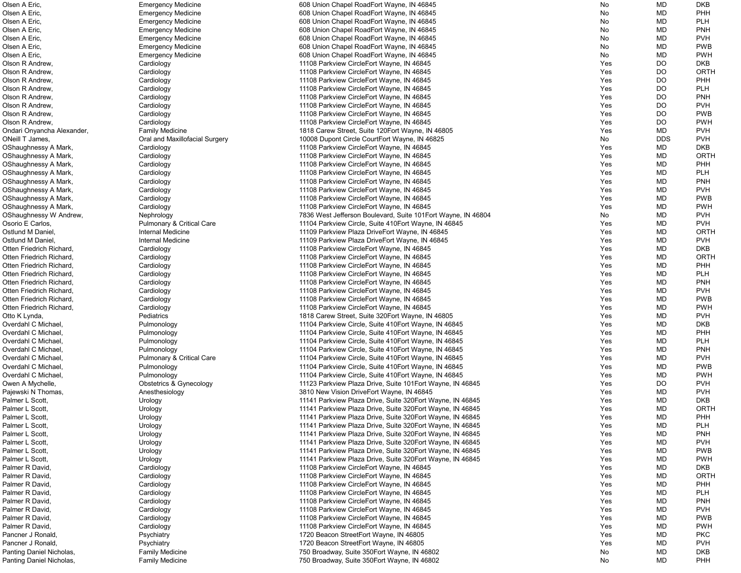| Olsen A Eric,              | <b>Emergency Medicine</b>            | 608 Union Chapel RoadEort Wayne, IN 46845                     | No  | MD                     | <b>DKB</b> |
|----------------------------|--------------------------------------|---------------------------------------------------------------|-----|------------------------|------------|
| Olsen A Eric,              | <b>Emergency Medicine</b>            | 608 Union Chapel RoadEort Wayne, IN 46845                     | No  | <b>MD</b>              | PHH        |
| Olsen A Eric,              | <b>Emergency Medicine</b>            | 608 Union Chapel RoadEort Wayne, IN 46845                     | No  | <b>MD</b>              | <b>PLH</b> |
| Olsen A Eric,              | <b>Emergency Medicine</b>            | 608 Union Chapel RoadEort Wayne, IN 46845                     | No  | <b>MD</b>              | <b>PNH</b> |
| Olsen A Eric,              | <b>Emergency Medicine</b>            | 608 Union Chapel RoadEort Wayne, IN 46845                     | No  | MD                     | <b>PVH</b> |
| Olsen A Eric,              | <b>Emergency Medicine</b>            | 608 Union Chapel RoadEort Wayne, IN 46845                     | No  | MD                     | <b>PWB</b> |
| Olsen A Eric,              | <b>Emergency Medicine</b>            | 608 Union Chapel RoadEort Wayne, IN 46845                     | No  | <b>MD</b>              | <b>PWH</b> |
| Olson R Andrew,            | Cardiology                           | 11108 Parkview CircleEort Wayne, IN 46845                     | Yes | DO                     | <b>DKB</b> |
| Olson R Andrew,            | Cardiology                           | 11108 Parkview CircleEort Wayne, IN 46845                     | Yes | DO                     | ORTH       |
| Olson R Andrew,            |                                      | 11108 Parkview CircleEort Wayne, IN 46845                     |     | DO                     | <b>PHH</b> |
|                            | Cardiology                           |                                                               | Yes |                        |            |
| Olson R Andrew,            | Cardiology                           | 11108 Parkview CircleEort Wayne, IN 46845                     | Yes | DO                     | <b>PLH</b> |
| Olson R Andrew,            | Cardiology                           | 11108 Parkview CircleEort Wayne, IN 46845                     | Yes | DO                     | <b>PNH</b> |
| Olson R Andrew,            | Cardiology                           | 11108 Parkview CircleEort Wayne, IN 46845                     | Yes | DO                     | <b>PVH</b> |
| Olson R Andrew,            | Cardiology                           | 11108 Parkview CircleEort Wayne, IN 46845                     | Yes | DO                     | <b>PWB</b> |
| Olson R Andrew,            | Cardiology                           | 11108 Parkview CircleEort Wayne, IN 46845                     | Yes | DO                     | <b>PWH</b> |
| Ondari Onyancha Alexander, | <b>Family Medicine</b>               | 1818 Carew Street, Suite 120 Eort Wayne, IN 46805             | Yes | MD                     | <b>PVH</b> |
| ONeill T James,            | Oral and Maxillofacial Surgery       | 10008 Dupont Circle CourtEort Wayne, IN 46825                 | No  | <b>DDS</b>             | <b>PVH</b> |
| OShaughnessy A Mark,       | Cardiology                           | 11108 Parkview CircleEort Wayne, IN 46845                     | Yes | MD                     | <b>DKB</b> |
| OShaughnessy A Mark,       | Cardiology                           | 11108 Parkview CircleEort Wayne, IN 46845                     | Yes | <b>MD</b>              | ORTH       |
| OShaughnessy A Mark,       | Cardiology                           | 11108 Parkview CircleEort Wayne, IN 46845                     | Yes | <b>MD</b>              | <b>PHH</b> |
| OShaughnessy A Mark,       | Cardiology                           | 11108 Parkview CircleEort Wayne, IN 46845                     | Yes | <b>MD</b>              | <b>PLH</b> |
| OShaughnessy A Mark,       | Cardiology                           | 11108 Parkview CircleEort Wayne, IN 46845                     | Yes | <b>MD</b>              | <b>PNH</b> |
| OShaughnessy A Mark,       | Cardiology                           | 11108 Parkview CircleEort Wayne, IN 46845                     | Yes | <b>MD</b>              | <b>PVH</b> |
| OShaughnessy A Mark,       | Cardiology                           | 11108 Parkview CircleEort Wayne, IN 46845                     | Yes | <b>MD</b>              | <b>PWB</b> |
| OShaughnessy A Mark,       | Cardiology                           | 11108 Parkview CircleEort Wayne, IN 46845                     | Yes | <b>MD</b>              | <b>PWH</b> |
| OShaughnessy W Andrew,     | Nephrology                           | 7836 West Jefferson Boulevard, Suite 101 Eort Wayne, IN 46804 | No  | <b>MD</b>              | <b>PVH</b> |
| Osorio E Carlos,           | <b>Pulmonary &amp; Critical Care</b> | 11104 Parkview Circle, Suite 410 Eort Wayne, IN 46845         | Yes | MD                     | <b>PVH</b> |
| Ostlund M Daniel,          | Internal Medicine                    | 11109 Parkview Plaza DriveEort Wayne, IN 46845                | Yes | <b>MD</b>              | ORTH       |
| Ostlund M Daniel,          | <b>Internal Medicine</b>             | 11109 Parkview Plaza DriveEort Wayne, IN 46845                | Yes | <b>MD</b>              | <b>PVH</b> |
| Otten Friedrich Richard,   | Cardiology                           | 11108 Parkview CircleEort Wayne, IN 46845                     | Yes | MD                     | <b>DKB</b> |
| Otten Friedrich Richard,   | Cardiology                           | 11108 Parkview CircleEort Wayne, IN 46845                     | Yes | <b>MD</b>              | ORTH       |
| Otten Friedrich Richard,   |                                      | 11108 Parkview CircleEort Wayne, IN 46845                     | Yes | <b>MD</b>              | <b>PHH</b> |
|                            | Cardiology                           |                                                               |     |                        |            |
| Otten Friedrich Richard,   | Cardiology                           | 11108 Parkview CircleEort Wayne, IN 46845                     | Yes | <b>MD</b>              | <b>PLH</b> |
| Otten Friedrich Richard,   | Cardiology                           | 11108 Parkview CircleEort Wayne, IN 46845                     | Yes | <b>MD</b>              | <b>PNH</b> |
| Otten Friedrich Richard,   | Cardiology                           | 11108 Parkview CircleEort Wayne, IN 46845                     | Yes | MD                     | <b>PVH</b> |
| Otten Friedrich Richard,   | Cardiology                           | 11108 Parkview CircleEort Wayne, IN 46845                     | Yes | MD                     | <b>PWB</b> |
| Otten Friedrich Richard,   | Cardiology                           | 11108 Parkview CircleEort Wayne, IN 46845                     | Yes | <b>MD</b>              | <b>PWH</b> |
| Otto K Lynda,              | Pediatrics                           | 1818 Carew Street, Suite 320 Eort Wayne, IN 46805             | Yes | <b>MD</b>              | <b>PVH</b> |
| Overdahl C Michael         | Pulmonology                          | 11104 Parkview Circle, Suite 410 Eort Wayne, IN 46845         | Yes | <b>MD</b>              | <b>DKB</b> |
| Overdahl C Michael         | Pulmonology                          | 11104 Parkview Circle, Suite 410 Fort Wayne, IN 46845         | Yes | <b>MD</b>              | PHH        |
| Overdahl C Michael         | Pulmonology                          | 11104 Parkview Circle, Suite 410Eort Wayne, IN 46845          | Yes | MD                     | <b>PLH</b> |
| Overdahl C Michael,        | Pulmonology                          | 11104 Parkview Circle, Suite 410 Fort Wayne, IN 46845         | Yes | MD                     | <b>PNH</b> |
| Overdahl C Michael.        | Pulmonary & Critical Care            | 11104 Parkview Circle, Suite 410 Fort Wayne, IN 46845         | Yes | <b>MD</b>              | <b>PVH</b> |
| Overdahl C Michael.        | Pulmonology                          | 11104 Parkview Circle, Suite 410 Fort Wayne, IN 46845         | Yes | <b>MD</b>              | <b>PWB</b> |
| Overdahl C Michael.        | Pulmonology                          | 11104 Parkview Circle, Suite 410 Eort Wayne, IN 46845         | Yes | <b>MD</b>              | <b>PWH</b> |
| Owen A Mychelle,           | <b>Obstetrics &amp; Gynecology</b>   | 11123 Parkview Plaza Drive, Suite 101 Eort Wayne, IN 46845    | Yes | DO                     | <b>PVH</b> |
| Pajewski N Thomas,         | Anesthesiology                       | 3810 New Vision DriveEort Wayne, IN 46845                     | Yes | <b>MD</b>              | <b>PVH</b> |
| Palmer L Scott,            | Urology                              | 11141 Parkview Plaza Drive, Suite 320 Eort Wayne, IN 46845    | Yes | <b>MD</b>              | <b>DKB</b> |
| Palmer L Scott,            | Urology                              | 11141 Parkview Plaza Drive, Suite 320 Fort Wayne, IN 46845    | Yes | <b>MD</b>              | ORTH       |
| Palmer L Scott,            | Urology                              | 11141 Parkview Plaza Drive, Suite 320 Fort Wayne, IN 46845    | Yes | <b>MD</b>              | PHH        |
| Palmer L Scott,            | Urology                              | 11141 Parkview Plaza Drive, Suite 320 Fort Wayne, IN 46845    | Yes | MD                     | <b>PLH</b> |
| Palmer L Scott,            | Urology                              | 11141 Parkview Plaza Drive, Suite 320 Eort Wayne, IN 46845    | Yes | <b>MD</b>              | <b>PNH</b> |
| Palmer L Scott,            | Urology                              | 11141 Parkview Plaza Drive, Suite 320 Eort Wayne, IN 46845    | Yes | MD                     | <b>PVH</b> |
| Palmer L Scott,            | Urology                              | 11141 Parkview Plaza Drive, Suite 320 Fort Wayne, IN 46845    | Yes | MD                     | <b>PWB</b> |
| Palmer L Scott,            | Urology                              | 11141 Parkview Plaza Drive, Suite 320 Eort Wayne, IN 46845    | Yes | MD                     | <b>PWH</b> |
| Palmer R David,            | Cardiology                           | 11108 Parkview CircleEort Wayne, IN 46845                     | Yes | <b>MD</b>              | <b>DKB</b> |
| Palmer R David,            | Cardiology                           | 11108 Parkview CircleEort Wayne, IN 46845                     | Yes | <b>MD</b>              | ORTH       |
| Palmer R David,            | Cardiology                           | 11108 Parkview CircleEort Wayne, IN 46845                     | Yes | <b>MD</b>              | PHH        |
| Palmer R David,            |                                      |                                                               | Yes | <b>MD</b>              | <b>PLH</b> |
| Palmer R David,            | Cardiology                           | 11108 Parkview CircleEort Wayne, IN 46845                     |     |                        | <b>PNH</b> |
| Palmer R David,            | Cardiology                           | 11108 Parkview CircleEort Wayne, IN 46845                     | Yes | <b>MD</b><br><b>MD</b> | <b>PVH</b> |
|                            | Cardiology                           | 11108 Parkview CircleEort Wayne, IN 46845                     | Yes |                        |            |
| Palmer R David,            | Cardiology                           | 11108 Parkview CircleEort Wayne, IN 46845                     | Yes | <b>MD</b>              | <b>PWB</b> |
| Palmer R David,            | Cardiology                           | 11108 Parkview CircleEort Wayne, IN 46845                     | Yes | <b>MD</b>              | <b>PWH</b> |
| Pancner J Ronald,          | Psychiatry                           | 1720 Beacon StreetEort Wayne, IN 46805                        | Yes | MD                     | <b>PKC</b> |
| Pancner J Ronald,          | Psychiatry                           | 1720 Beacon StreetEort Wayne, IN 46805                        | Yes | MD                     | <b>PVH</b> |
| Panting Daniel Nicholas,   | <b>Family Medicine</b>               | 750 Broadway, Suite 350 Eort Wayne, IN 46802                  | No  | MD                     | <b>DKB</b> |
| Panting Daniel Nicholas,   | <b>Family Medicine</b>               | 750 Broadway, Suite 350 Eort Wayne, IN 46802                  | No  | <b>MD</b>              | <b>PHH</b> |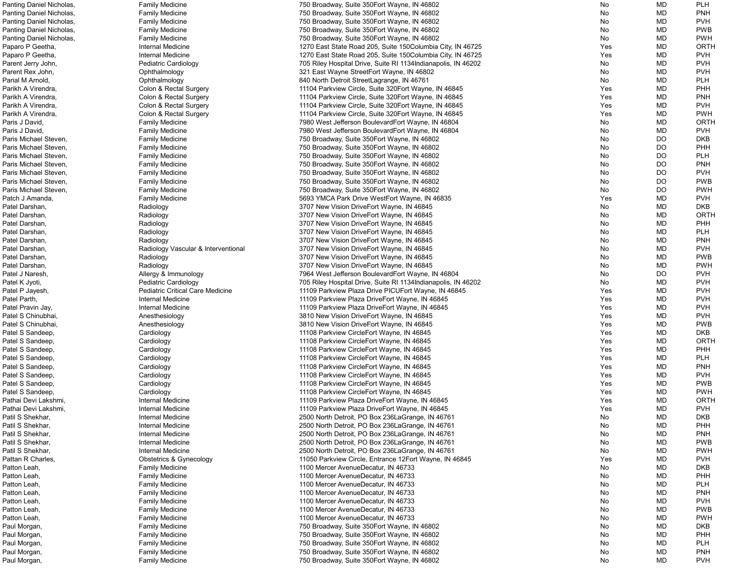| Panting Daniel Nicholas, | <b>Family Medicine</b>              | 750 Broadway, Suite 350 Eort Wayne, IN 46802                   | No  | MD        | <b>PLH</b> |
|--------------------------|-------------------------------------|----------------------------------------------------------------|-----|-----------|------------|
| Panting Daniel Nicholas, | <b>Family Medicine</b>              | 750 Broadway, Suite 350 Eort Wayne, IN 46802                   | No  | <b>MD</b> | <b>PNH</b> |
| Panting Daniel Nicholas, | <b>Family Medicine</b>              | 750 Broadway, Suite 350 Eort Wayne, IN 46802                   | No  | <b>MD</b> | <b>PVH</b> |
| Panting Daniel Nicholas, | <b>Family Medicine</b>              | 750 Broadway, Suite 350 Eort Wayne, IN 46802                   | No  | MD        | <b>PWB</b> |
|                          |                                     |                                                                |     |           |            |
| Panting Daniel Nicholas, | <b>Family Medicine</b>              | 750 Broadway, Suite 350 Eort Wayne, IN 46802                   | No  | MD        | <b>PWH</b> |
| Paparo P Geetha,         | Internal Medicine                   | 1270 East State Road 205, Suite 150 Columbia City, IN 46725    | Yes | MD        | ORTH       |
| Paparo P Geetha,         | Internal Medicine                   | 1270 East State Road 205, Suite 150 Columbia City, IN 46725    | Yes | <b>MD</b> | <b>PVH</b> |
| Parent Jerry John,       | <b>Pediatric Cardiology</b>         | 705 Riley Hospital Drive, Suite RI 1134 Indianapolis, IN 46202 | No  | <b>MD</b> | <b>PVH</b> |
| Parent Rex John,         | Ophthalmology                       | 321 East Wayne StreetEort Wayne, IN 46802                      | No  | MD        | <b>PVH</b> |
| Parial M Arnold,         | Ophthalmology                       | 840 North Detroit Street Lagrange, IN 46761                    | No  | MD        | <b>PLH</b> |
| Parikh A Virendra,       |                                     | 11104 Parkview Circle, Suite 320 Fort Wayne, IN 46845          |     | <b>MD</b> | PHH        |
|                          | Colon & Rectal Surgery              |                                                                | Yes |           |            |
| Parikh A Virendra,       | Colon & Rectal Surgery              | 11104 Parkview Circle, Suite 320 Fort Wayne, IN 46845          | Yes | MD        | <b>PNH</b> |
| Parikh A Virendra,       | Colon & Rectal Surgery              | 11104 Parkview Circle, Suite 320 Eort Wayne, IN 46845          | Yes | <b>MD</b> | <b>PVH</b> |
| Parikh A Virendra,       | Colon & Rectal Surgery              | 11104 Parkview Circle, Suite 320 Fort Wayne, IN 46845          | Yes | <b>MD</b> | <b>PWH</b> |
| Paris J David,           | <b>Family Medicine</b>              | 7980 West Jefferson BoulevardEort Wayne, IN 46804              | No  | <b>MD</b> | ORTH       |
| Paris J David,           | <b>Family Medicine</b>              | 7980 West Jefferson BoulevardEort Wayne, IN 46804              | No  | <b>MD</b> | <b>PVH</b> |
|                          |                                     |                                                                |     |           |            |
| Paris Michael Steven,    | <b>Family Medicine</b>              | 750 Broadway, Suite 350 Eort Wayne, IN 46802                   | No  | DO        | <b>DKB</b> |
| Paris Michael Steven,    | <b>Family Medicine</b>              | 750 Broadway, Suite 350 Eort Wayne, IN 46802                   | No  | DO        | PHH        |
| Paris Michael Steven,    | <b>Family Medicine</b>              | 750 Broadway, Suite 350 Eort Wayne, IN 46802                   | No  | DO        | <b>PLH</b> |
| Paris Michael Steven,    | <b>Family Medicine</b>              | 750 Broadway, Suite 350 Eort Wayne, IN 46802                   | No  | DO        | <b>PNH</b> |
| Paris Michael Steven,    | <b>Family Medicine</b>              | 750 Broadway, Suite 350 Eort Wayne, IN 46802                   | No  | DO        | <b>PVH</b> |
| Paris Michael Steven,    | <b>Family Medicine</b>              | 750 Broadway, Suite 350 Eort Wayne, IN 46802                   | No  | <b>DO</b> | <b>PWB</b> |
| Paris Michael Steven,    |                                     | 750 Broadway, Suite 350 Eort Wayne, IN 46802                   |     | DO        | <b>PWH</b> |
|                          | <b>Family Medicine</b>              |                                                                | No  |           |            |
| Patch J Amanda,          | <b>Family Medicine</b>              | 5693 YMCA Park Drive WestEort Wayne, IN 46835                  | Yes | MD        | <b>PVH</b> |
| Patel Darshan,           | Radiology                           | 3707 New Vision DriveEort Wayne, IN 46845                      | No  | <b>MD</b> | <b>DKB</b> |
| Patel Darshan,           | Radiology                           | 3707 New Vision DriveEort Wayne, IN 46845                      | No  | <b>MD</b> | ORTH       |
| Patel Darshan,           | Radiology                           | 3707 New Vision DriveEort Wayne, IN 46845                      | No  | <b>MD</b> | PHH        |
| Patel Darshan,           | Radiology                           | 3707 New Vision DriveEort Wayne, IN 46845                      | No  | MD        | <b>PLH</b> |
|                          |                                     |                                                                |     |           | <b>PNH</b> |
| Patel Darshan,           | Radiology                           | 3707 New Vision DriveEort Wayne, IN 46845                      | No  | MD        |            |
| Patel Darshan,           | Radiology Vascular & Interventional | 3707 New Vision DriveEort Wayne, IN 46845                      | No  | MD        | <b>PVH</b> |
| Patel Darshan,           | Radiology                           | 3707 New Vision DriveEort Wayne, IN 46845                      | No  | <b>MD</b> | <b>PWB</b> |
| Patel Darshan,           | Radiology                           | 3707 New Vision DriveEort Wayne, IN 46845                      | No  | <b>MD</b> | <b>PWH</b> |
| Patel J Naresh,          | Allergy & Immunology                | 7964 West Jefferson BoulevardEort Wayne, IN 46804              | No  | DO        | <b>PVH</b> |
| Patel K Jyoti,           | Pediatric Cardiology                | 705 Riley Hospital Drive, Suite RI 1134 Indianapolis, IN 46202 | No  | <b>MD</b> | <b>PVH</b> |
| Patel P Jayesh,          | Pediatric Critical Care Medicine    | 11109 Parkview Plaza Drive PICUEort Wayne, IN 46845            | Yes | <b>MD</b> | <b>PVH</b> |
|                          |                                     |                                                                |     |           |            |
| Patel Parth,             | Internal Medicine                   | 11109 Parkview Plaza DriveEort Wayne, IN 46845                 | Yes | MD        | <b>PVH</b> |
| Patel Pravin Jay,        | Internal Medicine                   | 11109 Parkview Plaza DriveEort Wayne, IN 46845                 | Yes | MD        | <b>PVH</b> |
| Patel S Chinubhai,       | Anesthesiology                      | 3810 New Vision DriveEort Wayne, IN 46845                      | Yes | <b>MD</b> | <b>PVH</b> |
| Patel S Chinubhai,       | Anesthesiology                      | 3810 New Vision DriveEort Wayne, IN 46845                      | Yes | <b>MD</b> | <b>PWB</b> |
| Patel S Sandeep,         | Cardiology                          | 11108 Parkview CircleEort Wayne, IN 46845                      | Yes | MD        | <b>DKB</b> |
| Patel S Sandeep,         | Cardiology                          | 11108 Parkview CircleEort Wayne, IN 46845                      | Yes | MD        | ORTH       |
|                          |                                     | 11108 Parkview CircleEort Wayne, IN 46845                      | Yes |           | <b>PHH</b> |
| Patel S Sandeep,         | Cardiology                          |                                                                |     | MD        |            |
| Patel S Sandeep,         | Cardiology                          | 11108 Parkview CircleEort Wayne, IN 46845                      | Yes | MD        | <b>PLH</b> |
| Patel S Sandeep,         | Cardiology                          | 11108 Parkview CircleEort Wayne, IN 46845                      | Yes | MD        | <b>PNH</b> |
| Patel S Sandeep,         | Cardiology                          | 11108 Parkview CircleEort Wayne, IN 46845                      | Yes | MD        | <b>PVH</b> |
| Patel S Sandeep,         | Cardiology                          | 11108 Parkview CircleEort Wayne, IN 46845                      | Yes | MD        | <b>PWB</b> |
| Patel S Sandeep,         | Cardiology                          | 11108 Parkview CircleEort Wayne, IN 46845                      | Yes | <b>MD</b> | <b>PWH</b> |
| Pathai Devi Lakshmi,     | <b>Internal Medicine</b>            | 11109 Parkview Plaza DriveEort Wayne, IN 46845                 | Yes | <b>MD</b> | ORTH       |
|                          |                                     |                                                                |     |           |            |
| Pathai Devi Lakshmi,     | <b>Internal Medicine</b>            | 11109 Parkview Plaza DriveEort Wayne, IN 46845                 | Yes | <b>MD</b> | <b>PVH</b> |
| Patil S Shekhar,         | Internal Medicine                   | 2500 North Detroit, PO Box 236 La Grange, IN 46761             | No  | <b>MD</b> | <b>DKB</b> |
| Patil S Shekhar,         | Internal Medicine                   | 2500 North Detroit, PO Box 236 La Grange, IN 46761             | No  | <b>MD</b> | <b>PHH</b> |
| Patil S Shekhar,         | Internal Medicine                   | 2500 North Detroit, PO Box 236 La Grange, IN 46761             | No  | MD        | <b>PNH</b> |
| Patil S Shekhar,         | Internal Medicine                   | 2500 North Detroit, PO Box 236LaGrange, IN 46761               | No  | MD        | <b>PWB</b> |
| Patil S Shekhar,         | Internal Medicine                   | 2500 North Detroit, PO Box 236 La Grange, IN 46761             | No  | MD        | <b>PWH</b> |
|                          |                                     |                                                                | Yes |           | <b>PVH</b> |
| Pattan R Charles,        | <b>Obstetrics &amp; Gynecology</b>  | 11050 Parkview Circle, Entrance 12Eort Wayne, IN 46845         |     | MD        |            |
| Patton Leah,             | <b>Family Medicine</b>              | 1100 Mercer AvenueDecatur, IN 46733                            | No  | <b>MD</b> | <b>DKB</b> |
| Patton Leah,             | <b>Family Medicine</b>              | 1100 Mercer AvenueDecatur, IN 46733                            | No  | MD        | PHH        |
| Patton Leah,             | <b>Family Medicine</b>              | 1100 Mercer AvenueDecatur, IN 46733                            | No  | MD        | <b>PLH</b> |
| Patton Leah,             | <b>Family Medicine</b>              | 1100 Mercer AvenueDecatur, IN 46733                            | No  | <b>MD</b> | <b>PNH</b> |
| Patton Leah,             | <b>Family Medicine</b>              | 1100 Mercer AvenueDecatur, IN 46733                            | No  | <b>MD</b> | <b>PVH</b> |
|                          |                                     | 1100 Mercer AvenueDecatur, IN 46733                            |     | <b>MD</b> | <b>PWB</b> |
| Patton Leah,             | <b>Family Medicine</b>              |                                                                | No  |           |            |
| Patton Leah,             | <b>Family Medicine</b>              | 1100 Mercer AvenueDecatur, IN 46733                            | No  | <b>MD</b> | <b>PWH</b> |
| Paul Morgan,             | <b>Family Medicine</b>              | 750 Broadway, Suite 350 Eort Wayne, IN 46802                   | No  | <b>MD</b> | <b>DKB</b> |
| Paul Morgan,             | <b>Family Medicine</b>              | 750 Broadway, Suite 350 Eort Wayne, IN 46802                   | No  | <b>MD</b> | PHH        |
| Paul Morgan,             | <b>Family Medicine</b>              | 750 Broadway, Suite 350 Eort Wayne, IN 46802                   | No  | MD        | <b>PLH</b> |
| Paul Morgan,             | <b>Family Medicine</b>              | 750 Broadway, Suite 350 Eort Wayne, IN 46802                   | No  | MD        | <b>PNH</b> |
| Paul Morgan,             | <b>Family Medicine</b>              | 750 Broadway, Suite 350 Eort Wayne, IN 46802                   | No  | MD        | <b>PVH</b> |
|                          |                                     |                                                                |     |           |            |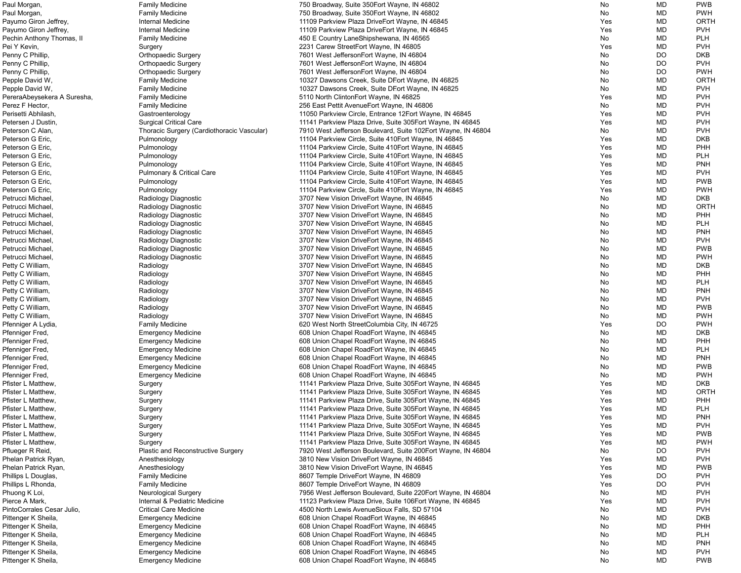| Paul Morgan,                | <b>Family Medicine</b>                     | 750 Broadway, Suite 350 Eort Wayne, IN 46802                  | No  | MD        | <b>PWB</b>  |
|-----------------------------|--------------------------------------------|---------------------------------------------------------------|-----|-----------|-------------|
| Paul Morgan,                | <b>Family Medicine</b>                     | 750 Broadway, Suite 350 Eort Wayne, IN 46802                  | No  | MD        | <b>PWH</b>  |
| Payumo Giron Jeffrey,       | Internal Medicine                          | 11109 Parkview Plaza DriveEort Wayne, IN 46845                | Yes | MD        | <b>ORTH</b> |
| Payumo Giron Jeffrey,       | Internal Medicine                          | 11109 Parkview Plaza DriveEort Wayne, IN 46845                | Yes | MD        | <b>PVH</b>  |
|                             |                                            |                                                               |     | MD        | <b>PLH</b>  |
| Pechin Anthony Thomas, II   | <b>Family Medicine</b>                     | 450 E Country LaneShipshewana, IN 46565                       | No  |           |             |
| Pei Y Kevin,                | Surgery                                    | 2231 Carew StreetEort Wayne, IN 46805                         | Yes | MD        | <b>PVH</b>  |
| Penny C Phillip,            | <b>Orthopaedic Surgery</b>                 | 7601 West JeffersonEort Wayne, IN 46804                       | No  | DO.       | <b>DKB</b>  |
| Penny C Phillip,            | <b>Orthopaedic Surgery</b>                 | 7601 West JeffersonEort Wayne, IN 46804                       | No  | DO.       | <b>PVH</b>  |
| Penny C Phillip,            | <b>Orthopaedic Surgery</b>                 | 7601 West JeffersonEort Wayne, IN 46804                       | No  | <b>DO</b> | <b>PWH</b>  |
| Pepple David W,             | <b>Family Medicine</b>                     | 10327 Dawsons Creek, Suite DEort Wayne, IN 46825              | No  | <b>MD</b> | <b>ORTH</b> |
| Pepple David W,             | <b>Family Medicine</b>                     | 10327 Dawsons Creek, Suite DEort Wayne, IN 46825              | No  | <b>MD</b> | <b>PVH</b>  |
| PereraAbeysekera A Suresha, | <b>Family Medicine</b>                     | 5110 North ClintonEort Wayne, IN 46825                        | Yes | MD        | <b>PVH</b>  |
| Perez F Hector,             | <b>Family Medicine</b>                     | 256 East Pettit Avenue Eort Wayne, IN 46806                   | No. | MD        | <b>PVH</b>  |
|                             |                                            |                                                               |     |           |             |
| Perisetti Abhilash,         | Gastroenterology                           | 11050 Parkview Circle, Entrance 12 Eort Wayne, IN 46845       | Yes | MD        | <b>PVH</b>  |
| Petersen J Dustin,          | <b>Surgical Critical Care</b>              | 11141 Parkview Plaza Drive, Suite 305 Eort Wayne, IN 46845    | Yes | MD        | <b>PVH</b>  |
| Peterson C Alan,            | Thoracic Surgery (Cardiothoracic Vascular) | 7910 West Jefferson Boulevard, Suite 102Eort Wayne, IN 46804  | No  | MD        | <b>PVH</b>  |
| Peterson G Eric,            | Pulmonology                                | 11104 Parkview Circle, Suite 410Eort Wayne, IN 46845          | Yes | <b>MD</b> | <b>DKB</b>  |
| Peterson G Eric,            | Pulmonology                                | 11104 Parkview Circle, Suite 410 Eort Wayne, IN 46845         | Yes | <b>MD</b> | PHH         |
| Peterson G Eric,            | Pulmonology                                | 11104 Parkview Circle, Suite 410 Fort Wayne, IN 46845         | Yes | MD        | <b>PLH</b>  |
| Peterson G Eric,            | Pulmonology                                | 11104 Parkview Circle, Suite 410 Fort Wayne, IN 46845         | Yes | MD        | <b>PNH</b>  |
| Peterson G Eric,            | <b>Pulmonary &amp; Critical Care</b>       | 11104 Parkview Circle, Suite 410 Eort Wayne, IN 46845         | Yes | MD        | <b>PVH</b>  |
|                             |                                            |                                                               |     |           |             |
| Peterson G Eric,            | Pulmonology                                | 11104 Parkview Circle, Suite 410Eort Wayne, IN 46845          | Yes | MD        | <b>PWB</b>  |
| Peterson G Eric,            | Pulmonology                                | 11104 Parkview Circle, Suite 410 Fort Wayne, IN 46845         | Yes | <b>MD</b> | <b>PWH</b>  |
| Petrucci Michael,           | Radiology Diagnostic                       | 3707 New Vision DriveEort Wayne, IN 46845                     | No  | MD        | <b>DKB</b>  |
| Petrucci Michael,           | Radiology Diagnostic                       | 3707 New Vision DriveEort Wayne, IN 46845                     | No  | MD        | ORTH        |
| Petrucci Michael,           | Radiology Diagnostic                       | 3707 New Vision DriveEort Wayne, IN 46845                     | No  | MD        | PHH         |
| Petrucci Michael,           | Radiology Diagnostic                       | 3707 New Vision DriveEort Wayne, IN 46845                     | No  | MD        | <b>PLH</b>  |
| Petrucci Michael,           | Radiology Diagnostic                       | 3707 New Vision DriveEort Wayne, IN 46845                     | No  | MD        | <b>PNH</b>  |
| Petrucci Michael,           | Radiology Diagnostic                       | 3707 New Vision DriveEort Wayne, IN 46845                     | No  | MD        | <b>PVH</b>  |
| Petrucci Michael,           |                                            | 3707 New Vision DriveEort Wayne, IN 46845                     | No  | MD        | <b>PWB</b>  |
|                             | Radiology Diagnostic                       |                                                               |     |           |             |
| Petrucci Michael,           | Radiology Diagnostic                       | 3707 New Vision DriveEort Wayne, IN 46845                     | No  | MD        | <b>PWH</b>  |
| Petty C William,            | Radiology                                  | 3707 New Vision DriveEort Wayne, IN 46845                     | No. | MD        | <b>DKB</b>  |
| Petty C William,            | Radiology                                  | 3707 New Vision DriveEort Wayne, IN 46845                     | No  | MD        | PHH         |
| Petty C William,            | Radiology                                  | 3707 New Vision DriveEort Wayne, IN 46845                     | No. | <b>MD</b> | <b>PLH</b>  |
| Petty C William,            | Radiology                                  | 3707 New Vision DriveEort Wayne, IN 46845                     | No  | <b>MD</b> | <b>PNH</b>  |
| Petty C William,            | Radiology                                  | 3707 New Vision DriveEort Wayne, IN 46845                     | No  | MD        | <b>PVH</b>  |
| Petty C William,            | Radiology                                  | 3707 New Vision DriveEort Wayne, IN 46845                     | No  | MD        | <b>PWB</b>  |
| Petty C William,            | Radiology                                  | 3707 New Vision DriveEort Wayne, IN 46845                     | No  | MD        | <b>PWH</b>  |
| Pfenniger A Lydia,          | <b>Family Medicine</b>                     | 620 West North StreetColumbia City, IN 46725                  | Yes | DO        | <b>PWH</b>  |
|                             |                                            |                                                               |     |           |             |
| Pfenniger Fred,             | <b>Emergency Medicine</b>                  | 608 Union Chapel RoadEort Wayne, IN 46845                     | No  | MD        | <b>DKB</b>  |
| Pfenniger Fred,             | <b>Emergency Medicine</b>                  | 608 Union Chapel RoadEort Wayne, IN 46845                     | No  | MD        | PHH         |
| Pfenniger Fred,             | <b>Emergency Medicine</b>                  | 608 Union Chapel RoadEort Wayne, IN 46845                     | No. | MD        | <b>PLH</b>  |
| Pfenniger Fred,             | <b>Emergency Medicine</b>                  | 608 Union Chapel RoadEort Wayne, IN 46845                     | No  | MD        | <b>PNH</b>  |
| Pfenniger Fred,             | <b>Emergency Medicine</b>                  | 608 Union Chapel RoadEort Wayne, IN 46845                     | No  | MD        | <b>PWB</b>  |
| Pfenniger Fred,             | <b>Emergency Medicine</b>                  | 608 Union Chapel RoadEort Wayne, IN 46845                     | No  | MD        | <b>PWH</b>  |
| Pfister L Matthew,          | Surgery                                    | 11141 Parkview Plaza Drive, Suite 305 Eort Wayne, IN 46845    | Yes | MD        | <b>DKB</b>  |
| Pfister L Matthew,          | Surgery                                    | 11141 Parkview Plaza Drive, Suite 305Eort Wayne, IN 46845     | Yes | <b>MD</b> | <b>ORTH</b> |
| Pfister L Matthew,          | Surgery                                    | 11141 Parkview Plaza Drive, Suite 305 Eort Wayne, IN 46845    | Yes | <b>MD</b> | PHH         |
| Pfister L Matthew,          |                                            | 11141 Parkview Plaza Drive, Suite 305 Eort Wayne, IN 46845    |     | MD        | <b>PLH</b>  |
|                             | Surgery                                    |                                                               | Yes |           |             |
| Pfister L Matthew,          | Surgery                                    | 11141 Parkview Plaza Drive, Suite 305 Eort Wayne, IN 46845    | Yes | MD        | <b>PNH</b>  |
| Pfister L Matthew,          | Surgery                                    | 11141 Parkview Plaza Drive, Suite 305 Eort Wayne, IN 46845    | Yes | MD        | <b>PVH</b>  |
| Pfister L Matthew,          | Surgery                                    | 11141 Parkview Plaza Drive, Suite 305 Eort Wayne, IN 46845    | Yes | <b>MD</b> | <b>PWB</b>  |
| Pfister L Matthew,          | Surgery                                    | 11141 Parkview Plaza Drive, Suite 305 Eort Wayne, IN 46845    | Yes | <b>MD</b> | <b>PWH</b>  |
| Pflueger R Reid,            | Plastic and Reconstructive Surgery         | 7920 West Jefferson Boulevard, Suite 200 Eort Wayne, IN 46804 | No  | DO        | <b>PVH</b>  |
| Phelan Patrick Ryan,        | Anesthesiology                             | 3810 New Vision DriveEort Wayne, IN 46845                     | Yes | MD        | <b>PVH</b>  |
| Phelan Patrick Ryan,        | Anesthesiology                             | 3810 New Vision DriveEort Wayne, IN 46845                     | Yes | MD        | <b>PWB</b>  |
| Phillips L Douglas,         | <b>Family Medicine</b>                     | 8607 Temple DriveEort Wayne, IN 46809                         | Yes | <b>DO</b> | <b>PVH</b>  |
| Phillips L Rhonda,          | <b>Family Medicine</b>                     | 8607 Temple DriveEort Wayne, IN 46809                         | Yes | DO        | <b>PVH</b>  |
|                             |                                            |                                                               |     |           | <b>PVH</b>  |
| Phuong K Loi,               | <b>Neurological Surgery</b>                | 7956 West Jefferson Boulevard, Suite 220 Eort Wayne, IN 46804 | No  | <b>MD</b> |             |
| Pierce A Mark,              | Internal & Pediatric Medicine              | 11123 Parkview Plaza Drive, Suite 106Eort Wayne, IN 46845     | Yes | <b>MD</b> | <b>PVH</b>  |
| PintoCorrales Cesar Julio,  | <b>Critical Care Medicine</b>              | 4500 North Lewis AvenueSioux Falls, SD 57104                  | No  | MD        | <b>PVH</b>  |
| Pittenger K Sheila,         | <b>Emergency Medicine</b>                  | 608 Union Chapel RoadEort Wayne, IN 46845                     | No  | MD        | <b>DKB</b>  |
| Pittenger K Sheila,         | <b>Emergency Medicine</b>                  | 608 Union Chapel RoadEort Wayne, IN 46845                     | No  | MD        | PHH         |
| Pittenger K Sheila,         | <b>Emergency Medicine</b>                  | 608 Union Chapel RoadEort Wayne, IN 46845                     | No  | MD        | <b>PLH</b>  |
| Pittenger K Sheila,         | <b>Emergency Medicine</b>                  | 608 Union Chapel RoadEort Wayne, IN 46845                     | No  | MD        | <b>PNH</b>  |
| Pittenger K Sheila,         | <b>Emergency Medicine</b>                  | 608 Union Chapel RoadEort Wayne, IN 46845                     | No  | MD        | <b>PVH</b>  |
| Pittenger K Sheila,         | <b>Emergency Medicine</b>                  | 608 Union Chapel RoadEort Wayne, IN 46845                     | No  | MD        | <b>PWB</b>  |
|                             |                                            |                                                               |     |           |             |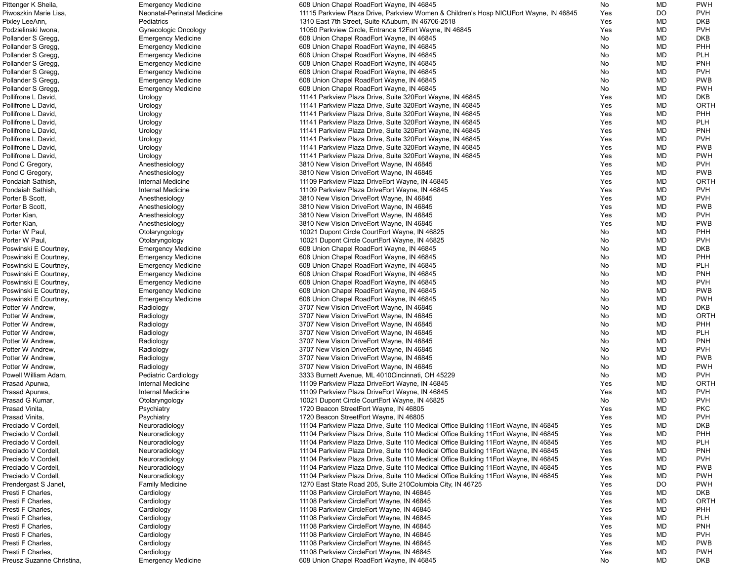| Pittenger K Sheila,       | <b>Emergency Medicine</b>   | 608 Union Chapel RoadEort Wayne, IN 46845                                             | No  | <b>MD</b> | <b>PWH</b>  |
|---------------------------|-----------------------------|---------------------------------------------------------------------------------------|-----|-----------|-------------|
| Piwoszkin Marie Lisa,     | Neonatal-Perinatal Medicine | 11115 Parkview Plaza Drive, Parkview Women & Children's Hosp NICUEort Wayne, IN 46845 | Yes | DO        | <b>PVH</b>  |
| Pixley LeeAnn,            | Pediatrics                  | 1310 East 7th Street, Suite KAuburn, IN 46706-2518                                    | Yes | MD        | <b>DKB</b>  |
| Podzielinski Iwona,       | <b>Gynecologic Oncology</b> | 11050 Parkview Circle, Entrance 12Eort Wayne, IN 46845                                | Yes | MD        | <b>PVH</b>  |
| Pollander S Gregg,        | <b>Emergency Medicine</b>   | 608 Union Chapel RoadEort Wayne, IN 46845                                             | No  | MD        | <b>DKB</b>  |
| Pollander S Gregg,        | <b>Emergency Medicine</b>   | 608 Union Chapel RoadEort Wayne, IN 46845                                             | No  | MD        | PHH         |
| Pollander S Gregg,        | <b>Emergency Medicine</b>   | 608 Union Chapel RoadEort Wayne, IN 46845                                             | No  | MD        | <b>PLH</b>  |
| Pollander S Gregg,        | <b>Emergency Medicine</b>   | 608 Union Chapel RoadEort Wayne, IN 46845                                             | No  | MD        | <b>PNH</b>  |
| Pollander S Gregg,        |                             | 608 Union Chapel RoadEort Wayne, IN 46845                                             | No  | MD        | <b>PVH</b>  |
|                           | <b>Emergency Medicine</b>   |                                                                                       |     |           |             |
| Pollander S Gregg,        | <b>Emergency Medicine</b>   | 608 Union Chapel RoadEort Wayne, IN 46845                                             | No  | MD        | <b>PWB</b>  |
| Pollander S Gregg,        | <b>Emergency Medicine</b>   | 608 Union Chapel RoadEort Wayne, IN 46845                                             | No  | MD        | <b>PWH</b>  |
| Pollifrone L David,       | Urology                     | 11141 Parkview Plaza Drive, Suite 320 Eort Wayne, IN 46845                            | Yes | MD        | <b>DKB</b>  |
| Pollifrone L David,       | Urology                     | 11141 Parkview Plaza Drive, Suite 320 Eort Wayne, IN 46845                            | Yes | MD        | ORTH        |
| Pollifrone L David,       | Urology                     | 11141 Parkview Plaza Drive, Suite 320 Eort Wayne, IN 46845                            | Yes | MD        | PHH         |
| Pollifrone L David,       | Urology                     | 11141 Parkview Plaza Drive, Suite 320 Fort Wayne, IN 46845                            | Yes | MD        | <b>PLH</b>  |
| Pollifrone L David,       | Urology                     | 11141 Parkview Plaza Drive, Suite 320 Eort Wayne, IN 46845                            | Yes | MD        | <b>PNH</b>  |
| Pollifrone L David,       | Urology                     | 11141 Parkview Plaza Drive, Suite 320 Fort Wayne, IN 46845                            | Yes | MD        | <b>PVH</b>  |
| Pollifrone L David,       | Urology                     | 11141 Parkview Plaza Drive, Suite 320 Fort Wayne, IN 46845                            | Yes | MD        | <b>PWB</b>  |
| Pollifrone L David,       | Urology                     | 11141 Parkview Plaza Drive, Suite 320 Fort Wayne, IN 46845                            | Yes | MD        | <b>PWH</b>  |
| Pond C Gregory,           | Anesthesiology              | 3810 New Vision DriveEort Wayne, IN 46845                                             | Yes | MD        | <b>PVH</b>  |
| Pond C Gregory,           | Anesthesiology              | 3810 New Vision DriveEort Wayne, IN 46845                                             | Yes | MD        | <b>PWB</b>  |
| Pondaiah Sathish,         | Internal Medicine           | 11109 Parkview Plaza DriveEort Wayne, IN 46845                                        | Yes | MD        | ORTH        |
| Pondaiah Sathish,         | Internal Medicine           | 11109 Parkview Plaza DriveEort Wayne, IN 46845                                        | Yes | MD        | <b>PVH</b>  |
| Porter B Scott,           | Anesthesiology              | 3810 New Vision DriveEort Wayne, IN 46845                                             | Yes | MD        | <b>PVH</b>  |
|                           |                             |                                                                                       |     |           | <b>PWB</b>  |
| Porter B Scott,           | Anesthesiology              | 3810 New Vision DriveEort Wayne, IN 46845                                             | Yes | MD        |             |
| Porter Kian,              | Anesthesiology              | 3810 New Vision DriveEort Wayne, IN 46845                                             | Yes | MD        | <b>PVH</b>  |
| Porter Kian,              | Anesthesiology              | 3810 New Vision DriveEort Wayne, IN 46845                                             | Yes | MD        | <b>PWB</b>  |
| Porter W Paul,            | Otolaryngology              | 10021 Dupont Circle CourtEort Wayne, IN 46825                                         | No  | MD        | PHH         |
| Porter W Paul,            | Otolaryngology              | 10021 Dupont Circle CourtEort Wayne, IN 46825                                         | No  | MD        | <b>PVH</b>  |
| Poswinski E Courtney,     | <b>Emergency Medicine</b>   | 608 Union Chapel RoadEort Wayne, IN 46845                                             | No  | MD        | <b>DKB</b>  |
| Poswinski E Courtney,     | <b>Emergency Medicine</b>   | 608 Union Chapel RoadEort Wayne, IN 46845                                             | No  | MD        | PHH         |
| Poswinski E Courtney,     | <b>Emergency Medicine</b>   | 608 Union Chapel RoadEort Wayne, IN 46845                                             | No  | MD        | <b>PLH</b>  |
| Poswinski E Courtney,     | <b>Emergency Medicine</b>   | 608 Union Chapel RoadEort Wayne, IN 46845                                             | No  | MD        | <b>PNH</b>  |
| Poswinski E Courtney,     | <b>Emergency Medicine</b>   | 608 Union Chapel RoadEort Wayne, IN 46845                                             | No  | MD        | <b>PVH</b>  |
| Poswinski E Courtney,     | <b>Emergency Medicine</b>   | 608 Union Chapel RoadEort Wayne, IN 46845                                             | No. | MD        | <b>PWB</b>  |
| Poswinski E Courtney,     | <b>Emergency Medicine</b>   | 608 Union Chapel RoadEort Wayne, IN 46845                                             | No  | MD        | <b>PWH</b>  |
| Potter W Andrew,          | Radiology                   | 3707 New Vision DriveEort Wayne, IN 46845                                             | No  | MD        | <b>DKB</b>  |
| Potter W Andrew,          | Radiology                   | 3707 New Vision DriveEort Wayne, IN 46845                                             | No  | MD        | <b>ORTH</b> |
| Potter W Andrew,          | Radiology                   | 3707 New Vision DriveEort Wayne, IN 46845                                             | No  | MD        | <b>PHH</b>  |
| Potter W Andrew,          | Radiology                   | 3707 New Vision DriveEort Wayne, IN 46845                                             | No  | MD        | <b>PLH</b>  |
| Potter W Andrew,          | Radiology                   | 3707 New Vision DriveEort Wayne, IN 46845                                             | No  | MD        | <b>PNH</b>  |
| Potter W Andrew,          | Radiology                   | 3707 New Vision DriveEort Wayne, IN 46845                                             | No  | MD        | <b>PVH</b>  |
|                           |                             |                                                                                       |     |           | <b>PWB</b>  |
| Potter W Andrew,          | Radiology                   | 3707 New Vision DriveEort Wayne, IN 46845                                             | No  | MD        |             |
| Potter W Andrew,          | Radiology                   | 3707 New Vision DriveEort Wayne, IN 46845                                             | No. | MD        | <b>PWH</b>  |
| Powell William Adam,      | Pediatric Cardiology        | 3333 Burnett Avenue, ML 4010Cincinnati, OH 45229                                      | No  | MD        | <b>PVH</b>  |
| Prasad Apurwa,            | <b>Internal Medicine</b>    | 11109 Parkview Plaza DriveEort Wayne, IN 46845                                        | Yes | MD        | <b>ORTH</b> |
| Prasad Apurwa,            | Internal Medicine           | 11109 Parkview Plaza DriveEort Wayne, IN 46845                                        | Yes | MD        | <b>PVH</b>  |
| Prasad G Kumar,           | Otolaryngology              | 10021 Dupont Circle CourtEort Wayne, IN 46825                                         | No  | MD        | <b>PVH</b>  |
| Prasad Vinita,            | Psychiatry                  | 1720 Beacon StreetEort Wayne, IN 46805                                                | Yes | MD        | <b>PKC</b>  |
| Prasad Vinita,            | Psychiatry                  | 1720 Beacon StreetEort Wayne, IN 46805                                                | Yes | MD        | <b>PVH</b>  |
| Preciado V Cordell,       | Neuroradiology              | 11104 Parkview Plaza Drive, Suite 110 Medical Office Building 11 Eort Wayne, IN 46845 | Yes | MD        | <b>DKB</b>  |
| Preciado V Cordell,       | Neuroradiology              | 11104 Parkview Plaza Drive, Suite 110 Medical Office Building 11 Eort Wayne, IN 46845 | Yes | MD        | PHH         |
| Preciado V Cordell,       | Neuroradiology              | 11104 Parkview Plaza Drive, Suite 110 Medical Office Building 11 Eort Wayne, IN 46845 | Yes | MD        | <b>PLH</b>  |
| Preciado V Cordell,       | Neuroradiology              | 11104 Parkview Plaza Drive, Suite 110 Medical Office Building 11 Eort Wayne, IN 46845 | Yes | MD        | <b>PNH</b>  |
| Preciado V Cordell,       | Neuroradiology              | 11104 Parkview Plaza Drive, Suite 110 Medical Office Building 11 Eort Wayne, IN 46845 | Yes | MD        | <b>PVH</b>  |
| Preciado V Cordell,       | Neuroradiology              | 11104 Parkview Plaza Drive, Suite 110 Medical Office Building 11 Eort Wayne, IN 46845 | Yes | MD        | <b>PWB</b>  |
| Preciado V Cordell,       | Neuroradiology              | 11104 Parkview Plaza Drive, Suite 110 Medical Office Building 11 Eort Wayne, IN 46845 | Yes | MD        | <b>PWH</b>  |
| Prendergast S Janet,      | <b>Family Medicine</b>      | 1270 East State Road 205, Suite 210 Columbia City, IN 46725                           | Yes | DO        | <b>PWH</b>  |
| Presti F Charles,         | Cardiology                  | 11108 Parkview CircleEort Wayne, IN 46845                                             | Yes | MD        | <b>DKB</b>  |
| Presti F Charles,         |                             |                                                                                       |     |           | ORTH        |
|                           | Cardiology                  | 11108 Parkview CircleEort Wayne, IN 46845                                             | Yes | MD        |             |
| Presti F Charles,         | Cardiology                  | 11108 Parkview CircleEort Wayne, IN 46845                                             | Yes | MD        | PHH         |
| Presti F Charles,         | Cardiology                  | 11108 Parkview CircleEort Wayne, IN 46845                                             | Yes | MD        | <b>PLH</b>  |
| Presti F Charles,         | Cardiology                  | 11108 Parkview CircleEort Wayne, IN 46845                                             | Yes | MD        | <b>PNH</b>  |
| Presti F Charles,         | Cardiology                  | 11108 Parkview CircleEort Wayne, IN 46845                                             | Yes | MD        | <b>PVH</b>  |
| Presti F Charles,         | Cardiology                  | 11108 Parkview CircleEort Wayne, IN 46845                                             | Yes | MD.       | <b>PWB</b>  |
| Presti F Charles,         | Cardiology                  | 11108 Parkview CircleEort Wayne, IN 46845                                             | Yes | MD        | <b>PWH</b>  |
| Preusz Suzanne Christina, | <b>Emergency Medicine</b>   | 608 Union Chapel RoadEort Wayne, IN 46845                                             | No  | MD        | <b>DKB</b>  |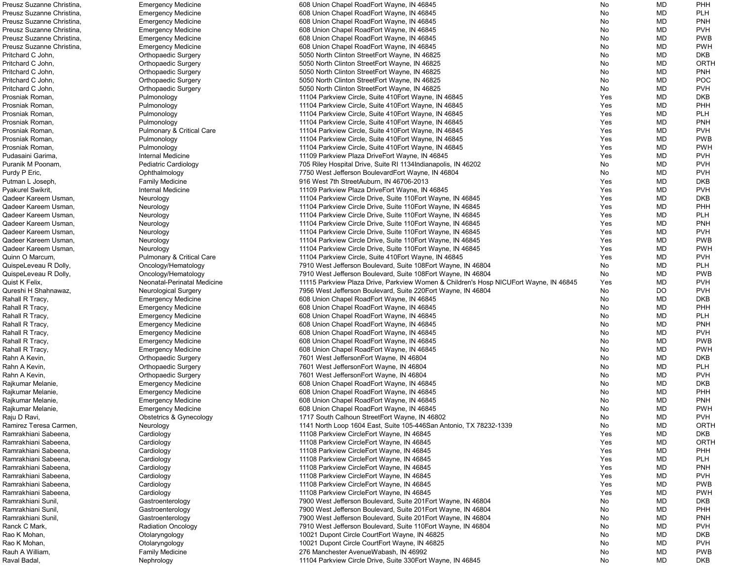| Preusz Suzanne Christina,       | <b>Emergency Medicine</b>            | 608 Union Chapel RoadEort Wayne, IN 46845                                                            | No       | MD        | <b>PHH</b>               |
|---------------------------------|--------------------------------------|------------------------------------------------------------------------------------------------------|----------|-----------|--------------------------|
| Preusz Suzanne Christina,       | <b>Emergency Medicine</b>            | 608 Union Chapel RoadEort Wayne, IN 46845                                                            | No       | <b>MD</b> | <b>PLH</b>               |
| Preusz Suzanne Christina,       | <b>Emergency Medicine</b>            | 608 Union Chapel RoadEort Wayne, IN 46845                                                            | No       | MD        | <b>PNH</b>               |
| Preusz Suzanne Christina,       | <b>Emergency Medicine</b>            | 608 Union Chapel RoadEort Wayne, IN 46845                                                            | No       | MD        | <b>PVH</b>               |
| Preusz Suzanne Christina,       | <b>Emergency Medicine</b>            | 608 Union Chapel RoadEort Wayne, IN 46845                                                            | No       | MD        | <b>PWB</b>               |
|                                 |                                      |                                                                                                      |          |           |                          |
| Preusz Suzanne Christina,       | <b>Emergency Medicine</b>            | 608 Union Chapel RoadEort Wayne, IN 46845                                                            | No       | MD        | <b>PWH</b>               |
| Pritchard C John,               | <b>Orthopaedic Surgery</b>           | 5050 North Clinton StreetEort Wayne, IN 46825                                                        | No       | MD        | <b>DKB</b>               |
| Pritchard C John,               | <b>Orthopaedic Surgery</b>           | 5050 North Clinton StreetEort Wayne, IN 46825                                                        | No       | MD        | ORTH                     |
| Pritchard C John,               | <b>Orthopaedic Surgery</b>           | 5050 North Clinton StreetEort Wayne, IN 46825                                                        | No       | MD        | <b>PNH</b>               |
| Pritchard C John,               | Orthopaedic Surgery                  | 5050 North Clinton StreetEort Wayne, IN 46825                                                        | No       | MD        | POC                      |
| Pritchard C John,               | <b>Orthopaedic Surgery</b>           | 5050 North Clinton StreetEort Wayne, IN 46825                                                        | No       | MD        | <b>PVH</b>               |
| Prosniak Roman,                 | Pulmonology                          | 11104 Parkview Circle, Suite 410Eort Wayne, IN 46845                                                 | Yes      | MD        | <b>DKB</b>               |
| Prosniak Roman,                 | Pulmonology                          | 11104 Parkview Circle, Suite 410 Fort Wayne, IN 46845                                                | Yes      | MD        | PHH                      |
| Prosniak Roman,                 | Pulmonology                          | 11104 Parkview Circle, Suite 410Eort Wayne, IN 46845                                                 | Yes      | MD        | <b>PLH</b>               |
|                                 |                                      |                                                                                                      |          |           |                          |
| Prosniak Roman,                 | Pulmonology                          | 11104 Parkview Circle, Suite 410 Fort Wayne, IN 46845                                                | Yes      | MD        | <b>PNH</b>               |
| Prosniak Roman,                 | <b>Pulmonary &amp; Critical Care</b> | 11104 Parkview Circle, Suite 410 Fort Wayne, IN 46845                                                | Yes      | MD        | <b>PVH</b>               |
| Prosniak Roman,                 | Pulmonology                          | 11104 Parkview Circle, Suite 410Eort Wayne, IN 46845                                                 | Yes      | MD        | <b>PWB</b>               |
| Prosniak Roman,                 | Pulmonology                          | 11104 Parkview Circle, Suite 410 Fort Wayne, IN 46845                                                | Yes      | MD        | <b>PWH</b>               |
| Pudasaini Garima,               | Internal Medicine                    | 11109 Parkview Plaza DriveEort Wayne, IN 46845                                                       | Yes      | MD        | <b>PVH</b>               |
| Puranik M Poonam,               | <b>Pediatric Cardiology</b>          | 705 Riley Hospital Drive, Suite RI 1134 Indianapolis, IN 46202                                       | No       | MD        | <b>PVH</b>               |
| Purdy P Eric,                   | Ophthalmology                        | 7750 West Jefferson BoulevardEort Wayne, IN 46804                                                    | No       | MD        | <b>PVH</b>               |
| Putman L Joseph,                | <b>Family Medicine</b>               | 916 West 7th StreetAuburn, IN 46706-2013                                                             | Yes      | MD        | <b>DKB</b>               |
| Pyakurel Swikrit,               | Internal Medicine                    | 11109 Parkview Plaza DriveEort Wayne, IN 46845                                                       | Yes      | MD        | <b>PVH</b>               |
| Qadeer Kareem Usman,            |                                      | 11104 Parkview Circle Drive, Suite 110 Eort Wayne, IN 46845                                          | Yes      | MD        | <b>DKB</b>               |
|                                 | Neurology                            |                                                                                                      |          |           |                          |
| Qadeer Kareem Usman,            | Neurology                            | 11104 Parkview Circle Drive, Suite 110 Eort Wayne, IN 46845                                          | Yes      | MD        | PHH                      |
| Qadeer Kareem Usman,            | Neurology                            | 11104 Parkview Circle Drive, Suite 110 Eort Wayne, IN 46845                                          | Yes      | MD        | <b>PLH</b>               |
| Qadeer Kareem Usman,            | Neurology                            | 11104 Parkview Circle Drive, Suite 110 Eort Wayne, IN 46845                                          | Yes      | MD        | <b>PNH</b>               |
| Qadeer Kareem Usman,            | Neurology                            | 11104 Parkview Circle Drive, Suite 110 Eort Wayne, IN 46845                                          | Yes      | MD        | <b>PVH</b>               |
| Qadeer Kareem Usman,            | Neurology                            | 11104 Parkview Circle Drive, Suite 110 Eort Wayne, IN 46845                                          | Yes      | MD        | <b>PWB</b>               |
| Qadeer Kareem Usman,            | Neurology                            | 11104 Parkview Circle Drive, Suite 110 Eort Wayne, IN 46845                                          | Yes      | MD        | <b>PWH</b>               |
| Quinn O Marcum,                 | <b>Pulmonary &amp; Critical Care</b> | 11104 Parkview Circle, Suite 410 Fort Wayne, IN 46845                                                | Yes      | <b>MD</b> | <b>PVH</b>               |
| QuispeLeveau R Dolly,           | Oncology/Hematology                  | 7910 West Jefferson Boulevard, Suite 108Eort Wayne, IN 46804                                         | No       | MD        | <b>PLH</b>               |
| QuispeLeveau R Dolly,           | Oncology/Hematology                  | 7910 West Jefferson Boulevard, Suite 108Eort Wayne, IN 46804                                         | No       | MD        | <b>PWB</b>               |
|                                 |                                      |                                                                                                      |          |           |                          |
| Quist K Felix,                  | Neonatal-Perinatal Medicine          | 11115 Parkview Plaza Drive, Parkview Women & Children's Hosp NICUEort Wayne, IN 46845                | Yes      | MD        | <b>PVH</b>               |
| Qureshi H Shahnawaz,            | <b>Neurological Surgery</b>          | 7956 West Jefferson Boulevard, Suite 220 Eort Wayne, IN 46804                                        | No       | DO        | <b>PVH</b>               |
| Rahall R Tracy,                 | <b>Emergency Medicine</b>            | 608 Union Chapel RoadEort Wayne, IN 46845                                                            | No.      | MD        | <b>DKB</b>               |
| Rahall R Tracy,                 | <b>Emergency Medicine</b>            | 608 Union Chapel RoadEort Wayne, IN 46845                                                            | No       | <b>MD</b> | PHH                      |
| Rahall R Tracy,                 | <b>Emergency Medicine</b>            | 608 Union Chapel RoadEort Wayne, IN 46845                                                            | No       | <b>MD</b> | <b>PLH</b>               |
| Rahall R Tracy,                 | <b>Emergency Medicine</b>            | 608 Union Chapel RoadEort Wayne, IN 46845                                                            | No       | MD        | <b>PNH</b>               |
| Rahall R Tracy,                 | <b>Emergency Medicine</b>            | 608 Union Chapel RoadEort Wayne, IN 46845                                                            | No       | MD        | <b>PVH</b>               |
| Rahall R Tracy,                 | <b>Emergency Medicine</b>            | 608 Union Chapel RoadEort Wayne, IN 46845                                                            | No       | MD        | <b>PWB</b>               |
| Rahall R Tracy,                 | <b>Emergency Medicine</b>            | 608 Union Chapel RoadEort Wayne, IN 46845                                                            | No       | MD        | <b>PWH</b>               |
| Rahn A Kevin,                   | <b>Orthopaedic Surgery</b>           | 7601 West JeffersonEort Wayne, IN 46804                                                              | No       | <b>MD</b> | <b>DKB</b>               |
|                                 | <b>Orthopaedic Surgery</b>           |                                                                                                      | No       | MD        | <b>PLH</b>               |
| Rahn A Kevin,                   |                                      | 7601 West JeffersonEort Wayne, IN 46804                                                              |          |           |                          |
| Rahn A Kevin,                   | <b>Orthopaedic Surgery</b>           | 7601 West JeffersonEort Wayne, IN 46804                                                              | No       | MD        | <b>PVH</b>               |
| Rajkumar Melanie,               | <b>Emergency Medicine</b>            |                                                                                                      |          |           | <b>DKB</b>               |
|                                 |                                      | 608 Union Chapel RoadEort Wayne, IN 46845                                                            | No       | MD        |                          |
| Rajkumar Melanie,               | <b>Emergency Medicine</b>            | 608 Union Chapel RoadEort Wayne, IN 46845                                                            | No       | MD        | PHH                      |
| Rajkumar Melanie,               | <b>Emergency Medicine</b>            | 608 Union Chapel RoadEort Wayne, IN 46845                                                            | No       | MD        | <b>PNH</b>               |
| Rajkumar Melanie,               | <b>Emergency Medicine</b>            | 608 Union Chapel RoadEort Wayne, IN 46845                                                            | No       | MD        | <b>PWH</b>               |
| Raju D Ravi,                    | Obstetrics & Gynecology              | 1717 South Calhoun StreetEort Wayne, IN 46802                                                        | No       | MD        | <b>PVH</b>               |
| Ramirez Teresa Carmen,          |                                      |                                                                                                      |          | MD        | <b>ORTH</b>              |
|                                 | Neurology                            | 1141 North Loop 1604 East, Suite 105-446San Antonio, TX 78232-1339                                   | No       |           |                          |
| Ramrakhiani Sabeena,            | Cardiology                           | 11108 Parkview CircleEort Wayne, IN 46845                                                            | Yes      | MD        | <b>DKB</b>               |
| Ramrakhiani Sabeena,            | Cardiology                           | 11108 Parkview CircleEort Wayne, IN 46845                                                            | Yes      | MD        | <b>ORTH</b>              |
| Ramrakhiani Sabeena,            | Cardiology                           | 11108 Parkview CircleEort Wayne, IN 46845                                                            | Yes      | MD        | <b>PHH</b>               |
| Ramrakhiani Sabeena,            | Cardiology                           | 11108 Parkview CircleEort Wayne, IN 46845                                                            | Yes      | MD        | <b>PLH</b>               |
| Ramrakhiani Sabeena,            | Cardiology                           | 11108 Parkview CircleEort Wayne, IN 46845                                                            | Yes      | MD        | <b>PNH</b>               |
| Ramrakhiani Sabeena,            | Cardiology                           | 11108 Parkview CircleEort Wayne, IN 46845                                                            | Yes      | MD        | <b>PVH</b>               |
| Ramrakhiani Sabeena,            | Cardiology                           | 11108 Parkview CircleEort Wayne, IN 46845                                                            | Yes      | MD        | <b>PWB</b>               |
| Ramrakhiani Sabeena,            | Cardiology                           | 11108 Parkview CircleEort Wayne, IN 46845                                                            | Yes      | MD        | <b>PWH</b>               |
| Ramrakhiani Sunil               | Gastroenterology                     | 7900 West Jefferson Boulevard, Suite 201Eort Wayne, IN 46804                                         | No       | MD        | <b>DKB</b>               |
| Ramrakhiani Sunil               | Gastroenterology                     | 7900 West Jefferson Boulevard, Suite 201 Eort Wayne, IN 46804                                        | No       | MD        | PHH                      |
| Ramrakhiani Sunil,              | Gastroenterology                     | 7900 West Jefferson Boulevard, Suite 201Eort Wayne, IN 46804                                         | No       | MD        | <b>PNH</b>               |
|                                 |                                      |                                                                                                      |          |           |                          |
| Ranck C Mark,                   | <b>Radiation Oncology</b>            | 7910 West Jefferson Boulevard, Suite 110 Eort Wayne, IN 46804                                        | No       | MD        | <b>PVH</b>               |
| Rao K Mohan,                    | Otolaryngology                       | 10021 Dupont Circle CourtEort Wayne, IN 46825                                                        | No       | MD        | <b>DKB</b>               |
| Rao K Mohan,                    | Otolaryngology                       | 10021 Dupont Circle CourtEort Wayne, IN 46825                                                        | No       | MD        | <b>PVH</b>               |
| Rauh A William,<br>Raval Badal, | <b>Family Medicine</b><br>Nephrology | 276 Manchester AvenueWabash, IN 46992<br>11104 Parkview Circle Drive, Suite 330 Eort Wayne, IN 46845 | No<br>No | MD<br>MD  | <b>PWB</b><br><b>DKB</b> |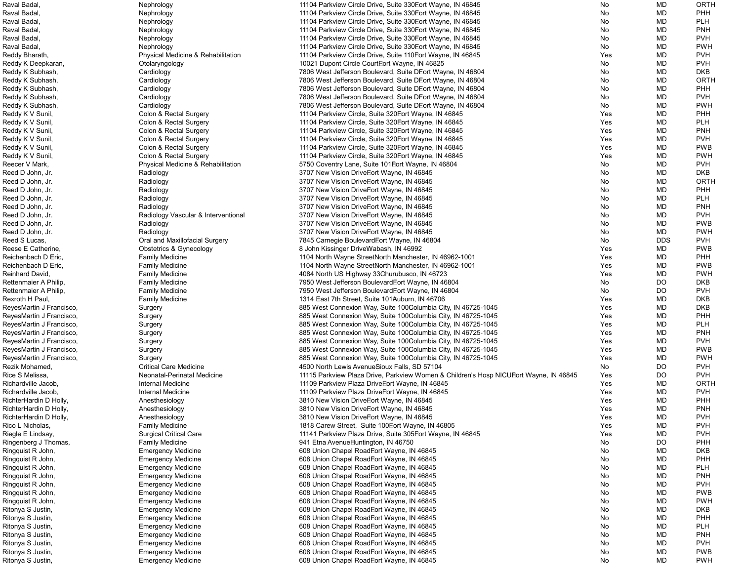| Raval Badal              | Nephrology                          | 11104 Parkview Circle Drive, Suite 330 Eort Wayne, IN 46845                           | No         | MD         | <b>ORTH</b> |
|--------------------------|-------------------------------------|---------------------------------------------------------------------------------------|------------|------------|-------------|
| Raval Badal              | Nephrology                          | 11104 Parkview Circle Drive, Suite 330 Eort Wayne, IN 46845                           | No         | <b>MD</b>  | <b>PHH</b>  |
| Raval Badal              | Nephrology                          | 11104 Parkview Circle Drive, Suite 330 Eort Wayne, IN 46845                           | No         | <b>MD</b>  | <b>PLH</b>  |
| Raval Badal              | Nephrology                          | 11104 Parkview Circle Drive, Suite 330 Fort Wayne, IN 46845                           | No         | <b>MD</b>  | <b>PNH</b>  |
| Raval Badal              |                                     | 11104 Parkview Circle Drive, Suite 330 Eort Wayne, IN 46845                           |            | <b>MD</b>  | <b>PVH</b>  |
|                          | Nephrology                          |                                                                                       | No         |            |             |
| Raval Badal              | Nephrology                          | 11104 Parkview Circle Drive, Suite 330 Fort Wayne, IN 46845                           | No         | MD         | <b>PWH</b>  |
| Reddy Bharath,           | Physical Medicine & Rehabilitation  | 11104 Parkview Circle Drive, Suite 110 Eort Wayne, IN 46845                           | Yes        | MD         | <b>PVH</b>  |
| Reddy K Deepkaran,       | Otolaryngology                      | 10021 Dupont Circle CourtEort Wayne, IN 46825                                         | No         | <b>MD</b>  | <b>PVH</b>  |
| Reddy K Subhash,         | Cardiology                          | 7806 West Jefferson Boulevard, Suite DEort Wayne, IN 46804                            | No         | <b>MD</b>  | <b>DKB</b>  |
| Reddy K Subhash,         | Cardiology                          | 7806 West Jefferson Boulevard, Suite DEort Wayne, IN 46804                            | No         | <b>MD</b>  | <b>ORTH</b> |
| Reddy K Subhash,         | Cardiology                          | 7806 West Jefferson Boulevard, Suite DEort Wayne, IN 46804                            | No         | <b>MD</b>  | <b>PHH</b>  |
|                          |                                     |                                                                                       |            | <b>MD</b>  | <b>PVH</b>  |
| Reddy K Subhash,         | Cardiology                          | 7806 West Jefferson Boulevard, Suite DEort Wayne, IN 46804                            | No         |            |             |
| Reddy K Subhash,         | Cardiology                          | 7806 West Jefferson Boulevard, Suite DEort Wayne, IN 46804                            | No         | <b>MD</b>  | <b>PWH</b>  |
| Reddy K V Sunil,         | Colon & Rectal Surgery              | 11104 Parkview Circle, Suite 320 Eort Wayne, IN 46845                                 | Yes        | <b>MD</b>  | <b>PHH</b>  |
| Reddy K V Sunil,         | Colon & Rectal Surgery              | 11104 Parkview Circle, Suite 320 Fort Wayne, IN 46845                                 | Yes        | <b>MD</b>  | <b>PLH</b>  |
| Reddy K V Sunil,         | Colon & Rectal Surgery              | 11104 Parkview Circle, Suite 320 Fort Wayne, IN 46845                                 | Yes        | <b>MD</b>  | <b>PNH</b>  |
| Reddy K V Sunil,         | Colon & Rectal Surgery              | 11104 Parkview Circle, Suite 320 Eort Wayne, IN 46845                                 | Yes        | <b>MD</b>  | <b>PVH</b>  |
| Reddy K V Sunil,         | Colon & Rectal Surgery              | 11104 Parkview Circle, Suite 320 Fort Wayne, IN 46845                                 | Yes        | MD         | <b>PWB</b>  |
| Reddy K V Sunil,         | Colon & Rectal Surgery              | 11104 Parkview Circle, Suite 320 Eort Wayne, IN 46845                                 | Yes        | <b>MD</b>  | <b>PWH</b>  |
|                          |                                     |                                                                                       |            |            |             |
| Reecer V Mark,           | Physical Medicine & Rehabilitation  | 5750 Coventry Lane, Suite 101 Eort Wayne, IN 46804                                    | No         | MD         | <b>PVH</b>  |
| Reed D John, Jr.         | Radiology                           | 3707 New Vision DriveEort Wayne, IN 46845                                             | No         | <b>MD</b>  | <b>DKB</b>  |
| Reed D John, Jr.         | Radiology                           | 3707 New Vision DriveEort Wayne, IN 46845                                             | No         | <b>MD</b>  | <b>ORTH</b> |
| Reed D John, Jr.         | Radiology                           | 3707 New Vision DriveEort Wayne, IN 46845                                             | No         | <b>MD</b>  | <b>PHH</b>  |
| Reed D John, Jr.         | Radiology                           | 3707 New Vision DriveEort Wayne, IN 46845                                             | No         | <b>MD</b>  | <b>PLH</b>  |
| Reed D John, Jr.         | Radiology                           | 3707 New Vision DriveEort Wayne, IN 46845                                             | No         | <b>MD</b>  | <b>PNH</b>  |
| Reed D John, Jr.         | Radiology Vascular & Interventional | 3707 New Vision DriveEort Wayne, IN 46845                                             | No         | <b>MD</b>  | <b>PVH</b>  |
|                          |                                     |                                                                                       |            | <b>MD</b>  | <b>PWB</b>  |
| Reed D John, Jr.         | Radiology                           | 3707 New Vision DriveEort Wayne, IN 46845                                             | No         |            |             |
| Reed D John, Jr.         | Radiology                           | 3707 New Vision DriveEort Wayne, IN 46845                                             | No         | MD         | <b>PWH</b>  |
| Reed S Lucas,            | Oral and Maxillofacial Surgery      | 7845 Carnegie BoulevardEort Wayne, IN 46804                                           | No         | <b>DDS</b> | <b>PVH</b>  |
| Reese E Catherine,       | <b>Obstetrics &amp; Gynecology</b>  | 8 John Kissinger DriveWabash, IN 46992                                                | Yes        | MD         | <b>PWB</b>  |
| Reichenbach D Eric,      | <b>Family Medicine</b>              | 1104 North Wayne StreetNorth Manchester, IN 46962-1001                                | Yes        | MD         | <b>PHH</b>  |
| Reichenbach D Eric,      | <b>Family Medicine</b>              | 1104 North Wayne StreetNorth Manchester, IN 46962-1001                                | Yes        | MD         | <b>PWB</b>  |
| Reinhard David,          | <b>Family Medicine</b>              | 4084 North US Highway 33Churubusco, IN 46723                                          | <b>Yes</b> | MD         | <b>PWH</b>  |
| Rettenmaier A Philip,    | <b>Family Medicine</b>              | 7950 West Jefferson BoulevardEort Wayne, IN 46804                                     | No         | <b>DO</b>  | <b>DKB</b>  |
|                          |                                     |                                                                                       |            |            |             |
| Rettenmaier A Philip,    | <b>Family Medicine</b>              | 7950 West Jefferson BoulevardEort Wayne, IN 46804                                     | No.        | <b>DO</b>  | <b>PVH</b>  |
| Rexroth H Paul,          | <b>Family Medicine</b>              | 1314 East 7th Street, Suite 101Auburn, IN 46706                                       | Yes        | <b>MD</b>  | <b>DKB</b>  |
| ReyesMartin J Francisco, | Surgery                             | 885 West Connexion Way, Suite 100Columbia City, IN 46725-1045                         | Yes        | MD         | <b>DKB</b>  |
| ReyesMartin J Francisco, | Surgery                             | 885 West Connexion Way, Suite 100Columbia City, IN 46725-1045                         | Yes        | <b>MD</b>  | <b>PHH</b>  |
| ReyesMartin J Francisco, | Surgery                             | 885 West Connexion Way, Suite 100Columbia City, IN 46725-1045                         | Yes        | <b>MD</b>  | <b>PLH</b>  |
| ReyesMartin J Francisco, | Surgery                             | 885 West Connexion Way, Suite 100Columbia City, IN 46725-1045                         | Yes        | <b>MD</b>  | <b>PNH</b>  |
| ReyesMartin J Francisco, | Surgery                             | 885 West Connexion Way, Suite 100Columbia City, IN 46725-1045                         | Yes        | <b>MD</b>  | <b>PVH</b>  |
|                          |                                     |                                                                                       |            | MD         | <b>PWB</b>  |
| ReyesMartin J Francisco, | Surgery                             | 885 West Connexion Way, Suite 100Columbia City, IN 46725-1045                         | Yes        |            |             |
| ReyesMartin J Francisco, | Surgery                             | 885 West Connexion Way, Suite 100 Columbia City, IN 46725-1045                        | Yes        | <b>MD</b>  | <b>PWH</b>  |
| Rezik Mohamed,           | <b>Critical Care Medicine</b>       | 4500 North Lewis AvenueSioux Falls, SD 57104                                          | No         | <b>DO</b>  | <b>PVH</b>  |
| Rice S Melissa,          | Neonatal-Perinatal Medicine         | 11115 Parkview Plaza Drive, Parkview Women & Children's Hosp NICUEort Wayne, IN 46845 | Yes        | DO         | <b>PVH</b>  |
| Richardville Jacob,      | Internal Medicine                   | 11109 Parkview Plaza DriveEort Wayne, IN 46845                                        | Yes        | <b>MD</b>  | <b>ORTH</b> |
| Richardville Jacob,      | Internal Medicine                   | 11109 Parkview Plaza DriveEort Wayne, IN 46845                                        | Yes        | <b>MD</b>  | <b>PVH</b>  |
| RichterHardin D Holly,   | Anesthesiology                      | 3810 New Vision DriveEort Wayne, IN 46845                                             | Yes        | <b>MD</b>  | <b>PHH</b>  |
| RichterHardin D Holly,   | Anesthesiology                      | 3810 New Vision DriveEort Wayne, IN 46845                                             | Yes        | <b>MD</b>  | <b>PNH</b>  |
|                          |                                     |                                                                                       |            |            | <b>PVH</b>  |
| RichterHardin D Holly,   | Anesthesiology                      | 3810 New Vision DriveEort Wayne, IN 46845                                             | Yes        | <b>MD</b>  |             |
| Rico L Nicholas,         | <b>Family Medicine</b>              | 1818 Carew Street, Suite 100 Eort Wayne, IN 46805                                     | Yes        | <b>MD</b>  | <b>PVH</b>  |
| Riegle E Lindsay,        | <b>Surgical Critical Care</b>       | 11141 Parkview Plaza Drive, Suite 305Eort Wayne, IN 46845                             | Yes        | <b>MD</b>  | <b>PVH</b>  |
| Ringenberg J Thomas,     | <b>Family Medicine</b>              | 941 Etna Avenue Huntington, IN 46750                                                  | No         | DO         | PHH         |
| Ringquist R John,        | <b>Emergency Medicine</b>           | 608 Union Chapel RoadEort Wayne, IN 46845                                             | No         | <b>MD</b>  | <b>DKB</b>  |
| Ringquist R John,        | <b>Emergency Medicine</b>           | 608 Union Chapel RoadEort Wayne, IN 46845                                             | No         | <b>MD</b>  | <b>PHH</b>  |
| Ringquist R John,        | <b>Emergency Medicine</b>           | 608 Union Chapel RoadEort Wayne, IN 46845                                             | No         | <b>MD</b>  | <b>PLH</b>  |
| Ringquist R John,        | <b>Emergency Medicine</b>           | 608 Union Chapel RoadEort Wayne, IN 46845                                             | No         | <b>MD</b>  | <b>PNH</b>  |
|                          |                                     |                                                                                       |            |            |             |
| Ringquist R John,        | <b>Emergency Medicine</b>           | 608 Union Chapel RoadEort Wayne, IN 46845                                             | No         | <b>MD</b>  | <b>PVH</b>  |
| Ringquist R John,        | <b>Emergency Medicine</b>           | 608 Union Chapel RoadEort Wayne, IN 46845                                             | No         | <b>MD</b>  | <b>PWB</b>  |
| Ringquist R John,        | <b>Emergency Medicine</b>           | 608 Union Chapel RoadEort Wayne, IN 46845                                             | No         | <b>MD</b>  | <b>PWH</b>  |
| Ritonya S Justin,        | <b>Emergency Medicine</b>           | 608 Union Chapel RoadEort Wayne, IN 46845                                             | No         | <b>MD</b>  | <b>DKB</b>  |
| Ritonya S Justin,        | <b>Emergency Medicine</b>           | 608 Union Chapel RoadEort Wayne, IN 46845                                             | No         | <b>MD</b>  | <b>PHH</b>  |
| Ritonya S Justin,        | <b>Emergency Medicine</b>           | 608 Union Chapel RoadEort Wayne, IN 46845                                             | No         | <b>MD</b>  | <b>PLH</b>  |
| Ritonya S Justin,        | <b>Emergency Medicine</b>           | 608 Union Chapel RoadEort Wayne, IN 46845                                             | No         | <b>MD</b>  | <b>PNH</b>  |
|                          |                                     | 608 Union Chapel RoadEort Wayne, IN 46845                                             | No         | <b>MD</b>  | <b>PVH</b>  |
| Ritonya S Justin,        | <b>Emergency Medicine</b>           |                                                                                       |            |            |             |
| Ritonya S Justin,        | <b>Emergency Medicine</b>           | 608 Union Chapel RoadEort Wayne, IN 46845                                             | No         | <b>MD</b>  | <b>PWB</b>  |
| Ritonya S Justin,        | <b>Emergency Medicine</b>           | 608 Union Chapel RoadEort Wayne, IN 46845                                             | No         | MD         | <b>PWH</b>  |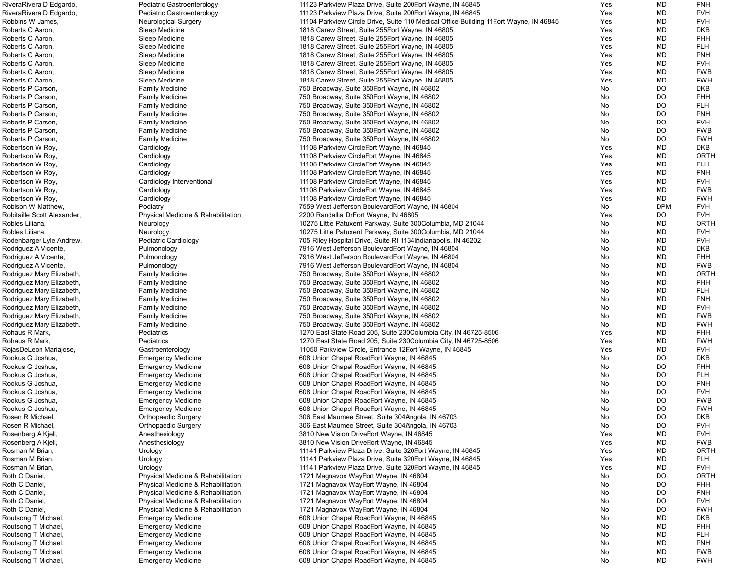| RiveraRivera D Edgardo,     | Pediatric Gastroenterology         | 11123 Parkview Plaza Drive, Suite 200 Eort Wayne, IN 46845                             | Yes | MD         | <b>PNH</b>  |
|-----------------------------|------------------------------------|----------------------------------------------------------------------------------------|-----|------------|-------------|
| RiveraRivera D Edgardo,     | Pediatric Gastroenterology         | 11123 Parkview Plaza Drive, Suite 200Eort Wayne, IN 46845                              | Yes | <b>MD</b>  | <b>PVH</b>  |
| Robbins W James,            | <b>Neurological Surgery</b>        | 11104 Parkview Circle Drive, Suite 110 Medical Office Building 11 Eort Wayne, IN 46845 | Yes | <b>MD</b>  | <b>PVH</b>  |
| Roberts C Aaron,            | Sleep Medicine                     | 1818 Carew Street, Suite 255 Eort Wayne, IN 46805                                      | Yes | <b>MD</b>  | <b>DKB</b>  |
|                             |                                    |                                                                                        |     |            |             |
| Roberts C Aaron,            | Sleep Medicine                     | 1818 Carew Street, Suite 255 Eort Wayne, IN 46805                                      | Yes | MD         | <b>PHH</b>  |
| Roberts C Aaron,            | Sleep Medicine                     | 1818 Carew Street, Suite 255 Eort Wayne, IN 46805                                      | Yes | MD         | <b>PLH</b>  |
| Roberts C Aaron,            | Sleep Medicine                     | 1818 Carew Street, Suite 255 Eort Wayne, IN 46805                                      | Yes | <b>MD</b>  | <b>PNH</b>  |
| Roberts C Aaron,            | Sleep Medicine                     | 1818 Carew Street, Suite 255 Eort Wayne, IN 46805                                      | Yes | <b>MD</b>  | <b>PVH</b>  |
| Roberts C Aaron,            | Sleep Medicine                     | 1818 Carew Street, Suite 255 Eort Wayne, IN 46805                                      | Yes | <b>MD</b>  | <b>PWB</b>  |
| Roberts C Aaron,            | Sleep Medicine                     | 1818 Carew Street, Suite 255 Eort Wayne, IN 46805                                      | Yes | <b>MD</b>  | <b>PWH</b>  |
|                             |                                    |                                                                                        |     |            |             |
| Roberts P Carson,           | <b>Family Medicine</b>             | 750 Broadway, Suite 350 Eort Wayne, IN 46802                                           | No  | <b>DO</b>  | <b>DKB</b>  |
| Roberts P Carson,           | <b>Family Medicine</b>             | 750 Broadway, Suite 350 Eort Wayne, IN 46802                                           | No  | <b>DO</b>  | <b>PHH</b>  |
| Roberts P Carson,           | <b>Family Medicine</b>             | 750 Broadway, Suite 350 Eort Wayne, IN 46802                                           | No  | <b>DO</b>  | <b>PLH</b>  |
| Roberts P Carson,           | <b>Family Medicine</b>             | 750 Broadway, Suite 350 Eort Wayne, IN 46802                                           | No  | <b>DO</b>  | <b>PNH</b>  |
| Roberts P Carson,           | <b>Family Medicine</b>             | 750 Broadway, Suite 350 Eort Wayne, IN 46802                                           | No  | DO         | <b>PVH</b>  |
| Roberts P Carson,           | <b>Family Medicine</b>             | 750 Broadway, Suite 350 Eort Wayne, IN 46802                                           | No  | DO         | <b>PWB</b>  |
|                             |                                    |                                                                                        |     |            |             |
| Roberts P Carson,           | <b>Family Medicine</b>             | 750 Broadway, Suite 350 Eort Wayne, IN 46802                                           | No  | DO         | <b>PWH</b>  |
| Robertson W Roy,            | Cardiology                         | 11108 Parkview CircleEort Wayne, IN 46845                                              | Yes | <b>MD</b>  | <b>DKB</b>  |
| Robertson W Roy,            | Cardiology                         | 11108 Parkview CircleEort Wayne, IN 46845                                              | Yes | <b>MD</b>  | ORTH        |
| Robertson W Roy,            | Cardiology                         | 11108 Parkview CircleEort Wayne, IN 46845                                              | Yes | <b>MD</b>  | <b>PLH</b>  |
| Robertson W Roy,            | Cardiology                         | 11108 Parkview CircleEort Wayne, IN 46845                                              | Yes | <b>MD</b>  | <b>PNH</b>  |
| Robertson W Roy,            | Cardiology Interventional          | 11108 Parkview CircleEort Wayne, IN 46845                                              | Yes | <b>MD</b>  | <b>PVH</b>  |
|                             |                                    |                                                                                        |     |            |             |
| Robertson W Roy,            | Cardiology                         | 11108 Parkview CircleEort Wayne, IN 46845                                              | Yes | MD         | <b>PWB</b>  |
| Robertson W Roy,            | Cardiology                         | 11108 Parkview CircleEort Wayne, IN 46845                                              | Yes | MD         | <b>PWH</b>  |
| Robison W Matthew,          | Podiatry                           | 7559 West Jefferson BoulevardEort Wayne, IN 46804                                      | No  | <b>DPM</b> | <b>PVH</b>  |
| Robitaille Scott Alexander, | Physical Medicine & Rehabilitation | 2200 Randallia DrEort Wayne, IN 46805                                                  | Yes | <b>DO</b>  | <b>PVH</b>  |
| Robles Liliana,             | Neurology                          | 10275 Little Patuxent Parkway, Suite 300Columbia, MD 21044                             | No  | <b>MD</b>  | <b>ORTH</b> |
| Robles Liliana,             | Neurology                          | 10275 Little Patuxent Parkway, Suite 300Columbia, MD 21044                             | No  | <b>MD</b>  | <b>PVH</b>  |
|                             |                                    |                                                                                        |     |            |             |
| Rodenbarger Lyle Andrew,    | Pediatric Cardiology               | 705 Riley Hospital Drive, Suite RI 1134 Indianapolis, IN 46202                         | No  | <b>MD</b>  | <b>PVH</b>  |
| Rodriguez A Vicente,        | Pulmonology                        | 7916 West Jefferson BoulevardEort Wayne, IN 46804                                      | No  | MD         | <b>DKB</b>  |
| Rodriguez A Vicente,        | Pulmonology                        | 7916 West Jefferson BoulevardEort Wayne, IN 46804                                      | No  | <b>MD</b>  | <b>PHH</b>  |
| Rodriguez A Vicente,        | Pulmonology                        | 7916 West Jefferson BoulevardEort Wayne, IN 46804                                      | No  | <b>MD</b>  | <b>PWB</b>  |
| Rodriguez Mary Elizabeth,   | <b>Family Medicine</b>             | 750 Broadway, Suite 350 Eort Wayne, IN 46802                                           | No  | MD         | <b>ORTH</b> |
| Rodriguez Mary Elizabeth,   | <b>Family Medicine</b>             | 750 Broadway, Suite 350 Eort Wayne, IN 46802                                           | No  | <b>MD</b>  | <b>PHH</b>  |
|                             |                                    |                                                                                        |     |            |             |
| Rodriguez Mary Elizabeth,   | <b>Family Medicine</b>             | 750 Broadway, Suite 350 Eort Wayne, IN 46802                                           | No  | <b>MD</b>  | <b>PLH</b>  |
| Rodriguez Mary Elizabeth,   | <b>Family Medicine</b>             | 750 Broadway, Suite 350 Eort Wayne, IN 46802                                           | No. | <b>MD</b>  | <b>PNH</b>  |
| Rodriguez Mary Elizabeth,   | <b>Family Medicine</b>             | 750 Broadway, Suite 350 Eort Wayne, IN 46802                                           | No  | MD         | <b>PVH</b>  |
| Rodriguez Mary Elizabeth,   | <b>Family Medicine</b>             | 750 Broadway, Suite 350 Eort Wayne, IN 46802                                           | No  | <b>MD</b>  | <b>PWB</b>  |
| Rodriguez Mary Elizabeth,   | <b>Family Medicine</b>             | 750 Broadway, Suite 350 Eort Wayne, IN 46802                                           | No  | <b>MD</b>  | <b>PWH</b>  |
| Rohaus R Mark,              | Pediatrics                         | 1270 East State Road 205, Suite 230 Columbia City, IN 46725-8506                       | Yes | <b>MD</b>  | <b>PHH</b>  |
|                             |                                    |                                                                                        |     |            |             |
| Rohaus R Mark,              | Pediatrics                         | 1270 East State Road 205, Suite 230 Columbia City, IN 46725-8506                       | Yes | MD         | <b>PWH</b>  |
| RojasDeLeon Mariajose,      | Gastroenterology                   | 11050 Parkview Circle, Entrance 12Eort Wayne, IN 46845                                 | Yes | MD         | <b>PVH</b>  |
| Rookus G Joshua,            | <b>Emergency Medicine</b>          | 608 Union Chapel RoadEort Wayne, IN 46845                                              | No  | <b>DO</b>  | <b>DKB</b>  |
| Rookus G Joshua,            | <b>Emergency Medicine</b>          | 608 Union Chapel RoadEort Wayne, IN 46845                                              | No  | <b>DO</b>  | <b>PHH</b>  |
| Rookus G Joshua,            | <b>Emergency Medicine</b>          | 608 Union Chapel RoadEort Wayne, IN 46845                                              | No  | <b>DO</b>  | <b>PLH</b>  |
| Rookus G Joshua,            | <b>Emergency Medicine</b>          | 608 Union Chapel RoadEort Wayne, IN 46845                                              | No  | <b>DO</b>  | <b>PNH</b>  |
|                             |                                    |                                                                                        |     |            |             |
| Rookus G Joshua,            | <b>Emergency Medicine</b>          | 608 Union Chapel RoadEort Wayne, IN 46845                                              | No  | <b>DO</b>  | <b>PVH</b>  |
| Rookus G Joshua,            | <b>Emergency Medicine</b>          | 608 Union Chapel RoadEort Wayne, IN 46845                                              | No  | <b>DO</b>  | <b>PWB</b>  |
| Rookus G Joshua,            | <b>Emergency Medicine</b>          | 608 Union Chapel RoadEort Wayne, IN 46845                                              | No  | <b>DO</b>  | <b>PWH</b>  |
| Rosen R Michael,            | <b>Orthopaedic Surgery</b>         | 306 East Maumee Street, Suite 304 Angola, IN 46703                                     | No  | <b>DO</b>  | <b>DKB</b>  |
| Rosen R Michael,            | <b>Orthopaedic Surgery</b>         | 306 East Maumee Street, Suite 304 Angola, IN 46703                                     | No  | DO         | <b>PVH</b>  |
| Rosenberg A Kjell,          | Anesthesiology                     | 3810 New Vision DriveEort Wayne, IN 46845                                              | Yes | <b>MD</b>  | <b>PVH</b>  |
|                             |                                    |                                                                                        |     |            |             |
| Rosenberg A Kjell,          | Anesthesiology                     | 3810 New Vision DriveEort Wayne, IN 46845                                              | Yes | <b>MD</b>  | <b>PWB</b>  |
| Rosman M Brian,             | Urology                            | 11141 Parkview Plaza Drive, Suite 320 Eort Wayne, IN 46845                             | Yes | <b>MD</b>  | <b>ORTH</b> |
| Rosman M Brian,             | Urology                            | 11141 Parkview Plaza Drive, Suite 320 Eort Wayne, IN 46845                             | Yes | <b>MD</b>  | <b>PLH</b>  |
| Rosman M Brian,             | Urology                            | 11141 Parkview Plaza Drive, Suite 320 Eort Wayne, IN 46845                             | Yes | <b>MD</b>  | <b>PVH</b>  |
| Roth C Daniel,              | Physical Medicine & Rehabilitation | 1721 Magnavox WayEort Wayne, IN 46804                                                  | No  | <b>DO</b>  | <b>ORTH</b> |
| Roth C Daniel,              | Physical Medicine & Rehabilitation | 1721 Magnavox WayEort Wayne, IN 46804                                                  | No  | <b>DO</b>  | <b>PHH</b>  |
|                             |                                    |                                                                                        |     |            |             |
| Roth C Daniel,              | Physical Medicine & Rehabilitation | 1721 Magnavox WayEort Wayne, IN 46804                                                  | No  | <b>DO</b>  | <b>PNH</b>  |
| Roth C Daniel,              | Physical Medicine & Rehabilitation | 1721 Magnavox WayEort Wayne, IN 46804                                                  | No  | <b>DO</b>  | <b>PVH</b>  |
| Roth C Daniel,              | Physical Medicine & Rehabilitation | 1721 Magnavox WayEort Wayne, IN 46804                                                  | No  | <b>DO</b>  | <b>PWH</b>  |
| Routsong T Michael,         | <b>Emergency Medicine</b>          | 608 Union Chapel RoadEort Wayne, IN 46845                                              | No  | <b>MD</b>  | <b>DKB</b>  |
| Routsong T Michael,         | <b>Emergency Medicine</b>          | 608 Union Chapel RoadEort Wayne, IN 46845                                              | No  | <b>MD</b>  | <b>PHH</b>  |
|                             |                                    |                                                                                        |     | MD         | <b>PLH</b>  |
| Routsong T Michael,         | <b>Emergency Medicine</b>          | 608 Union Chapel RoadEort Wayne, IN 46845                                              | No  |            |             |
| Routsong T Michael,         | <b>Emergency Medicine</b>          | 608 Union Chapel RoadEort Wayne, IN 46845                                              | No  | MD         | <b>PNH</b>  |
| Routsong T Michael,         | <b>Emergency Medicine</b>          | 608 Union Chapel RoadEort Wayne, IN 46845                                              | No  | MD         | <b>PWB</b>  |
| Routsong T Michael,         | <b>Emergency Medicine</b>          | 608 Union Chapel RoadEort Wayne, IN 46845                                              | No  | <b>MD</b>  | <b>PWH</b>  |
|                             |                                    |                                                                                        |     |            |             |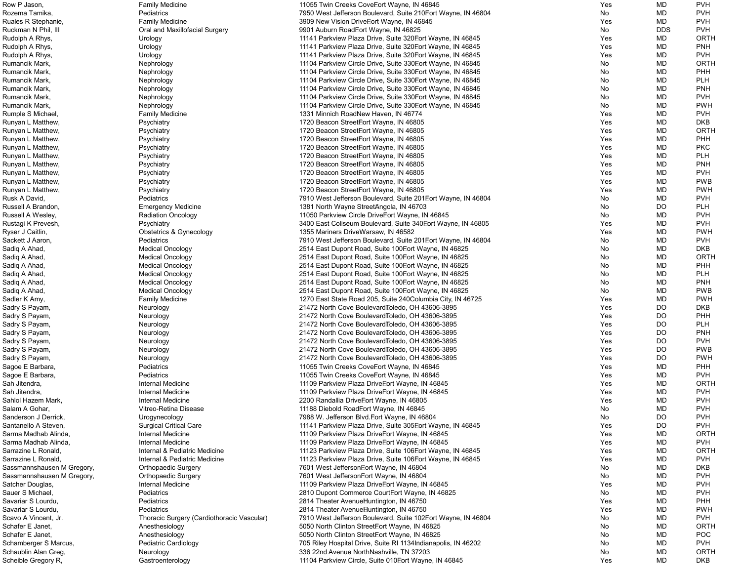| Row P Jason,               | <b>Family Medicine</b>                     | 11055 Twin Creeks CoveEort Wayne, IN 46845                     | Yes        | MD         | <b>PVH</b>  |
|----------------------------|--------------------------------------------|----------------------------------------------------------------|------------|------------|-------------|
| Rozema Tamika,             | Pediatrics                                 | 7950 West Jefferson Boulevard, Suite 210Eort Wayne, IN 46804   | No         | MD         | <b>PVH</b>  |
| Ruales R Stephanie,        | <b>Family Medicine</b>                     | 3909 New Vision DriveEort Wayne, IN 46845                      | Yes        | MD         | <b>PVH</b>  |
| Ruckman N Phil, III        | Oral and Maxillofacial Surgery             | 9901 Auburn RoadEort Wayne, IN 46825                           | No         | <b>DDS</b> | <b>PVH</b>  |
|                            |                                            |                                                                |            |            |             |
| Rudolph A Rhys,            | Urology                                    | 11141 Parkview Plaza Drive, Suite 320 Fort Wayne, IN 46845     | Yes        | MD         | <b>ORTH</b> |
| Rudolph A Rhys,            | Urology                                    | 11141 Parkview Plaza Drive, Suite 320 Eort Wayne, IN 46845     | Yes        | MD         | <b>PNH</b>  |
| Rudolph A Rhys,            | Urology                                    | 11141 Parkview Plaza Drive, Suite 320 Eort Wayne, IN 46845     | Yes        | MD         | <b>PVH</b>  |
| Rumancik Mark,             | Nephrology                                 | 11104 Parkview Circle Drive, Suite 330 Eort Wayne, IN 46845    | No         | MD         | <b>ORTH</b> |
| Rumancik Mark,             | Nephrology                                 | 11104 Parkview Circle Drive, Suite 330 Eort Wayne, IN 46845    | No.        | MD         | PHH         |
| Rumancik Mark,             | Nephrology                                 | 11104 Parkview Circle Drive, Suite 330 Eort Wayne, IN 46845    | No         | MD         | <b>PLH</b>  |
| Rumancik Mark,             |                                            |                                                                | No         | MD         | <b>PNH</b>  |
|                            | Nephrology                                 | 11104 Parkview Circle Drive, Suite 330 Eort Wayne, IN 46845    |            |            |             |
| Rumancik Mark,             | Nephrology                                 | 11104 Parkview Circle Drive, Suite 330 Eort Wayne, IN 46845    | No         | MD         | <b>PVH</b>  |
| Rumancik Mark,             | Nephrology                                 | 11104 Parkview Circle Drive, Suite 330 Eort Wayne, IN 46845    | No         | MD         | <b>PWH</b>  |
| Rumple S Michael,          | <b>Family Medicine</b>                     | 1331 Minnich RoadNew Haven, IN 46774                           | Yes        | MD         | <b>PVH</b>  |
| Runyan L Matthew,          | Psychiatry                                 | 1720 Beacon StreetEort Wayne, IN 46805                         | Yes        | MD         | <b>DKB</b>  |
| Runyan L Matthew,          | Psychiatry                                 | 1720 Beacon StreetEort Wayne, IN 46805                         | Yes        | MD         | <b>ORTH</b> |
|                            |                                            |                                                                |            |            | PHH         |
| Runyan L Matthew,          | Psychiatry                                 | 1720 Beacon StreetEort Wayne, IN 46805                         | Yes        | MD         |             |
| Runyan L Matthew,          | Psychiatry                                 | 1720 Beacon StreetEort Wayne, IN 46805                         | Yes        | MD         | <b>PKC</b>  |
| Runyan L Matthew,          | Psychiatry                                 | 1720 Beacon StreetEort Wayne, IN 46805                         | Yes        | MD         | <b>PLH</b>  |
| Runyan L Matthew,          | Psychiatry                                 | 1720 Beacon StreetEort Wayne, IN 46805                         | Yes        | MD         | <b>PNH</b>  |
| Runyan L Matthew,          | Psychiatry                                 | 1720 Beacon StreetEort Wayne, IN 46805                         | Yes        | MD         | <b>PVH</b>  |
| Runyan L Matthew,          | Psychiatry                                 | 1720 Beacon StreetEort Wayne, IN 46805                         | Yes        | MD         | <b>PWB</b>  |
|                            |                                            |                                                                |            | MD         | <b>PWH</b>  |
| Runyan L Matthew,          | Psychiatry                                 | 1720 Beacon StreetEort Wayne, IN 46805                         | Yes        |            |             |
| Rusk A David,              | Pediatrics                                 | 7910 West Jefferson Boulevard, Suite 201Eort Wayne, IN 46804   | No         | MD         | <b>PVH</b>  |
| Russell A Brandon,         | <b>Emergency Medicine</b>                  | 1381 North Wayne StreetAngola, IN 46703                        | No         | <b>DO</b>  | <b>PLH</b>  |
| Russell A Wesley,          | <b>Radiation Oncology</b>                  | 11050 Parkview Circle DriveEort Wayne, IN 46845                | No         | MD         | <b>PVH</b>  |
| Rustagi K Prevesh,         | Psychiatry                                 | 3400 East Coliseum Boulevard, Suite 340 Eort Wayne, IN 46805   | Yes        | MD         | <b>PVH</b>  |
| Ryser J Caitlin,           | Obstetrics & Gynecology                    | 1355 Mariners DriveWarsaw, IN 46582                            | Yes        | MD         | <b>PWH</b>  |
|                            |                                            |                                                                |            |            |             |
| Sackett J Aaron,           | Pediatrics                                 | 7910 West Jefferson Boulevard, Suite 201Eort Wayne, IN 46804   | No         | MD         | <b>PVH</b>  |
| Sadiq A Ahad,              | <b>Medical Oncology</b>                    | 2514 East Dupont Road, Suite 100 Eort Wayne, IN 46825          | No         | MD         | <b>DKB</b>  |
| Sadiq A Ahad,              | <b>Medical Oncology</b>                    | 2514 East Dupont Road, Suite 100 Eort Wayne, IN 46825          | No         | MD         | <b>ORTH</b> |
| Sadiq A Ahad,              | <b>Medical Oncology</b>                    | 2514 East Dupont Road, Suite 100 Eort Wayne, IN 46825          | No         | MD         | PHH         |
| Sadiq A Ahad,              | <b>Medical Oncology</b>                    | 2514 East Dupont Road, Suite 100 Eort Wayne, IN 46825          | No.        | MD         | <b>PLH</b>  |
| Sadiq A Ahad,              | <b>Medical Oncology</b>                    | 2514 East Dupont Road, Suite 100 Eort Wayne, IN 46825          | No         | MD         | <b>PNH</b>  |
|                            |                                            |                                                                |            | MD         | <b>PWB</b>  |
| Sadiq A Ahad,              | <b>Medical Oncology</b>                    | 2514 East Dupont Road, Suite 100 Eort Wayne, IN 46825          | No         |            |             |
| Sadler K Amy,              | <b>Family Medicine</b>                     | 1270 East State Road 205, Suite 240 Columbia City, IN 46725    | Yes        | <b>MD</b>  | <b>PWH</b>  |
| Sadry S Payam,             | Neurology                                  | 21472 North Cove BoulevardToledo, OH 43606-3895                | Yes        | DO         | <b>DKB</b>  |
| Sadry S Payam,             | Neurology                                  | 21472 North Cove BoulevardToledo, OH 43606-3895                | Yes        | DO         | PHH         |
| Sadry S Payam,             | Neurology                                  | 21472 North Cove BoulevardToledo, OH 43606-3895                | Yes        | DO         | <b>PLH</b>  |
| Sadry S Payam,             | Neurology                                  | 21472 North Cove BoulevardToledo, OH 43606-3895                | Yes        | <b>DO</b>  | <b>PNH</b>  |
|                            |                                            |                                                                | Yes        | <b>DO</b>  | <b>PVH</b>  |
| Sadry S Payam,             | Neurology                                  | 21472 North Cove BoulevardToledo, OH 43606-3895                |            |            |             |
| Sadry S Payam,             | Neurology                                  | 21472 North Cove BoulevardToledo, OH 43606-3895                | Yes        | <b>DO</b>  | <b>PWB</b>  |
| Sadry S Payam,             | Neurology                                  | 21472 North Cove BoulevardToledo, OH 43606-3895                | Yes        | <b>DO</b>  | <b>PWH</b>  |
| Sagoe E Barbara,           | Pediatrics                                 | 11055 Twin Creeks CoveEort Wayne, IN 46845                     | Yes        | MD         | PHH         |
| Sagoe E Barbara,           | Pediatrics                                 | 11055 Twin Creeks CoveEort Wayne, IN 46845                     | Yes        | MD         | <b>PVH</b>  |
| Sah Jitendra,              | <b>Internal Medicine</b>                   | 11109 Parkview Plaza DriveEort Wayne, IN 46845                 | Yes        | MD         | <b>ORTH</b> |
| Sah Jitendra,              | Internal Medicine                          |                                                                |            |            | <b>PVH</b>  |
|                            |                                            | 11109 Parkview Plaza DriveEort Wayne, IN 46845                 | Yes        | MD         |             |
| Sahlol Hazem Mark,         | Internal Medicine                          | 2200 Randallia DriveEort Wayne, IN 46805                       | Yes        | MD         | <b>PVH</b>  |
| Salam A Gohar,             | Vitreo-Retina Disease                      | 11188 Diebold RoadEort Wayne, IN 46845                         | No         | MD         | <b>PVH</b>  |
| Sanderson J Derrick,       | Urogynecology                              | 7988 W. Jefferson Blvd. Eort Wayne, IN 46804                   | No         | DO         | <b>PVH</b>  |
| Santanello A Steven,       | <b>Surgical Critical Care</b>              | 11141 Parkview Plaza Drive, Suite 305Eort Wayne, IN 46845      | Yes        | DO         | <b>PVH</b>  |
| Sarma Madhab Alinda,       | <b>Internal Medicine</b>                   | 11109 Parkview Plaza DriveEort Wayne, IN 46845                 | Yes        | MD         | <b>ORTH</b> |
| Sarma Madhab Alinda,       | <b>Internal Medicine</b>                   |                                                                |            |            | <b>PVH</b>  |
|                            |                                            | 11109 Parkview Plaza DriveEort Wayne, IN 46845                 | Yes        | MD         |             |
| Sarrazine L Ronald,        | Internal & Pediatric Medicine              | 11123 Parkview Plaza Drive, Suite 106Eort Wayne, IN 46845      | Yes        | MD         | <b>ORTH</b> |
| Sarrazine L Ronald,        | Internal & Pediatric Medicine              | 11123 Parkview Plaza Drive, Suite 106Eort Wayne, IN 46845      | Yes        | MD         | <b>PVH</b>  |
| Sassmannshausen M Gregory, | <b>Orthopaedic Surgery</b>                 | 7601 West JeffersonEort Wayne, IN 46804                        | No         | MD         | <b>DKB</b>  |
| Sassmannshausen M Gregory, | <b>Orthopaedic Surgery</b>                 | 7601 West JeffersonEort Wayne, IN 46804                        | No.        | MD         | <b>PVH</b>  |
| Satcher Douglas,           | <b>Internal Medicine</b>                   | 11109 Parkview Plaza DriveEort Wayne, IN 46845                 | Yes        | MD         | <b>PVH</b>  |
|                            |                                            |                                                                |            |            |             |
| Sauer S Michael,           | Pediatrics                                 | 2810 Dupont Commerce CourtEort Wayne, IN 46825                 | No.        | MD         | <b>PVH</b>  |
| Savariar S Lourdu,         | Pediatrics                                 | 2814 Theater Avenue Huntington, IN 46750                       | <b>Yes</b> | MD         | PHH         |
| Savariar S Lourdu,         | Pediatrics                                 | 2814 Theater AvenueHuntington, IN 46750                        | Yes        | MD         | <b>PWH</b>  |
| Scavo A Vincent, Jr.       | Thoracic Surgery (Cardiothoracic Vascular) | 7910 West Jefferson Boulevard, Suite 102Eort Wayne, IN 46804   | No         | MD         | <b>PVH</b>  |
| Schafer E Janet,           | Anesthesiology                             | 5050 North Clinton StreetEort Wayne, IN 46825                  | No         | MD         | <b>ORTH</b> |
| Schafer E Janet,           | Anesthesiology                             | 5050 North Clinton StreetEort Wayne, IN 46825                  | No         | MD         | <b>POC</b>  |
|                            |                                            |                                                                |            |            |             |
| Schamberger S Marcus,      | Pediatric Cardiology                       | 705 Riley Hospital Drive, Suite RI 1134 Indianapolis, IN 46202 | No         | MD         | <b>PVH</b>  |
| Schaublin Alan Greg,       | Neurology                                  | 336 22nd Avenue NorthNashville, TN 37203                       | No         | MD         | <b>ORTH</b> |
| Scheible Gregory R,        | Gastroenterology                           | 11104 Parkview Circle, Suite 010Eort Wayne, IN 46845           | Yes        | MD         | <b>DKB</b>  |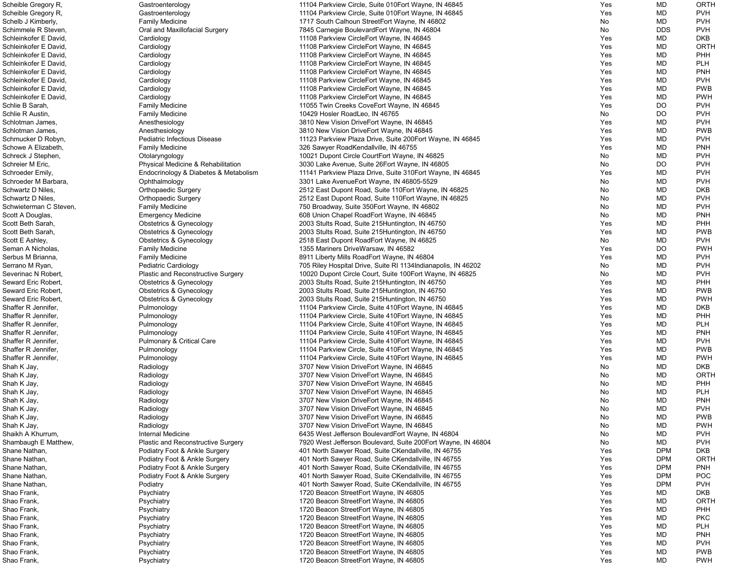| Scheible Gregory R,    | Gastroenterology                      | 11104 Parkview Circle, Suite 010 Eort Wayne, IN 46845          | Yes | MD         | <b>ORTH</b> |
|------------------------|---------------------------------------|----------------------------------------------------------------|-----|------------|-------------|
| Scheible Gregory R,    | Gastroenterology                      | 11104 Parkview Circle, Suite 010Eort Wayne, IN 46845           | Yes | MD         | <b>PVH</b>  |
| Schelb J Kimberly,     | <b>Family Medicine</b>                | 1717 South Calhoun StreetEort Wayne, IN 46802                  | No  | MD         | <b>PVH</b>  |
| Schimmele R Steven,    | Oral and Maxillofacial Surgery        | 7845 Carnegie BoulevardEort Wayne, IN 46804                    | No  | <b>DDS</b> | <b>PVH</b>  |
| Schleinkofer E David,  | Cardiology                            | 11108 Parkview CircleEort Wayne, IN 46845                      | Yes | MD         | <b>DKB</b>  |
| Schleinkofer E David,  | Cardiology                            | 11108 Parkview CircleEort Wayne, IN 46845                      | Yes | MD         | ORTH        |
| Schleinkofer E David,  | Cardiology                            | 11108 Parkview CircleEort Wayne, IN 46845                      | Yes | MD         | PHH         |
| Schleinkofer E David,  | Cardiology                            | 11108 Parkview CircleEort Wayne, IN 46845                      | Yes | MD         | <b>PLH</b>  |
| Schleinkofer E David,  | Cardiology                            | 11108 Parkview CircleEort Wayne, IN 46845                      | Yes | MD         | <b>PNH</b>  |
| Schleinkofer E David,  |                                       |                                                                | Yes | MD         | <b>PVH</b>  |
|                        | Cardiology                            | 11108 Parkview CircleEort Wayne, IN 46845                      |     |            |             |
| Schleinkofer E David,  | Cardiology                            | 11108 Parkview CircleEort Wayne, IN 46845                      | Yes | MD         | <b>PWB</b>  |
| Schleinkofer E David,  | Cardiology                            | 11108 Parkview CircleEort Wayne, IN 46845                      | Yes | MD         | <b>PWH</b>  |
| Schlie B Sarah,        | <b>Family Medicine</b>                | 11055 Twin Creeks CoveEort Wayne, IN 46845                     | Yes | DO         | <b>PVH</b>  |
| Schlie R Austin,       | <b>Family Medicine</b>                | 10429 Hosler Road Leo, IN 46765                                | No  | DO         | <b>PVH</b>  |
| Schlotman James,       | Anesthesiology                        | 3810 New Vision DriveEort Wayne, IN 46845                      | Yes | <b>MD</b>  | <b>PVH</b>  |
| Schlotman James,       | Anesthesiology                        | 3810 New Vision DriveEort Wayne, IN 46845                      | Yes | MD         | <b>PWB</b>  |
| Schmucker D Robyn,     | Pediatric Infectious Disease          | 11123 Parkview Plaza Drive, Suite 200 Fort Wayne, IN 46845     | Yes | MD         | <b>PVH</b>  |
| Schowe A Elizabeth,    | <b>Family Medicine</b>                | 326 Sawyer RoadKendallville, IN 46755                          | Yes | MD         | <b>PNH</b>  |
| Schreck J Stephen,     | Otolaryngology                        | 10021 Dupont Circle CourtEort Wayne, IN 46825                  | No  | MD         | <b>PVH</b>  |
| Schreier M Eric,       | Physical Medicine & Rehabilitation    | 3030 Lake Avenue, Suite 26 Eort Wayne, IN 46805                | No  | DO         | <b>PVH</b>  |
| Schroeder Emily,       | Endocrinology & Diabetes & Metabolism | 11141 Parkview Plaza Drive, Suite 310 Eort Wayne, IN 46845     | Yes | <b>MD</b>  | <b>PVH</b>  |
| Schroeder M Barbara,   | Ophthalmology                         | 3301 Lake AvenueEort Wayne, IN 46805-5529                      | No  | MD         | <b>PVH</b>  |
| Schwartz D Niles,      | <b>Orthopaedic Surgery</b>            | 2512 East Dupont Road, Suite 110 Fort Wayne, IN 46825          | No  | MD         | <b>DKB</b>  |
| Schwartz D Niles,      | <b>Orthopaedic Surgery</b>            | 2512 East Dupont Road, Suite 110 Fort Wayne, IN 46825          | No  | MD         | <b>PVH</b>  |
| Schwieterman C Steven, | <b>Family Medicine</b>                | 750 Broadway, Suite 350 Eort Wayne, IN 46802                   | No  | MD         | <b>PVH</b>  |
| Scott A Douglas,       | <b>Emergency Medicine</b>             | 608 Union Chapel RoadEort Wayne, IN 46845                      | No  | <b>MD</b>  | <b>PNH</b>  |
| Scott Beth Sarah,      | <b>Obstetrics &amp; Gynecology</b>    | 2003 Stults Road, Suite 215Huntington, IN 46750                | Yes | MD         | PHH         |
| Scott Beth Sarah,      | <b>Obstetrics &amp; Gynecology</b>    | 2003 Stults Road, Suite 215 Huntington, IN 46750               | Yes | MD         | <b>PWB</b>  |
| Scott E Ashley,        |                                       |                                                                | No  | MD         | <b>PVH</b>  |
|                        | Obstetrics & Gynecology               | 2518 East Dupont RoadEort Wayne, IN 46825                      | Yes | <b>DO</b>  | <b>PWH</b>  |
| Seman A Nicholas,      | <b>Family Medicine</b>                | 1355 Mariners DriveWarsaw, IN 46582                            |     |            |             |
| Serbus M Brianna,      | <b>Family Medicine</b>                | 8911 Liberty Mills RoadEort Wayne, IN 46804                    | Yes | MD         | <b>PVH</b>  |
| Serrano M Ryan,        | Pediatric Cardiology                  | 705 Riley Hospital Drive, Suite RI 1134 Indianapolis, IN 46202 | No  | MD         | <b>PVH</b>  |
| Severinac N Robert,    | Plastic and Reconstructive Surgery    | 10020 Dupont Circle Court, Suite 100Eort Wayne, IN 46825       | No  | MD         | <b>PVH</b>  |
| Seward Eric Robert,    | <b>Obstetrics &amp; Gynecology</b>    | 2003 Stults Road, Suite 215 Huntington, IN 46750               | Yes | MD         | <b>PHH</b>  |
| Seward Eric Robert,    | <b>Obstetrics &amp; Gynecology</b>    | 2003 Stults Road, Suite 215Huntington, IN 46750                | Yes | MD         | <b>PWB</b>  |
| Seward Eric Robert,    | <b>Obstetrics &amp; Gynecology</b>    | 2003 Stults Road, Suite 215 Huntington, IN 46750               | Yes | MD         | <b>PWH</b>  |
| Shaffer R Jennifer,    | Pulmonology                           | 11104 Parkview Circle, Suite 410 Eort Wayne, IN 46845          | Yes | MD         | <b>DKB</b>  |
| Shaffer R Jennifer,    | Pulmonology                           | 11104 Parkview Circle, Suite 410 Fort Wayne, IN 46845          | Yes | MD         | <b>PHH</b>  |
| Shaffer R Jennifer,    | Pulmonology                           | 11104 Parkview Circle, Suite 410 Fort Wayne, IN 46845          | Yes | MD         | <b>PLH</b>  |
| Shaffer R Jennifer,    | Pulmonology                           | 11104 Parkview Circle, Suite 410 Fort Wayne, IN 46845          | Yes | MD         | <b>PNH</b>  |
| Shaffer R Jennifer,    | <b>Pulmonary &amp; Critical Care</b>  | 11104 Parkview Circle, Suite 410 Fort Wayne, IN 46845          | Yes | MD         | <b>PVH</b>  |
| Shaffer R Jennifer,    | Pulmonology                           | 11104 Parkview Circle, Suite 410 Fort Wayne, IN 46845          | Yes | MD         | <b>PWB</b>  |
| Shaffer R Jennifer,    | Pulmonology                           | 11104 Parkview Circle, Suite 410 Fort Wayne, IN 46845          | Yes | MD         | <b>PWH</b>  |
| Shah K Jay,            | Radiology                             | 3707 New Vision DriveEort Wayne, IN 46845                      | No  | MD         | <b>DKB</b>  |
| Shah K Jay,            | Radiology                             | 3707 New Vision DriveEort Wayne, IN 46845                      | No  | MD         | <b>ORTH</b> |
| Shah K Jay,            | Radiology                             | 3707 New Vision DriveEort Wayne, IN 46845                      | No  | MD         | <b>PHH</b>  |
| Shah K Jay,            | Radiology                             | 3707 New Vision DriveEort Wayne, IN 46845                      | No  | MD         | <b>PLH</b>  |
| Shah K Jay,            | Radiology                             | 3707 New Vision DriveEort Wayne, IN 46845                      | No  | MD         | <b>PNH</b>  |
| Shah K Jay,            | Radiology                             | 3707 New Vision DriveEort Wayne, IN 46845                      | No  | MD         | <b>PVH</b>  |
| Shah K Jay,            | Radiology                             | 3707 New Vision DriveEort Wayne, IN 46845                      | No  | MD         | <b>PWB</b>  |
| Shah K Jay,            | Radiology                             | 3707 New Vision DriveEort Wayne, IN 46845                      | No  | MD         | <b>PWH</b>  |
| Shaikh A Khurrum,      | Internal Medicine                     | 6435 West Jefferson BoulevardEort Wayne, IN 46804              |     | MD         | <b>PVH</b>  |
|                        |                                       |                                                                | No  |            | <b>PVH</b>  |
| Shambaugh E Matthew,   | Plastic and Reconstructive Surgery    | 7920 West Jefferson Boulevard, Suite 200Eort Wayne, IN 46804   | No  | MD         |             |
| Shane Nathan,          | Podiatry Foot & Ankle Surgery         | 401 North Sawyer Road, Suite CKendallville, IN 46755           | Yes | <b>DPM</b> | <b>DKB</b>  |
| Shane Nathan,          | Podiatry Foot & Ankle Surgery         | 401 North Sawyer Road, Suite CKendallville, IN 46755           | Yes | <b>DPM</b> | <b>ORTH</b> |
| Shane Nathan,          | Podiatry Foot & Ankle Surgery         | 401 North Sawyer Road, Suite CKendallville, IN 46755           | Yes | <b>DPM</b> | <b>PNH</b>  |
| Shane Nathan,          | Podiatry Foot & Ankle Surgery         | 401 North Sawyer Road, Suite CKendallville, IN 46755           | Yes | <b>DPM</b> | <b>POC</b>  |
| Shane Nathan,          | Podiatry                              | 401 North Sawyer Road, Suite CKendallville, IN 46755           | Yes | <b>DPM</b> | <b>PVH</b>  |
| Shao Frank,            | Psychiatry                            | 1720 Beacon StreetEort Wayne, IN 46805                         | Yes | MD         | <b>DKB</b>  |
| Shao Frank,            | Psychiatry                            | 1720 Beacon StreetEort Wayne, IN 46805                         | Yes | MD         | ORTH        |
| Shao Frank,            | Psychiatry                            | 1720 Beacon StreetEort Wayne, IN 46805                         | Yes | MD         | PHH         |
| Shao Frank,            | Psychiatry                            | 1720 Beacon StreetEort Wayne, IN 46805                         | Yes | MD         | <b>PKC</b>  |
| Shao Frank,            | Psychiatry                            | 1720 Beacon StreetEort Wayne, IN 46805                         | Yes | MD         | <b>PLH</b>  |
| Shao Frank,            | Psychiatry                            | 1720 Beacon StreetEort Wayne, IN 46805                         | Yes | MD         | <b>PNH</b>  |
| Shao Frank,            | Psychiatry                            | 1720 Beacon StreetEort Wayne, IN 46805                         | Yes | MD         | <b>PVH</b>  |
| Shao Frank,            | Psychiatry                            | 1720 Beacon StreetEort Wayne, IN 46805                         | Yes | MD         | <b>PWB</b>  |
| Shao Frank,            | Psychiatry                            | 1720 Beacon StreetEort Wayne, IN 46805                         | Yes | MD         | <b>PWH</b>  |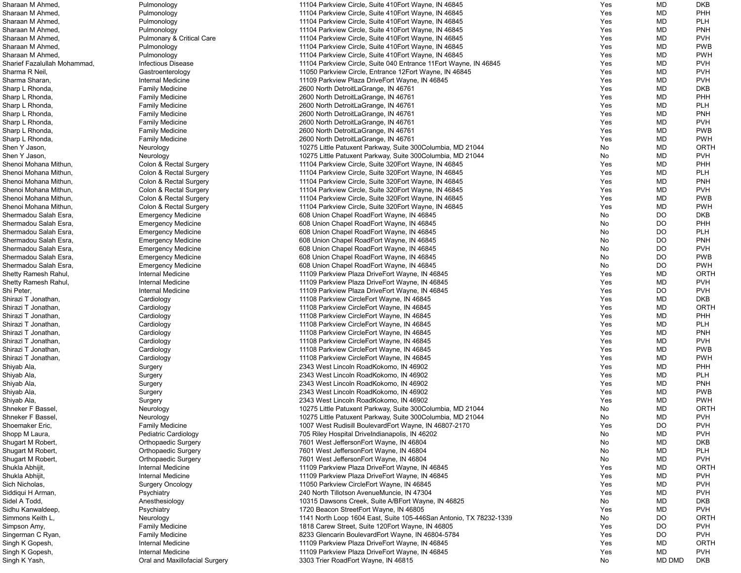| Sharaan M Ahmed,             | Pulmonology                          | 11104 Parkview Circle, Suite 410 Eort Wayne, IN 46845              | Yes | MD        | <b>DKB</b>  |
|------------------------------|--------------------------------------|--------------------------------------------------------------------|-----|-----------|-------------|
| Sharaan M Ahmed              | Pulmonology                          | 11104 Parkview Circle, Suite 410Eort Wayne, IN 46845               | Yes | MD        | PHH         |
| Sharaan M Ahmed,             | Pulmonology                          | 11104 Parkview Circle, Suite 410 Fort Wayne, IN 46845              | Yes | MD        | <b>PLH</b>  |
| Sharaan M Ahmed,             | Pulmonology                          | 11104 Parkview Circle, Suite 410 Fort Wayne, IN 46845              | Yes | MD        | <b>PNH</b>  |
| Sharaan M Ahmed,             | <b>Pulmonary &amp; Critical Care</b> | 11104 Parkview Circle, Suite 410 Fort Wayne, IN 46845              | Yes | MD        | <b>PVH</b>  |
| Sharaan M Ahmed,             | Pulmonology                          | 11104 Parkview Circle, Suite 410 Fort Wayne, IN 46845              | Yes | MD        | <b>PWB</b>  |
| Sharaan M Ahmed,             | Pulmonology                          | 11104 Parkview Circle, Suite 410 Fort Wayne, IN 46845              | Yes | MD        | <b>PWH</b>  |
| Sharief Fazalullah Mohammad, | <b>Infectious Disease</b>            | 11104 Parkview Circle, Suite 040 Entrance 11 Fort Wayne, IN 46845  | Yes | MD        | <b>PVH</b>  |
| Sharma R Neil,               | Gastroenterology                     | 11050 Parkview Circle, Entrance 12Eort Wayne, IN 46845             | Yes | <b>MD</b> | <b>PVH</b>  |
| Sharma Sharan,               | Internal Medicine                    | 11109 Parkview Plaza DriveEort Wayne, IN 46845                     | Yes | MD        | <b>PVH</b>  |
| Sharp L Rhonda,              | <b>Family Medicine</b>               | 2600 North DetroitLaGrange, IN 46761                               | Yes | MD        | <b>DKB</b>  |
| Sharp L Rhonda,              | <b>Family Medicine</b>               | 2600 North DetroitLaGrange, IN 46761                               | Yes | MD        | PHH         |
| Sharp L Rhonda,              | <b>Family Medicine</b>               | 2600 North DetroitLaGrange, IN 46761                               | Yes | MD        | <b>PLH</b>  |
| Sharp L Rhonda,              | <b>Family Medicine</b>               | 2600 North DetroitLaGrange, IN 46761                               | Yes | MD        | <b>PNH</b>  |
| Sharp L Rhonda,              | <b>Family Medicine</b>               | 2600 North DetroitLaGrange, IN 46761                               | Yes | MD        | <b>PVH</b>  |
| Sharp L Rhonda,              | <b>Family Medicine</b>               | 2600 North DetroitLaGrange, IN 46761                               | Yes | MD        | <b>PWB</b>  |
| Sharp L Rhonda,              | <b>Family Medicine</b>               | 2600 North DetroitLaGrange, IN 46761                               | Yes | MD        | <b>PWH</b>  |
| Shen Y Jason,                | Neurology                            | 10275 Little Patuxent Parkway, Suite 300Columbia, MD 21044         | No  | MD        | <b>ORTH</b> |
| Shen Y Jason,                | Neurology                            | 10275 Little Patuxent Parkway, Suite 300Columbia, MD 21044         | No  | MD        | <b>PVH</b>  |
| Shenoi Mohana Mithun,        | Colon & Rectal Surgery               | 11104 Parkview Circle, Suite 320 Fort Wayne, IN 46845              |     | MD        | PHH         |
|                              |                                      |                                                                    | Yes | <b>MD</b> | <b>PLH</b>  |
| Shenoi Mohana Mithun,        | Colon & Rectal Surgery               | 11104 Parkview Circle, Suite 320 Fort Wayne, IN 46845              | Yes |           |             |
| Shenoi Mohana Mithun,        | Colon & Rectal Surgery               | 11104 Parkview Circle, Suite 320 Fort Wayne, IN 46845              | Yes | MD        | <b>PNH</b>  |
| Shenoi Mohana Mithun,        | Colon & Rectal Surgery               | 11104 Parkview Circle, Suite 320 Fort Wayne, IN 46845              | Yes | MD        | <b>PVH</b>  |
| Shenoi Mohana Mithun,        | Colon & Rectal Surgery               | 11104 Parkview Circle, Suite 320 Fort Wayne, IN 46845              | Yes | MD        | <b>PWB</b>  |
| Shenoi Mohana Mithun,        | Colon & Rectal Surgery               | 11104 Parkview Circle, Suite 320 Fort Wayne, IN 46845              | Yes | MD        | <b>PWH</b>  |
| Shermadou Salah Esra,        | <b>Emergency Medicine</b>            | 608 Union Chapel RoadEort Wayne, IN 46845                          | No  | <b>DO</b> | <b>DKB</b>  |
| Shermadou Salah Esra,        | <b>Emergency Medicine</b>            | 608 Union Chapel RoadEort Wayne, IN 46845                          | No  | <b>DO</b> | PHH         |
| Shermadou Salah Esra,        | <b>Emergency Medicine</b>            | 608 Union Chapel RoadEort Wayne, IN 46845                          | No  | <b>DO</b> | <b>PLH</b>  |
| Shermadou Salah Esra,        | <b>Emergency Medicine</b>            | 608 Union Chapel RoadEort Wayne, IN 46845                          | No  | <b>DO</b> | <b>PNH</b>  |
| Shermadou Salah Esra,        | <b>Emergency Medicine</b>            | 608 Union Chapel RoadEort Wayne, IN 46845                          | No  | <b>DO</b> | <b>PVH</b>  |
| Shermadou Salah Esra,        | <b>Emergency Medicine</b>            | 608 Union Chapel RoadEort Wayne, IN 46845                          | No  | DO        | <b>PWB</b>  |
| Shermadou Salah Esra,        | <b>Emergency Medicine</b>            | 608 Union Chapel RoadEort Wayne, IN 46845                          | No  | DO        | <b>PWH</b>  |
| Shetty Ramesh Rahul,         | <b>Internal Medicine</b>             | 11109 Parkview Plaza DriveEort Wayne, IN 46845                     | Yes | MD        | <b>ORTH</b> |
| Shetty Ramesh Rahul,         | <b>Internal Medicine</b>             | 11109 Parkview Plaza DriveEort Wayne, IN 46845                     | Yes | MD        | <b>PVH</b>  |
| Shi Peter,                   | <b>Internal Medicine</b>             | 11109 Parkview Plaza DriveEort Wayne, IN 46845                     | Yes | <b>DO</b> | <b>PVH</b>  |
| Shirazi T Jonathan,          | Cardiology                           | 11108 Parkview CircleEort Wayne, IN 46845                          | Yes | <b>MD</b> | <b>DKB</b>  |
| Shirazi T Jonathan,          | Cardiology                           | 11108 Parkview CircleEort Wayne, IN 46845                          | Yes | MD        | <b>ORTH</b> |
| Shirazi T Jonathan,          | Cardiology                           | 11108 Parkview CircleEort Wayne, IN 46845                          | Yes | MD        | PHH         |
| Shirazi T Jonathan,          | Cardiology                           | 11108 Parkview CircleEort Wayne, IN 46845                          | Yes | MD        | <b>PLH</b>  |
| Shirazi T Jonathan,          | Cardiology                           | 11108 Parkview CircleEort Wayne, IN 46845                          | Yes | MD        | <b>PNH</b>  |
| Shirazi T Jonathan,          | Cardiology                           | 11108 Parkview CircleEort Wayne, IN 46845                          | Yes | MD        | <b>PVH</b>  |
| Shirazi T Jonathan,          | Cardiology                           | 11108 Parkview CircleEort Wayne, IN 46845                          | Yes | MD        | <b>PWB</b>  |
| Shirazi T Jonathan,          | Cardiology                           | 11108 Parkview CircleEort Wayne, IN 46845                          | Yes | MD        | <b>PWH</b>  |
| Shiyab Ala,                  | Surgery                              | 2343 West Lincoln RoadKokomo, IN 46902                             | Yes | MD        | PHH         |
| Shiyab Ala,                  | Surgery                              | 2343 West Lincoln RoadKokomo, IN 46902                             | Yes | MD        | <b>PLH</b>  |
| Shiyab Ala,                  | Surgery                              | 2343 West Lincoln RoadKokomo, IN 46902                             | Yes | MD        | <b>PNH</b>  |
| Shiyab Ala,                  | Surgery                              | 2343 West Lincoln RoadKokomo, IN 46902                             | Yes | MD        | <b>PWB</b>  |
| Shiyab Ala,                  | Surgery                              | 2343 West Lincoln RoadKokomo, IN 46902                             | Yes | MD        | <b>PWH</b>  |
| Shneker F Bassel,            | Neurology                            | 10275 Little Patuxent Parkway, Suite 300Columbia, MD 21044         | No  | MD        | <b>ORTH</b> |
| Shneker F Bassel,            | Neurology                            | 10275 Little Patuxent Parkway, Suite 300Columbia, MD 21044         | No  | MD        | <b>PVH</b>  |
| Shoemaker Eric,              | <b>Family Medicine</b>               | 1007 West Rudisill BoulevardEort Wayne, IN 46807-2170              | Yes | DO        | <b>PVH</b>  |
| Shopp M Laura,               | Pediatric Cardiology                 | 705 Riley Hospital Drivelndianapolis, IN 46202                     | No  | MD        | <b>PVH</b>  |
| Shugart M Robert,            | <b>Orthopaedic Surgery</b>           | 7601 West JeffersonEort Wayne, IN 46804                            | No  | MD        | <b>DKB</b>  |
| Shugart M Robert,            | <b>Orthopaedic Surgery</b>           | 7601 West JeffersonEort Wayne, IN 46804                            | No  | MD        | <b>PLH</b>  |
| Shugart M Robert,            | <b>Orthopaedic Surgery</b>           | 7601 West JeffersonEort Wayne, IN 46804                            | No  | MD        | <b>PVH</b>  |
| Shukla Abhijit,              | <b>Internal Medicine</b>             | 11109 Parkview Plaza DriveEort Wayne, IN 46845                     | Yes | MD        | <b>ORTH</b> |
| Shukla Abhijit,              | Internal Medicine                    | 11109 Parkview Plaza DriveEort Wayne, IN 46845                     | Yes | <b>MD</b> | <b>PVH</b>  |
| Sich Nicholas,               | <b>Surgery Oncology</b>              | 11050 Parkview CircleEort Wayne, IN 46845                          | Yes | MD        | <b>PVH</b>  |
| Siddiqui H Arman,            | Psychiatry                           | 240 North Tillotson AvenueMuncie, IN 47304                         | Yes | MD        | <b>PVH</b>  |
| Sidel A Todd,                | Anesthesiology                       | 10315 Dawsons Creek, Suite A/BEort Wayne, IN 46825                 | No  | MD        | <b>DKB</b>  |
| Sidhu Kanwaldeep,            | Psychiatry                           | 1720 Beacon StreetEort Wayne, IN 46805                             | Yes | MD        | <b>PVH</b>  |
| Simmons Keith L,             | Neurology                            | 1141 North Loop 1604 East, Suite 105-446San Antonio, TX 78232-1339 | No  | DO        | <b>ORTH</b> |
| Simpson Amy,                 | <b>Family Medicine</b>               | 1818 Carew Street, Suite 120 Eort Wayne, IN 46805                  | Yes | <b>DO</b> | <b>PVH</b>  |
| Singerman C Ryan,            | <b>Family Medicine</b>               | 8233 Glencarin BoulevardEort Wayne, IN 46804-5784                  | Yes | <b>DO</b> | <b>PVH</b>  |
| Singh K Gopesh,              | Internal Medicine                    | 11109 Parkview Plaza DriveEort Wayne, IN 46845                     | Yes | MD        | <b>ORTH</b> |
| Singh K Gopesh,              | Internal Medicine                    | 11109 Parkview Plaza DriveEort Wayne, IN 46845                     | Yes | MD        | <b>PVH</b>  |
| Singh K Yash,                | Oral and Maxillofacial Surgery       | 3303 Trier RoadEort Wayne, IN 46815                                | No  | MD DMD    | <b>DKB</b>  |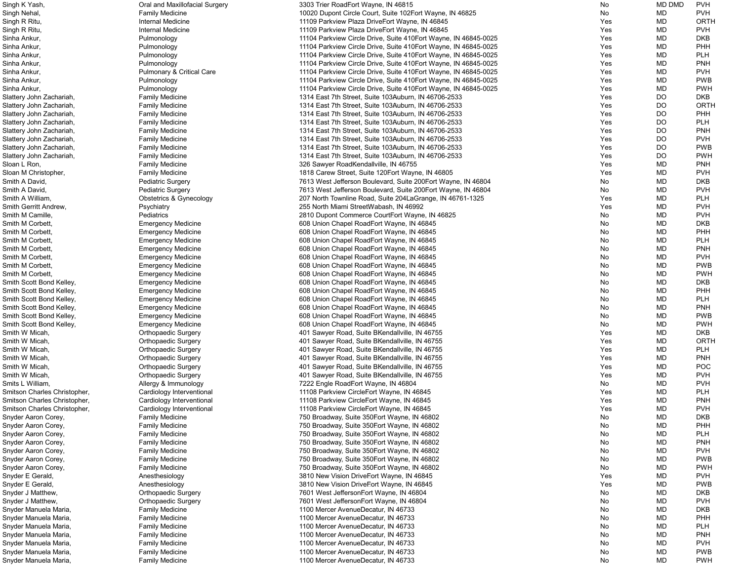| Singh K Yash,                | Oral and Maxillofacial Surgery       | 3303 Trier RoadEort Wayne, IN 46815                                                           | No  | <b>MD DMD</b> | <b>PVH</b>  |
|------------------------------|--------------------------------------|-----------------------------------------------------------------------------------------------|-----|---------------|-------------|
| Singh Nehal,                 | <b>Family Medicine</b>               | 10020 Dupont Circle Court, Suite 102Eort Wayne, IN 46825                                      | No  | MD            | <b>PVH</b>  |
| Singh R Ritu,                | Internal Medicine                    | 11109 Parkview Plaza DriveEort Wayne, IN 46845                                                | Yes | MD            | ORTH        |
| Singh R Ritu,                | Internal Medicine                    | 11109 Parkview Plaza DriveEort Wayne, IN 46845                                                | Yes | MD            | <b>PVH</b>  |
| Sinha Ankur,                 | Pulmonology                          | 11104 Parkview Circle Drive, Suite 410Eort Wayne, IN 46845-0025                               | Yes | MD            | <b>DKB</b>  |
| Sinha Ankur,                 | Pulmonology                          | 11104 Parkview Circle Drive, Suite 410Eort Wayne, IN 46845-0025                               | Yes | MD            | PHH         |
| Sinha Ankur,                 | Pulmonology                          | 11104 Parkview Circle Drive, Suite 410 Eort Wayne, IN 46845-0025                              | Yes | MD            | <b>PLH</b>  |
| Sinha Ankur,                 | Pulmonology                          | 11104 Parkview Circle Drive, Suite 410 Eort Wayne, IN 46845-0025                              | Yes | MD            | <b>PNH</b>  |
| Sinha Ankur,                 | <b>Pulmonary &amp; Critical Care</b> | 11104 Parkview Circle Drive, Suite 410 Eort Wayne, IN 46845-0025                              | Yes | MD            | <b>PVH</b>  |
| Sinha Ankur,                 | Pulmonology                          | 11104 Parkview Circle Drive, Suite 410 Eort Wayne, IN 46845-0025                              | Yes | MD            | <b>PWB</b>  |
| Sinha Ankur,                 | Pulmonology                          | 11104 Parkview Circle Drive, Suite 410Eort Wayne, IN 46845-0025                               | Yes | MD            | <b>PWH</b>  |
| Slattery John Zachariah,     | <b>Family Medicine</b>               | 1314 East 7th Street, Suite 103Auburn, IN 46706-2533                                          | Yes | <b>DO</b>     | <b>DKB</b>  |
| Slattery John Zachariah,     | <b>Family Medicine</b>               | 1314 East 7th Street, Suite 103Auburn, IN 46706-2533                                          | Yes | <b>DO</b>     | <b>ORTH</b> |
| Slattery John Zachariah,     | <b>Family Medicine</b>               | 1314 East 7th Street, Suite 103Auburn, IN 46706-2533                                          | Yes | <b>DO</b>     | <b>PHH</b>  |
| Slattery John Zachariah,     | <b>Family Medicine</b>               | 1314 East 7th Street, Suite 103Auburn, IN 46706-2533                                          | Yes | DO.           | <b>PLH</b>  |
| Slattery John Zachariah,     | <b>Family Medicine</b>               | 1314 East 7th Street, Suite 103Auburn, IN 46706-2533                                          | Yes | <b>DO</b>     | <b>PNH</b>  |
| Slattery John Zachariah,     | <b>Family Medicine</b>               | 1314 East 7th Street, Suite 103Auburn, IN 46706-2533                                          | Yes | <b>DO</b>     | <b>PVH</b>  |
| Slattery John Zachariah,     | <b>Family Medicine</b>               | 1314 East 7th Street, Suite 103Auburn, IN 46706-2533                                          | Yes | <b>DO</b>     | <b>PWB</b>  |
|                              |                                      |                                                                                               | Yes | <b>DO</b>     | <b>PWH</b>  |
| Slattery John Zachariah,     | <b>Family Medicine</b>               | 1314 East 7th Street, Suite 103Auburn, IN 46706-2533<br>326 Sawyer RoadKendallville, IN 46755 | Yes | MD            | <b>PNH</b>  |
| Sloan L Ron,                 | <b>Family Medicine</b>               |                                                                                               |     | MD            |             |
| Sloan M Christopher,         | <b>Family Medicine</b>               | 1818 Carew Street, Suite 120 Eort Wayne, IN 46805                                             | Yes |               | <b>PVH</b>  |
| Smith A David,               | <b>Pediatric Surgery</b>             | 7613 West Jefferson Boulevard, Suite 200Eort Wayne, IN 46804                                  | No  | MD            | <b>DKB</b>  |
| Smith A David,               | <b>Pediatric Surgery</b>             | 7613 West Jefferson Boulevard, Suite 200 Eort Wayne, IN 46804                                 | No  | MD            | <b>PVH</b>  |
| Smith A William,             | <b>Obstetrics &amp; Gynecology</b>   | 207 North Townline Road, Suite 204LaGrange, IN 46761-1325                                     | Yes | MD            | <b>PLH</b>  |
| Smith Gerritt Andrew,        | Psychiatry                           | 255 North Miami StreetWabash, IN 46992                                                        | Yes | MD            | <b>PVH</b>  |
| Smith M Camille,             | Pediatrics                           | 2810 Dupont Commerce CourtEort Wayne, IN 46825                                                | No  | MD            | <b>PVH</b>  |
| Smith M Corbett,             | <b>Emergency Medicine</b>            | 608 Union Chapel RoadEort Wayne, IN 46845                                                     | No  | MD            | <b>DKB</b>  |
| Smith M Corbett,             | <b>Emergency Medicine</b>            | 608 Union Chapel RoadEort Wayne, IN 46845                                                     | No  | MD            | PHH         |
| Smith M Corbett,             | <b>Emergency Medicine</b>            | 608 Union Chapel RoadEort Wayne, IN 46845                                                     | No  | MD            | <b>PLH</b>  |
| Smith M Corbett,             | <b>Emergency Medicine</b>            | 608 Union Chapel RoadEort Wayne, IN 46845                                                     | No  | MD            | <b>PNH</b>  |
| Smith M Corbett,             | <b>Emergency Medicine</b>            | 608 Union Chapel RoadEort Wayne, IN 46845                                                     | No  | MD            | <b>PVH</b>  |
| Smith M Corbett,             | <b>Emergency Medicine</b>            | 608 Union Chapel RoadEort Wayne, IN 46845                                                     | No  | MD            | <b>PWB</b>  |
| Smith M Corbett,             | <b>Emergency Medicine</b>            | 608 Union Chapel RoadEort Wayne, IN 46845                                                     | No  | MD            | <b>PWH</b>  |
| Smith Scott Bond Kelley,     | <b>Emergency Medicine</b>            | 608 Union Chapel RoadEort Wayne, IN 46845                                                     | No  | MD            | <b>DKB</b>  |
| Smith Scott Bond Kelley,     | <b>Emergency Medicine</b>            | 608 Union Chapel RoadEort Wayne, IN 46845                                                     | No  | MD            | PHH         |
| Smith Scott Bond Kelley,     | <b>Emergency Medicine</b>            | 608 Union Chapel RoadEort Wayne, IN 46845                                                     | No  | MD            | <b>PLH</b>  |
| Smith Scott Bond Kelley,     | <b>Emergency Medicine</b>            | 608 Union Chapel RoadEort Wayne, IN 46845                                                     | No  | MD            | <b>PNH</b>  |
| Smith Scott Bond Kelley,     | <b>Emergency Medicine</b>            | 608 Union Chapel RoadEort Wayne, IN 46845                                                     | No  | MD            | <b>PWB</b>  |
| Smith Scott Bond Kelley,     | <b>Emergency Medicine</b>            | 608 Union Chapel RoadEort Wayne, IN 46845                                                     | No  | MD            | <b>PWH</b>  |
| Smith W Micah,               | <b>Orthopaedic Surgery</b>           | 401 Sawyer Road, Suite BKendallville, IN 46755                                                | Yes | MD            | <b>DKB</b>  |
| Smith W Micah,               | <b>Orthopaedic Surgery</b>           | 401 Sawyer Road, Suite BKendallville, IN 46755                                                | Yes | MD            | <b>ORTH</b> |
| Smith W Micah.               | <b>Orthopaedic Surgery</b>           | 401 Sawyer Road, Suite BKendallville, IN 46755                                                | Yes | MD            | <b>PLH</b>  |
| Smith W Micah,               | <b>Orthopaedic Surgery</b>           | 401 Sawyer Road, Suite BKendallville, IN 46755                                                | Yes | MD            | <b>PNH</b>  |
| Smith W Micah,               | <b>Orthopaedic Surgery</b>           | 401 Sawyer Road, Suite BKendallville, IN 46755                                                | Yes | MD            | <b>POC</b>  |
| Smith W Micah,               | <b>Orthopaedic Surgery</b>           | 401 Sawyer Road, Suite BKendallville, IN 46755                                                | Yes | MD            | <b>PVH</b>  |
| Smits L William,             | Allergy & Immunology                 | 7222 Engle RoadEort Wayne, IN 46804                                                           | No  | MD            | <b>PVH</b>  |
| Smitson Charles Christopher, | Cardiology Interventional            | 11108 Parkview CircleEort Wayne, IN 46845                                                     | Yes | MD            | <b>PLH</b>  |
| Smitson Charles Christopher, | Cardiology Interventional            | 11108 Parkview CircleEort Wayne, IN 46845                                                     | Yes | MD            | <b>PNH</b>  |
| Smitson Charles Christopher, | Cardiology Interventional            | 11108 Parkview CircleEort Wayne, IN 46845                                                     | Yes | MD            | <b>PVH</b>  |
| Snyder Aaron Corey,          | <b>Family Medicine</b>               | 750 Broadway, Suite 350 Eort Wayne, IN 46802                                                  | No  | MD            | <b>DKB</b>  |
| Snyder Aaron Corey,          | <b>Family Medicine</b>               | 750 Broadway, Suite 350 Eort Wayne, IN 46802                                                  | No  | MD            | PHH         |
| Snyder Aaron Corey,          | <b>Family Medicine</b>               | 750 Broadway, Suite 350 Eort Wayne, IN 46802                                                  | No  | MD            | <b>PLH</b>  |
| Snyder Aaron Corey,          | <b>Family Medicine</b>               | 750 Broadway, Suite 350 Eort Wayne, IN 46802                                                  | No  | MD            | <b>PNH</b>  |
| Snyder Aaron Corey,          | <b>Family Medicine</b>               | 750 Broadway, Suite 350 Eort Wayne, IN 46802                                                  | No  | MD            | <b>PVH</b>  |
| Snyder Aaron Corey,          | <b>Family Medicine</b>               | 750 Broadway, Suite 350 Eort Wayne, IN 46802                                                  | No  | MD            | <b>PWB</b>  |
| Snyder Aaron Corey,          | <b>Family Medicine</b>               | 750 Broadway, Suite 350 Eort Wayne, IN 46802                                                  | No  | MD            | <b>PWH</b>  |
| Snyder E Gerald,             | Anesthesiology                       | 3810 New Vision DriveEort Wayne, IN 46845                                                     | Yes | MD            | <b>PVH</b>  |
| Snyder E Gerald,             | Anesthesiology                       | 3810 New Vision DriveEort Wayne, IN 46845                                                     | Yes | MD            | <b>PWB</b>  |
|                              |                                      |                                                                                               | No  | MD            | <b>DKB</b>  |
| Snyder J Matthew,            | <b>Orthopaedic Surgery</b>           | 7601 West JeffersonEort Wayne, IN 46804                                                       | No  | MD            | <b>PVH</b>  |
| Snyder J Matthew,            | <b>Orthopaedic Surgery</b>           | 7601 West JeffersonEort Wayne, IN 46804                                                       |     |               |             |
| Snyder Manuela Maria,        | <b>Family Medicine</b>               | 1100 Mercer AvenueDecatur, IN 46733                                                           | No  | MD            | <b>DKB</b>  |
| Snyder Manuela Maria,        | <b>Family Medicine</b>               | 1100 Mercer AvenueDecatur, IN 46733                                                           | No  | MD            | PHH         |
| Snyder Manuela Maria,        | <b>Family Medicine</b>               | 1100 Mercer AvenueDecatur, IN 46733                                                           | No  | MD            | <b>PLH</b>  |
| Snyder Manuela Maria,        | <b>Family Medicine</b>               | 1100 Mercer AvenueDecatur, IN 46733                                                           | No  | MD            | <b>PNH</b>  |
| Snyder Manuela Maria,        | <b>Family Medicine</b>               | 1100 Mercer AvenueDecatur, IN 46733                                                           | No  | MD            | <b>PVH</b>  |
| Snyder Manuela Maria,        | <b>Family Medicine</b>               | 1100 Mercer AvenueDecatur, IN 46733                                                           | No  | MD            | <b>PWB</b>  |
| Snyder Manuela Maria,        | <b>Family Medicine</b>               | 1100 Mercer AvenueDecatur, IN 46733                                                           | No  | MD            | <b>PWH</b>  |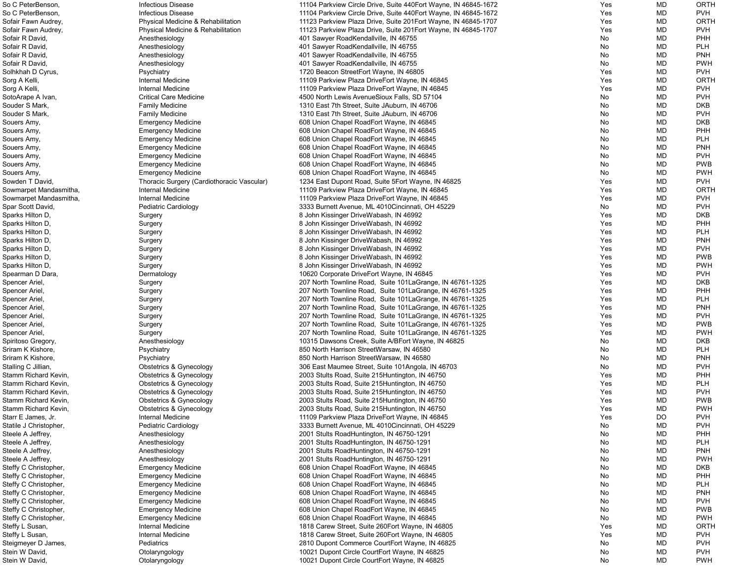| So C PeterBenson,      | <b>Infectious Disease</b>                  | 11104 Parkview Circle Drive, Suite 440 Eort Wayne, IN 46845-1672 | Yes | <b>MD</b> | <b>ORTH</b> |
|------------------------|--------------------------------------------|------------------------------------------------------------------|-----|-----------|-------------|
| So C PeterBenson,      | <b>Infectious Disease</b>                  | 11104 Parkview Circle Drive, Suite 440Eort Wayne, IN 46845-1672  | Yes | <b>MD</b> | <b>PVH</b>  |
| Sofair Fawn Audrey,    | Physical Medicine & Rehabilitation         | 11123 Parkview Plaza Drive, Suite 201 Eort Wayne, IN 46845-1707  | Yes | <b>MD</b> | <b>ORTH</b> |
| Sofair Fawn Audrey,    | Physical Medicine & Rehabilitation         | 11123 Parkview Plaza Drive, Suite 201Eort Wayne, IN 46845-1707   | Yes | MD        | <b>PVH</b>  |
| Sofair R David,        | Anesthesiology                             | 401 Sawyer RoadKendallville, IN 46755                            | No  | <b>MD</b> | <b>PHH</b>  |
| Sofair R David,        | Anesthesiology                             | 401 Sawyer RoadKendallville, IN 46755                            | No  | <b>MD</b> | <b>PLH</b>  |
| Sofair R David,        | Anesthesiology                             | 401 Sawyer RoadKendallville, IN 46755                            | No  | <b>MD</b> | <b>PNH</b>  |
| Sofair R David,        | Anesthesiology                             | 401 Sawyer RoadKendallville, IN 46755                            | No  | <b>MD</b> | <b>PWH</b>  |
| Solhkhah D Cyrus,      | Psychiatry                                 | 1720 Beacon StreetEort Wayne, IN 46805                           | Yes | <b>MD</b> | <b>PVH</b>  |
| Sorg A Kelli,          | Internal Medicine                          | 11109 Parkview Plaza DriveEort Wayne, IN 46845                   | Yes | <b>MD</b> | <b>ORTH</b> |
| Sorg A Kelli,          | Internal Medicine                          | 11109 Parkview Plaza DriveEort Wayne, IN 46845                   | Yes | <b>MD</b> | <b>PVH</b>  |
| SotoArape A Ivan,      | <b>Critical Care Medicine</b>              | 4500 North Lewis AvenueSioux Falls, SD 57104                     | No  | <b>MD</b> | <b>PVH</b>  |
| Souder S Mark,         | <b>Family Medicine</b>                     | 1310 East 7th Street, Suite JAuburn, IN 46706                    | No  | <b>MD</b> | <b>DKB</b>  |
| Souder S Mark,         | <b>Family Medicine</b>                     | 1310 East 7th Street, Suite JAuburn, IN 46706                    | No  | <b>MD</b> | <b>PVH</b>  |
| Souers Amy,            | <b>Emergency Medicine</b>                  | 608 Union Chapel RoadEort Wayne, IN 46845                        | No  | <b>MD</b> | <b>DKB</b>  |
| Souers Amy,            | <b>Emergency Medicine</b>                  | 608 Union Chapel RoadEort Wayne, IN 46845                        | No  | MD        | PHH         |
| Souers Amy,            | <b>Emergency Medicine</b>                  | 608 Union Chapel RoadEort Wayne, IN 46845                        | No  | <b>MD</b> | <b>PLH</b>  |
| Souers Amy,            | <b>Emergency Medicine</b>                  | 608 Union Chapel RoadEort Wayne, IN 46845                        | No  | <b>MD</b> | <b>PNH</b>  |
| Souers Amy,            | <b>Emergency Medicine</b>                  | 608 Union Chapel RoadEort Wayne, IN 46845                        | No  | <b>MD</b> | <b>PVH</b>  |
| Souers Amy,            | <b>Emergency Medicine</b>                  | 608 Union Chapel RoadEort Wayne, IN 46845                        | No  | <b>MD</b> | <b>PWB</b>  |
| Souers Amy,            | <b>Emergency Medicine</b>                  | 608 Union Chapel RoadEort Wayne, IN 46845                        | No  | <b>MD</b> | <b>PWH</b>  |
| Sowden T David,        | Thoracic Surgery (Cardiothoracic Vascular) | 1234 East Dupont Road, Suite 5 Eort Wayne, IN 46825              | Yes | <b>MD</b> | <b>PVH</b>  |
| Sowmarpet Mandasmitha, | Internal Medicine                          | 11109 Parkview Plaza DriveEort Wayne, IN 46845                   | Yes | <b>MD</b> | <b>ORTH</b> |
| Sowmarpet Mandasmitha, | Internal Medicine                          | 11109 Parkview Plaza DriveEort Wayne, IN 46845                   | Yes | <b>MD</b> | <b>PVH</b>  |
| Spar Scott David,      |                                            | 3333 Burnett Avenue, ML 4010 Cincinnati, OH 45229                | No  | <b>MD</b> | <b>PVH</b>  |
|                        | Pediatric Cardiology                       |                                                                  | Yes | <b>MD</b> | <b>DKB</b>  |
| Sparks Hilton D,       | Surgery                                    | 8 John Kissinger DriveWabash, IN 46992                           |     |           |             |
| Sparks Hilton D,       | Surgery                                    | 8 John Kissinger DriveWabash, IN 46992                           | Yes | <b>MD</b> | <b>PHH</b>  |
| Sparks Hilton D,       | Surgery                                    | 8 John Kissinger DriveWabash, IN 46992                           | Yes | MD        | <b>PLH</b>  |
| Sparks Hilton D,       | Surgery                                    | 8 John Kissinger DriveWabash, IN 46992                           | Yes | <b>MD</b> | <b>PNH</b>  |
| Sparks Hilton D,       | Surgery                                    | 8 John Kissinger DriveWabash, IN 46992                           | Yes | <b>MD</b> | <b>PVH</b>  |
| Sparks Hilton D,       | Surgery                                    | 8 John Kissinger DriveWabash, IN 46992                           | Yes | <b>MD</b> | <b>PWB</b>  |
| Sparks Hilton D,       | Surgery                                    | 8 John Kissinger DriveWabash, IN 46992                           | Yes | <b>MD</b> | <b>PWH</b>  |
| Spearman D Dara,       | Dermatology                                | 10620 Corporate DriveEort Wayne, IN 46845                        | Yes | <b>MD</b> | <b>PVH</b>  |
| Spencer Ariel,         | Surgery                                    | 207 North Townline Road, Suite 101 La Grange, IN 46761-1325      | Yes | <b>MD</b> | <b>DKB</b>  |
| Spencer Ariel,         | Surgery                                    | 207 North Townline Road, Suite 101 La Grange, IN 46761-1325      | Yes | <b>MD</b> | <b>PHH</b>  |
| Spencer Ariel,         | Surgery                                    | 207 North Townline Road, Suite 101 La Grange, IN 46761-1325      | Yes | <b>MD</b> | <b>PLH</b>  |
| Spencer Ariel,         | Surgery                                    | 207 North Townline Road, Suite 101 La Grange, IN 46761-1325      | Yes | MD        | <b>PNH</b>  |
| Spencer Ariel,         | Surgery                                    | 207 North Townline Road, Suite 101 La Grange, IN 46761-1325      | Yes | <b>MD</b> | <b>PVH</b>  |
| Spencer Ariel,         | Surgery                                    | 207 North Townline Road, Suite 101 La Grange, IN 46761-1325      | Yes | MD        | <b>PWB</b>  |
| Spencer Ariel,         | Surgery                                    | 207 North Townline Road, Suite 101 La Grange, IN 46761-1325      | Yes | MD        | <b>PWH</b>  |
| Spiritoso Gregory,     | Anesthesiology                             | 10315 Dawsons Creek, Suite A/BEort Wayne, IN 46825               | No  | <b>MD</b> | <b>DKB</b>  |
| Sriram K Kishore,      | Psychiatry                                 | 850 North Harrison StreetWarsaw, IN 46580                        | No  | <b>MD</b> | <b>PLH</b>  |
| Sriram K Kishore,      | Psychiatry                                 | 850 North Harrison StreetWarsaw, IN 46580                        | No  | <b>MD</b> | <b>PNH</b>  |
| Stalling C Jillian,    | <b>Obstetrics &amp; Gynecology</b>         | 306 East Maumee Street, Suite 101Angola, IN 46703                | No  | <b>MD</b> | <b>PVH</b>  |
| Stamm Richard Kevin,   | <b>Obstetrics &amp; Gynecology</b>         | 2003 Stults Road, Suite 215 Huntington, IN 46750                 | Yes | <b>MD</b> | <b>PHH</b>  |
| Stamm Richard Kevin,   | <b>Obstetrics &amp; Gynecology</b>         | 2003 Stults Road, Suite 215 Huntington, IN 46750                 | Yes | <b>MD</b> | <b>PLH</b>  |
| Stamm Richard Kevin,   | <b>Obstetrics &amp; Gynecology</b>         | 2003 Stults Road, Suite 215 Huntington, IN 46750                 | Yes | <b>MD</b> | <b>PVH</b>  |
| Stamm Richard Kevin,   | <b>Obstetrics &amp; Gynecology</b>         | 2003 Stults Road, Suite 215 Huntington, IN 46750                 | Yes | <b>MD</b> | <b>PWB</b>  |
| Stamm Richard Kevin,   | <b>Obstetrics &amp; Gynecology</b>         | 2003 Stults Road, Suite 215 Huntington, IN 46750                 | Yes | <b>MD</b> | <b>PWH</b>  |
| Starr E James, Jr.     | Internal Medicine                          | 11109 Parkview Plaza DriveEort Wayne, IN 46845                   | Yes | DO        | <b>PVH</b>  |
| Statile J Christopher, | <b>Pediatric Cardiology</b>                | 3333 Burnett Avenue, ML 4010Cincinnati, OH 45229                 | No  | <b>MD</b> | <b>PVH</b>  |
| Steele A Jeffrey,      | Anesthesiology                             | 2001 Stults Road Huntington, IN 46750-1291                       | No  | MD        | <b>PHH</b>  |
| Steele A Jeffrey,      | Anesthesiology                             | 2001 Stults Road Huntington, IN 46750-1291                       | No  | <b>MD</b> | <b>PLH</b>  |
| Steele A Jeffrey,      | Anesthesiology                             | 2001 Stults Road Huntington, IN 46750-1291                       | No  | <b>MD</b> | <b>PNH</b>  |
| Steele A Jeffrey,      | Anesthesiology                             | 2001 Stults RoadHuntington, IN 46750-1291                        | No  | <b>MD</b> | <b>PWH</b>  |
| Steffy C Christopher,  | <b>Emergency Medicine</b>                  | 608 Union Chapel RoadEort Wayne, IN 46845                        | No  | <b>MD</b> | <b>DKB</b>  |
| Steffy C Christopher,  | <b>Emergency Medicine</b>                  | 608 Union Chapel RoadEort Wayne, IN 46845                        | No  | <b>MD</b> | <b>PHH</b>  |
| Steffy C Christopher,  | <b>Emergency Medicine</b>                  | 608 Union Chapel RoadEort Wayne, IN 46845                        | No  | MD        | <b>PLH</b>  |
| Steffy C Christopher,  | <b>Emergency Medicine</b>                  | 608 Union Chapel RoadEort Wayne, IN 46845                        | No  | <b>MD</b> | <b>PNH</b>  |
| Steffy C Christopher,  | <b>Emergency Medicine</b>                  | 608 Union Chapel RoadEort Wayne, IN 46845                        | No  | <b>MD</b> | <b>PVH</b>  |
| Steffy C Christopher,  | <b>Emergency Medicine</b>                  | 608 Union Chapel RoadEort Wayne, IN 46845                        | No  | <b>MD</b> | <b>PWB</b>  |
| Steffy C Christopher,  | <b>Emergency Medicine</b>                  | 608 Union Chapel RoadEort Wayne, IN 46845                        | No  | <b>MD</b> | <b>PWH</b>  |
| Steffy L Susan,        | Internal Medicine                          | 1818 Carew Street, Suite 260 Eort Wayne, IN 46805                | Yes | MD        | <b>ORTH</b> |
| Steffy L Susan,        | Internal Medicine                          | 1818 Carew Street, Suite 260 Eort Wayne, IN 46805                | Yes | MD        | <b>PVH</b>  |
|                        | Pediatrics                                 | 2810 Dupont Commerce CourtEort Wayne, IN 46825                   |     | <b>MD</b> | <b>PVH</b>  |
| Steigmeyer D James,    |                                            |                                                                  | No  |           |             |
| Stein W David,         | Otolaryngology                             | 10021 Dupont Circle CourtEort Wayne, IN 46825                    | No  | <b>MD</b> | <b>PVH</b>  |
| Stein W David,         | Otolaryngology                             | 10021 Dupont Circle CourtEort Wayne, IN 46825                    | No  | MD        | <b>PWH</b>  |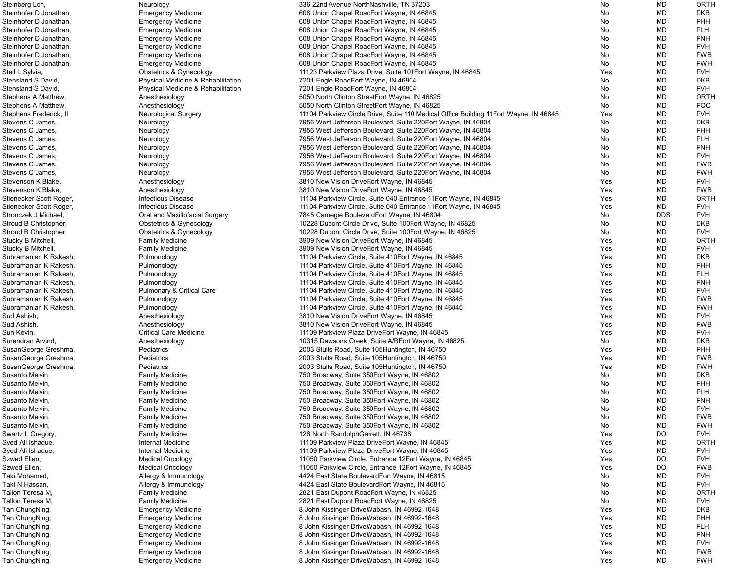| Steinberg Lon,          | Neurology                            | 336 22nd Avenue NorthNashville, TN 37203                                               | No  | MD         | ORTH        |
|-------------------------|--------------------------------------|----------------------------------------------------------------------------------------|-----|------------|-------------|
| Steinhofer D Jonathan,  | <b>Emergency Medicine</b>            | 608 Union Chapel RoadEort Wayne, IN 46845                                              | No  | MD         | <b>DKB</b>  |
| Steinhofer D Jonathan,  | <b>Emergency Medicine</b>            | 608 Union Chapel RoadEort Wayne, IN 46845                                              | No  | MD         | PHH         |
| Steinhofer D Jonathan,  | <b>Emergency Medicine</b>            | 608 Union Chapel RoadEort Wayne, IN 46845                                              | No  | MD         | <b>PLH</b>  |
|                         |                                      | 608 Union Chapel RoadEort Wayne, IN 46845                                              |     | MD         | <b>PNH</b>  |
| Steinhofer D Jonathan,  | <b>Emergency Medicine</b>            |                                                                                        | No  |            |             |
| Steinhofer D Jonathan,  | <b>Emergency Medicine</b>            | 608 Union Chapel RoadEort Wayne, IN 46845                                              | No  | MD         | <b>PVH</b>  |
| Steinhofer D Jonathan,  | <b>Emergency Medicine</b>            | 608 Union Chapel RoadEort Wayne, IN 46845                                              | No. | MD         | <b>PWB</b>  |
| Steinhofer D Jonathan,  | <b>Emergency Medicine</b>            | 608 Union Chapel RoadEort Wayne, IN 46845                                              | No. | MD         | <b>PWH</b>  |
| Stell L Sylvia,         | Obstetrics & Gynecology              | 11123 Parkview Plaza Drive, Suite 101 Eort Wayne, IN 46845                             | Yes | MD         | <b>PVH</b>  |
| Stensland S David,      | Physical Medicine & Rehabilitation   | 7201 Engle RoadEort Wayne, IN 46804                                                    | No  | MD         | <b>DKB</b>  |
| Stensland S David,      | Physical Medicine & Rehabilitation   | 7201 Engle RoadEort Wayne, IN 46804                                                    | No  | MD         | <b>PVH</b>  |
|                         |                                      |                                                                                        |     |            |             |
| Stephens A Matthew,     | Anesthesiology                       | 5050 North Clinton StreetEort Wayne, IN 46825                                          | No. | MD         | ORTH        |
| Stephens A Matthew,     | Anesthesiology                       | 5050 North Clinton StreetEort Wayne, IN 46825                                          | No  | MD         | <b>POC</b>  |
| Stephens Frederick, II  | <b>Neurological Surgery</b>          | 11104 Parkview Circle Drive, Suite 110 Medical Office Building 11 Eort Wayne, IN 46845 | Yes | MD         | <b>PVH</b>  |
| Stevens C James,        | Neurology                            | 7956 West Jefferson Boulevard, Suite 220 Eort Wayne, IN 46804                          | No  | MD         | <b>DKB</b>  |
| Stevens C James,        | Neurology                            | 7956 West Jefferson Boulevard, Suite 220 Eort Wayne, IN 46804                          | No  | MD         | PHH         |
| Stevens C James,        | Neurology                            | 7956 West Jefferson Boulevard, Suite 220 Eort Wayne, IN 46804                          | No  | MD         | <b>PLH</b>  |
| Stevens C James,        |                                      |                                                                                        |     |            |             |
|                         | Neurology                            | 7956 West Jefferson Boulevard, Suite 220 Eort Wayne, IN 46804                          | No  | MD         | <b>PNH</b>  |
| Stevens C James,        | Neurology                            | 7956 West Jefferson Boulevard, Suite 220 Fort Wayne, IN 46804                          | No  | MD         | <b>PVH</b>  |
| Stevens C James,        | Neurology                            | 7956 West Jefferson Boulevard, Suite 220 Fort Wayne, IN 46804                          | No. | MD         | <b>PWB</b>  |
| Stevens C James,        | Neurology                            | 7956 West Jefferson Boulevard, Suite 220 Eort Wayne, IN 46804                          | No. | MD         | <b>PWH</b>  |
| Stevenson K Blake,      | Anesthesiology                       | 3810 New Vision DriveEort Wayne, IN 46845                                              | Yes | MD         | <b>PVH</b>  |
| Stevenson K Blake,      | Anesthesiology                       | 3810 New Vision DriveEort Wayne, IN 46845                                              | Yes | MD         | <b>PWB</b>  |
|                         |                                      |                                                                                        |     |            |             |
| Stienecker Scott Roger, | Infectious Disease                   | 11104 Parkview Circle, Suite 040 Entrance 11 Eort Wayne, IN 46845                      | Yes | MD         | <b>ORTH</b> |
| Stienecker Scott Roger, | <b>Infectious Disease</b>            | 11104 Parkview Circle, Suite 040 Entrance 11 Eort Wayne, IN 46845                      | Yes | MD         | <b>PVH</b>  |
| Stronczek J Michael     | Oral and Maxillofacial Surgery       | 7845 Carnegie BoulevardEort Wayne, IN 46804                                            | No  | <b>DDS</b> | <b>PVH</b>  |
| Stroud B Christopher,   | <b>Obstetrics &amp; Gynecology</b>   | 10228 Dupont Circle Drive, Suite 100 Eort Wayne, IN 46825                              | No  | MD         | <b>DKB</b>  |
| Stroud B Christopher,   | <b>Obstetrics &amp; Gynecology</b>   | 10228 Dupont Circle Drive, Suite 100 Eort Wayne, IN 46825                              | No  | <b>MD</b>  | <b>PVH</b>  |
| Stucky B Mitchell,      | <b>Family Medicine</b>               | 3909 New Vision DriveEort Wayne, IN 46845                                              | Yes | MD         | <b>ORTH</b> |
|                         |                                      |                                                                                        |     |            |             |
| Stucky B Mitchell,      | <b>Family Medicine</b>               | 3909 New Vision DriveEort Wayne, IN 46845                                              | Yes | MD         | <b>PVH</b>  |
| Subramanian K Rakesh,   | Pulmonology                          | 11104 Parkview Circle, Suite 410 Eort Wayne, IN 46845                                  | Yes | MD         | <b>DKB</b>  |
| Subramanian K Rakesh,   | Pulmonology                          | 11104 Parkview Circle, Suite 410 Fort Wayne, IN 46845                                  | Yes | MD         | PHH         |
| Subramanian K Rakesh,   | Pulmonology                          | 11104 Parkview Circle, Suite 410 Eort Wayne, IN 46845                                  | Yes | MD         | <b>PLH</b>  |
| Subramanian K Rakesh,   | Pulmonology                          | 11104 Parkview Circle, Suite 410Eort Wayne, IN 46845                                   | Yes | MD         | <b>PNH</b>  |
| Subramanian K Rakesh,   | <b>Pulmonary &amp; Critical Care</b> | 11104 Parkview Circle, Suite 410 Eort Wayne, IN 46845                                  | Yes | MD         | <b>PVH</b>  |
|                         |                                      |                                                                                        |     | MD         | <b>PWB</b>  |
| Subramanian K Rakesh,   | Pulmonology                          | 11104 Parkview Circle, Suite 410 Eort Wayne, IN 46845                                  | Yes |            |             |
| Subramanian K Rakesh,   | Pulmonology                          | 11104 Parkview Circle, Suite 410Eort Wayne, IN 46845                                   | Yes | MD         | <b>PWH</b>  |
| Sud Ashish,             | Anesthesiology                       | 3810 New Vision DriveEort Wayne, IN 46845                                              | Yes | MD         | <b>PVH</b>  |
| Sud Ashish,             | Anesthesiology                       | 3810 New Vision DriveEort Wayne, IN 46845                                              | Yes | MD         | <b>PWB</b>  |
| Sun Kevin,              | <b>Critical Care Medicine</b>        | 11109 Parkview Plaza DriveEort Wayne, IN 46845                                         | Yes | MD         | <b>PVH</b>  |
| Surendran Arvind,       | Anesthesiology                       | 10315 Dawsons Creek, Suite A/BEort Wayne, IN 46825                                     | No  | MD         | <b>DKB</b>  |
|                         |                                      |                                                                                        |     | MD         | <b>PHH</b>  |
| SusanGeorge Greshma,    | Pediatrics                           | 2003 Stults Road, Suite 105 Huntington, IN 46750                                       | Yes |            |             |
| SusanGeorge Greshma,    | Pediatrics                           | 2003 Stults Road, Suite 105 Huntington, IN 46750                                       | Yes | MD         | <b>PWB</b>  |
| SusanGeorge Greshma,    | Pediatrics                           | 2003 Stults Road, Suite 105 Huntington, IN 46750                                       | Yes | MD         | <b>PWH</b>  |
| Susanto Melvin,         | <b>Family Medicine</b>               | 750 Broadway, Suite 350 Eort Wayne, IN 46802                                           | No  | MD         | <b>DKB</b>  |
| Susanto Melvin,         | <b>Family Medicine</b>               | 750 Broadway, Suite 350 Eort Wayne, IN 46802                                           | No  | MD         | PHH         |
| Susanto Melvin,         | <b>Family Medicine</b>               | 750 Broadway, Suite 350 Eort Wayne, IN 46802                                           | No  | MD         | <b>PLH</b>  |
| Susanto Melvin,         | <b>Family Medicine</b>               | 750 Broadway, Suite 350 Eort Wayne, IN 46802                                           | No  | MD         | <b>PNH</b>  |
|                         |                                      |                                                                                        |     |            |             |
| Susanto Melvin,         | <b>Family Medicine</b>               | 750 Broadway, Suite 350 Eort Wayne, IN 46802                                           | No  | MD         | <b>PVH</b>  |
| Susanto Melvin,         | <b>Family Medicine</b>               | 750 Broadway, Suite 350 Eort Wayne, IN 46802                                           | No  | MD         | <b>PWB</b>  |
| Susanto Melvin,         | <b>Family Medicine</b>               | 750 Broadway, Suite 350 Eort Wayne, IN 46802                                           | No  | MD         | <b>PWH</b>  |
| Swartz L Gregory,       | <b>Family Medicine</b>               | 128 North RandolphGarrett, IN 46738                                                    | Yes | DO         | <b>PVH</b>  |
| Syed Ali Ishaque,       | Internal Medicine                    | 11109 Parkview Plaza DriveEort Wayne, IN 46845                                         | Yes | MD         | ORTH        |
| Syed Ali Ishaque,       | Internal Medicine                    | 11109 Parkview Plaza DriveEort Wayne, IN 46845                                         | Yes | MD         | <b>PVH</b>  |
|                         |                                      |                                                                                        |     |            |             |
| Szwed Ellen,            | <b>Medical Oncology</b>              | 11050 Parkview Circle, Entrance 12Eort Wayne, IN 46845                                 | Yes | DO         | <b>PVH</b>  |
| Szwed Ellen,            | <b>Medical Oncology</b>              | 11050 Parkview Circle, Entrance 12Eort Wayne, IN 46845                                 | Yes | DO         | <b>PWB</b>  |
| Taki Mohamed,           | Allergy & Immunology                 | 4424 East State BoulevardEort Wayne, IN 46815                                          | No  | MD         | <b>PVH</b>  |
| Taki N Hassan,          | Allergy & Immunology                 | 4424 East State BoulevardEort Wayne, IN 46815                                          | No  | MD         | <b>PVH</b>  |
| Tallon Teresa M,        | <b>Family Medicine</b>               | 2821 East Dupont RoadEort Wayne, IN 46825                                              | No  | MD         | ORTH        |
| Tallon Teresa M,        | <b>Family Medicine</b>               | 2821 East Dupont RoadEort Wayne, IN 46825                                              | No  | MD         | <b>PVH</b>  |
|                         |                                      |                                                                                        |     |            |             |
| Tan ChungNing,          | <b>Emergency Medicine</b>            | 8 John Kissinger DriveWabash, IN 46992-1648                                            | Yes | MD         | <b>DKB</b>  |
| Tan ChungNing,          | <b>Emergency Medicine</b>            | 8 John Kissinger DriveWabash, IN 46992-1648                                            | Yes | MD         | PHH         |
| Tan ChungNing,          | <b>Emergency Medicine</b>            | 8 John Kissinger DriveWabash, IN 46992-1648                                            | Yes | MD         | <b>PLH</b>  |
| Tan ChungNing,          | <b>Emergency Medicine</b>            | 8 John Kissinger DriveWabash, IN 46992-1648                                            | Yes | <b>MD</b>  | <b>PNH</b>  |
| Tan ChungNing,          | <b>Emergency Medicine</b>            | 8 John Kissinger DriveWabash, IN 46992-1648                                            | Yes | MD         | <b>PVH</b>  |
| Tan ChungNing,          |                                      |                                                                                        |     |            | <b>PWB</b>  |
|                         | <b>Emergency Medicine</b>            | 8 John Kissinger DriveWabash, IN 46992-1648                                            | Yes | MD         |             |
| Tan ChungNing,          | <b>Emergency Medicine</b>            | 8 John Kissinger DriveWabash, IN 46992-1648                                            | Yes | MD         | <b>PWH</b>  |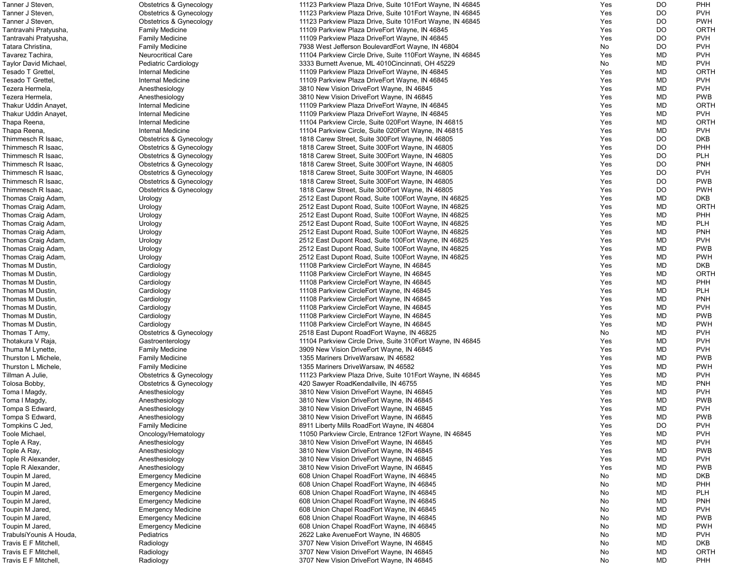| Tanner J Steven,        | <b>Obstetrics &amp; Gynecology</b> | 11123 Parkview Plaza Drive, Suite 101 Eort Wayne, IN 46845  | Yes | <b>DO</b> | <b>PHH</b>                |
|-------------------------|------------------------------------|-------------------------------------------------------------|-----|-----------|---------------------------|
| Tanner J Steven,        | <b>Obstetrics &amp; Gynecology</b> | 11123 Parkview Plaza Drive, Suite 101 Eort Wayne, IN 46845  | Yes | <b>DO</b> | <b>PVH</b>                |
| Tanner J Steven,        | <b>Obstetrics &amp; Gynecology</b> | 11123 Parkview Plaza Drive, Suite 101Eort Wayne, IN 46845   | Yes | <b>DO</b> | <b>PWH</b>                |
| Tantravahi Pratyusha,   | <b>Family Medicine</b>             | 11109 Parkview Plaza DriveEort Wayne, IN 46845              | Yes | <b>DO</b> | ORTH                      |
| Tantravahi Pratyusha,   | <b>Family Medicine</b>             | 11109 Parkview Plaza DriveEort Wayne, IN 46845              | Yes | <b>DO</b> | <b>PVH</b>                |
| Tatara Christina,       | <b>Family Medicine</b>             | 7938 West Jefferson BoulevardEort Wayne, IN 46804           | No  | <b>DO</b> | <b>PVH</b>                |
| Tavarez Tachira,        | <b>Neurocritical Care</b>          | 11104 Parkview Circle Drive, Suite 110Eort Wayne, IN 46845  | Yes | <b>MD</b> | <b>PVH</b>                |
| Taylor David Michael,   | Pediatric Cardiology               | 3333 Burnett Avenue, ML 4010Cincinnati, OH 45229            | No  | <b>MD</b> | <b>PVH</b>                |
| Tesado T Grettel,       | Internal Medicine                  | 11109 Parkview Plaza DriveEort Wayne, IN 46845              | Yes | <b>MD</b> | <b>ORTH</b>               |
| Tesado T Grettel,       | Internal Medicine                  | 11109 Parkview Plaza DriveEort Wayne, IN 46845              | Yes | <b>MD</b> | <b>PVH</b>                |
| Tezera Hermela,         | Anesthesiology                     | 3810 New Vision DriveEort Wayne, IN 46845                   | Yes | <b>MD</b> | <b>PVH</b>                |
| Tezera Hermela,         | Anesthesiology                     | 3810 New Vision DriveEort Wayne, IN 46845                   | Yes | <b>MD</b> | <b>PWB</b>                |
| Thakur Uddin Anayet,    | Internal Medicine                  | 11109 Parkview Plaza DriveEort Wayne, IN 46845              | Yes | <b>MD</b> | <b>ORTH</b>               |
| Thakur Uddin Anayet,    | Internal Medicine                  | 11109 Parkview Plaza DriveEort Wayne, IN 46845              | Yes | MD        | <b>PVH</b>                |
| Thapa Reena,            | Internal Medicine                  | 11104 Parkview Circle, Suite 020 Eort Wayne, IN 46815       | Yes | <b>MD</b> | ORTH                      |
| Thapa Reena,            | Internal Medicine                  | 11104 Parkview Circle, Suite 020 Eort Wayne, IN 46815       | Yes | <b>MD</b> | <b>PVH</b>                |
| Thimmesch R Isaac,      | Obstetrics & Gynecology            | 1818 Carew Street, Suite 300 Eort Wayne, IN 46805           | Yes | <b>DO</b> | <b>DKB</b>                |
| Thimmesch R Isaac,      | <b>Obstetrics &amp; Gynecology</b> | 1818 Carew Street, Suite 300 Eort Wayne, IN 46805           | Yes | <b>DO</b> | <b>PHH</b>                |
| Thimmesch R Isaac,      | <b>Obstetrics &amp; Gynecology</b> | 1818 Carew Street, Suite 300 Eort Wayne, IN 46805           | Yes | <b>DO</b> | <b>PLH</b>                |
| Thimmesch R Isaac,      | <b>Obstetrics &amp; Gynecology</b> | 1818 Carew Street, Suite 300 Eort Wayne, IN 46805           | Yes | <b>DO</b> | <b>PNH</b>                |
| Thimmesch R Isaac,      | <b>Obstetrics &amp; Gynecology</b> | 1818 Carew Street, Suite 300 Eort Wayne, IN 46805           | Yes | <b>DO</b> | <b>PVH</b>                |
| Thimmesch R Isaac,      | <b>Obstetrics &amp; Gynecology</b> | 1818 Carew Street, Suite 300 Eort Wayne, IN 46805           | Yes | <b>DO</b> | <b>PWB</b>                |
| Thimmesch R Isaac,      | <b>Obstetrics &amp; Gynecology</b> | 1818 Carew Street, Suite 300 Eort Wayne, IN 46805           | Yes | <b>DO</b> | <b>PWH</b>                |
| Thomas Craig Adam,      | Urology                            | 2512 East Dupont Road, Suite 100 Fort Wayne, IN 46825       | Yes | MD        | <b>DKB</b>                |
| Thomas Craig Adam,      | Urology                            | 2512 East Dupont Road, Suite 100 Fort Wayne, IN 46825       | Yes | <b>MD</b> | <b>ORTH</b>               |
| Thomas Craig Adam,      | Urology                            | 2512 East Dupont Road, Suite 100 Fort Wayne, IN 46825       | Yes | MD        | <b>PHH</b>                |
| Thomas Craig Adam,      | Urology                            | 2512 East Dupont Road, Suite 100 Fort Wayne, IN 46825       | Yes | MD        | <b>PLH</b>                |
| Thomas Craig Adam,      |                                    | 2512 East Dupont Road, Suite 100 Fort Wayne, IN 46825       | Yes | MD        | <b>PNH</b>                |
| Thomas Craig Adam,      | Urology<br>Urology                 | 2512 East Dupont Road, Suite 100 Fort Wayne, IN 46825       | Yes | MD        | <b>PVH</b>                |
| Thomas Craig Adam,      | Urology                            | 2512 East Dupont Road, Suite 100 Fort Wayne, IN 46825       | Yes | MD        | <b>PWB</b>                |
|                         |                                    |                                                             | Yes | <b>MD</b> | <b>PWH</b>                |
| Thomas Craig Adam,      | Urology                            | 2512 East Dupont Road, Suite 100 Fort Wayne, IN 46825       |     |           |                           |
| Thomas M Dustin,        | Cardiology                         | 11108 Parkview CircleEort Wayne, IN 46845                   | Yes | MD        | <b>DKB</b><br><b>ORTH</b> |
| Thomas M Dustin,        | Cardiology                         | 11108 Parkview CircleEort Wayne, IN 46845                   | Yes | <b>MD</b> |                           |
| Thomas M Dustin,        | Cardiology                         | 11108 Parkview CircleEort Wayne, IN 46845                   | Yes | <b>MD</b> | <b>PHH</b>                |
| Thomas M Dustin,        | Cardiology                         | 11108 Parkview CircleEort Wayne, IN 46845                   | Yes | <b>MD</b> | <b>PLH</b>                |
| Thomas M Dustin,        | Cardiology                         | 11108 Parkview CircleEort Wayne, IN 46845                   | Yes | <b>MD</b> | <b>PNH</b>                |
| Thomas M Dustin,        | Cardiology                         | 11108 Parkview CircleEort Wayne, IN 46845                   | Yes | <b>MD</b> | <b>PVH</b>                |
| Thomas M Dustin,        | Cardiology                         | 11108 Parkview CircleEort Wayne, IN 46845                   | Yes | MD        | <b>PWB</b>                |
| Thomas M Dustin,        | Cardiology                         | 11108 Parkview CircleEort Wayne, IN 46845                   | Yes | MD        | <b>PWH</b>                |
| Thomas T Amy,           | <b>Obstetrics &amp; Gynecology</b> | 2518 East Dupont RoadEort Wayne, IN 46825                   | No  | <b>MD</b> | <b>PVH</b>                |
| Thotakura V Raja,       | Gastroenterology                   | 11104 Parkview Circle Drive, Suite 310 Eort Wayne, IN 46845 | Yes | <b>MD</b> | <b>PVH</b>                |
| Thuma M Lynette,        | <b>Family Medicine</b>             | 3909 New Vision DriveEort Wayne, IN 46845                   | Yes | <b>MD</b> | <b>PVH</b>                |
| Thurston L Michele,     | <b>Family Medicine</b>             | 1355 Mariners DriveWarsaw, IN 46582                         | Yes | <b>MD</b> | <b>PWB</b>                |
| Thurston L Michele,     | <b>Family Medicine</b>             | 1355 Mariners DriveWarsaw, IN 46582                         | Yes | <b>MD</b> | <b>PWH</b>                |
| Tillman A Julie,        | <b>Obstetrics &amp; Gynecology</b> | 11123 Parkview Plaza Drive, Suite 101 Eort Wayne, IN 46845  | Yes | MD        | <b>PVH</b>                |
| Tolosa Bobby,           | <b>Obstetrics &amp; Gynecology</b> | 420 Sawyer RoadKendallville, IN 46755                       | Yes | <b>MD</b> | <b>PNH</b>                |
| Toma I Magdy,           | Anesthesiology                     | 3810 New Vision DriveEort Wayne, IN 46845                   | Yes | <b>MD</b> | <b>PVH</b>                |
| Toma I Magdy,           | Anesthesiology                     | 3810 New Vision DriveEort Wayne, IN 46845                   | Yes | <b>MD</b> | <b>PWB</b>                |
| Tompa S Edward,         | Anesthesiology                     | 3810 New Vision DriveEort Wayne, IN 46845                   | Yes | <b>MD</b> | <b>PVH</b>                |
| Tompa S Edward,         | Anesthesiology                     | 3810 New Vision DriveEort Wayne, IN 46845                   | Yes | MD        | <b>PWB</b>                |
| Tompkins C Jed,         | <b>Family Medicine</b>             | 8911 Liberty Mills RoadEort Wayne, IN 46804                 | Yes | <b>DO</b> | <b>PVH</b>                |
| Toole Michael,          | Oncology/Hematology                | 11050 Parkview Circle, Entrance 12Eort Wayne, IN 46845      | Yes | <b>MD</b> | <b>PVH</b>                |
| Tople A Ray,            | Anesthesiology                     | 3810 New Vision DriveEort Wayne, IN 46845                   | Yes | <b>MD</b> | <b>PVH</b>                |
| Tople A Ray,            | Anesthesiology                     | 3810 New Vision DriveEort Wayne, IN 46845                   | Yes | <b>MD</b> | <b>PWB</b>                |
| Tople R Alexander,      | Anesthesiology                     | 3810 New Vision DriveEort Wayne, IN 46845                   | Yes | <b>MD</b> | <b>PVH</b>                |
| Tople R Alexander,      | Anesthesiology                     | 3810 New Vision DriveEort Wayne, IN 46845                   | Yes | <b>MD</b> | <b>PWB</b>                |
| Toupin M Jared,         | <b>Emergency Medicine</b>          | 608 Union Chapel RoadEort Wayne, IN 46845                   | No  | <b>MD</b> | <b>DKB</b>                |
| Toupin M Jared,         | <b>Emergency Medicine</b>          | 608 Union Chapel RoadEort Wayne, IN 46845                   | No  | <b>MD</b> | <b>PHH</b>                |
| Toupin M Jared,         | <b>Emergency Medicine</b>          | 608 Union Chapel RoadEort Wayne, IN 46845                   | No  | <b>MD</b> | <b>PLH</b>                |
| Toupin M Jared,         | <b>Emergency Medicine</b>          | 608 Union Chapel RoadEort Wayne, IN 46845                   | No  | <b>MD</b> | <b>PNH</b>                |
| Toupin M Jared,         | <b>Emergency Medicine</b>          | 608 Union Chapel RoadEort Wayne, IN 46845                   | No  | <b>MD</b> | <b>PVH</b>                |
| Toupin M Jared,         | <b>Emergency Medicine</b>          | 608 Union Chapel RoadEort Wayne, IN 46845                   | No  | MD        | <b>PWB</b>                |
| Toupin M Jared,         | <b>Emergency Medicine</b>          | 608 Union Chapel RoadEort Wayne, IN 46845                   | No  | <b>MD</b> | <b>PWH</b>                |
| TrabulsiYounis A Houda, | Pediatrics                         | 2622 Lake Avenue Eort Wayne, IN 46805                       | No  | <b>MD</b> | <b>PVH</b>                |
| Travis E F Mitchell,    | Radiology                          | 3707 New Vision DriveEort Wayne, IN 46845                   | No  | <b>MD</b> | <b>DKB</b>                |
| Travis E F Mitchell,    | Radiology                          | 3707 New Vision DriveEort Wayne, IN 46845                   | No  | <b>MD</b> | <b>ORTH</b>               |
| Travis E F Mitchell,    | Radiology                          | 3707 New Vision DriveEort Wayne, IN 46845                   | No  | MD        | <b>PHH</b>                |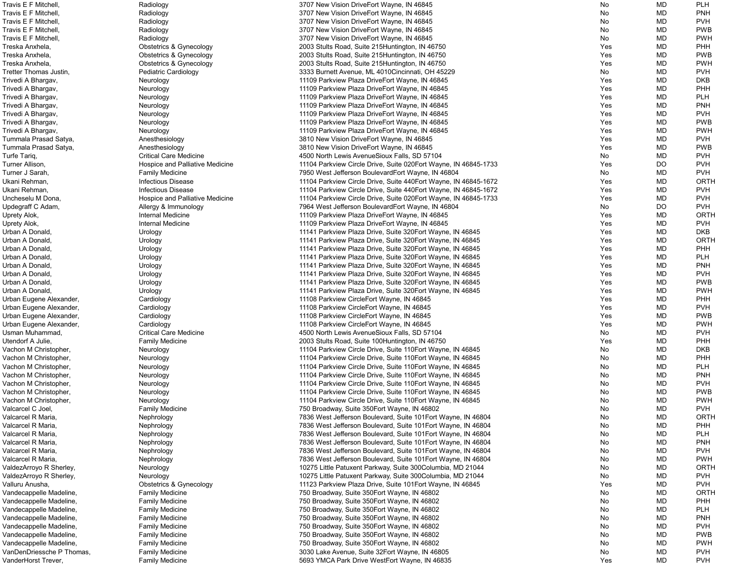| Travis E F Mitchell,      | Radiology                              | 3707 New Vision DriveEort Wayne, IN 46845                        | No         | <b>MD</b> | <b>PLH</b>  |
|---------------------------|----------------------------------------|------------------------------------------------------------------|------------|-----------|-------------|
| Travis E F Mitchell,      | Radiology                              | 3707 New Vision DriveEort Wayne, IN 46845                        | No         | <b>MD</b> | <b>PNH</b>  |
| Travis E F Mitchell,      | Radiology                              | 3707 New Vision DriveEort Wayne, IN 46845                        | No         | <b>MD</b> | <b>PVH</b>  |
| Travis E F Mitchell,      | Radiology                              | 3707 New Vision DriveEort Wayne, IN 46845                        | No         | <b>MD</b> | <b>PWB</b>  |
| Travis E F Mitchell,      | Radiology                              | 3707 New Vision DriveEort Wayne, IN 46845                        | No         | <b>MD</b> | <b>PWH</b>  |
| Treska Anxhela,           | <b>Obstetrics &amp; Gynecology</b>     | 2003 Stults Road, Suite 215 Huntington, IN 46750                 | Yes        | <b>MD</b> | <b>PHH</b>  |
| Treska Anxhela,           | Obstetrics & Gynecology                | 2003 Stults Road, Suite 215 Huntington, IN 46750                 | Yes        | <b>MD</b> | <b>PWB</b>  |
| Treska Anxhela,           | Obstetrics & Gynecology                | 2003 Stults Road, Suite 215 Huntington, IN 46750                 | Yes        | <b>MD</b> | <b>PWH</b>  |
| Tretter Thomas Justin,    | <b>Pediatric Cardiology</b>            | 3333 Burnett Avenue, ML 4010Cincinnati, OH 45229                 | No         | <b>MD</b> | <b>PVH</b>  |
|                           |                                        | 11109 Parkview Plaza DriveEort Wayne, IN 46845                   | Yes        | <b>MD</b> | <b>DKB</b>  |
| Trivedi A Bhargav,        | Neurology                              |                                                                  |            |           |             |
| Trivedi A Bhargav,        | Neurology                              | 11109 Parkview Plaza DriveEort Wayne, IN 46845                   | Yes        | <b>MD</b> | <b>PHH</b>  |
| Trivedi A Bhargav,        | Neurology                              | 11109 Parkview Plaza DriveEort Wayne, IN 46845                   | Yes        | <b>MD</b> | <b>PLH</b>  |
| Trivedi A Bhargav,        | Neurology                              | 11109 Parkview Plaza DriveEort Wayne, IN 46845                   | Yes        | <b>MD</b> | <b>PNH</b>  |
| Trivedi A Bhargav,        | Neurology                              | 11109 Parkview Plaza DriveEort Wayne, IN 46845                   | Yes        | <b>MD</b> | <b>PVH</b>  |
| Trivedi A Bhargav,        | Neurology                              | 11109 Parkview Plaza DriveEort Wayne, IN 46845                   | Yes        | <b>MD</b> | <b>PWB</b>  |
| Trivedi A Bhargav,        | Neurology                              | 11109 Parkview Plaza DriveEort Wayne, IN 46845                   | Yes        | <b>MD</b> | <b>PWH</b>  |
| Tummala Prasad Satya,     | Anesthesiology                         | 3810 New Vision DriveEort Wayne, IN 46845                        | Yes        | <b>MD</b> | <b>PVH</b>  |
| Tummala Prasad Satya,     | Anesthesiology                         | 3810 New Vision DriveEort Wayne, IN 46845                        | Yes        | <b>MD</b> | <b>PWB</b>  |
| Turfe Tariq,              | <b>Critical Care Medicine</b>          | 4500 North Lewis AvenueSioux Falls, SD 57104                     | No         | <b>MD</b> | <b>PVH</b>  |
| Turner Allison,           | Hospice and Palliative Medicine        | 11104 Parkview Circle Drive, Suite 020 Eort Wayne, IN 46845-1733 | Yes        | <b>DO</b> | <b>PVH</b>  |
| Turner J Sarah,           | <b>Family Medicine</b>                 | 7950 West Jefferson BoulevardEort Wayne, IN 46804                | No         | <b>MD</b> | <b>PVH</b>  |
| Ukani Rehman,             | <b>Infectious Disease</b>              | 11104 Parkview Circle Drive, Suite 440 Eort Wayne, IN 46845-1672 | Yes        | <b>MD</b> | <b>ORTH</b> |
| Ukani Rehman,             | <b>Infectious Disease</b>              | 11104 Parkview Circle Drive, Suite 440 Eort Wayne, IN 46845-1672 | Yes        | <b>MD</b> | <b>PVH</b>  |
| Uncheselu M Dona,         | <b>Hospice and Palliative Medicine</b> | 11104 Parkview Circle Drive, Suite 020 Eort Wayne, IN 46845-1733 | Yes        | <b>MD</b> | <b>PVH</b>  |
| Updegraff C Adam,         | Allergy & Immunology                   | 7964 West Jefferson BoulevardEort Wayne, IN 46804                | No         | DO        | <b>PVH</b>  |
| Uprety Alok,              | Internal Medicine                      | 11109 Parkview Plaza DriveEort Wayne, IN 46845                   | Yes        | <b>MD</b> | ORTH        |
|                           | Internal Medicine                      | 11109 Parkview Plaza DriveEort Wayne, IN 46845                   | Yes        | <b>MD</b> | <b>PVH</b>  |
| Uprety Alok,              |                                        |                                                                  |            |           |             |
| Urban A Donald,           | Urology                                | 11141 Parkview Plaza Drive, Suite 320 Eort Wayne, IN 46845       | Yes        | <b>MD</b> | <b>DKB</b>  |
| Urban A Donald,           | Urology                                | 11141 Parkview Plaza Drive, Suite 320 Eort Wayne, IN 46845       | Yes        | <b>MD</b> | <b>ORTH</b> |
| Urban A Donald,           | Urology                                | 11141 Parkview Plaza Drive, Suite 320 Eort Wayne, IN 46845       | Yes        | <b>MD</b> | <b>PHH</b>  |
| Urban A Donald,           | Urology                                | 11141 Parkview Plaza Drive, Suite 320 Eort Wayne, IN 46845       | Yes        | <b>MD</b> | <b>PLH</b>  |
| Urban A Donald,           | Urology                                | 11141 Parkview Plaza Drive, Suite 320 Eort Wayne, IN 46845       | Yes        | <b>MD</b> | <b>PNH</b>  |
| Urban A Donald,           | Urology                                | 11141 Parkview Plaza Drive, Suite 320 Eort Wayne, IN 46845       | Yes        | <b>MD</b> | <b>PVH</b>  |
| Urban A Donald,           | Urology                                | 11141 Parkview Plaza Drive, Suite 320 Eort Wayne, IN 46845       | Yes        | <b>MD</b> | <b>PWB</b>  |
| Urban A Donald,           | Urology                                | 11141 Parkview Plaza Drive, Suite 320 Eort Wayne, IN 46845       | Yes        | <b>MD</b> | <b>PWH</b>  |
| Urban Eugene Alexander,   | Cardiology                             | 11108 Parkview CircleEort Wayne, IN 46845                        | <b>Yes</b> | MD        | <b>PHH</b>  |
| Urban Eugene Alexander,   | Cardiology                             | 11108 Parkview CircleEort Wayne, IN 46845                        | Yes        | <b>MD</b> | <b>PVH</b>  |
| Urban Eugene Alexander,   | Cardiology                             | 11108 Parkview CircleEort Wayne, IN 46845                        | Yes        | MD        | <b>PWB</b>  |
| Urban Eugene Alexander,   | Cardiology                             | 11108 Parkview CircleEort Wayne, IN 46845                        | Yes        | <b>MD</b> | <b>PWH</b>  |
| Usman Muhammad,           | <b>Critical Care Medicine</b>          | 4500 North Lewis AvenueSioux Falls, SD 57104                     | No         | <b>MD</b> | <b>PVH</b>  |
| Utendorf A Julie,         | <b>Family Medicine</b>                 | 2003 Stults Road, Suite 100 Huntington, IN 46750                 | Yes        | MD        | <b>PHH</b>  |
| Vachon M Christopher,     | Neurology                              | 11104 Parkview Circle Drive, Suite 110 Eort Wayne, IN 46845      | No         | MD        | <b>DKB</b>  |
| Vachon M Christopher,     | Neurology                              | 11104 Parkview Circle Drive, Suite 110 Eort Wayne, IN 46845      | No         | <b>MD</b> | <b>PHH</b>  |
| Vachon M Christopher,     | Neurology                              | 11104 Parkview Circle Drive, Suite 110 Eort Wayne, IN 46845      | No         | <b>MD</b> | <b>PLH</b>  |
| Vachon M Christopher,     | Neurology                              | 11104 Parkview Circle Drive, Suite 110 Eort Wayne, IN 46845      | No         | <b>MD</b> | <b>PNH</b>  |
| Vachon M Christopher,     | Neurology                              | 11104 Parkview Circle Drive, Suite 110Eort Wayne, IN 46845       | No         | <b>MD</b> | <b>PVH</b>  |
| Vachon M Christopher,     | Neurology                              | 11104 Parkview Circle Drive, Suite 110 Eort Wayne, IN 46845      | No         | MD        | <b>PWB</b>  |
| Vachon M Christopher,     | Neurology                              | 11104 Parkview Circle Drive, Suite 110 Eort Wayne, IN 46845      | No         | <b>MD</b> | <b>PWH</b>  |
|                           |                                        |                                                                  |            |           | <b>PVH</b>  |
| Valcarcel C Joel,         | <b>Family Medicine</b>                 | 750 Broadway, Suite 350 Fort Wayne, IN 46802                     | No         | <b>MD</b> |             |
| Valcarcel R Maria,        | Nephrology                             | 7836 West Jefferson Boulevard, Suite 101 Eort Wayne, IN 46804    | No         | <b>MD</b> | ORTH        |
| Valcarcel R Maria,        | Nephrology                             | 7836 West Jefferson Boulevard, Suite 101 Eort Wayne, IN 46804    | No         | <b>MD</b> | <b>PHH</b>  |
| Valcarcel R Maria,        | Nephrology                             | 7836 West Jefferson Boulevard, Suite 101 Eort Wayne, IN 46804    | No         | <b>MD</b> | <b>PLH</b>  |
| Valcarcel R Maria,        | Nephrology                             | 7836 West Jefferson Boulevard, Suite 101 Eort Wayne, IN 46804    | No         | <b>MD</b> | <b>PNH</b>  |
| Valcarcel R Maria,        | Nephrology                             | 7836 West Jefferson Boulevard, Suite 101 Eort Wayne, IN 46804    | No         | <b>MD</b> | <b>PVH</b>  |
| Valcarcel R Maria,        | Nephrology                             | 7836 West Jefferson Boulevard, Suite 101 Eort Wayne, IN 46804    | No         | <b>MD</b> | <b>PWH</b>  |
| ValdezArroyo R Sherley,   | Neurology                              | 10275 Little Patuxent Parkway, Suite 300Columbia, MD 21044       | No         | <b>MD</b> | <b>ORTH</b> |
| ValdezArroyo R Sherley,   | Neurology                              | 10275 Little Patuxent Parkway, Suite 300Columbia, MD 21044       | No         | <b>MD</b> | <b>PVH</b>  |
| Valluru Anusha,           | <b>Obstetrics &amp; Gynecology</b>     | 11123 Parkview Plaza Drive, Suite 101 Eort Wayne, IN 46845       | Yes        | <b>MD</b> | <b>PVH</b>  |
| Vandecappelle Madeline,   | <b>Family Medicine</b>                 | 750 Broadway, Suite 350 Eort Wayne, IN 46802                     | No         | <b>MD</b> | ORTH        |
| Vandecappelle Madeline,   | <b>Family Medicine</b>                 | 750 Broadway, Suite 350 Eort Wayne, IN 46802                     | No         | <b>MD</b> | <b>PHH</b>  |
| Vandecappelle Madeline,   | <b>Family Medicine</b>                 | 750 Broadway, Suite 350 Eort Wayne, IN 46802                     | No         | <b>MD</b> | <b>PLH</b>  |
| Vandecappelle Madeline,   | <b>Family Medicine</b>                 | 750 Broadway, Suite 350 Eort Wayne, IN 46802                     | No         | MD        | <b>PNH</b>  |
| Vandecappelle Madeline,   | <b>Family Medicine</b>                 | 750 Broadway, Suite 350 Eort Wayne, IN 46802                     | No         | <b>MD</b> | <b>PVH</b>  |
| Vandecappelle Madeline,   | <b>Family Medicine</b>                 | 750 Broadway, Suite 350 Eort Wayne, IN 46802                     | No         | <b>MD</b> | <b>PWB</b>  |
| Vandecappelle Madeline,   | <b>Family Medicine</b>                 | 750 Broadway, Suite 350 Eort Wayne, IN 46802                     | No         | <b>MD</b> | <b>PWH</b>  |
| VanDenDriessche P Thomas, | <b>Family Medicine</b>                 | 3030 Lake Avenue, Suite 32Eort Wayne, IN 46805                   | No         | <b>MD</b> | <b>PVH</b>  |
| VanderHorst Trever,       | <b>Family Medicine</b>                 | 5693 YMCA Park Drive WestEort Wayne, IN 46835                    | Yes        | <b>MD</b> | <b>PVH</b>  |
|                           |                                        |                                                                  |            |           |             |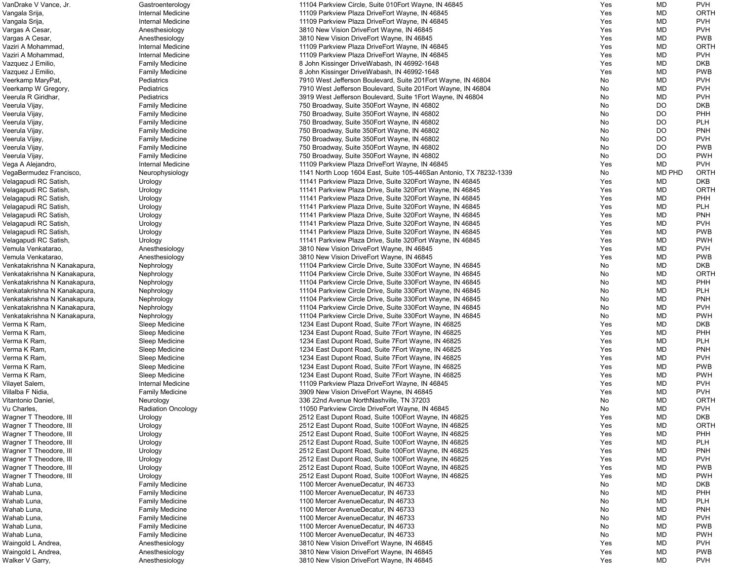| VanDrake V Vance, Jr.        | Gastroenterology          | 11104 Parkview Circle, Suite 010 Eort Wayne, IN 46845              | Yes | MD            | <b>PVH</b>  |
|------------------------------|---------------------------|--------------------------------------------------------------------|-----|---------------|-------------|
| Vangala Srija,               | Internal Medicine         | 11109 Parkview Plaza DriveEort Wayne, IN 46845                     | Yes | <b>MD</b>     | ORTH        |
| Vangala Srija,               | Internal Medicine         | 11109 Parkview Plaza DriveEort Wayne, IN 46845                     | Yes | MD            | <b>PVH</b>  |
| Vargas A Cesar,              | Anesthesiology            | 3810 New Vision DriveEort Wayne, IN 46845                          | Yes | <b>MD</b>     | <b>PVH</b>  |
| Vargas A Cesar,              | Anesthesiology            | 3810 New Vision DriveEort Wayne, IN 46845                          | Yes | MD            | <b>PWB</b>  |
| Vaziri A Mohammad,           | Internal Medicine         | 11109 Parkview Plaza DriveEort Wayne, IN 46845                     | Yes | MD            | ORTH        |
| Vaziri A Mohammad.           | Internal Medicine         | 11109 Parkview Plaza DriveEort Wayne, IN 46845                     | Yes | <b>MD</b>     | <b>PVH</b>  |
| Vazquez J Emilio,            | <b>Family Medicine</b>    | 8 John Kissinger DriveWabash, IN 46992-1648                        | Yes | <b>MD</b>     | <b>DKB</b>  |
| Vazquez J Emilio,            | <b>Family Medicine</b>    | 8 John Kissinger DriveWabash, IN 46992-1648                        | Yes | MD            | <b>PWB</b>  |
| Veerkamp MaryPat,            | Pediatrics                | 7910 West Jefferson Boulevard, Suite 201 Eort Wayne, IN 46804      | No  | MD            | <b>PVH</b>  |
| Veerkamp W Gregory,          | Pediatrics                | 7910 West Jefferson Boulevard, Suite 201Eort Wayne, IN 46804       | No  | MD            | <b>PVH</b>  |
| Veerula R Giridhar,          | Pediatrics                | 3919 West Jefferson Boulevard, Suite 1 Eort Wayne, IN 46804        | No  | MD            | <b>PVH</b>  |
| Veerula Vijay,               | <b>Family Medicine</b>    | 750 Broadway, Suite 350 Eort Wayne, IN 46802                       | No  | <b>DO</b>     | <b>DKB</b>  |
| Veerula Vijay,               | <b>Family Medicine</b>    | 750 Broadway, Suite 350 Eort Wayne, IN 46802                       | No. | <b>DO</b>     | PHH         |
| Veerula Vijay,               | <b>Family Medicine</b>    | 750 Broadway, Suite 350 Eort Wayne, IN 46802                       | No  | <b>DO</b>     | <b>PLH</b>  |
| Veerula Vijay,               | <b>Family Medicine</b>    | 750 Broadway, Suite 350 Eort Wayne, IN 46802                       | No  | <b>DO</b>     | <b>PNH</b>  |
| Veerula Vijay,               | <b>Family Medicine</b>    | 750 Broadway, Suite 350 Eort Wayne, IN 46802                       | No  | <b>DO</b>     | <b>PVH</b>  |
| Veerula Vijay,               | <b>Family Medicine</b>    | 750 Broadway, Suite 350 Eort Wayne, IN 46802                       | No  | DO.           | <b>PWB</b>  |
| Veerula Vijay,               | <b>Family Medicine</b>    | 750 Broadway, Suite 350 Eort Wayne, IN 46802                       | No  | <b>DO</b>     | <b>PWH</b>  |
| Vega A Alejandro,            | Internal Medicine         | 11109 Parkview Plaza DriveEort Wayne, IN 46845                     | Yes | MD            | <b>PVH</b>  |
| VegaBermudez Francisco,      | Neurophysiology           | 1141 North Loop 1604 East, Suite 105-446San Antonio, TX 78232-1339 | No  | <b>MD PHD</b> | ORTH        |
| Velagapudi RC Satish,        | Urology                   | 11141 Parkview Plaza Drive, Suite 320 Fort Wayne, IN 46845         | Yes | MD            | <b>DKB</b>  |
| Velagapudi RC Satish,        | Urology                   | 11141 Parkview Plaza Drive, Suite 320 Eort Wayne, IN 46845         | Yes | MD            | ORTH        |
| Velagapudi RC Satish,        | Urology                   | 11141 Parkview Plaza Drive, Suite 320 Eort Wayne, IN 46845         | Yes | MD            | PHH         |
| Velagapudi RC Satish,        | Urology                   | 11141 Parkview Plaza Drive, Suite 320 Eort Wayne, IN 46845         | Yes | <b>MD</b>     | <b>PLH</b>  |
| Velagapudi RC Satish,        | Urology                   | 11141 Parkview Plaza Drive, Suite 320 Eort Wayne, IN 46845         | Yes | MD            | PNH         |
| Velagapudi RC Satish,        | Urology                   | 11141 Parkview Plaza Drive, Suite 320 Fort Wayne, IN 46845         | Yes | MD            | <b>PVH</b>  |
| Velagapudi RC Satish,        |                           | 11141 Parkview Plaza Drive, Suite 320 Eort Wayne, IN 46845         | Yes | <b>MD</b>     | <b>PWB</b>  |
| Velagapudi RC Satish,        | Urology                   | 11141 Parkview Plaza Drive, Suite 320 Eort Wayne, IN 46845         | Yes | MD            | <b>PWH</b>  |
| Vemula Venkatarao,           | Urology                   | 3810 New Vision DriveEort Wayne, IN 46845                          | Yes | MD            | <b>PVH</b>  |
| Vemula Venkatarao,           | Anesthesiology            |                                                                    | Yes | MD            | <b>PWB</b>  |
|                              | Anesthesiology            | 3810 New Vision DriveEort Wayne, IN 46845                          |     |               | <b>DKB</b>  |
| Venkatakrishna N Kanakapura, | Nephrology                | 11104 Parkview Circle Drive, Suite 330 Eort Wayne, IN 46845        | No  | MD            | ORTH        |
| Venkatakrishna N Kanakapura, | Nephrology                | 11104 Parkview Circle Drive, Suite 330 Eort Wayne, IN 46845        | No  | MD            |             |
| Venkatakrishna N Kanakapura, | Nephrology                | 11104 Parkview Circle Drive, Suite 330 Eort Wayne, IN 46845        | No. | MD            | PHH         |
| Venkatakrishna N Kanakapura, | Nephrology                | 11104 Parkview Circle Drive, Suite 330 Eort Wayne, IN 46845        | No. | MD            | <b>PLH</b>  |
| Venkatakrishna N Kanakapura, | Nephrology                | 11104 Parkview Circle Drive, Suite 330 Eort Wayne, IN 46845        | No. | MD            | <b>PNH</b>  |
| Venkatakrishna N Kanakapura, | Nephrology                | 11104 Parkview Circle Drive, Suite 330 Eort Wayne, IN 46845        | No  | MD            | <b>PVH</b>  |
| Venkatakrishna N Kanakapura, | Nephrology                | 11104 Parkview Circle Drive, Suite 330 Eort Wayne, IN 46845        | No  | MD            | <b>PWH</b>  |
| Verma K Ram,                 | Sleep Medicine            | 1234 East Dupont Road, Suite 7 Eort Wayne, IN 46825                | Yes | MD            | DKB         |
| Verma K Ram,                 | Sleep Medicine            | 1234 East Dupont Road, Suite 7 Eort Wayne, IN 46825                | Yes | MD            | PHH         |
| Verma K Ram,                 | Sleep Medicine            | 1234 East Dupont Road, Suite 7 Eort Wayne, IN 46825                | Yes | MD            | <b>PLH</b>  |
| Verma K Ram,                 | Sleep Medicine            | 1234 East Dupont Road, Suite 7 Eort Wayne, IN 46825                | Yes | MD            | <b>PNH</b>  |
| Verma K Ram,                 | Sleep Medicine            | 1234 East Dupont Road, Suite 7 Eort Wayne, IN 46825                | Yes | MD            | <b>PVH</b>  |
| Verma K Ram,                 | Sleep Medicine            | 1234 East Dupont Road, Suite 7 Eort Wayne, IN 46825                | Yes | MD            | <b>PWB</b>  |
| Verma K Ram,                 | Sleep Medicine            | 1234 East Dupont Road, Suite 7 Eort Wayne, IN 46825                | Yes | MD            | <b>PWH</b>  |
| Vilayet Salem,               | <b>Internal Medicine</b>  | 11109 Parkview Plaza DriveEort Wayne, IN 46845                     | Yes | MD            | <b>PVH</b>  |
| Villalba F Nidia,            | <b>Family Medicine</b>    | 3909 New Vision DriveEort Wayne, IN 46845                          | Yes | MD            | <b>PVH</b>  |
| Vitantonio Daniel,           | Neurology                 | 336 22nd Avenue NorthNashville, TN 37203                           | No  | MD            | <b>ORTH</b> |
| Vu Charles,                  | <b>Radiation Oncology</b> | 11050 Parkview Circle DriveEort Wayne, IN 46845                    | No  | MD            | <b>PVH</b>  |
| Wagner T Theodore, III       | Urology                   | 2512 East Dupont Road, Suite 100 Eort Wayne, IN 46825              | Yes | <b>MD</b>     | <b>DKB</b>  |
| Wagner T Theodore, III       | Urology                   | 2512 East Dupont Road, Suite 100 Eort Wayne, IN 46825              | Yes | MD            | ORTH        |
| Wagner T Theodore, III       | Urology                   | 2512 East Dupont Road, Suite 100 Fort Wayne, IN 46825              | Yes | MD            | <b>PHH</b>  |
| Wagner T Theodore, III       | Urology                   | 2512 East Dupont Road, Suite 100 Eort Wayne, IN 46825              | Yes | MD            | <b>PLH</b>  |
| Wagner T Theodore, III       | Urology                   | 2512 East Dupont Road, Suite 100 Eort Wayne, IN 46825              | Yes | MD            | PNH         |
| Wagner T Theodore, III       | Urology                   | 2512 East Dupont Road, Suite 100 Fort Wayne, IN 46825              | Yes | MD            | <b>PVH</b>  |
| Wagner T Theodore, III       | Urology                   | 2512 East Dupont Road, Suite 100 Fort Wayne, IN 46825              | Yes | MD            | <b>PWB</b>  |
| Wagner T Theodore, III       | Urology                   | 2512 East Dupont Road, Suite 100 Eort Wayne, IN 46825              | Yes | MD            | <b>PWH</b>  |
| Wahab Luna,                  | <b>Family Medicine</b>    | 1100 Mercer AvenueDecatur, IN 46733                                | No  | MD            | <b>DKB</b>  |
| Wahab Luna,                  | <b>Family Medicine</b>    | 1100 Mercer AvenueDecatur, IN 46733                                | No  | MD            | PHH         |
| Wahab Luna,                  | <b>Family Medicine</b>    | 1100 Mercer AvenueDecatur, IN 46733                                | No  | MD            | <b>PLH</b>  |
| Wahab Luna,                  | <b>Family Medicine</b>    | 1100 Mercer AvenueDecatur, IN 46733                                | No  | MD            | PNH         |
| Wahab Luna,                  | <b>Family Medicine</b>    | 1100 Mercer AvenueDecatur, IN 46733                                | No  | MD            | <b>PVH</b>  |
| Wahab Luna,                  | <b>Family Medicine</b>    | 1100 Mercer AvenueDecatur, IN 46733                                | No  | MD            | <b>PWB</b>  |
| Wahab Luna,                  | <b>Family Medicine</b>    | 1100 Mercer AvenueDecatur, IN 46733                                | No  | MD            | <b>PWH</b>  |
| Waingold L Andrea,           | Anesthesiology            | 3810 New Vision DriveEort Wayne, IN 46845                          | Yes | MD            | <b>PVH</b>  |
| Waingold L Andrea,           | Anesthesiology            | 3810 New Vision DriveEort Wayne, IN 46845                          | Yes | MD            | <b>PWB</b>  |
| Walker V Garry,              | Anesthesiology            | 3810 New Vision DriveEort Wayne, IN 46845                          | Yes | MD            | <b>PVH</b>  |
|                              |                           |                                                                    |     |               |             |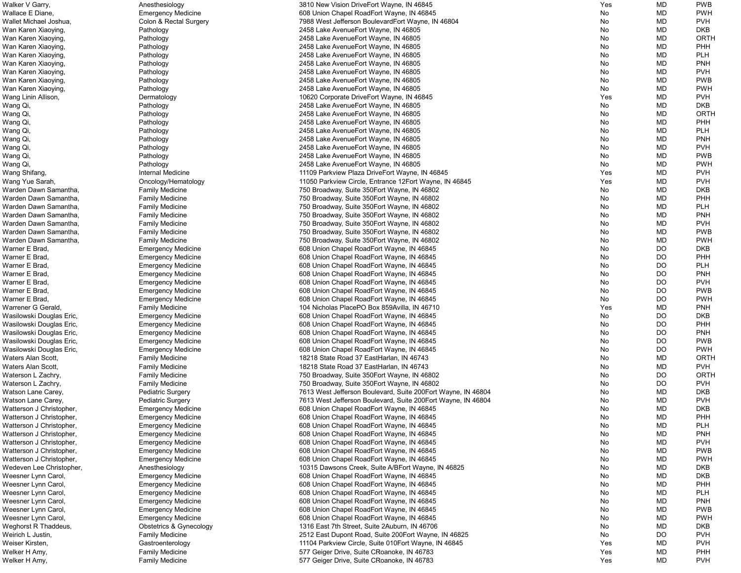| Walker V Garry,          | Anesthesiology            | 3810 New Vision DriveEort Wayne, IN 46845                    | Yes | MD        | <b>PWB</b>  |
|--------------------------|---------------------------|--------------------------------------------------------------|-----|-----------|-------------|
| Wallace E Diane,         | <b>Emergency Medicine</b> | 608 Union Chapel RoadEort Wayne, IN 46845                    | No  | MD        | <b>PWH</b>  |
| Wallet Michael Joshua,   | Colon & Rectal Surgery    | 7988 West Jefferson BoulevardEort Wayne, IN 46804            | No  | MD        | <b>PVH</b>  |
| Wan Karen Xiaoying,      | Pathology                 | 2458 Lake AvenueEort Wayne, IN 46805                         | No  | MD        | <b>DKB</b>  |
|                          |                           |                                                              |     | MD        | ORTH        |
| Wan Karen Xiaoying,      | Pathology                 | 2458 Lake AvenueEort Wayne, IN 46805                         | No  |           |             |
| Wan Karen Xiaoying,      | Pathology                 | 2458 Lake Avenue Eort Wayne, IN 46805                        | No  | MD        | PHH         |
| Wan Karen Xiaoying,      | Pathology                 | 2458 Lake AvenueEort Wayne, IN 46805                         | No  | MD        | <b>PLH</b>  |
| Wan Karen Xiaoying,      | Pathology                 | 2458 Lake AvenueEort Wayne, IN 46805                         | No  | MD        | <b>PNH</b>  |
| Wan Karen Xiaoying,      | Pathology                 | 2458 Lake Avenue Eort Wayne, IN 46805                        | No  | MD        | <b>PVH</b>  |
| Wan Karen Xiaoying,      | Pathology                 | 2458 Lake AvenueEort Wayne, IN 46805                         | No  | MD        | <b>PWB</b>  |
| Wan Karen Xiaoying,      | Pathology                 | 2458 Lake AvenueEort Wayne, IN 46805                         | No  | MD        | <b>PWH</b>  |
|                          |                           |                                                              |     |           |             |
| Wang Linin Allison,      | Dermatology               | 10620 Corporate DriveEort Wayne, IN 46845                    | Yes | MD        | <b>PVH</b>  |
| Wang Qi,                 | Pathology                 | 2458 Lake AvenueEort Wayne, IN 46805                         | No  | MD        | <b>DKB</b>  |
| Wang Qi,                 | Pathology                 | 2458 Lake AvenueEort Wayne, IN 46805                         | No  | MD        | <b>ORTH</b> |
| Wang Qi,                 | Pathology                 | 2458 Lake AvenueEort Wayne, IN 46805                         | No  | MD        | PHH         |
| Wang Qi,                 | Pathology                 | 2458 Lake AvenueEort Wayne, IN 46805                         | No  | MD        | <b>PLH</b>  |
| Wang Qi,                 | Pathology                 | 2458 Lake AvenueEort Wayne, IN 46805                         | No  | MD        | <b>PNH</b>  |
| Wang Qi,                 | Pathology                 | 2458 Lake AvenueEort Wayne, IN 46805                         | No  | MD        | <b>PVH</b>  |
|                          |                           |                                                              |     |           |             |
| Wang Qi                  | Pathology                 | 2458 Lake Avenue Eort Wayne, IN 46805                        | No  | MD        | <b>PWB</b>  |
| Wang Qi                  | Pathology                 | 2458 Lake AvenueEort Wayne, IN 46805                         | No  | MD        | <b>PWH</b>  |
| Wang Shifang,            | Internal Medicine         | 11109 Parkview Plaza DriveEort Wayne, IN 46845               | Yes | MD        | <b>PVH</b>  |
| Wang Yue Sarah,          | Oncology/Hematology       | 11050 Parkview Circle, Entrance 12Eort Wayne, IN 46845       | Yes | MD        | <b>PVH</b>  |
| Warden Dawn Samantha,    | <b>Family Medicine</b>    | 750 Broadway, Suite 350 Eort Wayne, IN 46802                 | No  | MD        | <b>DKB</b>  |
| Warden Dawn Samantha,    | <b>Family Medicine</b>    | 750 Broadway, Suite 350 Eort Wayne, IN 46802                 | No  | MD        | PHH         |
|                          |                           |                                                              |     |           | <b>PLH</b>  |
| Warden Dawn Samantha,    | <b>Family Medicine</b>    | 750 Broadway, Suite 350 Eort Wayne, IN 46802                 | No  | MD        |             |
| Warden Dawn Samantha,    | <b>Family Medicine</b>    | 750 Broadway, Suite 350 Eort Wayne, IN 46802                 | No  | MD        | <b>PNH</b>  |
| Warden Dawn Samantha,    | <b>Family Medicine</b>    | 750 Broadway, Suite 350 Eort Wayne, IN 46802                 | No  | MD        | <b>PVH</b>  |
| Warden Dawn Samantha,    | <b>Family Medicine</b>    | 750 Broadway, Suite 350 Eort Wayne, IN 46802                 | No  | <b>MD</b> | <b>PWB</b>  |
| Warden Dawn Samantha,    | <b>Family Medicine</b>    | 750 Broadway, Suite 350 Eort Wayne, IN 46802                 | No  | MD        | <b>PWH</b>  |
| Warner E Brad,           | <b>Emergency Medicine</b> | 608 Union Chapel RoadEort Wayne, IN 46845                    | No  | DO        | <b>DKB</b>  |
| Warner E Brad,           | <b>Emergency Medicine</b> | 608 Union Chapel RoadEort Wayne, IN 46845                    | No  | DO.       | PHH         |
| Warner E Brad,           |                           | 608 Union Chapel RoadEort Wayne, IN 46845                    | No  | DO.       | <b>PLH</b>  |
|                          | <b>Emergency Medicine</b> |                                                              |     |           |             |
| Warner E Brad,           | <b>Emergency Medicine</b> | 608 Union Chapel RoadEort Wayne, IN 46845                    | No  | DO        | <b>PNH</b>  |
| Warner E Brad,           | <b>Emergency Medicine</b> | 608 Union Chapel RoadEort Wayne, IN 46845                    | No  | DO        | <b>PVH</b>  |
| Warner E Brad,           | <b>Emergency Medicine</b> | 608 Union Chapel RoadEort Wayne, IN 46845                    | No. | DO        | <b>PWB</b>  |
| Warner E Brad,           | <b>Emergency Medicine</b> | 608 Union Chapel RoadEort Wayne, IN 46845                    | No. | DO.       | <b>PWH</b>  |
| Warrener G Gerald,       | <b>Family Medicine</b>    | 104 Nicholas PlacePO Box 859Avilla, IN 46710                 | Yes | MD        | <b>PNH</b>  |
| Wasilowski Douglas Eric, | <b>Emergency Medicine</b> | 608 Union Chapel RoadEort Wayne, IN 46845                    | No  | DO.       | <b>DKB</b>  |
| Wasilowski Douglas Eric, |                           | 608 Union Chapel RoadEort Wayne, IN 46845                    | No  | <b>DO</b> | PHH         |
|                          | <b>Emergency Medicine</b> |                                                              |     |           |             |
| Wasilowski Douglas Eric, | <b>Emergency Medicine</b> | 608 Union Chapel RoadEort Wayne, IN 46845                    | No  | DO        | <b>PNH</b>  |
| Wasilowski Douglas Eric, | <b>Emergency Medicine</b> | 608 Union Chapel RoadEort Wayne, IN 46845                    | No  | DO.       | <b>PWB</b>  |
| Wasilowski Douglas Eric, | <b>Emergency Medicine</b> | 608 Union Chapel RoadEort Wayne, IN 46845                    | No  | DO.       | <b>PWH</b>  |
| Waters Alan Scott,       | <b>Family Medicine</b>    | 18218 State Road 37 EastHarlan, IN 46743                     | No  | MD        | <b>ORTH</b> |
| Waters Alan Scott,       | <b>Family Medicine</b>    | 18218 State Road 37 EastHarlan, IN 46743                     | No  | <b>MD</b> | <b>PVH</b>  |
| Waterson L Zachry,       | <b>Family Medicine</b>    | 750 Broadway, Suite 350 Eort Wayne, IN 46802                 | No  | <b>DO</b> | <b>ORTH</b> |
| Waterson L Zachry,       | <b>Family Medicine</b>    | 750 Broadway, Suite 350 Eort Wayne, IN 46802                 | No  | DO        | <b>PVH</b>  |
|                          |                           |                                                              |     |           |             |
| Watson Lane Carey,       | Pediatric Surgery         | 7613 West Jefferson Boulevard, Suite 200Eort Wayne, IN 46804 | No  | MD        | <b>DKB</b>  |
| Watson Lane Carey,       | <b>Pediatric Surgery</b>  | 7613 West Jefferson Boulevard, Suite 200Eort Wayne, IN 46804 | No  | MD        | <b>PVH</b>  |
| Watterson J Christopher, | <b>Emergency Medicine</b> | 608 Union Chapel RoadEort Wayne, IN 46845                    | No  | MD        | <b>DKB</b>  |
| Watterson J Christopher, | <b>Emergency Medicine</b> | 608 Union Chapel RoadEort Wayne, IN 46845                    | No  | MD        | PHH         |
| Watterson J Christopher, | <b>Emergency Medicine</b> | 608 Union Chapel RoadEort Wayne, IN 46845                    | No  | MD        | <b>PLH</b>  |
| Watterson J Christopher, | <b>Emergency Medicine</b> | 608 Union Chapel RoadEort Wayne, IN 46845                    | No  | MD        | <b>PNH</b>  |
| Watterson J Christopher, | <b>Emergency Medicine</b> | 608 Union Chapel RoadEort Wayne, IN 46845                    | No  | MD        | <b>PVH</b>  |
| Watterson J Christopher, |                           | 608 Union Chapel RoadEort Wayne, IN 46845                    | No  | MD        | <b>PWB</b>  |
|                          | <b>Emergency Medicine</b> |                                                              |     |           |             |
| Watterson J Christopher, | <b>Emergency Medicine</b> | 608 Union Chapel RoadEort Wayne, IN 46845                    | No  | MD        | <b>PWH</b>  |
| Wedeven Lee Christopher, | Anesthesiology            | 10315 Dawsons Creek, Suite A/BEort Wayne, IN 46825           | No  | MD        | <b>DKB</b>  |
| Weesner Lynn Carol,      | <b>Emergency Medicine</b> | 608 Union Chapel RoadEort Wayne, IN 46845                    | No  | MD        | <b>DKB</b>  |
| Weesner Lynn Carol,      | <b>Emergency Medicine</b> | 608 Union Chapel RoadEort Wayne, IN 46845                    | No  | MD        | PHH         |
| Weesner Lynn Carol,      | <b>Emergency Medicine</b> | 608 Union Chapel RoadEort Wayne, IN 46845                    | No  | MD        | <b>PLH</b>  |
| Weesner Lynn Carol,      | <b>Emergency Medicine</b> | 608 Union Chapel RoadEort Wayne, IN 46845                    | No  | MD        | <b>PNH</b>  |
| Weesner Lynn Carol,      |                           | 608 Union Chapel RoadEort Wayne, IN 46845                    | No  | MD        | <b>PWB</b>  |
|                          | <b>Emergency Medicine</b> |                                                              |     |           |             |
| Weesner Lynn Carol,      | <b>Emergency Medicine</b> | 608 Union Chapel RoadEort Wayne, IN 46845                    | No  | MD        | <b>PWH</b>  |
| Weghorst R Thaddeus,     | Obstetrics & Gynecology   | 1316 East 7th Street, Suite 2Auburn, IN 46706                | No  | MD        | <b>DKB</b>  |
| Weirich L Justin,        | <b>Family Medicine</b>    | 2512 East Dupont Road, Suite 200Eort Wayne, IN 46825         | No  | <b>DO</b> | <b>PVH</b>  |
| Weiser Kirsten,          | Gastroenterology          | 11104 Parkview Circle, Suite 010 Eort Wayne, IN 46845        | Yes | MD        | <b>PVH</b>  |
| Welker H Amy,            | <b>Family Medicine</b>    | 577 Geiger Drive, Suite CRoanoke, IN 46783                   | Yes | MD        | <b>PHH</b>  |
| Welker H Amy,            | <b>Family Medicine</b>    | 577 Geiger Drive, Suite CRoanoke, IN 46783                   | Yes | MD        | <b>PVH</b>  |
|                          |                           |                                                              |     |           |             |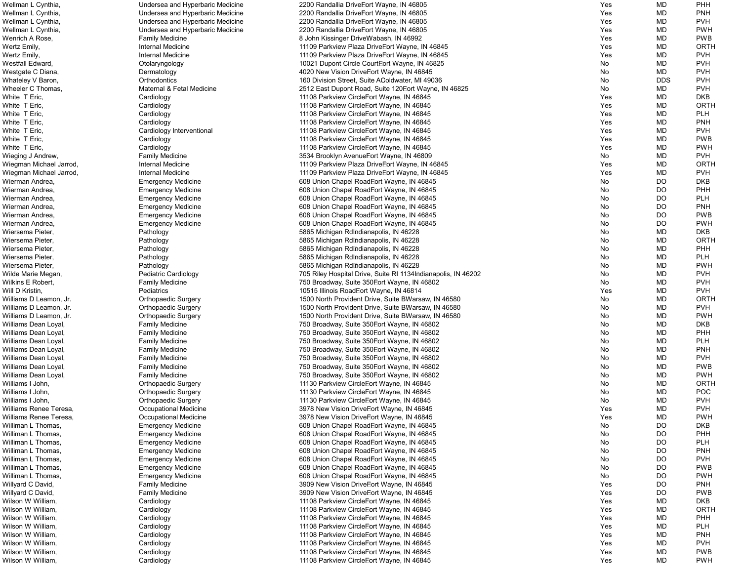| Wellman L Cynthia,      | Undersea and Hyperbaric Medicine | 2200 Randallia DriveEort Wayne, IN 46805                       | Yes | MD         | <b>PHH</b>  |
|-------------------------|----------------------------------|----------------------------------------------------------------|-----|------------|-------------|
| Wellman L Cynthia,      | Undersea and Hyperbaric Medicine | 2200 Randallia DriveEort Wayne, IN 46805                       | Yes | <b>MD</b>  | <b>PNH</b>  |
| Wellman L Cynthia,      | Undersea and Hyperbaric Medicine | 2200 Randallia DriveEort Wayne, IN 46805                       | Yes | <b>MD</b>  | <b>PVH</b>  |
| Wellman L Cynthia,      | Undersea and Hyperbaric Medicine | 2200 Randallia DriveEort Wayne, IN 46805                       | Yes | <b>MD</b>  | <b>PWH</b>  |
|                         |                                  |                                                                |     |            |             |
| Wenrich A Rose,         | <b>Family Medicine</b>           | 8 John Kissinger DriveWabash, IN 46992                         | Yes | MD         | <b>PWB</b>  |
| Wertz Emily,            | Internal Medicine                | 11109 Parkview Plaza DriveEort Wayne, IN 46845                 | Yes | MD         | <b>ORTH</b> |
| Wertz Emily,            | Internal Medicine                | 11109 Parkview Plaza DriveEort Wayne, IN 46845                 | Yes | <b>MD</b>  | <b>PVH</b>  |
| Westfall Edward,        | Otolaryngology                   | 10021 Dupont Circle CourtEort Wayne, IN 46825                  | No  | <b>MD</b>  | <b>PVH</b>  |
| Westgate C Diana,       | Dermatology                      | 4020 New Vision DriveEort Wayne, IN 46845                      | No  | MD         | <b>PVH</b>  |
| Whateley V Baron,       | Orthodontics                     | 160 Division Street, Suite AColdwater, MI 49036                | No  | <b>DDS</b> | <b>PVH</b>  |
| Wheeler C Thomas,       | Maternal & Fetal Medicine        | 2512 East Dupont Road, Suite 120 Fort Wayne, IN 46825          | No  | MD         | <b>PVH</b>  |
|                         |                                  |                                                                |     | <b>MD</b>  | <b>DKB</b>  |
| White T Eric,           | Cardiology                       | 11108 Parkview CircleEort Wayne, IN 46845                      | Yes |            |             |
| White T Eric,           | Cardiology                       | 11108 Parkview CircleEort Wayne, IN 46845                      | Yes | <b>MD</b>  | <b>ORTH</b> |
| White T Eric,           | Cardiology                       | 11108 Parkview CircleEort Wayne, IN 46845                      | Yes | <b>MD</b>  | <b>PLH</b>  |
| White T Eric,           | Cardiology                       | 11108 Parkview CircleEort Wayne, IN 46845                      | Yes | MD         | <b>PNH</b>  |
| White T Eric,           | Cardiology Interventional        | 11108 Parkview CircleEort Wayne, IN 46845                      | Yes | <b>MD</b>  | <b>PVH</b>  |
| White T Eric,           | Cardiology                       | 11108 Parkview CircleEort Wayne, IN 46845                      | Yes | <b>MD</b>  | <b>PWB</b>  |
| White T Eric,           | Cardiology                       | 11108 Parkview CircleEort Wayne, IN 46845                      | Yes | <b>MD</b>  | <b>PWH</b>  |
|                         |                                  | 3534 Brooklyn AvenueEort Wayne, IN 46809                       |     | <b>MD</b>  | <b>PVH</b>  |
| Wieging J Andrew,       | <b>Family Medicine</b>           |                                                                | No  |            |             |
| Wiegman Michael Jarrod, | Internal Medicine                | 11109 Parkview Plaza DriveEort Wayne, IN 46845                 | Yes | <b>MD</b>  | <b>ORTH</b> |
| Wiegman Michael Jarrod, | Internal Medicine                | 11109 Parkview Plaza DriveEort Wayne, IN 46845                 | Yes | <b>MD</b>  | <b>PVH</b>  |
| Wierman Andrea,         | <b>Emergency Medicine</b>        | 608 Union Chapel RoadEort Wayne, IN 46845                      | No  | <b>DO</b>  | <b>DKB</b>  |
| Wierman Andrea,         | <b>Emergency Medicine</b>        | 608 Union Chapel RoadEort Wayne, IN 46845                      | No  | <b>DO</b>  | PHH         |
| Wierman Andrea,         | <b>Emergency Medicine</b>        | 608 Union Chapel RoadEort Wayne, IN 46845                      | No  | <b>DO</b>  | <b>PLH</b>  |
| Wierman Andrea,         | <b>Emergency Medicine</b>        | 608 Union Chapel RoadEort Wayne, IN 46845                      | No  | <b>DO</b>  | <b>PNH</b>  |
| Wierman Andrea,         | <b>Emergency Medicine</b>        | 608 Union Chapel RoadEort Wayne, IN 46845                      | No  | <b>DO</b>  | <b>PWB</b>  |
|                         |                                  |                                                                |     |            |             |
| Wierman Andrea,         | <b>Emergency Medicine</b>        | 608 Union Chapel RoadEort Wayne, IN 46845                      | No  | DO         | <b>PWH</b>  |
| Wiersema Pieter,        | Pathology                        | 5865 Michigan RdIndianapolis, IN 46228                         | No  | <b>MD</b>  | <b>DKB</b>  |
| Wiersema Pieter,        | Pathology                        | 5865 Michigan RdIndianapolis, IN 46228                         | No  | <b>MD</b>  | <b>ORTH</b> |
| Wiersema Pieter,        | Pathology                        | 5865 Michigan RdIndianapolis, IN 46228                         | No  | <b>MD</b>  | <b>PHH</b>  |
| Wiersema Pieter,        | Pathology                        | 5865 Michigan RdIndianapolis, IN 46228                         | No  | <b>MD</b>  | <b>PLH</b>  |
| Wiersema Pieter,        | Pathology                        | 5865 Michigan RdIndianapolis, IN 46228                         | No  | <b>MD</b>  | <b>PWH</b>  |
| Wilde Marie Megan,      | Pediatric Cardiology             | 705 Riley Hospital Drive, Suite RI 1134 Indianapolis, IN 46202 | No  | <b>MD</b>  | <b>PVH</b>  |
|                         |                                  |                                                                |     | <b>MD</b>  | <b>PVH</b>  |
| Wilkins E Robert,       | <b>Family Medicine</b>           | 750 Broadway, Suite 350 Eort Wayne, IN 46802                   | No  |            |             |
| Will D Kristin,         | Pediatrics                       | 10515 Illinois RoadEort Wayne, IN 46814                        | Yes | <b>MD</b>  | <b>PVH</b>  |
| Williams D Leamon, Jr.  | <b>Orthopaedic Surgery</b>       | 1500 North Provident Drive, Suite BWarsaw, IN 46580            | No. | <b>MD</b>  | <b>ORTH</b> |
| Williams D Leamon, Jr.  | Orthopaedic Surgery              | 1500 North Provident Drive, Suite BWarsaw, IN 46580            | No  | <b>MD</b>  | <b>PVH</b>  |
| Williams D Leamon, Jr.  | <b>Orthopaedic Surgery</b>       | 1500 North Provident Drive, Suite BWarsaw, IN 46580            | No  | <b>MD</b>  | <b>PWH</b>  |
| Williams Dean Loyal,    | <b>Family Medicine</b>           | 750 Broadway, Suite 350 Eort Wayne, IN 46802                   | No  | <b>MD</b>  | <b>DKB</b>  |
| Williams Dean Loyal,    | <b>Family Medicine</b>           | 750 Broadway, Suite 350 Eort Wayne, IN 46802                   | No  | <b>MD</b>  | <b>PHH</b>  |
| Williams Dean Loyal,    | <b>Family Medicine</b>           | 750 Broadway, Suite 350 Eort Wayne, IN 46802                   | No  | MD         | <b>PLH</b>  |
|                         |                                  |                                                                |     | MD         | <b>PNH</b>  |
| Williams Dean Loyal,    | <b>Family Medicine</b>           | 750 Broadway, Suite 350 Eort Wayne, IN 46802                   | No  |            |             |
| Williams Dean Loyal,    | <b>Family Medicine</b>           | 750 Broadway, Suite 350 Eort Wayne, IN 46802                   | No  | <b>MD</b>  | <b>PVH</b>  |
| Williams Dean Loyal,    | <b>Family Medicine</b>           | 750 Broadway, Suite 350 Eort Wayne, IN 46802                   | No  | <b>MD</b>  | <b>PWB</b>  |
| Williams Dean Loyal,    | <b>Family Medicine</b>           | 750 Broadway, Suite 350 Eort Wayne, IN 46802                   | No  | <b>MD</b>  | <b>PWH</b>  |
| Williams I John,        | <b>Orthopaedic Surgery</b>       | 11130 Parkview CircleEort Wayne, IN 46845                      | No  | <b>MD</b>  | <b>ORTH</b> |
| Williams I John,        | <b>Orthopaedic Surgery</b>       | 11130 Parkview CircleEort Wayne, IN 46845                      | No  | <b>MD</b>  | <b>POC</b>  |
| Williams I John,        | <b>Orthopaedic Surgery</b>       | 11130 Parkview CircleEort Wayne, IN 46845                      | No  | MD         | <b>PVH</b>  |
| Williams Renee Teresa,  | Occupational Medicine            | 3978 New Vision DriveEort Wayne, IN 46845                      | Yes | <b>MD</b>  | <b>PVH</b>  |
|                         |                                  |                                                                |     |            |             |
| Williams Renee Teresa,  | Occupational Medicine            | 3978 New Vision DriveEort Wayne, IN 46845                      | Yes | <b>MD</b>  | <b>PWH</b>  |
| Williman L Thomas,      | <b>Emergency Medicine</b>        | 608 Union Chapel RoadEort Wayne, IN 46845                      | No  | DO         | <b>DKB</b>  |
| Williman L Thomas,      | <b>Emergency Medicine</b>        | 608 Union Chapel RoadEort Wayne, IN 46845                      | No  | DO         | <b>PHH</b>  |
| Williman L Thomas,      | <b>Emergency Medicine</b>        | 608 Union Chapel RoadEort Wayne, IN 46845                      | No  | DO         | <b>PLH</b>  |
| Williman L Thomas,      | <b>Emergency Medicine</b>        | 608 Union Chapel RoadEort Wayne, IN 46845                      | No  | DO         | <b>PNH</b>  |
| Williman L Thomas,      | <b>Emergency Medicine</b>        | 608 Union Chapel RoadEort Wayne, IN 46845                      | No  | <b>DO</b>  | <b>PVH</b>  |
| Williman L Thomas,      | <b>Emergency Medicine</b>        | 608 Union Chapel RoadEort Wayne, IN 46845                      | No  | <b>DO</b>  | <b>PWB</b>  |
| Williman L Thomas,      |                                  | 608 Union Chapel RoadEort Wayne, IN 46845                      | No  | <b>DO</b>  | <b>PWH</b>  |
|                         | <b>Emergency Medicine</b>        |                                                                |     |            |             |
| Willyard C David,       | <b>Family Medicine</b>           | 3909 New Vision DriveEort Wayne, IN 46845                      | Yes | <b>DO</b>  | <b>PNH</b>  |
| Willyard C David,       | <b>Family Medicine</b>           | 3909 New Vision DriveEort Wayne, IN 46845                      | Yes | <b>DO</b>  | <b>PWB</b>  |
| Wilson W William,       | Cardiology                       | 11108 Parkview CircleEort Wayne, IN 46845                      | Yes | <b>MD</b>  | <b>DKB</b>  |
| Wilson W William,       | Cardiology                       | 11108 Parkview CircleEort Wayne, IN 46845                      | Yes | <b>MD</b>  | <b>ORTH</b> |
| Wilson W William,       | Cardiology                       | 11108 Parkview CircleEort Wayne, IN 46845                      | Yes | <b>MD</b>  | <b>PHH</b>  |
| Wilson W William,       | Cardiology                       | 11108 Parkview CircleEort Wayne, IN 46845                      | Yes | <b>MD</b>  | <b>PLH</b>  |
| Wilson W William,       | Cardiology                       | 11108 Parkview CircleEort Wayne, IN 46845                      | Yes | <b>MD</b>  | <b>PNH</b>  |
|                         |                                  |                                                                |     | MD         | <b>PVH</b>  |
| Wilson W William,       | Cardiology                       | 11108 Parkview CircleEort Wayne, IN 46845                      | Yes |            |             |
| Wilson W William,       | Cardiology                       | 11108 Parkview CircleEort Wayne, IN 46845                      | Yes | MD         | <b>PWB</b>  |
| Wilson W William,       | Cardiology                       | 11108 Parkview CircleEort Wayne, IN 46845                      | Yes | MD         | <b>PWH</b>  |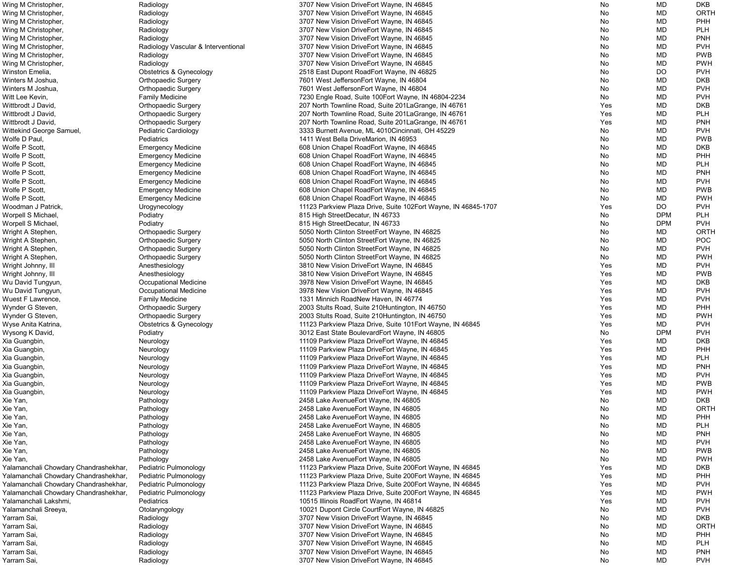| Wing M Christopher,                   | Radiology                           | 3707 New Vision DriveEort Wayne, IN 46845                      | No  | MD         | <b>DKB</b>  |
|---------------------------------------|-------------------------------------|----------------------------------------------------------------|-----|------------|-------------|
| Wing M Christopher,                   | Radiology                           | 3707 New Vision DriveEort Wayne, IN 46845                      | No  | <b>MD</b>  | <b>ORTH</b> |
| Wing M Christopher,                   | Radiology                           | 3707 New Vision DriveEort Wayne, IN 46845                      | No  | MD         | <b>PHH</b>  |
| Wing M Christopher,                   | Radiology                           | 3707 New Vision DriveEort Wayne, IN 46845                      | No  | MD         | <b>PLH</b>  |
| Wing M Christopher,                   | Radiology                           | 3707 New Vision DriveEort Wayne, IN 46845                      | No  | MD         | <b>PNH</b>  |
| Wing M Christopher,                   | Radiology Vascular & Interventional | 3707 New Vision DriveEort Wayne, IN 46845                      | No  | <b>MD</b>  | <b>PVH</b>  |
| Wing M Christopher,                   | Radiology                           | 3707 New Vision DriveEort Wayne, IN 46845                      | No  | MD         | <b>PWB</b>  |
|                                       |                                     |                                                                |     |            | <b>PWH</b>  |
| Wing M Christopher,                   | Radiology                           | 3707 New Vision DriveEort Wayne, IN 46845                      | No  | <b>MD</b>  |             |
| Winston Emelia,                       | <b>Obstetrics &amp; Gynecology</b>  | 2518 East Dupont RoadEort Wayne, IN 46825                      | No  | <b>DO</b>  | <b>PVH</b>  |
| Winters M Joshua,                     | <b>Orthopaedic Surgery</b>          | 7601 West JeffersonEort Wayne, IN 46804                        | No  | <b>MD</b>  | <b>DKB</b>  |
| Winters M Joshua,                     | <b>Orthopaedic Surgery</b>          | 7601 West JeffersonEort Wayne, IN 46804                        | No  | <b>MD</b>  | <b>PVH</b>  |
| Witt Lee Kevin,                       | <b>Family Medicine</b>              | 7230 Engle Road, Suite 100 Eort Wayne, IN 46804-2234           | No  | <b>MD</b>  | <b>PVH</b>  |
| Wittbrodt J David,                    | <b>Orthopaedic Surgery</b>          | 207 North Townline Road, Suite 201 La Grange, IN 46761         | Yes | MD         | <b>DKB</b>  |
| Wittbrodt J David,                    | <b>Orthopaedic Surgery</b>          | 207 North Townline Road, Suite 201 La Grange, IN 46761         | Yes | MD         | <b>PLH</b>  |
| Wittbrodt J David,                    | <b>Orthopaedic Surgery</b>          | 207 North Townline Road, Suite 201 La Grange, IN 46761         | Yes | MD         | <b>PNH</b>  |
| Wittekind George Samuel               | Pediatric Cardiology                | 3333 Burnett Avenue, ML 4010 Cincinnati, OH 45229              | No  | MD         | <b>PVH</b>  |
| Wolfe D Paul,                         | Pediatrics                          | 1411 West Bella DriveMarion, IN 46953                          | No  | MD         | <b>PWB</b>  |
| Wolfe P Scott,                        | <b>Emergency Medicine</b>           | 608 Union Chapel RoadEort Wayne, IN 46845                      | No  | <b>MD</b>  | <b>DKB</b>  |
| Wolfe P Scott,                        |                                     |                                                                |     |            | PHH         |
|                                       | <b>Emergency Medicine</b>           | 608 Union Chapel RoadEort Wayne, IN 46845                      | No  | MD         |             |
| Wolfe P Scott,                        | <b>Emergency Medicine</b>           | 608 Union Chapel RoadEort Wayne, IN 46845                      | No  | MD         | <b>PLH</b>  |
| Wolfe P Scott,                        | <b>Emergency Medicine</b>           | 608 Union Chapel RoadEort Wayne, IN 46845                      | No  | <b>MD</b>  | <b>PNH</b>  |
| Wolfe P Scott,                        | <b>Emergency Medicine</b>           | 608 Union Chapel RoadEort Wayne, IN 46845                      | No  | <b>MD</b>  | <b>PVH</b>  |
| Wolfe P Scott,                        | <b>Emergency Medicine</b>           | 608 Union Chapel RoadEort Wayne, IN 46845                      | No  | <b>MD</b>  | <b>PWB</b>  |
| Wolfe P Scott,                        | <b>Emergency Medicine</b>           | 608 Union Chapel RoadEort Wayne, IN 46845                      | No  | MD         | <b>PWH</b>  |
| Woodman J Patrick,                    | Urogynecology                       | 11123 Parkview Plaza Drive, Suite 102Eort Wayne, IN 46845-1707 | Yes | DO         | <b>PVH</b>  |
| Worpell S Michael,                    | Podiatry                            | 815 High StreetDecatur, IN 46733                               | No  | <b>DPM</b> | <b>PLH</b>  |
| Worpell S Michael,                    | Podiatry                            | 815 High StreetDecatur, IN 46733                               | No  | <b>DPM</b> | <b>PVH</b>  |
| Wright A Stephen,                     | <b>Orthopaedic Surgery</b>          | 5050 North Clinton StreetEort Wayne, IN 46825                  | No  | MD         | ORTH        |
| Wright A Stephen,                     | <b>Orthopaedic Surgery</b>          | 5050 North Clinton StreetEort Wayne, IN 46825                  | No  | MD         | <b>POC</b>  |
| Wright A Stephen,                     | <b>Orthopaedic Surgery</b>          | 5050 North Clinton StreetEort Wayne, IN 46825                  | No  | MD         | <b>PVH</b>  |
|                                       |                                     |                                                                |     |            |             |
| Wright A Stephen,                     | <b>Orthopaedic Surgery</b>          | 5050 North Clinton StreetEort Wayne, IN 46825                  | No  | MD         | <b>PWH</b>  |
| Wright Johnny, III                    | Anesthesiology                      | 3810 New Vision DriveEort Wayne, IN 46845                      | Yes | <b>MD</b>  | <b>PVH</b>  |
| Wright Johnny, III                    | Anesthesiology                      | 3810 New Vision DriveEort Wayne, IN 46845                      | Yes | MD         | <b>PWB</b>  |
| Wu David Tungyun,                     | <b>Occupational Medicine</b>        | 3978 New Vision DriveEort Wayne, IN 46845                      | Yes | <b>MD</b>  | <b>DKB</b>  |
| Wu David Tungyun,                     | Occupational Medicine               | 3978 New Vision DriveEort Wayne, IN 46845                      | Yes | <b>MD</b>  | <b>PVH</b>  |
| Wuest F Lawrence,                     | <b>Family Medicine</b>              | 1331 Minnich RoadNew Haven, IN 46774                           | Yes | <b>MD</b>  | <b>PVH</b>  |
| Wynder G Steven,                      | <b>Orthopaedic Surgery</b>          | 2003 Stults Road, Suite 210 Huntington, IN 46750               | Yes | <b>MD</b>  | <b>PHH</b>  |
| Wynder G Steven,                      | <b>Orthopaedic Surgery</b>          | 2003 Stults Road, Suite 210 Huntington, IN 46750               | Yes | MD         | <b>PWH</b>  |
| Wyse Anita Katrina,                   | <b>Obstetrics &amp; Gynecology</b>  | 11123 Parkview Plaza Drive, Suite 101 Eort Wayne, IN 46845     | Yes | MD         | <b>PVH</b>  |
| Wysong K David,                       | Podiatry                            | 3012 East State BoulevardEort Wayne, IN 46805                  | No  | <b>DPM</b> | <b>PVH</b>  |
|                                       |                                     |                                                                |     |            | <b>DKB</b>  |
| Xia Guangbin,                         | Neurology                           | 11109 Parkview Plaza DriveEort Wayne, IN 46845                 | Yes | MD         |             |
| Xia Guangbin,                         | Neurology                           | 11109 Parkview Plaza DriveEort Wayne, IN 46845                 | Yes | MD         | PHH         |
| Xia Guangbin,                         | Neurology                           | 11109 Parkview Plaza DriveEort Wayne, IN 46845                 | Yes | MD         | <b>PLH</b>  |
| Xia Guangbin,                         | Neurology                           | 11109 Parkview Plaza DriveEort Wayne, IN 46845                 | Yes | <b>MD</b>  | <b>PNH</b>  |
| Xia Guangbin,                         | Neurology                           | 11109 Parkview Plaza DriveEort Wayne, IN 46845                 | Yes | MD         | <b>PVH</b>  |
| Xia Guangbin,                         | Neurology                           | 11109 Parkview Plaza DriveEort Wayne, IN 46845                 | Yes | <b>MD</b>  | <b>PWB</b>  |
| Xia Guangbin,                         | Neurology                           | 11109 Parkview Plaza DriveEort Wayne, IN 46845                 | Yes | <b>MD</b>  | <b>PWH</b>  |
| Xie Yan,                              | Pathology                           | 2458 Lake AvenueEort Wayne, IN 46805                           | No  | <b>MD</b>  | <b>DKB</b>  |
| Xie Yan,                              | Pathology                           | 2458 Lake Avenue Eort Wayne, IN 46805                          | No  | MD         | <b>ORTH</b> |
| Xie Yan,                              | Pathology                           | 2458 Lake AvenueEort Wayne, IN 46805                           | No  | <b>MD</b>  | <b>PHH</b>  |
|                                       |                                     |                                                                |     |            | <b>PLH</b>  |
| Xie Yan,                              | Pathology                           | 2458 Lake AvenueEort Wayne, IN 46805                           | No  | MD         |             |
| Xie Yan,                              | Pathology                           | 2458 Lake AvenueEort Wayne, IN 46805                           | No  | <b>MD</b>  | <b>PNH</b>  |
| Xie Yan,                              | Pathology                           | 2458 Lake AvenueEort Wayne, IN 46805                           | No  | <b>MD</b>  | <b>PVH</b>  |
| Xie Yan,                              | Pathology                           | 2458 Lake AvenueEort Wayne, IN 46805                           | No  | <b>MD</b>  | <b>PWB</b>  |
| Xie Yan,                              | Pathology                           | 2458 Lake AvenueEort Wayne, IN 46805                           | No  | MD         | <b>PWH</b>  |
| Yalamanchali Chowdary Chandrashekhar, | Pediatric Pulmonology               | 11123 Parkview Plaza Drive, Suite 200Eort Wayne, IN 46845      | Yes | <b>MD</b>  | <b>DKB</b>  |
| Yalamanchali Chowdary Chandrashekhar, | Pediatric Pulmonology               | 11123 Parkview Plaza Drive, Suite 200Eort Wayne, IN 46845      | Yes | MD         | PHH         |
| Yalamanchali Chowdary Chandrashekhar, | Pediatric Pulmonology               | 11123 Parkview Plaza Drive, Suite 200Eort Wayne, IN 46845      | Yes | <b>MD</b>  | <b>PVH</b>  |
| Yalamanchali Chowdary Chandrashekhar, | Pediatric Pulmonology               | 11123 Parkview Plaza Drive, Suite 200Eort Wayne, IN 46845      | Yes | <b>MD</b>  | <b>PWH</b>  |
| Yalamanchali Lakshmi,                 | Pediatrics                          | 10515 Illinois RoadEort Wayne, IN 46814                        | Yes | MD         | <b>PVH</b>  |
| Yalamanchali Sreeya,                  | Otolaryngology                      | 10021 Dupont Circle CourtEort Wayne, IN 46825                  | No  | MD         | <b>PVH</b>  |
|                                       |                                     |                                                                | No  | MD         | <b>DKB</b>  |
| Yarram Sai,                           | Radiology                           | 3707 New Vision DriveEort Wayne, IN 46845                      |     |            |             |
| Yarram Sai,                           | Radiology                           | 3707 New Vision DriveEort Wayne, IN 46845                      | No  | MD         | ORTH        |
| Yarram Sai,                           | Radiology                           | 3707 New Vision DriveEort Wayne, IN 46845                      | No  | MD         | PHH         |
| Yarram Sai,                           | Radiology                           | 3707 New Vision DriveEort Wayne, IN 46845                      | No  | <b>MD</b>  | <b>PLH</b>  |
| Yarram Sai,                           | Radiology                           | 3707 New Vision DriveEort Wayne, IN 46845                      | No  | MD         | <b>PNH</b>  |
| Yarram Sai,                           | Radiology                           | 3707 New Vision DriveEort Wayne, IN 46845                      | No  | MD         | <b>PVH</b>  |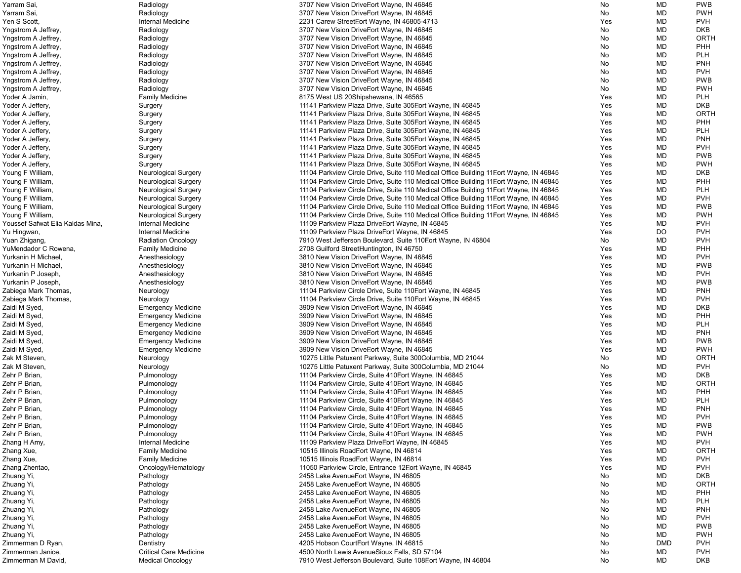| Yarram Sai,                      | Radiology                     | 3707 New Vision DriveEort Wayne, IN 46845                                              | No  | MD         | <b>PWB</b>  |
|----------------------------------|-------------------------------|----------------------------------------------------------------------------------------|-----|------------|-------------|
| Yarram Sai,                      | Radiology                     | 3707 New Vision DriveEort Wayne, IN 46845                                              | No  | MD         | <b>PWH</b>  |
| Yen S Scott,                     | Internal Medicine             | 2231 Carew StreetEort Wayne, IN 46805-4713                                             | Yes | MD         | <b>PVH</b>  |
| Yngstrom A Jeffrey,              | Radiology                     | 3707 New Vision DriveEort Wayne, IN 46845                                              | No  | MD         | <b>DKB</b>  |
| Yngstrom A Jeffrey,              | Radiology                     | 3707 New Vision DriveEort Wayne, IN 46845                                              | No  | MD         | <b>ORTH</b> |
| Yngstrom A Jeffrey,              | Radiology                     | 3707 New Vision DriveEort Wayne, IN 46845                                              | No  | MD         | <b>PHH</b>  |
| Yngstrom A Jeffrey,              | Radiology                     | 3707 New Vision DriveEort Wayne, IN 46845                                              | No  | MD         | <b>PLH</b>  |
| Yngstrom A Jeffrey,              | Radiology                     | 3707 New Vision DriveEort Wayne, IN 46845                                              | No  | MD         | <b>PNH</b>  |
| Yngstrom A Jeffrey,              | Radiology                     | 3707 New Vision DriveEort Wayne, IN 46845                                              | No  | MD         | <b>PVH</b>  |
| Yngstrom A Jeffrey,              | Radiology                     | 3707 New Vision DriveEort Wayne, IN 46845                                              | No  | MD         | <b>PWB</b>  |
|                                  |                               |                                                                                        |     |            |             |
| Yngstrom A Jeffrey,              | Radiology                     | 3707 New Vision DriveEort Wayne, IN 46845                                              | No  | MD         | <b>PWH</b>  |
| Yoder A Jamin,                   | <b>Family Medicine</b>        | 8175 West US 20Shipshewana, IN 46565                                                   | Yes | MD         | <b>PLH</b>  |
| Yoder A Jeffery,                 | Surgery                       | 11141 Parkview Plaza Drive, Suite 305 Eort Wayne, IN 46845                             | Yes | MD         | <b>DKB</b>  |
| Yoder A Jeffery,                 | Surgery                       | 11141 Parkview Plaza Drive, Suite 305 Eort Wayne, IN 46845                             | Yes | MD         | <b>ORTH</b> |
| Yoder A Jeffery,                 | Surgery                       | 11141 Parkview Plaza Drive, Suite 305 Eort Wayne, IN 46845                             | Yes | MD         | PHH         |
| Yoder A Jeffery,                 | Surgery                       | 11141 Parkview Plaza Drive, Suite 305 Eort Wayne, IN 46845                             | Yes | MD         | <b>PLH</b>  |
| Yoder A Jeffery,                 | Surgery                       | 11141 Parkview Plaza Drive, Suite 305 Eort Wayne, IN 46845                             | Yes | MD         | <b>PNH</b>  |
| Yoder A Jeffery,                 | Surgery                       | 11141 Parkview Plaza Drive, Suite 305 Eort Wayne, IN 46845                             | Yes | MD         | <b>PVH</b>  |
| Yoder A Jeffery,                 | Surgery                       | 11141 Parkview Plaza Drive, Suite 305 Eort Wayne, IN 46845                             | Yes | MD         | <b>PWB</b>  |
| Yoder A Jeffery,                 | Surgery                       | 11141 Parkview Plaza Drive, Suite 305Eort Wayne, IN 46845                              | Yes | MD         | <b>PWH</b>  |
| Young F William,                 | <b>Neurological Surgery</b>   | 11104 Parkview Circle Drive, Suite 110 Medical Office Building 11 Eort Wayne, IN 46845 | Yes | MD         | <b>DKB</b>  |
| Young F William,                 | <b>Neurological Surgery</b>   | 11104 Parkview Circle Drive, Suite 110 Medical Office Building 11 Eort Wayne, IN 46845 | Yes | MD         | PHH         |
| Young F William,                 | <b>Neurological Surgery</b>   | 11104 Parkview Circle Drive, Suite 110 Medical Office Building 11 Eort Wayne, IN 46845 | Yes | MD         | <b>PLH</b>  |
| Young F William,                 | <b>Neurological Surgery</b>   | 11104 Parkview Circle Drive, Suite 110 Medical Office Building 11 Eort Wayne, IN 46845 | Yes | MD         | <b>PVH</b>  |
| Young F William,                 | <b>Neurological Surgery</b>   | 11104 Parkview Circle Drive, Suite 110 Medical Office Building 11 Eort Wayne, IN 46845 | Yes | MD         | <b>PWB</b>  |
| Young F William,                 | <b>Neurological Surgery</b>   | 11104 Parkview Circle Drive, Suite 110 Medical Office Building 11 Eort Wayne, IN 46845 | Yes | MD         | <b>PWH</b>  |
| Youssef Safwat Elia Kaldas Mina, | Internal Medicine             | 11109 Parkview Plaza DriveEort Wayne, IN 46845                                         | Yes | MD         | <b>PVH</b>  |
|                                  | Internal Medicine             |                                                                                        | Yes | DO         | <b>PVH</b>  |
| Yu Hingwan,                      |                               | 11109 Parkview Plaza DriveEort Wayne, IN 46845                                         |     |            | <b>PVH</b>  |
| Yuan Zhigang,                    | <b>Radiation Oncology</b>     | 7910 West Jefferson Boulevard, Suite 110 Eort Wayne, IN 46804                          | No  | MD         |             |
| YuMendador C Rowena,             | <b>Family Medicine</b>        | 2708 Guilford StreetHuntington, IN 46750                                               | Yes | MD         | <b>PHH</b>  |
| Yurkanin H Michael,              | Anesthesiology                | 3810 New Vision DriveEort Wayne, IN 46845                                              | Yes | MD         | <b>PVH</b>  |
| Yurkanin H Michael,              | Anesthesiology                | 3810 New Vision DriveEort Wayne, IN 46845                                              | Yes | MD         | <b>PWB</b>  |
| Yurkanin P Joseph,               | Anesthesiology                | 3810 New Vision DriveEort Wayne, IN 46845                                              | Yes | MD         | <b>PVH</b>  |
| Yurkanin P Joseph,               | Anesthesiology                | 3810 New Vision DriveEort Wayne, IN 46845                                              | Yes | MD         | <b>PWB</b>  |
| Zabiega Mark Thomas,             | Neurology                     | 11104 Parkview Circle Drive, Suite 110 Eort Wayne, IN 46845                            | Yes | MD         | <b>PNH</b>  |
| Zabiega Mark Thomas,             | Neurology                     | 11104 Parkview Circle Drive, Suite 110 Eort Wayne, IN 46845                            | Yes | MD         | <b>PVH</b>  |
| Zaidi M Syed,                    | <b>Emergency Medicine</b>     | 3909 New Vision DriveEort Wayne, IN 46845                                              | Yes | MD         | <b>DKB</b>  |
| Zaidi M Syed,                    | <b>Emergency Medicine</b>     | 3909 New Vision DriveEort Wayne, IN 46845                                              | Yes | MD         | <b>PHH</b>  |
| Zaidi M Syed,                    | <b>Emergency Medicine</b>     | 3909 New Vision DriveEort Wayne, IN 46845                                              | Yes | MD         | <b>PLH</b>  |
| Zaidi M Syed,                    | <b>Emergency Medicine</b>     | 3909 New Vision DriveEort Wayne, IN 46845                                              | Yes | MD         | <b>PNH</b>  |
| Zaidi M Syed,                    | <b>Emergency Medicine</b>     | 3909 New Vision DriveEort Wayne, IN 46845                                              | Yes | MD         | <b>PWB</b>  |
| Zaidi M Syed,                    | <b>Emergency Medicine</b>     | 3909 New Vision DriveEort Wayne, IN 46845                                              | Yes | MD         | <b>PWH</b>  |
| Zak M Steven,                    | Neurology                     | 10275 Little Patuxent Parkway, Suite 300Columbia, MD 21044                             | No  | MD         | <b>ORTH</b> |
| Zak M Steven,                    | Neurology                     | 10275 Little Patuxent Parkway, Suite 300Columbia, MD 21044                             | No  | MD         | <b>PVH</b>  |
| Zehr P Brian,                    | Pulmonology                   | 11104 Parkview Circle, Suite 410 Eort Wayne, IN 46845                                  | Yes | MD         | <b>DKB</b>  |
| Zehr P Brian,                    | Pulmonology                   | 11104 Parkview Circle, Suite 410 Eort Wayne, IN 46845                                  | Yes | MD         | ORTH        |
| Zehr P Brian,                    | Pulmonology                   | 11104 Parkview Circle, Suite 410Eort Wayne, IN 46845                                   | Yes | MD         | <b>PHH</b>  |
| Zehr P Brian,                    | Pulmonology                   | 11104 Parkview Circle, Suite 410 Eort Wayne, IN 46845                                  | Yes | MD         | <b>PLH</b>  |
| Zehr P Brian,                    | Pulmonology                   | 11104 Parkview Circle, Suite 410 Eort Wayne, IN 46845                                  | Yes | MD         | <b>PNH</b>  |
| Zehr P Brian,                    | Pulmonology                   | 11104 Parkview Circle, Suite 410 Eort Wayne, IN 46845                                  | Yes | MD         | <b>PVH</b>  |
| Zehr P Brian,                    | Pulmonology                   |                                                                                        | Yes | MD         | <b>PWB</b>  |
|                                  |                               | 11104 Parkview Circle, Suite 410 Eort Wayne, IN 46845                                  |     |            |             |
| Zehr P Brian,                    | Pulmonology                   | 11104 Parkview Circle, Suite 410 Eort Wayne, IN 46845                                  | Yes | MD         | <b>PWH</b>  |
| Zhang H Amy,                     | <b>Internal Medicine</b>      | 11109 Parkview Plaza DriveEort Wayne, IN 46845                                         | Yes | MD         | <b>PVH</b>  |
| Zhang Xue,                       | <b>Family Medicine</b>        | 10515 Illinois RoadEort Wayne, IN 46814                                                | Yes | MD         | <b>ORTH</b> |
| Zhang Xue,                       | <b>Family Medicine</b>        | 10515 Illinois RoadEort Wayne, IN 46814                                                | Yes | MD         | <b>PVH</b>  |
| Zhang Zhentao,                   | Oncology/Hematology           | 11050 Parkview Circle, Entrance 12Eort Wayne, IN 46845                                 | Yes | MD         | <b>PVH</b>  |
| Zhuang Yi,                       | Pathology                     | 2458 Lake Avenue Eort Wayne, IN 46805                                                  | No  | MD         | <b>DKB</b>  |
| Zhuang Yi,                       | Pathology                     | 2458 Lake AvenueEort Wayne, IN 46805                                                   | No  | MD         | <b>ORTH</b> |
| Zhuang Yi,                       | Pathology                     | 2458 Lake Avenue Eort Wayne, IN 46805                                                  | No  | MD         | <b>PHH</b>  |
| Zhuang Yi,                       | Pathology                     | 2458 Lake AvenueEort Wayne, IN 46805                                                   | No  | MD         | <b>PLH</b>  |
| Zhuang Yi,                       | Pathology                     | 2458 Lake AvenueEort Wayne, IN 46805                                                   | No  | MD         | <b>PNH</b>  |
| Zhuang Yi,                       | Pathology                     | 2458 Lake Avenue Eort Wayne, IN 46805                                                  | No  | MD         | <b>PVH</b>  |
| Zhuang Yi,                       | Pathology                     | 2458 Lake AvenueEort Wayne, IN 46805                                                   | No  | MD         | <b>PWB</b>  |
| Zhuang Yi,                       | Pathology                     | 2458 Lake Avenue Eort Wayne, IN 46805                                                  | No  | MD         | <b>PWH</b>  |
| Zimmerman D Ryan,                | Dentistry                     | 4205 Hobson CourtEort Wayne, IN 46815                                                  | No  | <b>DMD</b> | <b>PVH</b>  |
| Zimmerman Janice,                | <b>Critical Care Medicine</b> | 4500 North Lewis AvenueSioux Falls, SD 57104                                           | No  | MD         | <b>PVH</b>  |
| Zimmerman M David                | <b>Medical Oncology</b>       | 7910 West Jefferson Boulevard, Suite 108Eort Wayne, IN 46804                           | No  | MD         | <b>DKB</b>  |
|                                  |                               |                                                                                        |     |            |             |